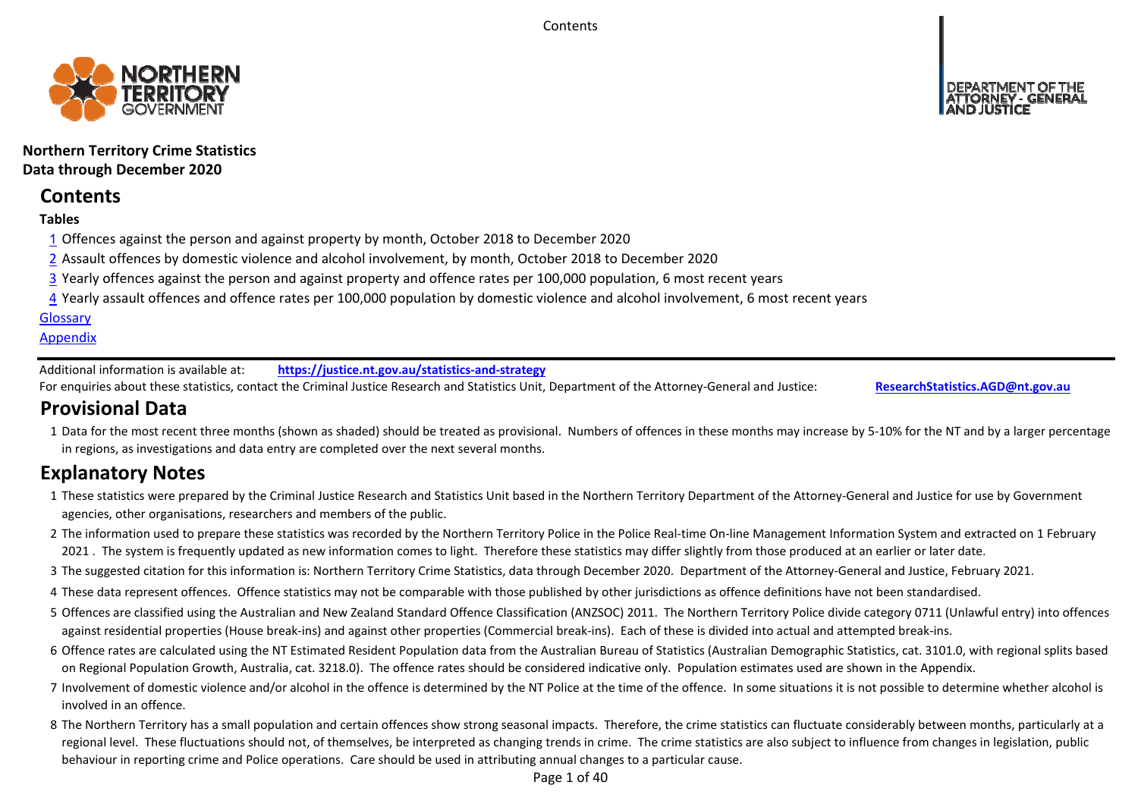**Contents** 



**Northern Territory Crime Statistics Data through December 2020**

# **Contents**

# **Tables**

- 1 Offences against the person and against property by month, October 2018 to December 2020
- 2 Assault offences by domestic violence and alcohol involvement, by month, October 2018 to December 2020
- 3 Yearly offences against the person and against property and offence rates per 100,000 population, 6 most recent years
- 4 Yearly assault offences and offence rates per 100,000 population by domestic violence and alcohol involvement, 6 most recent years

# **Glossary**

# **Appendix**

Additional information is available at:**https://justice.nt.gov.au/statistics‐and‐strategy**

For enquiries about these statistics, contact the Criminal Justice Research and Statistics Unit, Department of the Attorney‐General and Justice: **ResearchStatistics.AGD@nt.gov.au**

# **Provisional Data**

1 Data for the most recent three months (shown as shaded) should be treated as provisional. Numbers of offences in these months may increase by 5‐10% for the NT and by a larger percentage in regions, as investigations and data entry are completed over the next several months.

# **Explanatory Notes**

- 1These statistics were prepared by the Criminal Justice Research and Statistics Unit based in the Northern Territory Department of the Attorney‐General and Justice for use by Government agencies, other organisations, researchers and members of the public.
- 2 The information used to prepare these statistics was recorded by the Northern Territory Police in the Police Real-time On-line Management Information System and extracted on 1 February 2021 . The system is frequently updated as new information comes to light. Therefore these statistics may differ slightly from those produced at an earlier or later date.
- 3 The suggested citation for this information is: Northern Territory Crime Statistics, data through December 2020. Department of the Attorney‐General and Justice, February 2021.
- 4These data represent offences. Offence statistics may not be comparable with those published by other jurisdictions as offence definitions have not been standardised.
- 5 Offences are classified using the Australian and New Zealand Standard Offence Classification (ANZSOC) 2011. The Northern Territory Police divide category 0711 (Unlawful entry) into offences against residential properties (House break‐ins) and against other properties (Commercial break‐ins). Each of these is divided into actual and attempted break‐ins.
- 6 Offence rates are calculated using the NT Estimated Resident Population data from the Australian Bureau of Statistics (Australian Demographic Statistics, cat. 3101.0, with regional splits based on Regional Population Growth, Australia, cat. 3218.0). The offence rates should be considered indicative only. Population estimates used are shown in the Appendix.
- 7 Involvement of domestic violence and/or alcohol in the offence is determined by the NT Police at the time of the offence. In some situations it is not possible to determine whether alcohol is involved in an offence.
- 8 The Northern Territory has a small population and certain offences show strong seasonal impacts. Therefore, the crime statistics can fluctuate considerably between months, particularly at a regional level. These fluctuations should not, of themselves, be interpreted as changing trends in crime. The crime statistics are also subject to influence from changes in legislation, public behaviour in reporting crime and Police operations. Care should be used in attributing annual changes to a particular cause.

Page 1 of 40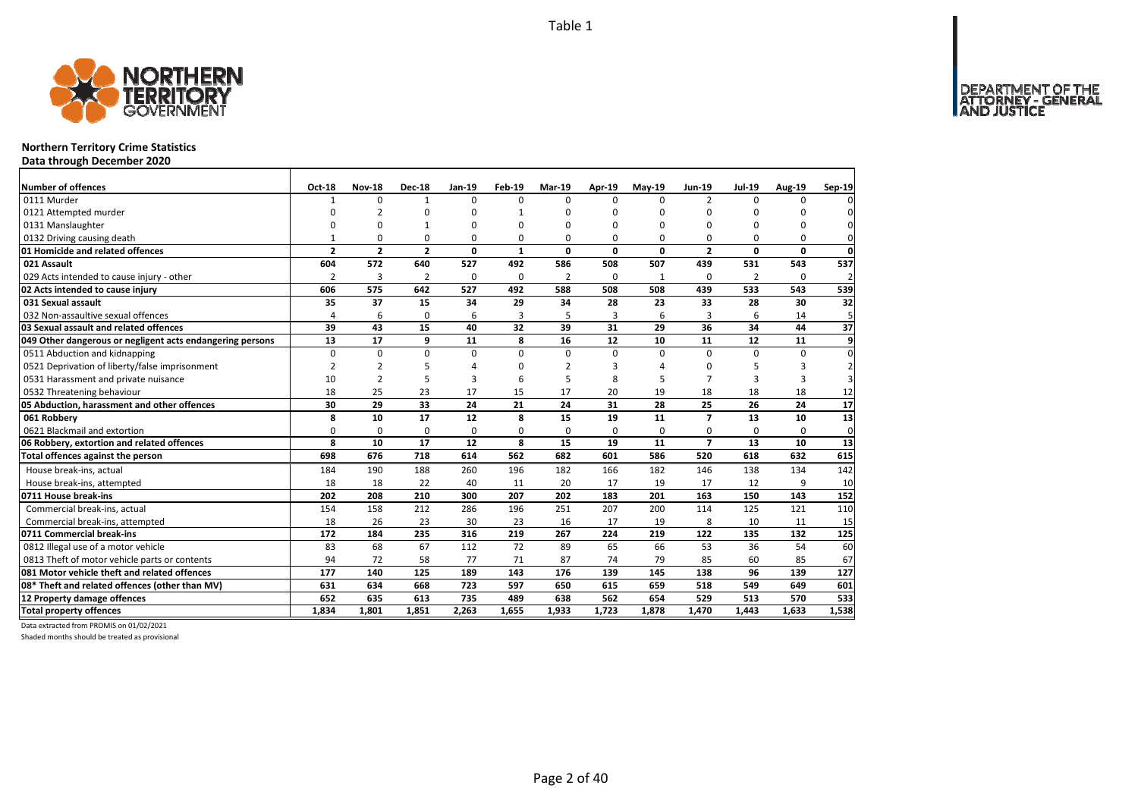

# **Northern Territory Crime Statistics**

**Data through December 2020**

| Number of offences                                        | Oct-18         | <b>Nov-18</b>  | <b>Dec-18</b>  | <b>Jan-19</b> | <b>Feb-19</b> | Mar-19         | Apr-19   | $May-19$    | <b>Jun-19</b>            | <b>Jul-19</b>  | <b>Aug-19</b> | Sep-19         |
|-----------------------------------------------------------|----------------|----------------|----------------|---------------|---------------|----------------|----------|-------------|--------------------------|----------------|---------------|----------------|
| 0111 Murder                                               | $\mathbf{1}$   | $\Omega$       | $\mathbf{1}$   | $\Omega$      | $\Omega$      | $\Omega$       | $\Omega$ | $\Omega$    | $\overline{2}$           | $\Omega$       | 0             | $\Omega$       |
| 0121 Attempted murder                                     | U              | $\overline{2}$ | $\Omega$       | n             | 1             | n              | $\Omega$ | ŋ           | $\Omega$                 | U              | U             |                |
| 0131 Manslaughter                                         | O              | O              | $\mathbf{1}$   | $\Omega$      | 0             | 0              | $\Omega$ | $\Omega$    | $\Omega$                 | $\Omega$       | 0             | $\Omega$       |
| 0132 Driving causing death                                | 1              | 0              | 0              | $\Omega$      | 0             | 0              | $\Omega$ | $\Omega$    | $\Omega$                 | $\Omega$       | 0             | 0              |
| 01 Homicide and related offences                          | $\overline{2}$ | $\overline{2}$ | $\overline{2}$ | 0             | $\mathbf{1}$  | 0              | 0        | $\mathbf 0$ | $\overline{2}$           | 0              | 0             | $\mathbf 0$    |
| 021 Assault                                               | 604            | 572            | 640            | 527           | 492           | 586            | 508      | 507         | 439                      | 531            | 543           | 537            |
| 029 Acts intended to cause injury - other                 | $\overline{2}$ | 3              | $\overline{2}$ | $\Omega$      | $\Omega$      | $\overline{2}$ | $\Omega$ | -1          | $\Omega$                 | $\overline{2}$ | 0             | $\overline{a}$ |
| 02 Acts intended to cause injury                          | 606            | 575            | 642            | 527           | 492           | 588            | 508      | 508         | 439                      | 533            | 543           | 539            |
| 031 Sexual assault                                        | 35             | 37             | 15             | 34            | 29            | 34             | 28       | 23          | 33                       | 28             | 30            | 32             |
| 032 Non-assaultive sexual offences                        | 4              | 6              | 0              | 6             | 3             | 5              | 3        | 6           | 3                        | 6              | 14            | 5              |
| 03 Sexual assault and related offences                    | 39             | 43             | 15             | 40            | 32            | 39             | 31       | 29          | 36                       | 34             | 44            | 37             |
| 049 Other dangerous or negligent acts endangering persons | 13             | 17             | 9              | 11            | 8             | 16             | 12       | 10          | 11                       | 12             | 11            | 9              |
| 0511 Abduction and kidnapping                             | $\Omega$       | $\mathbf 0$    | $\Omega$       | $\Omega$      | $\Omega$      | 0              | $\Omega$ | $\Omega$    | $\Omega$                 | $\Omega$       | $\Omega$      | $\Omega$       |
| 0521 Deprivation of liberty/false imprisonment            | 2              | $\overline{2}$ | 5              | $\Delta$      | ŋ             | 2              | З        |             | $\Omega$                 | 5              | 3             | $\overline{2}$ |
| 0531 Harassment and private nuisance                      | 10             | $\overline{2}$ | 5              | 3             | 6             | 5              | 8        |             | $\overline{7}$           | 3              | 3             | 3              |
| 0532 Threatening behaviour                                | 18             | 25             | 23             | 17            | 15            | 17             | 20       | 19          | 18                       | 18             | 18            | 12             |
| 05 Abduction, harassment and other offences               | 30             | 29             | 33             | 24            | 21            | 24             | 31       | 28          | 25                       | 26             | 24            | 17             |
| 061 Robberv                                               | 8              | 10             | 17             | 12            | 8             | 15             | 19       | 11          | $\overline{\phantom{a}}$ | 13             | 10            | 13             |
| 0621 Blackmail and extortion                              | 0              | 0              | $\mathbf 0$    | 0             | 0             | 0              | 0        | $\mathbf 0$ | $\Omega$                 | 0              | 0             | 0              |
| 06 Robbery, extortion and related offences                | 8              | 10             | 17             | 12            | 8             | 15             | 19       | 11          | $\overline{7}$           | 13             | 10            | 13             |
| Total offences against the person                         | 698            | 676            | 718            | 614           | 562           | 682            | 601      | 586         | 520                      | 618            | 632           | 615            |
| House break-ins, actual                                   | 184            | 190            | 188            | 260           | 196           | 182            | 166      | 182         | 146                      | 138            | 134           | 142            |
| House break-ins, attempted                                | 18             | 18             | 22             | 40            | 11            | 20             | 17       | 19          | 17                       | 12             | 9             | 10             |
| 0711 House break-ins                                      | 202            | 208            | 210            | 300           | 207           | 202            | 183      | 201         | 163                      | 150            | 143           | 152            |
| Commercial break-ins, actual                              | 154            | 158            | 212            | 286           | 196           | 251            | 207      | 200         | 114                      | 125            | 121           | 110            |
| Commercial break-ins, attempted                           | 18             | 26             | 23             | 30            | 23            | 16             | 17       | 19          | 8                        | 10             | 11            | 15             |
| 0711 Commercial break-ins                                 | 172            | 184            | 235            | 316           | 219           | 267            | 224      | 219         | 122                      | 135            | 132           | 125            |
| 0812 Illegal use of a motor vehicle                       | 83             | 68             | 67             | 112           | 72            | 89             | 65       | 66          | 53                       | 36             | 54            | 60             |
| 0813 Theft of motor vehicle parts or contents             | 94             | 72             | 58             | 77            | 71            | 87             | 74       | 79          | 85                       | 60             | 85            | 67             |
| 081 Motor vehicle theft and related offences              | 177            | 140            | 125            | 189           | 143           | 176            | 139      | 145         | 138                      | 96             | 139           | 127            |
| 08* Theft and related offences (other than MV)            | 631            | 634            | 668            | 723           | 597           | 650            | 615      | 659         | 518                      | 549            | 649           | 601            |
| 12 Property damage offences                               | 652            | 635            | 613            | 735           | 489           | 638            | 562      | 654         | 529                      | 513            | 570           | 533            |
| <b>Total property offences</b>                            | 1.834          | 1.801          | 1.851          | 2.263         | 1.655         | 1.933          | 1,723    | 1.878       | 1.470                    | 1.443          | 1.633         | 1,538          |

Data extracted from PROMIS on 01/02/2021

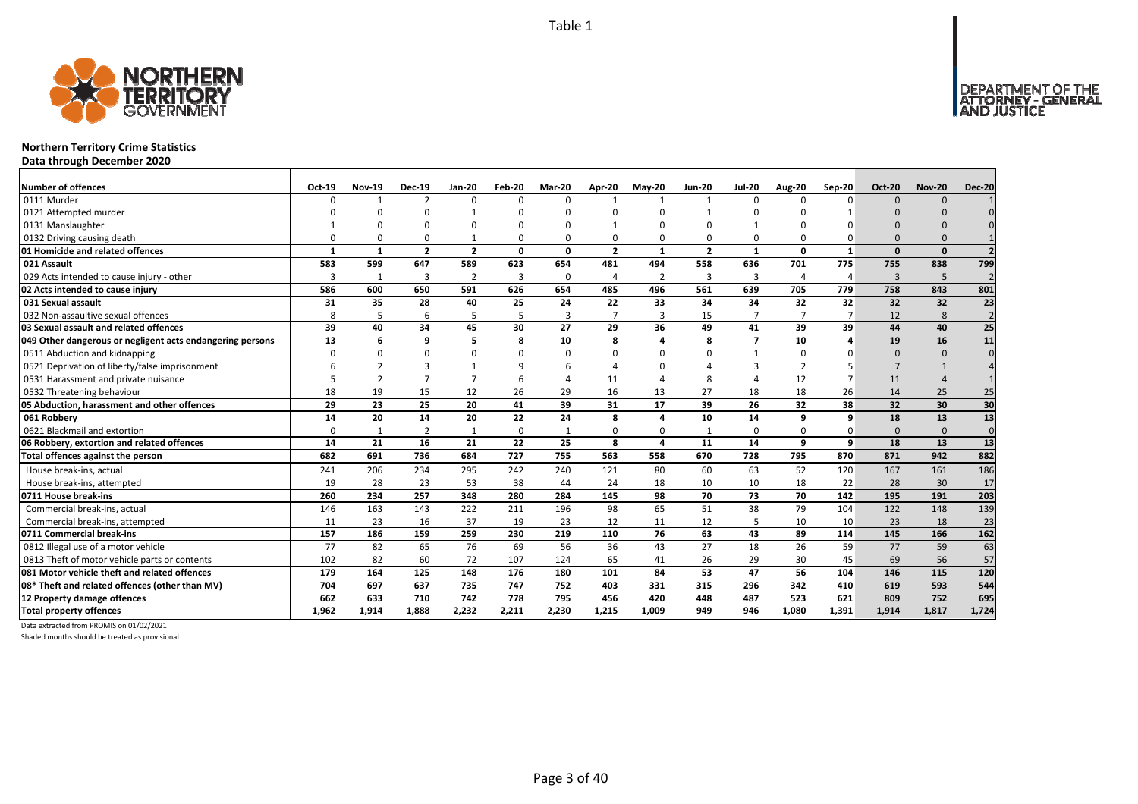

# **Northern Territory Crime Statistics**

**Data through December 2020**

| <b>Number of offences</b>                                 | Oct-19   | <b>Nov-19</b> | <b>Dec-19</b>           | Jan-20         | Feb-20   | Mar-20   | Apr-20         | <b>May-20</b>  | <b>Jun-20</b>  | <b>Jul-20</b>  | <b>Aug-20</b> | Sep-20         | <b>Oct-20</b> | <b>Nov-20</b> | <b>Dec-20</b>  |
|-----------------------------------------------------------|----------|---------------|-------------------------|----------------|----------|----------|----------------|----------------|----------------|----------------|---------------|----------------|---------------|---------------|----------------|
| 0111 Murder                                               | n        |               | $\mathcal{P}$           | $\Omega$       | $\Omega$ | $\Omega$ |                | $\mathbf{1}$   | $\mathbf{1}$   | 0              | $\Omega$      | $\Omega$       | $\Omega$      | $\Omega$      |                |
| 0121 Attempted murder                                     |          |               | n                       |                |          |          |                |                |                |                |               |                |               |               |                |
| 0131 Manslaughter                                         |          |               | U                       | ∩              |          |          |                | n              |                | -1             |               |                |               |               |                |
| 0132 Driving causing death                                |          |               | $\Omega$                |                | 0        |          | ი              | $\Omega$       | $\Omega$       | 0              |               |                | $\Omega$      |               |                |
| 01 Homicide and related offences                          |          | $\mathbf{1}$  | $\overline{\mathbf{z}}$ | $\overline{2}$ | 0        | $\Omega$ | $\overline{2}$ | 1              | $\overline{2}$ | $\mathbf{1}$   | $\Omega$      | $\mathbf{1}$   | $\Omega$      | $\Omega$      |                |
| 021 Assault                                               | 583      | 599           | 647                     | 589            | 623      | 654      | 481            | 494            | 558            | 636            | 701           | 775            | 755           | 838           | 799            |
| 029 Acts intended to cause injury - other                 |          | 1             | 3                       | $\overline{2}$ | 3        | $\Omega$ | 4              | $\overline{2}$ | $\overline{3}$ | 3              | 4             | $\overline{a}$ | 3             | 5             | $\overline{2}$ |
| 02 Acts intended to cause injury                          | 586      | 600           | 650                     | 591            | 626      | 654      | 485            | 496            | 561            | 639            | 705           | 779            | 758           | 843           | 801            |
| 031 Sexual assault                                        | 31       | 35            | 28                      | 40             | 25       | 24       | 22             | 33             | 34             | 34             | 32            | 32             | 32            | 32            | 23             |
| 032 Non-assaultive sexual offences                        | 8        | 5             | 6                       | 5              | 5        | 3        | $\overline{7}$ | 3              | 15             | 7              |               |                | 12            | 8             | $\overline{2}$ |
| 03 Sexual assault and related offences                    | 39       | 40            | 34                      | 45             | 30       | 27       | 29             | 36             | 49             | 41             | 39            | 39             | 44            | 40            | 25             |
| 049 Other dangerous or negligent acts endangering persons | 13       | 6             | q                       | 5              | 8        | 10       | 8              | Δ              | 8              | $\overline{7}$ | 10            | 4              | 19            | 16            | 11             |
| 0511 Abduction and kidnapping                             | $\Omega$ | $\Omega$      | $\Omega$                | $\Omega$       | $\Omega$ | $\Omega$ | $\Omega$       | $\Omega$       | $\Omega$       | $\mathbf{1}$   | $\Omega$      | O              | $\Omega$      | $\Omega$      | $\Omega$       |
| 0521 Deprivation of liberty/false imprisonment            |          |               |                         |                | q        |          |                | n              |                | З              | 2             |                |               |               |                |
| 0531 Harassment and private nuisance                      |          |               |                         |                | 6        |          | 11             |                | 8              | Δ              | 12            |                | 11            |               |                |
| 0532 Threatening behaviour                                | 18       | 19            | 15                      | 12             | 26       | 29       | 16             | 13             | 27             | 18             | 18            | 26             | 14            | 25            | 25             |
| 05 Abduction, harassment and other offences               | 29       | 23            | 25                      | 20             | 41       | 39       | 31             | 17             | 39             | 26             | 32            | 38             | 32            | 30            | 30             |
| 061 Robbery                                               | 14       | 20            | 14                      | 20             | 22       | 24       | 8              | Δ              | 10             | 14             | 9             | 9              | 18            | 13            | 13             |
| 0621 Blackmail and extortion                              |          |               | $\overline{2}$          | $\mathbf{1}$   | 0        |          | 0              | $\Omega$       | $\mathbf{1}$   | 0              | $\Omega$      | 0              | $\Omega$      | $\Omega$      | $\Omega$       |
| 06 Robbery, extortion and related offences                | 14       | 21            | 16                      | 21             | 22       | 25       | 8              | 4              | 11             | 14             | 9             | 9              | 18            | 13            | 13             |
| Total offences against the person                         | 682      | 691           | 736                     | 684            | 727      | 755      | 563            | 558            | 670            | 728            | 795           | 870            | 871           | 942           | 882            |
| House break-ins, actual                                   | 241      | 206           | 234                     | 295            | 242      | 240      | 121            | 80             | 60             | 63             | 52            | 120            | 167           | 161           | 186            |
| House break-ins, attempted                                | 19       | 28            | 23                      | 53             | 38       | 44       | 24             | 18             | 10             | 10             | 18            | 22             | 28            | 30            | 17             |
| 0711 House break-ins                                      | 260      | 234           | 257                     | 348            | 280      | 284      | 145            | 98             | 70             | 73             | 70            | 142            | 195           | 191           | 203            |
| Commercial break-ins, actual                              | 146      | 163           | 143                     | 222            | 211      | 196      | 98             | 65             | 51             | 38             | 79            | 104            | 122           | 148           | 139            |
| Commercial break-ins, attempted                           | 11       | 23            | 16                      | 37             | 19       | 23       | 12             | 11             | 12             | 5              | 10            | 10             | 23            | 18            | 23             |
| 0711 Commercial break-ins                                 | 157      | 186           | 159                     | 259            | 230      | 219      | 110            | 76             | 63             | 43             | 89            | 114            | 145           | 166           | 162            |
| 0812 Illegal use of a motor vehicle                       | 77       | 82            | 65                      | 76             | 69       | 56       | 36             | 43             | 27             | 18             | 26            | 59             | 77            | 59            | 63             |
| 0813 Theft of motor vehicle parts or contents             | 102      | 82            | 60                      | 72             | 107      | 124      | 65             | 41             | 26             | 29             | 30            | 45             | 69            | 56            | 57             |
| 081 Motor vehicle theft and related offences              | 179      | 164           | 125                     | 148            | 176      | 180      | 101            | 84             | 53             | 47             | 56            | 104            | 146           | 115           | 120            |
| 08* Theft and related offences (other than MV)            | 704      | 697           | 637                     | 735            | 747      | 752      | 403            | 331            | 315            | 296            | 342           | 410            | 619           | 593           | 544            |
| 12 Property damage offences                               | 662      | 633           | 710                     | 742            | 778      | 795      | 456            | 420            | 448            | 487            | 523           | 621            | 809           | 752           | 695            |
| <b>Total property offences</b>                            | 1.962    | 1.914         | 1.888                   | 2.232          | 2.211    | 2.230    | 1.215          | 1.009          | 949            | 946            | 1.080         | 1.391          | 1,914         | 1.817         | 1,724          |

Data extracted from PROMIS on 01/02/2021

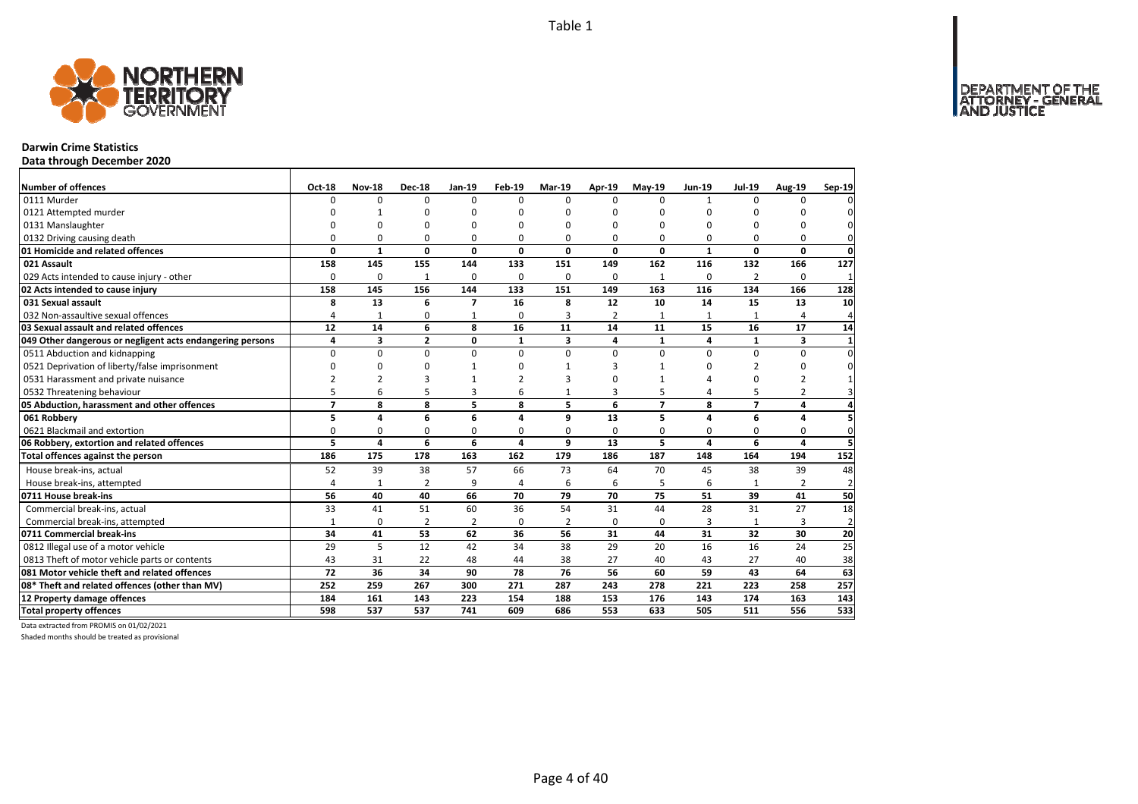

# **Darwin Crime Statistics**

**Data through December 2020**

| <b>Number of offences</b>                                 | <b>Oct-18</b>  | <b>Nov-18</b>  | <b>Dec-18</b>  | Jan-19                   | Feb-19   | <b>Mar-19</b> | Apr-19         | <b>May-19</b>  | <b>Jun-19</b>  | <b>Jul-19</b>  | Aug-19         | Sep-19         |
|-----------------------------------------------------------|----------------|----------------|----------------|--------------------------|----------|---------------|----------------|----------------|----------------|----------------|----------------|----------------|
| 0111 Murder                                               | $\Omega$       | 0              | $\Omega$       | $\Omega$                 | $\Omega$ | $\Omega$      | $\Omega$       | $\Omega$       | $\mathbf{1}$   | $\Omega$       | 0              |                |
| 0121 Attempted murder                                     | ŋ              |                | ŋ              | 0                        |          | O             | n              | ŋ              | O              |                | ŋ              |                |
| 0131 Manslaughter                                         | $\Omega$       | O              | $\Omega$       | $\Omega$                 |          | $\Omega$      | $\Omega$       | O              | $\Omega$       |                | $\Omega$       |                |
| 0132 Driving causing death                                | $\Omega$       | 0              | 0              | 0                        | 0        | 0             | 0              | 0              | 0              | O              | 0              | $\Omega$       |
| 01 Homicide and related offences                          | 0              | $\mathbf{1}$   | 0              | $\mathbf 0$              | 0        | 0             | 0              | 0              | $\mathbf{1}$   | $\mathbf{0}$   | 0              | $\mathbf 0$    |
| 021 Assault                                               | 158            | 145            | 155            | 144                      | 133      | 151           | 149            | 162            | 116            | 132            | 166            | 127            |
| 029 Acts intended to cause injury - other                 | $\Omega$       | 0              | 1              | $\mathbf 0$              | 0        | $\Omega$      | 0              | $\mathbf{1}$   | $\Omega$       | 2              | $\Omega$       | 1              |
| 02 Acts intended to cause injury                          | 158            | 145            | 156            | 144                      | 133      | 151           | 149            | 163            | 116            | 134            | 166            | 128            |
| 031 Sexual assault                                        | 8              | 13             | 6              | $\overline{\phantom{a}}$ | 16       | 8             | 12             | 10             | 14             | 15             | 13             | 10             |
| 032 Non-assaultive sexual offences                        | 4              | $\mathbf{1}$   | 0              | $\mathbf{1}$             | $\Omega$ | 3             | $\overline{2}$ | 1              |                |                | 4              | Δ              |
| 03 Sexual assault and related offences                    | 12             | 14             | 6              | 8                        | 16       | 11            | 14             | 11             | 15             | 16             | 17             | 14             |
| 049 Other dangerous or negligent acts endangering persons | 4              | 3              | $\overline{2}$ | $\mathbf 0$              | 1        | 3             | 4              | 1              | 4              | 1              | 3              | $\mathbf{1}$   |
| 0511 Abduction and kidnapping                             | $\Omega$       | 0              | 0              | $\mathbf 0$              | $\Omega$ | $\Omega$      | 0              | $\Omega$       | $\Omega$       | 0              | 0              | $\Omega$       |
| 0521 Deprivation of liberty/false imprisonment            | $\Omega$       | 0              | $\Omega$       | $\mathbf{1}$             | n        |               | 3              |                | $\Omega$       | 2              | 0              | 0              |
| 0531 Harassment and private nuisance                      | $\mathfrak{p}$ | $\overline{2}$ | 3              | $\mathbf{1}$             |          | з             | n              |                | $\Delta$       | $\Omega$       | $\overline{2}$ |                |
| 0532 Threatening behaviour                                | 5              | 6              | 5              | $\overline{3}$           | 6        | $\mathbf{1}$  | 3              | 5              | 4              | 5              | 2              | 3              |
| 05 Abduction, harassment and other offences               | $\overline{7}$ | 8              | 8              | 5                        | 8        | 5             | 6              | $\overline{7}$ | 8              | $\overline{z}$ | 4              | 4              |
| 061 Robbery                                               | 5              | 4              | 6              | 6                        | 4        | 9             | 13             | 5              | $\overline{a}$ | 6              | 4              |                |
| 0621 Blackmail and extortion                              | 0              | 0              | 0              | 0                        | 0        | 0             | 0              | 0              | $\Omega$       | $\Omega$       | 0              | $\Omega$       |
| 06 Robbery, extortion and related offences                | 5              | 4              | 6              | 6                        | 4        | 9             | 13             | 5              | $\overline{a}$ | 6              | 4              |                |
| Total offences against the person                         | 186            | 175            | 178            | 163                      | 162      | 179           | 186            | 187            | 148            | 164            | 194            | 152            |
| House break-ins, actual                                   | 52             | 39             | 38             | 57                       | 66       | 73            | 64             | 70             | 45             | 38             | 39             | 48             |
| House break-ins, attempted                                | 4              | $\mathbf{1}$   | $\overline{2}$ | 9                        | $\Delta$ | 6             | 6              | 5              | 6              |                | $\overline{2}$ | $\overline{2}$ |
| 0711 House break-ins                                      | 56             | 40             | 40             | 66                       | 70       | 79            | 70             | 75             | 51             | 39             | 41             | 50             |
| Commercial break-ins, actual                              | 33             | 41             | 51             | 60                       | 36       | 54            | 31             | 44             | 28             | 31             | 27             | 18             |
| Commercial break-ins, attempted                           | $\mathbf{1}$   | 0              | $\overline{2}$ | $\overline{2}$           | 0        | 2             | 0              | $\Omega$       | 3              | $\mathbf{1}$   | 3              | $\overline{2}$ |
| 0711 Commercial break-ins                                 | 34             | 41             | 53             | 62                       | 36       | 56            | 31             | 44             | 31             | 32             | 30             | 20             |
| 0812 Illegal use of a motor vehicle                       | 29             | 5              | 12             | 42                       | 34       | 38            | 29             | 20             | 16             | 16             | 24             | 25             |
| 0813 Theft of motor vehicle parts or contents             | 43             | 31             | 22             | 48                       | 44       | 38            | 27             | 40             | 43             | 27             | 40             | 38             |
| 081 Motor vehicle theft and related offences              | 72             | 36             | 34             | 90                       | 78       | 76            | 56             | 60             | 59             | 43             | 64             | 63             |
| 08* Theft and related offences (other than MV)            | 252            | 259            | 267            | 300                      | 271      | 287           | 243            | 278            | 221            | 223            | 258            | 257            |
| 12 Property damage offences                               | 184            | 161            | 143            | 223                      | 154      | 188           | 153            | 176            | 143            | 174            | 163            | 143            |
| <b>Total property offences</b>                            | 598            | 537            | 537            | 741                      | 609      | 686           | 553            | 633            | 505            | 511            | 556            | 533            |

Data extracted from PROMIS on 01/02/2021

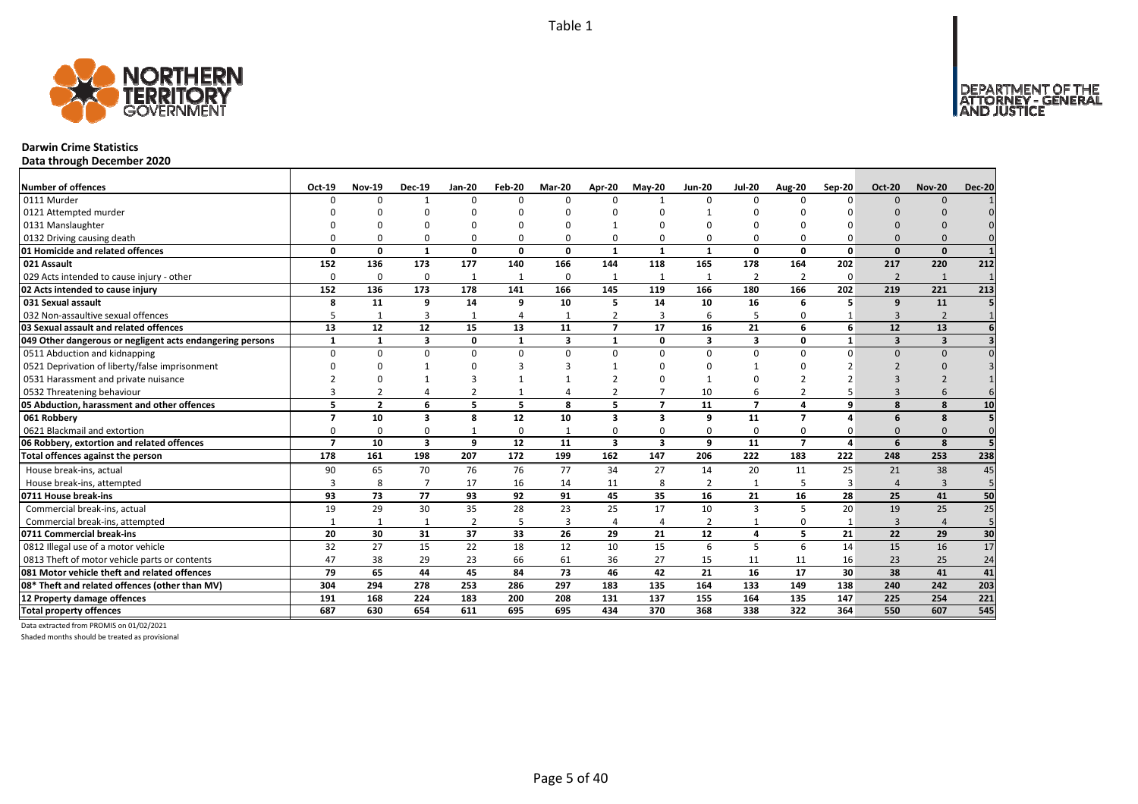

# **Darwin Crime Statistics**

**Data through December 2020**

| <b>Number of offences</b>                                 | Oct-19                   | <b>Nov-19</b>  | <b>Dec-19</b>           | Jan-20         | Feb-20         | Mar-20       | Apr-20                  | $Mav-20$                 | <b>Jun-20</b>           | <b>Jul-20</b>  | Aug-20         | Sep-20   | <b>Oct-20</b>           | <b>Nov-20</b>           | <b>Dec-20</b> |
|-----------------------------------------------------------|--------------------------|----------------|-------------------------|----------------|----------------|--------------|-------------------------|--------------------------|-------------------------|----------------|----------------|----------|-------------------------|-------------------------|---------------|
| 0111 Murder                                               | n                        | $\Omega$       |                         | $\Omega$       | $\Omega$       | n            | $\Omega$                |                          | $\Omega$                | $\Omega$       | $\Omega$       | $\Omega$ | $\Omega$                | $\Omega$                |               |
| 0121 Attempted murder                                     |                          |                | n                       |                | ŋ              |              |                         | n                        |                         | U              |                |          |                         |                         |               |
| 0131 Manslaughter                                         |                          |                |                         |                |                |              |                         |                          |                         |                |                |          |                         |                         |               |
| 0132 Driving causing death                                |                          |                | $\Omega$                | $\Omega$       | $\Omega$       |              |                         | O                        | $\Omega$                | 0              |                |          | $\Omega$                |                         |               |
| 01 Homicide and related offences                          | n                        | n              | $\mathbf{1}$            | $\mathbf{0}$   | $\mathbf{0}$   | $\Omega$     | $\mathbf{1}$            | $\mathbf{1}$             | $\mathbf{1}$            | $\mathbf{0}$   | $\Omega$       | $\Omega$ | $\Omega$                | $\Omega$                |               |
| 021 Assault                                               | 152                      | 136            | 173                     | 177            | 140            | 166          | 144                     | 118                      | 165                     | 178            | 164            | 202      | 217                     | 220                     | 212           |
| 029 Acts intended to cause injury - other                 | $\Omega$                 | $\Omega$       | $\Omega$                | 1              | $\mathbf{1}$   | 0            | -1                      | $\mathbf{1}$             | 1                       | $\overline{2}$ | 2              | $\Omega$ | $\overline{2}$          | 1                       |               |
| 02 Acts intended to cause injury                          | 152                      | 136            | 173                     | 178            | 141            | 166          | 145                     | 119                      | 166                     | 180            | 166            | 202      | 219                     | 221                     | 213           |
| 031 Sexual assault                                        | 8                        | 11             | 9                       | 14             | 9              | 10           | 5                       | 14                       | 10                      | 16             | 6              | 5        | 9                       | 11                      |               |
| 032 Non-assaultive sexual offences                        |                          |                | $\overline{3}$          | $\mathbf{1}$   | 4              |              | $\overline{2}$          | $\overline{3}$           | 6                       | 5              |                |          | 3                       | $\overline{z}$          |               |
| 03 Sexual assault and related offences                    | 13                       | 12             | 12                      | 15             | 13             | 11           | $\overline{7}$          | 17                       | 16                      | 21             | 6              | 6        | 12                      | 13                      |               |
| 049 Other dangerous or negligent acts endangering persons | $\mathbf{1}$             |                | $\overline{\mathbf{3}}$ | $\mathbf 0$    | $\mathbf{1}$   | $\mathbf{3}$ | $\mathbf{1}$            | 0                        | $\overline{\mathbf{3}}$ | 3              | $\Omega$       |          | $\overline{\mathbf{3}}$ | $\overline{\mathbf{3}}$ |               |
| 0511 Abduction and kidnapping                             | $\Omega$                 | U              | $\Omega$                | $\mathbf 0$    | $\Omega$       | U            | $\Omega$                | $\Omega$                 | $\Omega$                | $\Omega$       | $\Omega$       | $\Omega$ | $\Omega$                | $\Omega$                |               |
| 0521 Deprivation of liberty/false imprisonment            |                          |                |                         | $\Omega$       | 3              |              |                         | n                        |                         |                |                |          |                         |                         |               |
| 0531 Harassment and private nuisance                      |                          |                |                         |                |                |              |                         | $\Omega$                 |                         |                |                |          |                         |                         |               |
| 0532 Threatening behaviour                                |                          |                |                         |                | $\overline{1}$ |              |                         |                          | 10                      | 6              |                |          |                         |                         |               |
| 05 Abduction, harassment and other offences               | 5                        | $\overline{2}$ | 6                       | 5              | 5              | 8            | 5                       | $\overline{\phantom{a}}$ | 11                      | $\overline{7}$ | 4              | 9        | $\mathbf{8}$            | 8                       | 10            |
| 061 Robbery                                               | $\overline{\phantom{a}}$ | 10             | 3                       | 8              | 12             | 10           | 3                       | 3                        | 9                       | 11             | $\overline{ }$ |          | 6                       | -8                      |               |
| 0621 Blackmail and extortion                              |                          | O              | $\Omega$                | $\mathbf{1}$   | 0              |              |                         | O                        | $\Omega$                | 0              |                |          | $\Omega$                |                         |               |
| 06 Robbery, extortion and related offences                | $\overline{ }$           | 10             | $\overline{\mathbf{3}}$ | 9              | 12             | 11           | $\overline{\mathbf{3}}$ | 3                        | 9                       | 11             | $\overline{7}$ | Δ        | 6                       | 8                       |               |
| Total offences against the person                         | 178                      | 161            | 198                     | 207            | 172            | 199          | 162                     | 147                      | 206                     | 222            | 183            | 222      | 248                     | 253                     | 238           |
| House break-ins, actual                                   | 90                       | 65             | 70                      | 76             | 76             | 77           | 34                      | 27                       | 14                      | 20             | 11             | 25       | 21                      | 38                      | 45            |
| House break-ins, attempted                                | ₹                        | 8              | $\overline{7}$          | 17             | 16             | 14           | 11                      | 8                        | $\overline{2}$          | $\mathbf{1}$   |                | В        |                         | $\overline{3}$          | 5             |
| 0711 House break-ins                                      | 93                       | 73             | 77                      | 93             | 92             | 91           | 45                      | 35                       | 16                      | 21             | 16             | 28       | 25                      | 41                      | 50            |
| Commercial break-ins, actual                              | 19                       | 29             | 30                      | 35             | 28             | 23           | 25                      | 17                       | 10                      | 3              |                | 20       | 19                      | 25                      | 25            |
| Commercial break-ins, attempted                           |                          | -1             |                         | $\overline{2}$ | 5              | 3            |                         | 4                        | $\overline{2}$          | $\mathbf{1}$   | $\Omega$       |          | 3                       |                         | 5             |
| 0711 Commercial break-ins                                 | 20                       | 30             | 31                      | 37             | 33             | 26           | 29                      | 21                       | 12                      | 4              | 5              | 21       | 22                      | 29                      | 30            |
| 0812 Illegal use of a motor vehicle                       | 32                       | 27             | 15                      | 22             | 18             | 12           | 10                      | 15                       | 6                       | 5              | 6              | 14       | 15                      | 16                      | 17            |
| 0813 Theft of motor vehicle parts or contents             | 47                       | 38             | 29                      | 23             | 66             | 61           | 36                      | 27                       | 15                      | 11             | 11             | 16       | 23                      | 25                      | 24            |
| 081 Motor vehicle theft and related offences              | 79                       | 65             | 44                      | 45             | 84             | 73           | 46                      | 42                       | 21                      | 16             | 17             | 30       | 38                      | 41                      | 41            |
| 08* Theft and related offences (other than MV)            | 304                      | 294            | 278                     | 253            | 286            | 297          | 183                     | 135                      | 164                     | 133            | 149            | 138      | 240                     | 242                     | 203           |
| 12 Property damage offences                               | 191                      | 168            | 224                     | 183            | 200            | 208          | 131                     | 137                      | 155                     | 164            | 135            | 147      | 225                     | 254                     | 221           |
| <b>Total property offences</b>                            | 687                      | 630            | 654                     | 611            | 695            | 695          | 434                     | 370                      | 368                     | 338            | 322            | 364      | 550                     | 607                     | 545           |

Data extracted from PROMIS on 01/02/2021

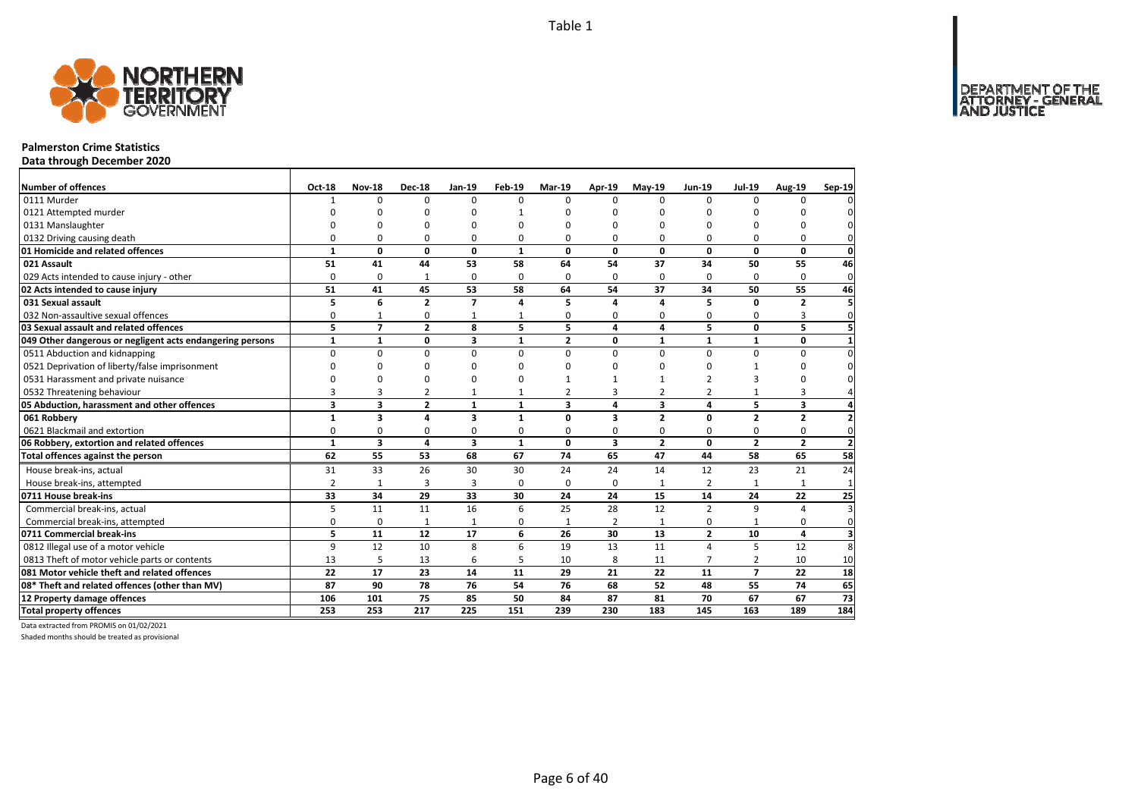

### **Palmerston Crime Statistics**

**Data through December 2020**

| <b>Number of offences</b>                                 | Oct-18                  | <b>Nov-18</b>           | <b>Dec-18</b>  | <b>Jan-19</b>  | <b>Feb-19</b> | <b>Mar-19</b>  | Apr-19                  | $May-19$       | <b>Jun-19</b>  | <b>Jul-19</b>  | <b>Aug-19</b>  | Sep-19                  |
|-----------------------------------------------------------|-------------------------|-------------------------|----------------|----------------|---------------|----------------|-------------------------|----------------|----------------|----------------|----------------|-------------------------|
| 0111 Murder                                               | 1                       | $\Omega$                | $\Omega$       | $\Omega$       | $\Omega$      | $\Omega$       | $\Omega$                | $\Omega$       | $\Omega$       | $\Omega$       | 0              |                         |
| 0121 Attempted murder                                     | n                       | n                       | ŋ              | C              |               | n              | n                       |                | $\Omega$       | ŋ              | n              |                         |
| 0131 Manslaughter                                         |                         | C                       | O              | C              | O             | n              | $\Omega$                |                | $\Omega$       | U              | 0              |                         |
| 0132 Driving causing death                                | O                       | $\Omega$                | 0              | $\Omega$       | O             | 0              | $\Omega$                | $\Omega$       | $\Omega$       | O              | 0              |                         |
| 01 Homicide and related offences                          | $\mathbf{1}$            | $\mathbf{0}$            | $\mathbf 0$    | $\mathbf{0}$   | $\mathbf{1}$  | $\Omega$       | $\mathbf{0}$            | $\mathbf 0$    | $\mathbf 0$    | 0              | $\mathbf{0}$   | 0                       |
| 021 Assault                                               | 51                      | 41                      | 44             | 53             | 58            | 64             | 54                      | 37             | 34             | 50             | 55             | 46                      |
| 029 Acts intended to cause injury - other                 | $\Omega$                | 0                       | 1              | $\Omega$       | $\Omega$      | 0              | $\Omega$                | $\Omega$       | $\Omega$       | $\Omega$       | 0              | $\mathbf 0$             |
| 02 Acts intended to cause injury                          | 51                      | 41                      | 45             | 53             | 58            | 64             | 54                      | 37             | 34             | 50             | 55             | 46                      |
| 031 Sexual assault                                        | 5                       | 6                       | $\overline{2}$ | $\overline{ }$ | 4             | 5              | 4                       | $\Delta$       | 5              | $\Omega$       | $\overline{2}$ | 5                       |
| 032 Non-assaultive sexual offences                        | 0                       | $\mathbf{1}$            | 0              | $\mathbf{1}$   | 1             | 0              | 0                       | $\mathbf 0$    | $\Omega$       | O              | 3              | $\Omega$                |
| 03 Sexual assault and related offences                    | 5                       | $\overline{7}$          | $\overline{2}$ | 8              | 5             | 5              | 4                       | 4              | 5              | 0              | 5              |                         |
| 049 Other dangerous or negligent acts endangering persons | $\mathbf{1}$            | $\mathbf{1}$            | 0              | 3              | $\mathbf{1}$  | $\overline{2}$ | 0                       | $\mathbf{1}$   | $\mathbf{1}$   | $\mathbf{1}$   | 0              |                         |
| 0511 Abduction and kidnapping                             | $\Omega$                | $\Omega$                | $\Omega$       | $\mathbf 0$    | $\Omega$      | $\Omega$       | $\Omega$                | $\Omega$       | $\Omega$       | $\Omega$       | $\Omega$       |                         |
| 0521 Deprivation of liberty/false imprisonment            | n                       | n                       | 0              | n              | n             | n              | ∩                       | n              | $\Omega$       | $\mathbf{1}$   | 0              |                         |
| 0531 Harassment and private nuisance                      |                         | O                       | $\Omega$       | $\Omega$       | ŋ             |                |                         |                | $\mathcal{P}$  | 3              | 0              |                         |
| 0532 Threatening behaviour                                | 3                       | 3                       | $\overline{2}$ | $\mathbf{1}$   | 1             | $\overline{2}$ | 3                       | $\overline{2}$ | $\overline{2}$ | 1              | 3              |                         |
| 05 Abduction, harassment and other offences               | $\overline{\mathbf{3}}$ | 3                       | $\overline{2}$ | $\mathbf{1}$   | $\mathbf{1}$  | 3              | 4                       | 3              | 4              | 5              | 3              |                         |
| 061 Robbery                                               | $\mathbf{1}$            | $\overline{\mathbf{3}}$ | 4              | 3              | $\mathbf{1}$  | $\Omega$       | 3                       | $\overline{2}$ | 0              | $\overline{2}$ | $\overline{2}$ |                         |
| 0621 Blackmail and extortion                              | 0                       | 0                       | 0              | 0              | $\Omega$      | 0              | 0                       | $\mathbf 0$    | $\Omega$       | 0              | 0              | $\Omega$                |
| 06 Robbery, extortion and related offences                | $\mathbf{1}$            | $\overline{\mathbf{3}}$ | 4              | 3              | $\mathbf{1}$  | 0              | $\overline{\mathbf{3}}$ | $\overline{2}$ | 0              | $\overline{2}$ | $\overline{2}$ | $\overline{2}$          |
| Total offences against the person                         | 62                      | 55                      | 53             | 68             | 67            | 74             | 65                      | 47             | 44             | 58             | 65             | 58                      |
| House break-ins, actual                                   | 31                      | 33                      | 26             | 30             | 30            | 24             | 24                      | 14             | 12             | 23             | 21             | 24                      |
| House break-ins, attempted                                | $\overline{2}$          | 1                       | $\overline{3}$ | 3              | 0             | 0              | 0                       | $\mathbf{1}$   | $\overline{2}$ | $\overline{1}$ |                | $\mathbf{1}$            |
| 0711 House break-ins                                      | 33                      | 34                      | 29             | 33             | 30            | 24             | 24                      | 15             | 14             | 24             | 22             | 25                      |
| Commercial break-ins, actual                              | 5                       | 11                      | 11             | 16             | 6             | 25             | 28                      | 12             | $\overline{2}$ | 9              | $\overline{a}$ | 3                       |
| Commercial break-ins, attempted                           | 0                       | $\mathbf 0$             | $\mathbf{1}$   | $\mathbf{1}$   | 0             | 1              | $\overline{2}$          | 1              | $\Omega$       | $\mathbf{1}$   | 0              | $\Omega$                |
| 0711 Commercial break-ins                                 | 5                       | 11                      | 12             | 17             | 6             | 26             | 30                      | 13             | $\overline{2}$ | 10             | 4              | $\overline{\mathbf{3}}$ |
| 0812 Illegal use of a motor vehicle                       | 9                       | 12                      | 10             | 8              | 6             | 19             | 13                      | 11             | $\Delta$       | 5              | 12             | 8                       |
| 0813 Theft of motor vehicle parts or contents             | 13                      | 5                       | 13             | 6              | 5             | 10             | 8                       | 11             | $\overline{7}$ | $\overline{2}$ | 10             | 10                      |
| 081 Motor vehicle theft and related offences              | 22                      | 17                      | 23             | 14             | 11            | 29             | 21                      | 22             | 11             | $\overline{7}$ | 22             | 18                      |
| 08* Theft and related offences (other than MV)            | 87                      | 90                      | 78             | 76             | 54            | 76             | 68                      | 52             | 48             | 55             | 74             | 65                      |
| 12 Property damage offences                               | 106                     | 101                     | 75             | 85             | 50            | 84             | 87                      | 81             | 70             | 67             | 67             | $\overline{73}$         |
| <b>Total property offences</b>                            | 253                     | 253                     | 217            | 225            | 151           | 239            | 230                     | 183            | 145            | 163            | 189            | 184                     |

Data extracted from PROMIS on 01/02/2021

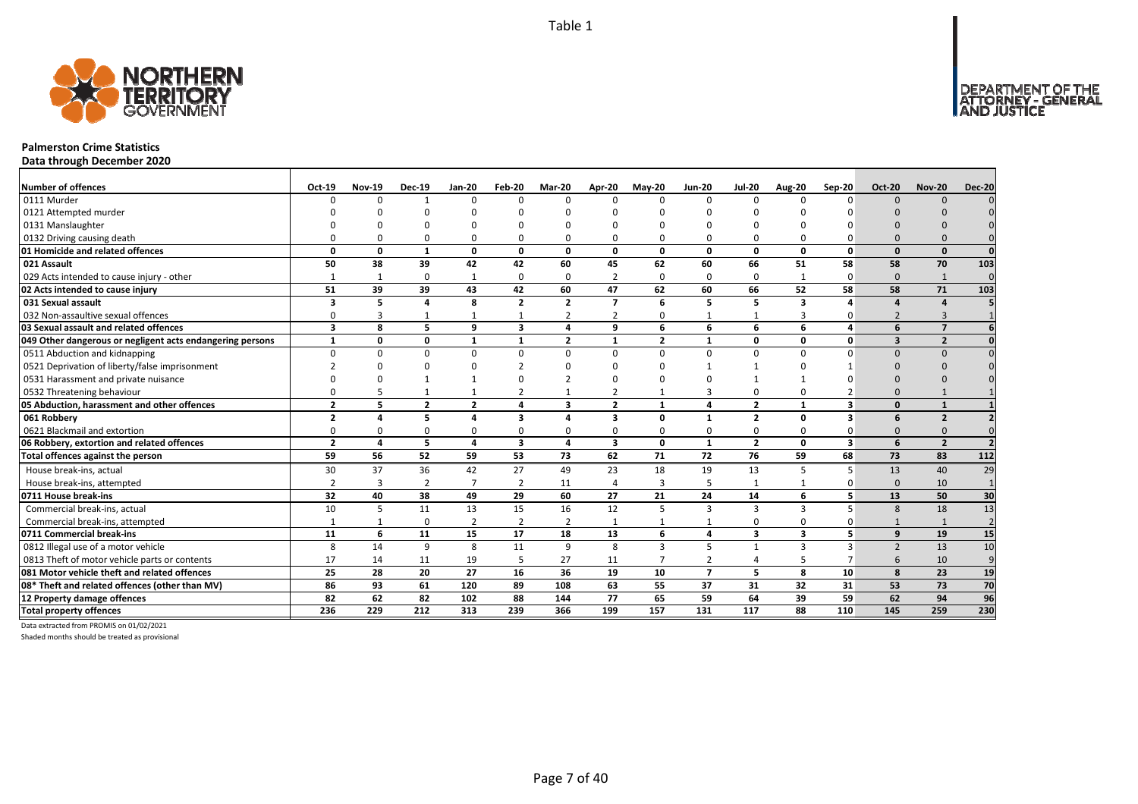

### **Palmerston Crime Statistics**

**Data through December 2020**

| <b>Number of offences</b>                                 | Oct-19         | <b>Nov-19</b> | <b>Dec-19</b>  | <b>Jan-20</b>  | Feb-20                  | Mar-20                  | Apr-20                  | $Mav-20$       | <b>Jun-20</b>  | <b>Jul-20</b>  | <b>Aug-20</b>           | Sep-20                  | <b>Oct-20</b>  | <b>Nov-20</b>           | <b>Dec-20</b>   |
|-----------------------------------------------------------|----------------|---------------|----------------|----------------|-------------------------|-------------------------|-------------------------|----------------|----------------|----------------|-------------------------|-------------------------|----------------|-------------------------|-----------------|
| 0111 Murder                                               |                | $\Omega$      |                | $\Omega$       | $\Omega$                | $\Omega$                | $\Omega$                | $\Omega$       | $\Omega$       | $\Omega$       | n                       | $\Omega$                | $\Omega$       | $\Omega$                |                 |
| 0121 Attempted murder                                     |                |               |                |                |                         |                         |                         |                |                |                |                         |                         |                |                         |                 |
| 0131 Manslaughter                                         |                |               | n              |                |                         |                         |                         |                |                |                |                         |                         |                |                         |                 |
| 0132 Driving causing death                                |                |               | $\Omega$       | 0              | 0                       |                         |                         | $\Omega$       |                | $\Omega$       |                         |                         |                |                         |                 |
| 01 Homicide and related offences                          | $\Omega$       | $\Omega$      | 1              | $\mathbf{0}$   | 0                       | $\Omega$                | 0                       | <sup>0</sup>   | $\Omega$       | 0              | 0                       | 0                       | <sup>n</sup>   | $\Omega$                | $\Omega$        |
| 021 Assault                                               | 50             | 38            | 39             | 42             | 42                      | 60                      | 45                      | 62             | 60             | 66             | 51                      | 58                      | 58             | 70                      | 103             |
| 029 Acts intended to cause injury - other                 |                | -1            | $\Omega$       | $\mathbf{1}$   | 0                       | $\Omega$                | $\overline{2}$          | $\Omega$       | $\Omega$       | 0              |                         | 0                       | $\Omega$       | $\mathbf{1}$            | $\Omega$        |
| 02 Acts intended to cause injury                          | 51             | 39            | 39             | 43             | 42                      | 60                      | 47                      | 62             | 60             | 66             | 52                      | 58                      | 58             | 71                      | 103             |
| 031 Sexual assault                                        | 3              | 5             | 4              | 8              | $\overline{2}$          | $\overline{2}$          | $\overline{ }$          | 6              | 5              | 5              | $\overline{\mathbf{a}}$ |                         |                | $\Delta$                |                 |
| 032 Non-assaultive sexual offences                        |                |               | 1              | $\overline{1}$ | $\mathbf{1}$            | 2                       | $\overline{2}$          | $\Omega$       | $\mathbf{1}$   | 1              | 3                       | O                       | $\overline{2}$ | $\overline{3}$          |                 |
| 03 Sexual assault and related offences                    | $\mathbf{3}$   | 8             | 5.             | 9              | $\overline{\mathbf{3}}$ | 4                       | 9                       | 6              | 6              | 6              | 6                       | $\Delta$                | 6              | $\overline{7}$          |                 |
| 049 Other dangerous or negligent acts endangering persons | $\mathbf{1}$   | 0             | 0              | $\mathbf{1}$   | 1                       | $\overline{2}$          | $\mathbf{1}$            | $\overline{2}$ | $\mathbf{1}$   | 0              | 0                       | 0                       | 3              | $\overline{\mathbf{z}}$ |                 |
| 0511 Abduction and kidnapping                             |                | ŋ             | $\Omega$       | $\Omega$       | 0                       | $\Omega$                | $\Omega$                | $\Omega$       | $\Omega$       | $\Omega$       | $\Omega$                | $\Omega$                | $\Omega$       | $\Omega$                |                 |
| 0521 Deprivation of liberty/false imprisonment            |                |               | U              | $\cap$         | 2                       |                         |                         |                |                |                |                         |                         |                |                         |                 |
| 0531 Harassment and private nuisance                      |                |               |                |                | O                       |                         |                         | n              |                |                |                         |                         |                |                         |                 |
| 0532 Threatening behaviour                                |                |               |                |                | $\overline{2}$          |                         |                         |                | 3              | 0              | $\Omega$                |                         |                |                         |                 |
| 05 Abduction, harassment and other offences               | $\overline{2}$ | 5             | $\overline{2}$ | $\overline{2}$ | 4                       | $\overline{\mathbf{3}}$ | $\overline{2}$          | $\mathbf{1}$   | 4              | $\overline{2}$ | $\mathbf{1}$            | 3                       | <sup>n</sup>   | $\mathbf{1}$            |                 |
| 061 Robbery                                               | $\overline{2}$ | Δ             | 5              | $\Delta$       | 3                       | 4                       | $\overline{\mathbf{3}}$ | n              | 1              | $\overline{2}$ | 0                       | $\overline{\mathbf{3}}$ |                | $\overline{2}$          |                 |
| 0621 Blackmail and extortion                              |                | ი             | $\Omega$       | $\Omega$       | 0                       |                         | 0                       | $\Omega$       | $\Omega$       | $\Omega$       | $\Omega$                |                         | $\Omega$       |                         |                 |
| 06 Robbery, extortion and related offences                | $\overline{2}$ | $\Delta$      | 5              | $\overline{a}$ | $\overline{\mathbf{3}}$ | 4                       | $\overline{\mathbf{3}}$ | $\Omega$       | $\mathbf{1}$   | $\overline{2}$ | $\mathbf{0}$            | $\overline{\mathbf{3}}$ | 6              | $\overline{2}$          |                 |
| Total offences against the person                         | 59             | 56            | 52             | 59             | 53                      | 73                      | 62                      | 71             | 72             | 76             | 59                      | 68                      | 73             | 83                      | $\frac{112}{2}$ |
| House break-ins, actual                                   | 30             | 37            | 36             | 42             | 27                      | 49                      | 23                      | 18             | 19             | 13             | 5                       | 5                       | 13             | 40                      | 29              |
| House break-ins, attempted                                | $\overline{2}$ | 3             | $\overline{2}$ | $\overline{7}$ | $\overline{2}$          | 11                      | $\overline{4}$          | 3              | 5              | 1              | $\mathbf{1}$            | $\Omega$                | $\Omega$       | 10                      | $\overline{1}$  |
| 0711 House break-ins                                      | 32             | 40            | 38             | 49             | 29                      | 60                      | 27                      | 21             | 24             | 14             | 6                       | 5                       | 13             | 50                      | 30              |
| Commercial break-ins, actual                              | 10             | 5             | 11             | 13             | 15                      | 16                      | 12                      | 5              | $\overline{3}$ | $\overline{3}$ | 3                       |                         | 8              | 18                      | 13              |
| Commercial break-ins, attempted                           |                |               | 0              | $\overline{2}$ | $\overline{2}$          | 2                       |                         |                | -1             | 0              | $\Omega$                |                         |                | 1                       | $\overline{2}$  |
| 0711 Commercial break-ins                                 | 11             | 6             | 11             | 15             | 17                      | 18                      | 13                      | 6              | 4              | 3              | $\overline{\mathbf{3}}$ |                         | 9              | 19                      | 15              |
| 0812 Illegal use of a motor vehicle                       | 8              | 14            | 9              | 8              | 11                      | 9                       | 8                       | 3              | 5              | $\mathbf{1}$   | 3                       | ς                       | $\overline{2}$ | 13                      | 10              |
| 0813 Theft of motor vehicle parts or contents             | 17             | 14            | 11             | 19             | 5                       | 27                      | 11                      | $\overline{7}$ | $\overline{2}$ | 4              |                         |                         |                | 10                      | 9               |
| 081 Motor vehicle theft and related offences              | 25             | 28            | 20             | 27             | 16                      | 36                      | 19                      | 10             | $\overline{7}$ | 5              | 8                       | 10                      | 8              | 23                      | 19              |
| 08* Theft and related offences (other than MV)            | 86             | 93            | 61             | 120            | 89                      | 108                     | 63                      | 55             | 37             | 31             | 32                      | 31                      | 53             | 73                      | 70              |
| 12 Property damage offences                               | 82             | 62            | 82             | 102            | 88                      | 144                     | 77                      | 65             | 59             | 64             | 39                      | 59                      | 62             | 94                      | 96              |
| <b>Total property offences</b>                            | 236            | 229           | 212            | 313            | 239                     | 366                     | 199                     | 157            | 131            | 117            | 88                      | 110                     | 145            | 259                     | 230             |

Data extracted from PROMIS on 01/02/2021

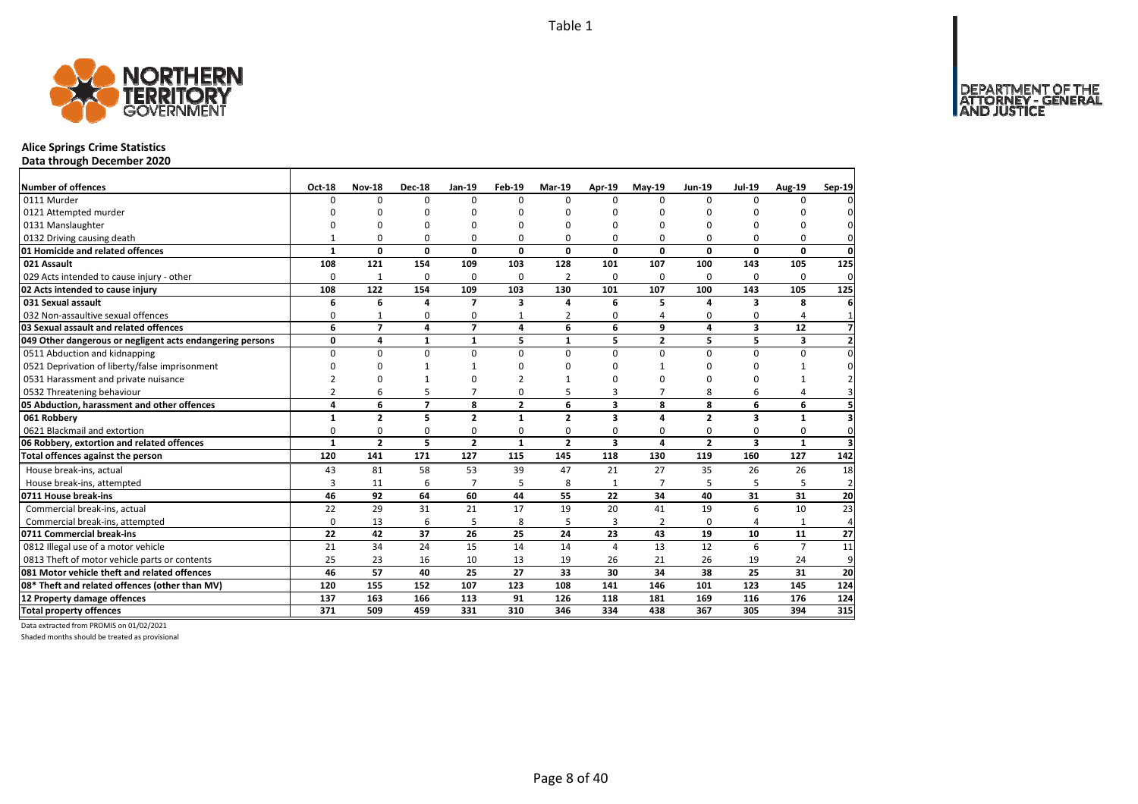

# **Alice Springs Crime Statistics**

**Data through December 2020**

| Number of offences                                        | <b>Oct-18</b>  | <b>Nov-18</b>  | <b>Dec-18</b>  | Jan-19         | Feb-19         | Mar-19         | Apr-19                  | $May-19$       | <b>Jun-19</b>  | <b>Jul-19</b>           | <b>Aug-19</b>  | Sep-19                  |
|-----------------------------------------------------------|----------------|----------------|----------------|----------------|----------------|----------------|-------------------------|----------------|----------------|-------------------------|----------------|-------------------------|
| 0111 Murder                                               | $\Omega$       | 0              | $\Omega$       | $\Omega$       | $\Omega$       | $\Omega$       | $\Omega$                | $\Omega$       | $\Omega$       | $\Omega$                | O              |                         |
| 0121 Attempted murder                                     | U              | n              | ŋ              | $\Omega$       | ŋ              | U              | n                       | n              | 0              | O                       | ŋ              |                         |
| 0131 Manslaughter                                         |                | $\Omega$       | 0              | $\Omega$       | O              | ŋ              | $\Omega$                | $\Omega$       | $\Omega$       | $\Omega$                | 0              |                         |
| 0132 Driving causing death                                |                | 0              | 0              | 0              | O              | O              | 0                       | $\Omega$       | $\Omega$       | $\Omega$                | 0              | $\Omega$                |
| 01 Homicide and related offences                          | 1              | 0              | 0              | $\mathbf 0$    | 0              | 0              | 0                       | 0              | $\mathbf 0$    | 0                       | 0              | 0                       |
| 021 Assault                                               | 108            | 121            | 154            | 109            | 103            | 128            | 101                     | 107            | 100            | 143                     | 105            | 125                     |
| 029 Acts intended to cause injury - other                 | $\Omega$       | $\mathbf{1}$   | 0              | 0              | 0              | 2              | $\Omega$                | $\Omega$       | $\Omega$       | $\Omega$                | 0              | 0                       |
| 02 Acts intended to cause injury                          | 108            | 122            | 154            | 109            | 103            | 130            | 101                     | 107            | 100            | 143                     | 105            | 125                     |
| 031 Sexual assault                                        | 6              | 6              | 4              | $\overline{7}$ | 3              | 4              | 6                       | 5              | Δ              | 3                       | 8              | 6                       |
| 032 Non-assaultive sexual offences                        | 0              | $\mathbf{1}$   | 0              | $\Omega$       |                | 2              | $\Omega$                |                | 0              | 0                       | 4              |                         |
| 03 Sexual assault and related offences                    | 6              | $\overline{7}$ | 4              | $\overline{7}$ | 4              | 6              | 6                       | 9              | 4              | $\overline{\mathbf{3}}$ | 12             | 7                       |
| 049 Other dangerous or negligent acts endangering persons | 0              | 4              | $\mathbf{1}$   | $\mathbf{1}$   | 5              | 1              | 5                       | $\overline{2}$ | 5              | 5                       | 3              | $\overline{\mathbf{z}}$ |
| 0511 Abduction and kidnapping                             | 0              | 0              | 0              | $\mathbf 0$    | $\Omega$       | 0              | $\Omega$                | $\Omega$       | $\Omega$       | 0                       | 0              | $\Omega$                |
| 0521 Deprivation of liberty/false imprisonment            | $\Omega$       | <sup>0</sup>   |                |                | ŋ              | U              | $\Omega$                |                | $\Omega$       | $\Omega$                |                |                         |
| 0531 Harassment and private nuisance                      |                | ŋ              |                | $\Omega$       |                |                | O                       | n              | $\Omega$       | O                       |                |                         |
| 0532 Threatening behaviour                                | $\overline{2}$ | 6              | 5              | $\overline{7}$ | $\Omega$       | 5              | 3                       | $\overline{7}$ | 8              | 6                       | 4              |                         |
| 05 Abduction, harassment and other offences               | 4              | 6              | $\overline{7}$ | 8              | $\overline{2}$ | 6              | $\overline{\mathbf{3}}$ | 8              | 8              | 6                       | 6              |                         |
| 061 Robbery                                               | $\mathbf{1}$   | $\overline{2}$ | 5              | $\overline{2}$ | $\mathbf{1}$   | $\overline{2}$ | $\overline{\mathbf{3}}$ | 4              | $\overline{2}$ | 3                       | $\mathbf{1}$   |                         |
| 0621 Blackmail and extortion                              | $\Omega$       | 0              | 0              | $\Omega$       | 0              | 0              | $\Omega$                | $\Omega$       | $\Omega$       | $\Omega$                | 0              | $\Omega$                |
| 06 Robbery, extortion and related offences                | $\mathbf{1}$   | $\overline{2}$ | 5              | $\overline{2}$ | 1              | $\mathbf{z}$   | $\overline{\mathbf{3}}$ | 4              | $\overline{2}$ | 3                       | $\mathbf{1}$   | з                       |
| Total offences against the person                         | 120            | 141            | 171            | 127            | 115            | 145            | 118                     | 130            | 119            | 160                     | 127            | 142                     |
| House break-ins, actual                                   | 43             | 81             | 58             | 53             | 39             | 47             | 21                      | 27             | 35             | 26                      | 26             | 18                      |
| House break-ins, attempted                                | 3              | 11             | 6              | $\overline{7}$ | 5              | 8              | $\mathbf{1}$            | $\overline{7}$ | 5              | 5                       | 5              | $\overline{2}$          |
| 0711 House break-ins                                      | 46             | 92             | 64             | 60             | 44             | 55             | 22                      | 34             | 40             | 31                      | 31             | 20                      |
| Commercial break-ins, actual                              | 22             | 29             | 31             | 21             | 17             | 19             | 20                      | 41             | 19             | 6                       | 10             | 23                      |
| Commercial break-ins, attempted                           | $\Omega$       | 13             | 6              | 5              | 8              | 5              | 3                       | 2              | $\Omega$       | 4                       |                | 4                       |
| 0711 Commercial break-ins                                 | 22             | 42             | 37             | 26             | 25             | 24             | 23                      | 43             | 19             | 10                      | 11             | 27                      |
| 0812 Illegal use of a motor vehicle                       | 21             | 34             | 24             | 15             | 14             | 14             | $\overline{a}$          | 13             | 12             | 6                       | $\overline{7}$ | 11                      |
| 0813 Theft of motor vehicle parts or contents             | 25             | 23             | 16             | 10             | 13             | 19             | 26                      | 21             | 26             | 19                      | 24             | 9                       |
| 081 Motor vehicle theft and related offences              | 46             | 57             | 40             | 25             | 27             | 33             | 30                      | 34             | 38             | 25                      | 31             | 20                      |
| 08* Theft and related offences (other than MV)            | 120            | 155            | 152            | 107            | 123            | 108            | 141                     | 146            | 101            | 123                     | 145            | 124                     |
| 12 Property damage offences                               | 137            | 163            | 166            | 113            | 91             | 126            | 118                     | 181            | 169            | 116                     | 176            | 124                     |
| <b>Total property offences</b>                            | 371            | 509            | 459            | 331            | 310            | 346            | 334                     | 438            | 367            | 305                     | 394            | 315                     |

Data extracted from PROMIS on 01/02/2021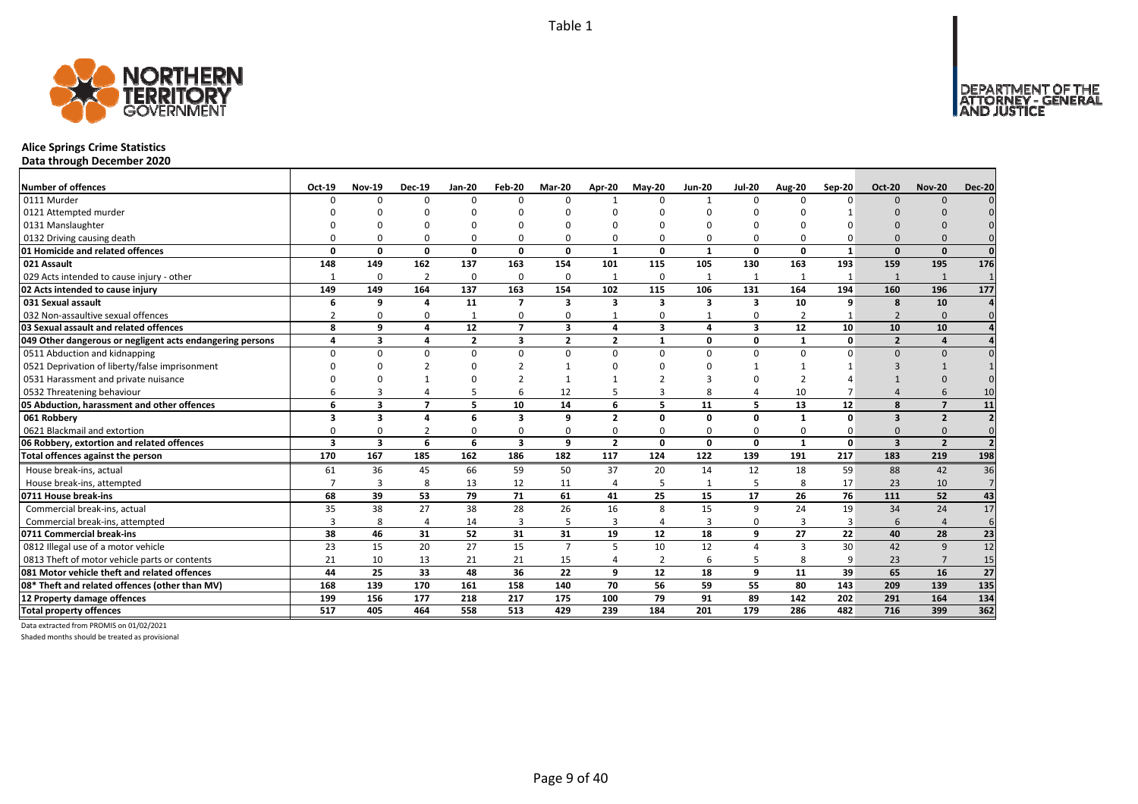

# **Alice Springs Crime Statistics**

**Data through December 2020**

| Number of offences                                        | Oct-19   | <b>Nov-19</b> | <b>Dec-19</b>            | Jan-20                  | Feb-20         | Mar-20                  | Apr-20         | $May-20$       | <b>Jun-20</b>           | <b>Jul-20</b>           | <b>Aug-20</b> | Sep-20       | <b>Oct-20</b>           | <b>Nov-20</b>           | <b>Dec-20</b>           |
|-----------------------------------------------------------|----------|---------------|--------------------------|-------------------------|----------------|-------------------------|----------------|----------------|-------------------------|-------------------------|---------------|--------------|-------------------------|-------------------------|-------------------------|
| 0111 Murder                                               |          | U             | $\Omega$                 | $\Omega$                | $\Omega$       |                         |                | $\Omega$       | $\mathbf{1}$            | $\Omega$                |               | $\Omega$     | $\Omega$                | $\Omega$                |                         |
| 0121 Attempted murder                                     |          |               |                          |                         |                |                         |                |                |                         |                         |               |              |                         |                         |                         |
| 0131 Manslaughter                                         |          |               |                          |                         |                |                         |                |                |                         |                         |               |              |                         |                         |                         |
| 0132 Driving causing death                                |          |               | $\Omega$                 | $\Omega$                | O              |                         |                | O              | $\Omega$                | O                       |               |              |                         |                         |                         |
| 01 Homicide and related offences                          | O        | O             | 0                        | $\mathbf{0}$            | $\mathbf{0}$   | $\Omega$                | $\mathbf{1}$   | $\Omega$       | $\mathbf{1}$            | 0                       | $\Omega$      | $\mathbf{1}$ | $\Omega$                | $\Omega$                | $\Omega$                |
| 021 Assault                                               | 148      | 149           | 162                      | 137                     | 163            | 154                     | 101            | 115            | 105                     | 130                     | 163           | 193          | 159                     | 195                     | 176                     |
| 029 Acts intended to cause injury - other                 |          | 0             | $\overline{2}$           | $\mathbf 0$             | 0              | $\Omega$                |                | $\Omega$       | 1                       | $\mathbf{1}$            |               |              | 1                       | 1                       |                         |
| 02 Acts intended to cause injury                          | 149      | 149           | 164                      | 137                     | 163            | 154                     | 102            | 115            | 106                     | 131                     | 164           | 194          | 160                     | 196                     | 177                     |
| 031 Sexual assault                                        | 6        | 9             | $\mathbf{A}$             | 11                      | $\overline{ }$ | $\overline{\mathbf{3}}$ | 3              | 3              | $\overline{\mathbf{3}}$ | $\overline{\mathbf{3}}$ | 10            | 9            | 8                       | 10                      |                         |
| 032 Non-assaultive sexual offences                        |          |               | $\Omega$                 | $\mathbf{1}$            | 0              | 0                       |                | $\Omega$       |                         | 0                       |               |              | $\overline{2}$          | $\Omega$                |                         |
| 03 Sexual assault and related offences                    | 8        | q             | 4                        | 12                      | $\overline{z}$ | $\overline{\mathbf{3}}$ | Δ              | 3              | $\overline{\mathbf{A}}$ | 3                       | 12            | 10           | 10                      | 10                      |                         |
| 049 Other dangerous or negligent acts endangering persons | Δ        | 3             | 4                        | $\overline{\mathbf{2}}$ | 3              | $\overline{2}$          | $\overline{2}$ | $\mathbf{1}$   | 0                       | 0                       | -1            | $\mathbf 0$  | $\overline{2}$          | $\Delta$                |                         |
| 0511 Abduction and kidnapping                             | $\Omega$ | $\Omega$      | $\Omega$                 | $\mathbf 0$             | $\Omega$       | $\Omega$                | $\Omega$       | $\Omega$       | $\Omega$                | 0                       | $\Omega$      | $\Omega$     | $\Omega$                | $\Omega$                |                         |
| 0521 Deprivation of liberty/false imprisonment            |          |               |                          | $\Omega$                |                |                         |                | n              |                         |                         |               |              |                         |                         |                         |
| 0531 Harassment and private nuisance                      |          |               |                          |                         | ຳ              |                         |                |                |                         |                         |               |              |                         |                         |                         |
| 0532 Threatening behaviour                                |          |               |                          | 5                       | 6              | 12                      |                | 3              | 8                       | 4                       | 10            |              |                         |                         | 10                      |
| 05 Abduction, harassment and other offences               | 6        | 3             | $\overline{\phantom{a}}$ | 5                       | 10             | 14                      | 6              | 5              | 11                      | 5                       | 13            | 12           | 8                       | $\overline{ }$          | 11                      |
| 061 Robbery                                               | 3        | 3             | $\mathbf{A}$             | 6                       | 3              | q                       | $\overline{2}$ | 0              | 0                       | 0                       | $\mathbf{1}$  | $\Omega$     | $\overline{\mathbf{3}}$ | $\overline{2}$          |                         |
| 0621 Blackmail and extortion                              |          |               | 2                        | 0                       | 0              | $\Omega$                | 0              | $\Omega$       | $\Omega$                | 0                       | $\Omega$      |              | $\Omega$                | $\Omega$                |                         |
| 06 Robbery, extortion and related offences                | 3        | 3             | 6                        | 6                       | 3              | 9                       | $\overline{2}$ | 0              | $\mathbf{0}$            | 0                       | $\mathbf{1}$  | 0            | $\overline{\mathbf{3}}$ | $\overline{\mathbf{z}}$ | $\overline{\mathbf{z}}$ |
| Total offences against the person                         | 170      | 167           | 185                      | 162                     | 186            | 182                     | 117            | 124            | 122                     | 139                     | 191           | 217          | 183                     | 219                     | 198                     |
| House break-ins, actual                                   | 61       | 36            | 45                       | 66                      | 59             | 50                      | 37             | 20             | 14                      | 12                      | 18            | 59           | 88                      | 42                      | 36                      |
| House break-ins, attempted                                |          | 3             | 8                        | 13                      | 12             | 11                      | 4              | 5              | $\mathbf{1}$            | 5                       |               | 17           | 23                      | 10                      | $\overline{7}$          |
| 0711 House break-ins                                      | 68       | 39            | 53                       | 79                      | 71             | 61                      | 41             | 25             | 15                      | 17                      | 26            | 76           | 111                     | 52                      | 43                      |
| Commercial break-ins, actual                              | 35       | 38            | 27                       | 38                      | 28             | 26                      | 16             | 8              | 15                      | 9                       | 24            | 19           | 34                      | 24                      | 17                      |
| Commercial break-ins, attempted                           |          | 8             | 4                        | 14                      | 3              |                         | 3              |                | 3                       | 0                       | 3             | 3            | 6                       | $\Delta$                | 6                       |
| 0711 Commercial break-ins                                 | 38       | 46            | 31                       | 52                      | 31             | 31                      | 19             | 12             | 18                      | 9                       | 27            | 22           | 40                      | 28                      | 23                      |
| 0812 Illegal use of a motor vehicle                       | 23       | 15            | 20                       | 27                      | 15             | $\overline{7}$          | 5              | 10             | 12                      | 4                       | 3             | 30           | 42                      | 9                       | $\overline{12}$         |
| 0813 Theft of motor vehicle parts or contents             | 21       | 10            | 13                       | 21                      | 21             | 15                      |                | $\overline{2}$ | 6                       | 5                       |               | 9            | 23                      | $\overline{7}$          | 15                      |
| 081 Motor vehicle theft and related offences              | 44       | 25            | 33                       | 48                      | 36             | 22                      | q              | 12             | 18                      | 9                       | 11            | 39           | 65                      | 16                      | 27                      |
| 08* Theft and related offences (other than MV)            | 168      | 139           | 170                      | 161                     | 158            | 140                     | 70             | 56             | 59                      | 55                      | 80            | 143          | 209                     | 139                     | 135                     |
| 12 Property damage offences                               | 199      | 156           | 177                      | 218                     | 217            | 175                     | 100            | 79             | 91                      | 89                      | 142           | 202          | 291                     | 164                     | 134                     |
| <b>Total property offences</b>                            | 517      | 405           | 464                      | 558                     | 513            | 429                     | 239            | 184            | 201                     | 179                     | 286           | 482          | 716                     | 399                     | 362                     |

Data extracted from PROMIS on 01/02/2021

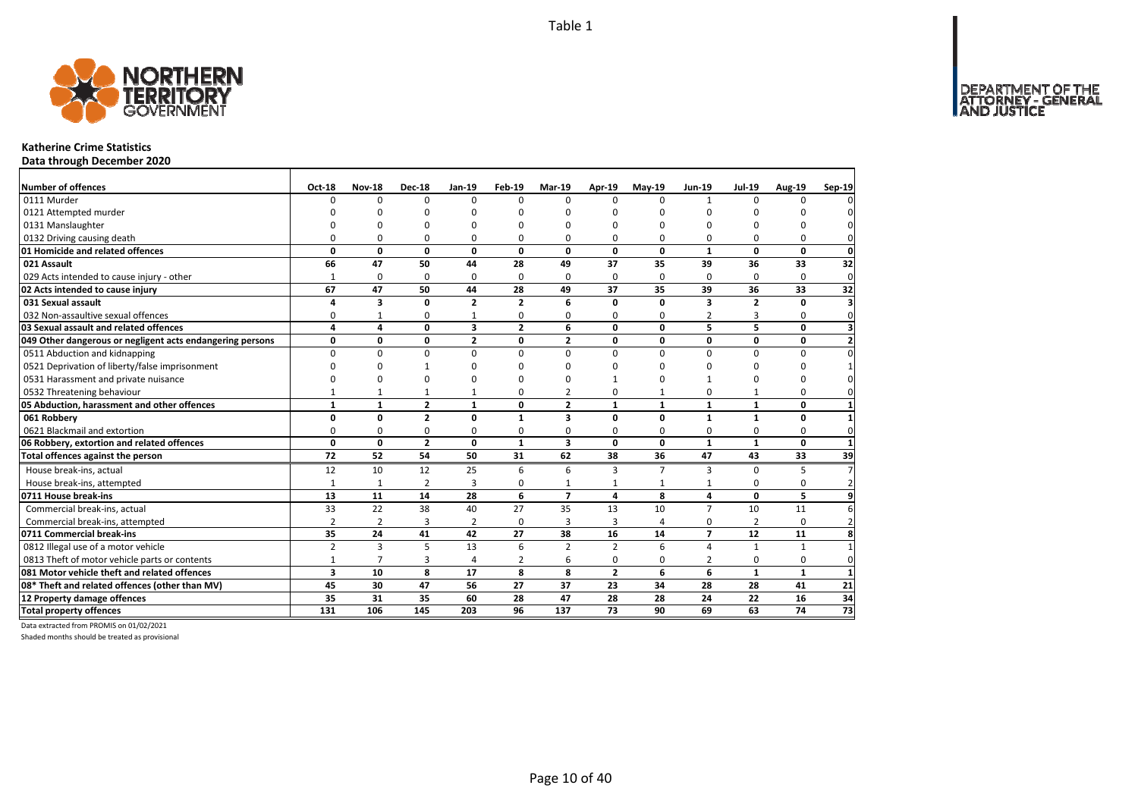

### **Katherine Crime Statistics**

**Data through December 2020**

| Number of offences                                        | Oct-18                  | <b>Nov-18</b>  | <b>Dec-18</b>  | Jan-19                  | Feb-19         | <b>Mar-19</b>  | Apr-19         | $May-19$       | <b>Jun-19</b>  | <b>Jul-19</b>  | <b>Aug-19</b> | Sep-19          |
|-----------------------------------------------------------|-------------------------|----------------|----------------|-------------------------|----------------|----------------|----------------|----------------|----------------|----------------|---------------|-----------------|
| 0111 Murder                                               | 0                       | $\Omega$       | $\Omega$       | $\Omega$                | $\Omega$       | $\Omega$       | $\Omega$       | $\Omega$       | $\mathbf{1}$   | $\Omega$       | $\Omega$      |                 |
| 0121 Attempted murder                                     | n                       | $\Omega$       |                | ŋ                       | n              | n              | n              | n              | $\Omega$       |                |               |                 |
| 0131 Manslaughter                                         | ი                       | $\Omega$       |                | $\Omega$                | n              | ŋ              | n              | $\Omega$       | $\Omega$       | ŋ              |               |                 |
| 0132 Driving causing death                                | 0                       | $\Omega$       | 0              | $\Omega$                | $\Omega$       | 0              | $\Omega$       | $\Omega$       | $\Omega$       | $\Omega$       | $\Omega$      |                 |
| 01 Homicide and related offences                          | 0                       | $\mathbf 0$    | $\mathbf 0$    | $\mathbf{0}$            | $\mathbf{0}$   | 0              | $\mathbf{0}$   | $\mathbf{0}$   | $\mathbf{1}$   | $\mathbf 0$    | $\mathbf{0}$  | 0               |
| 021 Assault                                               | 66                      | 47             | 50             | 44                      | 28             | 49             | 37             | 35             | 39             | 36             | 33            | 32              |
| 029 Acts intended to cause injury - other                 | 1                       | 0              | 0              | $\mathbf 0$             | $\Omega$       | 0              | $\Omega$       | 0              | $\Omega$       | $\Omega$       | $\Omega$      | $\mathbf 0$     |
| 02 Acts intended to cause injury                          | 67                      | 47             | 50             | 44                      | 28             | 49             | 37             | 35             | 39             | 36             | 33            | $\overline{32}$ |
| 031 Sexual assault                                        | 4                       | 3              | 0              | $\overline{2}$          | $\overline{2}$ | 6              | $\Omega$       | $\Omega$       | 3              | $\overline{2}$ | 0             |                 |
| 032 Non-assaultive sexual offences                        | 0                       | $\mathbf{1}$   | 0              | $\mathbf{1}$            | 0              | 0              | 0              | 0              | $\overline{2}$ | 3              | 0             | $\Omega$        |
| 03 Sexual assault and related offences                    | 4                       | 4              | 0              | $\overline{\mathbf{3}}$ | $\overline{2}$ | 6              | 0              | 0              | 5              | 5              | 0             |                 |
| 049 Other dangerous or negligent acts endangering persons | 0                       | 0              | 0              | $\overline{\mathbf{2}}$ | 0              | $\overline{2}$ | $\mathbf 0$    | 0              | 0              | 0              | 0             |                 |
| 0511 Abduction and kidnapping                             | 0                       | $\Omega$       | $\Omega$       | $\Omega$                | $\Omega$       | $\Omega$       | $\Omega$       | $\Omega$       | $\Omega$       | $\Omega$       | $\Omega$      |                 |
| 0521 Deprivation of liberty/false imprisonment            | ŋ                       | $\Omega$       | -1             | $\Omega$                | ŋ              | n              | n              |                | O              | <sup>0</sup>   | ŋ             |                 |
| 0531 Harassment and private nuisance                      | n                       | $\Omega$       | $\Omega$       | $\Omega$                | ŋ              | n              |                | $\Omega$       | 1              | $\Omega$       | $\Omega$      |                 |
| 0532 Threatening behaviour                                |                         | $\mathbf{1}$   | 1              | $\mathbf{1}$            | 0              | $\overline{2}$ | $\Omega$       | $\mathbf{1}$   | 0              | $\mathbf{1}$   | 0             |                 |
| 05 Abduction, harassment and other offences               | $\mathbf{1}$            | $\mathbf{1}$   | $\mathbf{2}$   | $\mathbf{1}$            | 0              | $\overline{2}$ | $\mathbf{1}$   | $\mathbf{1}$   | $\mathbf{1}$   | $\mathbf{1}$   | 0             |                 |
| 061 Robbery                                               | 0                       | 0              | $\overline{2}$ | 0                       | $\mathbf{1}$   | 3              | 0              | 0              | $\mathbf{1}$   | $\mathbf{1}$   | 0             |                 |
| 0621 Blackmail and extortion                              | 0                       | 0              | 0              | 0                       | 0              | 0              | $\mathbf 0$    | 0              | 0              | 0              | 0             |                 |
| 06 Robbery, extortion and related offences                | 0                       | $\mathbf{0}$   | $\overline{2}$ | 0                       | $\mathbf{1}$   | 3              | $\mathbf 0$    | 0              | $\mathbf{1}$   | $\mathbf{1}$   | $\mathbf{0}$  |                 |
| Total offences against the person                         | 72                      | 52             | 54             | 50                      | 31             | 62             | 38             | 36             | 47             | 43             | 33            | 39              |
| House break-ins, actual                                   | 12                      | 10             | 12             | 25                      | 6              | 6              | 3              | $\overline{7}$ | З              | $\Omega$       | 5             |                 |
| House break-ins, attempted                                | $\mathbf{1}$            | $\mathbf{1}$   | $\overline{2}$ | 3                       | 0              | $\mathbf{1}$   | $\mathbf{1}$   | 1              | $\mathbf{1}$   | 0              | 0             |                 |
| 0711 House break-ins                                      | 13                      | 11             | 14             | 28                      | 6              | $\overline{ }$ | 4              | 8              | 4              | 0              | 5             |                 |
| Commercial break-ins, actual                              | 33                      | 22             | 38             | 40                      | 27             | 35             | 13             | 10             | $\overline{7}$ | 10             | 11            |                 |
| Commercial break-ins, attempted                           | $\overline{2}$          | $\overline{2}$ | 3              | $\overline{2}$          | 0              | 3              | 3              | 4              | 0              | $\overline{2}$ | $\Omega$      |                 |
| 0711 Commercial break-ins                                 | 35                      | 24             | 41             | 42                      | 27             | 38             | 16             | 14             | $\overline{7}$ | 12             | 11            |                 |
| 0812 Illegal use of a motor vehicle                       | $\overline{2}$          | $\overline{3}$ | 5              | 13                      | 6              | $\overline{2}$ | $\overline{2}$ | 6              | 4              | $\mathbf{1}$   | $\mathbf{1}$  |                 |
| 0813 Theft of motor vehicle parts or contents             | $\mathbf{1}$            | $\overline{7}$ | 3              | $\overline{4}$          | $\overline{2}$ | 6              | 0              | 0              | 2              | $\mathbf 0$    | 0             | $\Omega$        |
| 081 Motor vehicle theft and related offences              | $\overline{\mathbf{3}}$ | 10             | 8              | 17                      | 8              | 8              | $\overline{2}$ | 6              | 6              | $\mathbf{1}$   | $\mathbf{1}$  |                 |
| 08* Theft and related offences (other than MV)            | 45                      | 30             | 47             | 56                      | 27             | 37             | 23             | 34             | 28             | 28             | 41            | 21              |
| 12 Property damage offences                               | 35                      | 31             | 35             | 60                      | 28             | 47             | 28             | 28             | 24             | 22             | 16            | 34              |
| <b>Total property offences</b>                            | 131                     | 106            | 145            | 203                     | 96             | 137            | 73             | 90             | 69             | 63             | 74            | $\overline{73}$ |

Data extracted from PROMIS on 01/02/2021

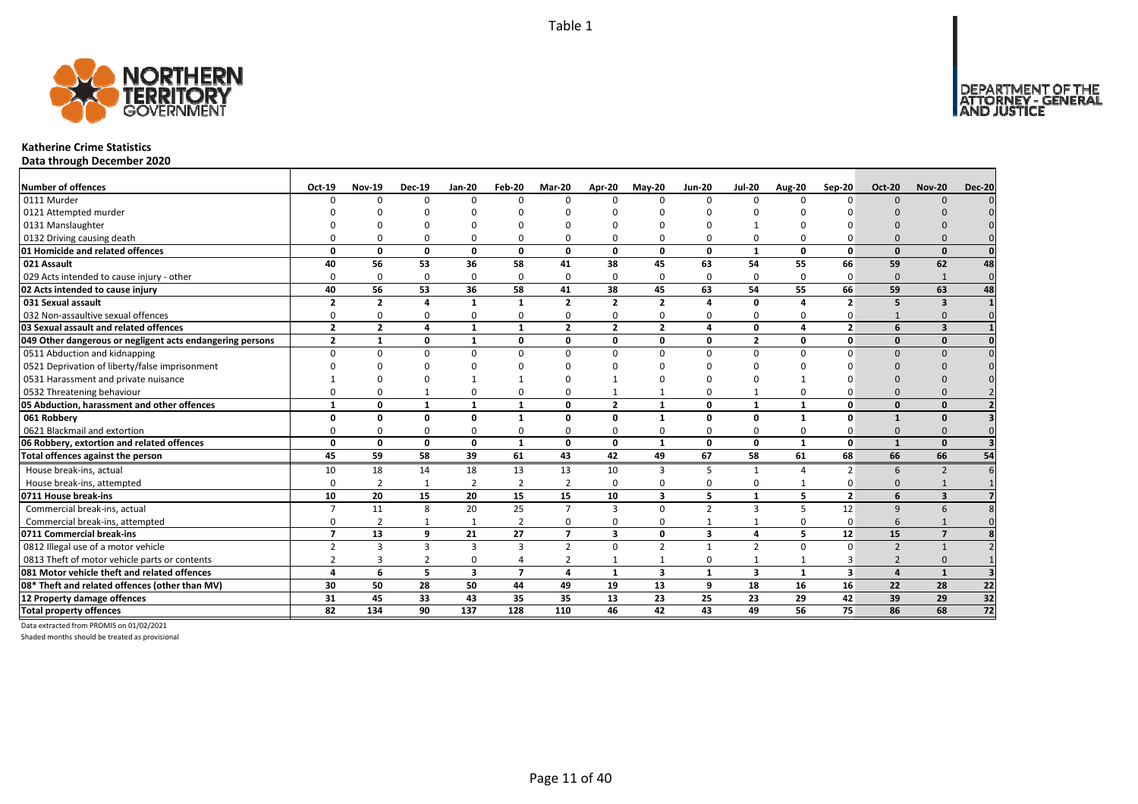

### **Katherine Crime Statistics**

**Data through December 2020**

| <b>Number of offences</b>                                 | Oct-19         | <b>Nov-19</b>           | <b>Dec-19</b>  | Jan-20                  | Feb-20           | Mar-20         | Apr-20                  | $Mav-20$       | <b>Jun-20</b>          | <b>Jul-20</b>           | <b>Aug-20</b> | Sep-20                   | <b>Oct-20</b>            | <b>Nov-20</b>           | <b>Dec-20</b>   |
|-----------------------------------------------------------|----------------|-------------------------|----------------|-------------------------|------------------|----------------|-------------------------|----------------|------------------------|-------------------------|---------------|--------------------------|--------------------------|-------------------------|-----------------|
| 0111 Murder                                               | n              | $\Omega$                | $\Omega$       | $\Omega$                | $\Omega$         | n              | $\Omega$                | $\Omega$       | $\Omega$               | $\Omega$                | $\Omega$      | $\Omega$                 | $\Omega$                 | $\Omega$                |                 |
| 0121 Attempted murder                                     |                |                         |                |                         |                  |                |                         |                |                        |                         |               |                          |                          |                         |                 |
| 0131 Manslaughter                                         |                |                         |                |                         |                  |                |                         |                |                        |                         |               |                          |                          |                         |                 |
| 0132 Driving causing death                                |                |                         | $\Omega$       | $\Omega$                | $\Omega$         |                |                         | O              | $\Omega$               | 0                       |               |                          | $\Omega$                 |                         |                 |
| 01 Homicide and related offences                          | O              | n                       | $\Omega$       | $\mathbf{0}$            | $\mathbf{0}$     | $\Omega$       | $\Omega$                | $\Omega$       | $\mathbf{0}$           | $\mathbf{1}$            | $\Omega$      | $\Omega$                 | $\Omega$                 | $\Omega$                |                 |
| 021 Assault                                               | 40             | 56                      | 53             | 36                      | 58               | 41             | 38                      | 45             | 63                     | 54                      | 55            | 66                       | 59                       | 62                      | 48              |
| 029 Acts intended to cause injury - other                 | O              | 0                       | $\Omega$       | $\Omega$                | 0                | $\Omega$       | $\Omega$                | $\Omega$       | $\Omega$               | 0                       | $\Omega$      | $\Omega$                 | $\Omega$                 | $\mathbf{1}$            | $\Omega$        |
| 02 Acts intended to cause injury                          | 40             | 56                      | 53             | 36                      | 58               | 41             | 38                      | 45             | 63                     | 54                      | 55            | 66                       | 59                       | 63                      | 48              |
| 031 Sexual assault                                        | $\overline{2}$ | $\overline{\mathbf{z}}$ | $\mathbf{A}$   | $\mathbf{1}$            | $\mathbf{1}$     | $\overline{2}$ | $\overline{2}$          | $\overline{2}$ | $\boldsymbol{\Lambda}$ | 0                       | $\mathbf{A}$  | $\overline{\phantom{a}}$ | 5                        | $\overline{\mathbf{3}}$ |                 |
| 032 Non-assaultive sexual offences                        | $\Omega$       |                         | $\Omega$       | $\mathbf 0$             | 0                | O              | O                       | $\Omega$       | $\Omega$               | 0                       | $\Omega$      |                          |                          | $\Omega$                |                 |
| 03 Sexual assault and related offences                    | $\overline{2}$ | $\overline{2}$          | 4              | $\mathbf{1}$            | $\mathbf{1}$     | $\overline{2}$ | $\overline{2}$          | $\overline{2}$ | $\Delta$               | 0                       | $\Delta$      | $\overline{2}$           | 6                        | $\overline{\mathbf{3}}$ |                 |
| 049 Other dangerous or negligent acts endangering persons | $\overline{2}$ |                         | 0              | $\mathbf{1}$            | 0                | $\Omega$       | O                       | $\Omega$       | $\mathbf{0}$           | $\overline{2}$          | $\Omega$      | $\mathbf{0}$             | $\Omega$                 | $\Omega$                |                 |
| 0511 Abduction and kidnapping                             | n              |                         | $\Omega$       | $\Omega$                | $\Omega$         |                | $\Omega$                | $\Omega$       | $\Omega$               | $\Omega$                | $\Omega$      |                          | $\Omega$                 | $\Omega$                |                 |
| 0521 Deprivation of liberty/false imprisonment            |                |                         | $\Omega$       |                         |                  |                |                         | n              |                        |                         |               |                          |                          |                         |                 |
| 0531 Harassment and private nuisance                      |                |                         |                |                         |                  |                |                         | n              |                        |                         |               |                          |                          |                         |                 |
| 0532 Threatening behaviour                                |                |                         |                | $\Omega$                | 0                |                |                         |                | $\Omega$               | $\mathbf{1}$            |               |                          |                          |                         |                 |
| 05 Abduction, harassment and other offences               | $\mathbf{1}$   | O                       | 1              | $\mathbf{1}$            | $\mathbf{1}$     | $\Omega$       | $\overline{2}$          | 1              | $\mathbf 0$            | $\mathbf{1}$            | $\mathbf{1}$  | $\Omega$                 | $\Omega$                 | $\Omega$                |                 |
| 061 Robbery                                               |                | n                       | $\Omega$       | $\mathbf 0$             | $\mathbf{1}$     | <sup>0</sup>   | 0                       | $\mathbf 1$    | 0                      | 0                       |               | $\Omega$                 |                          | $\Omega$                |                 |
| 0621 Blackmail and extortion                              |                |                         | $\Omega$       | $\Omega$                | 0                |                |                         | O              | $\Omega$               | 0                       |               |                          | $\Omega$                 |                         |                 |
| 06 Robbery, extortion and related offences                | $\Omega$       | 0                       | 0              | $\mathbf{0}$            | $\mathbf{1}$     | 0              | 0                       | $\mathbf{1}$   | $\mathbf{0}$           | 0                       | $\mathbf{1}$  | $\mathbf{0}$             | $\mathbf{1}$             | $\Omega$                |                 |
| Total offences against the person                         | 45             | 59                      | 58             | 39                      | 61               | 43             | 42                      | 49             | 67                     | 58                      | 61            | 68                       | 66                       | 66                      | 54              |
| House break-ins, actual                                   | 10             | 18                      | 14             | 18                      | 13               | 13             | 10                      | $\overline{3}$ | 5                      | $\mathbf{1}$            |               | $\overline{2}$           | 6                        |                         |                 |
| House break-ins, attempted                                | $\Omega$       | $\overline{2}$          |                | $\overline{2}$          | $\overline{2}$   | $\mathcal{P}$  | $\Omega$                | $\Omega$       | 0                      | 0                       |               |                          | $\Omega$                 |                         |                 |
| 0711 House break-ins                                      | 10             | 20                      | 15             | 20                      | 15               | 15             | 10                      | 3              | 5                      | $\mathbf{1}$            | 5             | $\overline{2}$           | 6                        | $\overline{\mathbf{3}}$ |                 |
| Commercial break-ins, actual                              |                | 11                      | 8              | 20                      | 25               | $\overline{7}$ | 3                       | $\Omega$       | $\overline{2}$         | 3                       |               | 12                       | $\mathbf{q}$             | 6                       |                 |
| Commercial break-ins, attempted                           |                | 2                       |                | 1                       | $\overline{2}$   | $\Omega$       |                         | $\Omega$       |                        | $\mathbf{1}$            | $\Omega$      | $\Omega$                 | 6                        |                         |                 |
| 0711 Commercial break-ins                                 | $\overline{ }$ | 13                      | 9              | 21                      | 27               | $\overline{7}$ | $\overline{\mathbf{3}}$ | 0              | 3                      | 4                       | 5             | 12                       | 15                       | $\overline{7}$          |                 |
| 0812 Illegal use of a motor vehicle                       | $\overline{2}$ | 3                       | 3              | $\overline{3}$          | 3                | $\overline{2}$ | $\Omega$                | $\overline{2}$ | $\mathbf{1}$           | $\overline{2}$          | $\Omega$      | $\Omega$                 | $\overline{\phantom{0}}$ |                         |                 |
| 0813 Theft of motor vehicle parts or contents             |                |                         | $\overline{2}$ | $\Omega$                | 4                | 2              |                         | $\mathbf{1}$   | 0                      | 1                       |               |                          | $\mathcal{P}$            | $\Omega$                |                 |
| 081 Motor vehicle theft and related offences              | Δ              | 6                       | 5              | $\overline{\mathbf{3}}$ | $\overline{7}$   | 4              | $\mathbf{1}$            | 3              | $\mathbf{1}$           | $\overline{\mathbf{3}}$ | $\mathbf{1}$  | $\overline{\mathbf{3}}$  | $\mathbf{A}$             | $\mathbf{1}$            |                 |
| 08* Theft and related offences (other than MV)            | 30             | 50                      | 28             | 50                      | 44               | 49             | 19                      | 13             | 9                      | 18                      | 16            | 16                       | 22                       | 28                      | 22              |
| 12 Property damage offences                               | 31             | 45                      | 33             | 43                      | 35               | 35             | 13                      | 23             | 25                     | 23                      | 29            | 42                       | 39                       | 29                      | 32              |
| <b>Total property offences</b>                            | 82             | 134                     | 90             | $\frac{137}{2}$         | $\overline{128}$ | 110            | 46                      | 42             | 43                     | 49                      | 56            | 75                       | 86                       | 68                      | $\overline{72}$ |

Data extracted from PROMIS on 01/02/2021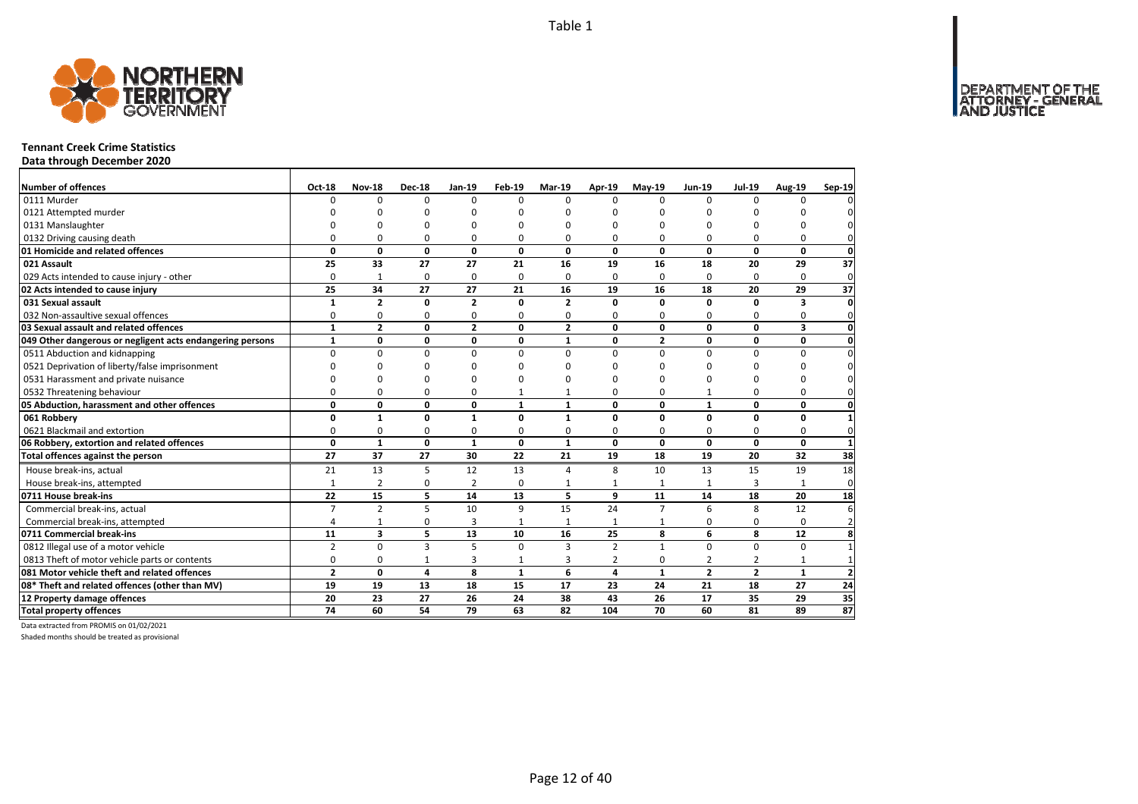

## **Tennant Creek Crime Statistics**

**Data through December 2020**

| Number of offences                                        | Oct-18         | <b>Nov-18</b>  | <b>Dec-18</b> | <b>Jan-19</b>  | Feb-19       | Mar-19         | Apr-19         | $May-19$       | <b>Jun-19</b>  | <b>Jul-19</b>  | Aug-19                  | Sep-19          |
|-----------------------------------------------------------|----------------|----------------|---------------|----------------|--------------|----------------|----------------|----------------|----------------|----------------|-------------------------|-----------------|
| 0111 Murder                                               | $\Omega$       | $\Omega$       | $\Omega$      | $\Omega$       | $\Omega$     | $\Omega$       | $\Omega$       | $\Omega$       | $\Omega$       | $\Omega$       | $\Omega$                |                 |
| 0121 Attempted murder                                     |                | ŋ              | U             | c              |              | n              | n              | ი              |                |                |                         |                 |
| 0131 Manslaughter                                         |                | $\Omega$       | 0             | $\Omega$       |              | O              | O              | ŋ              | O              |                | ŋ                       |                 |
| 0132 Driving causing death                                | $\Omega$       | $\Omega$       | 0             | $\Omega$       | O            | 0              | 0              | 0              | $\Omega$       |                | $\Omega$                |                 |
| 01 Homicide and related offences                          | $\mathbf 0$    | $\mathbf{0}$   | 0             | 0              | 0            | $\mathbf{0}$   | 0              | $\mathbf{0}$   | $\mathbf 0$    | $\mathbf 0$    | $\mathbf{0}$            | $\mathbf 0$     |
| 021 Assault                                               | 25             | 33             | 27            | 27             | 21           | 16             | 19             | 16             | 18             | 20             | 29                      | 37              |
| 029 Acts intended to cause injury - other                 | $\Omega$       | $\mathbf{1}$   | $\mathbf 0$   | $\mathbf 0$    | $\Omega$     | 0              | 0              | $\Omega$       | $\Omega$       | $\Omega$       | $\Omega$                | $\mathbf 0$     |
| 02 Acts intended to cause injury                          | 25             | 34             | 27            | 27             | 21           | 16             | 19             | 16             | 18             | 20             | 29                      | 37              |
| 031 Sexual assault                                        | $\mathbf{1}$   | $\overline{2}$ | 0             | $\overline{2}$ | O            | $\overline{2}$ | 0              | 0              | $\mathbf 0$    | n              | 3                       | $\mathbf{0}$    |
| 032 Non-assaultive sexual offences                        | 0              | 0              | 0             | $\Omega$       | $\Omega$     | $\Omega$       | 0              | 0              | $\Omega$       | $\Omega$       | $\Omega$                | 0               |
| 03 Sexual assault and related offences                    | $\mathbf{1}$   | $\overline{2}$ | $\mathbf{0}$  | $\overline{2}$ | 0            | $\overline{2}$ | $\mathbf{0}$   | $\mathbf{0}$   | $\mathbf{0}$   | 0              | $\overline{\mathbf{3}}$ | $\mathbf{0}$    |
| 049 Other dangerous or negligent acts endangering persons | $\mathbf{1}$   | 0              | $\pmb{0}$     | $\mathbf 0$    | $\mathbf{0}$ | 1              | 0              | $\mathbf{2}$   | $\mathbf 0$    | 0              | $\mathbf{0}$            | $\mathbf 0$     |
| 0511 Abduction and kidnapping                             | $\Omega$       | $\Omega$       | $\mathbf 0$   | $\Omega$       | $\Omega$     | $\Omega$       | 0              | $\Omega$       | $\Omega$       | $\Omega$       | 0                       | $\mathbf{0}$    |
| 0521 Deprivation of liberty/false imprisonment            | $\Omega$       | $\Omega$       | $\Omega$      | $\Omega$       |              | ŋ              | n              | ŋ              | O              |                | 0                       | $\Omega$        |
| 0531 Harassment and private nuisance                      | n              | 0              | 0             | $\Omega$       |              | ŋ              | n              | ŋ              | O              |                | O                       |                 |
| 0532 Threatening behaviour                                | $\Omega$       | 0              | 0             | $\Omega$       |              |                | 0              | 0              | $\mathbf{1}$   | $\Omega$       | $\Omega$                | 0               |
| 05 Abduction, harassment and other offences               | 0              | 0              | 0             | 0              | $\mathbf{1}$ | $\mathbf{1}$   | 0              | 0              | $\mathbf{1}$   | 0              | 0                       | 0               |
| 061 Robbery                                               | 0              | $\mathbf{1}$   | $\mathbf{0}$  | $\mathbf{1}$   | $\Omega$     | 1              | 0              | 0              | $\mathbf{0}$   | $\Omega$       | 0                       |                 |
| 0621 Blackmail and extortion                              | 0              | 0              | 0             | 0              | $\Omega$     | 0              | 0              | 0              | 0              | 0              | 0                       | $\mathbf{0}$    |
| 06 Robbery, extortion and related offences                | $\mathbf{0}$   | $\mathbf{1}$   | $\mathbf{0}$  | $\mathbf{1}$   | 0            | $\mathbf{1}$   | 0              | 0              | $\mathbf{0}$   | 0              | $\mathbf{0}$            | $\mathbf{1}$    |
| Total offences against the person                         | 27             | 37             | 27            | 30             | 22           | 21             | 19             | 18             | 19             | 20             | 32                      | 38              |
| House break-ins, actual                                   | 21             | 13             | 5             | 12             | 13           | $\Delta$       | 8              | 10             | 13             | 15             | 19                      | 18              |
| House break-ins, attempted                                | $\mathbf{1}$   | $\overline{2}$ | 0             | $\overline{2}$ | $\Omega$     | 1              | 1              | 1              | $\mathbf{1}$   | 3              |                         | $\mathbf 0$     |
| 0711 House break-ins                                      | 22             | 15             | 5             | 14             | 13           | 5              | 9              | 11             | 14             | 18             | 20                      | 18              |
| Commercial break-ins, actual                              | $\overline{7}$ | $\overline{2}$ | 5             | 10             | 9            | 15             | 24             | $\overline{7}$ | 6              | 8              | 12                      | 6               |
| Commercial break-ins, attempted                           | 4              | $\mathbf{1}$   | 0             | $\overline{3}$ | $\mathbf{1}$ | $\mathbf{1}$   | $\mathbf{1}$   | 1              | $\Omega$       | $\Omega$       | $\Omega$                | $\overline{2}$  |
| 0711 Commercial break-ins                                 | 11             | 3              | 5             | 13             | 10           | 16             | 25             | 8              | 6              | 8              | 12                      | 8               |
| 0812 Illegal use of a motor vehicle                       | $\overline{2}$ | $\Omega$       | 3             | 5              | $\Omega$     | 3              | $\overline{2}$ | $\mathbf{1}$   | $\Omega$       | $\Omega$       | $\Omega$                |                 |
| 0813 Theft of motor vehicle parts or contents             | 0              | 0              | $\mathbf{1}$  | $\overline{3}$ | 1            | 3              | $\overline{2}$ | 0              | $\overline{2}$ | $\overline{2}$ | $\mathbf{1}$            | $\mathbf 1$     |
| 081 Motor vehicle theft and related offences              | $\overline{2}$ | 0              | 4             | 8              | $\mathbf{1}$ | 6              | 4              | $\mathbf{1}$   | $\overline{2}$ | $\overline{2}$ | $\mathbf{1}$            | $\overline{2}$  |
| 08* Theft and related offences (other than MV)            | 19             | 19             | 13            | 18             | 15           | 17             | 23             | 24             | 21             | 18             | 27                      | 24              |
| 12 Property damage offences                               | 20             | 23             | 27            | 26             | 24           | 38             | 43             | 26             | 17             | 35             | 29                      | 35              |
| <b>Total property offences</b>                            | 74             | 60             | 54            | 79             | 63           | 82             | 104            | 70             | 60             | 81             | 89                      | $\overline{87}$ |

Data extracted from PROMIS on 01/02/2021

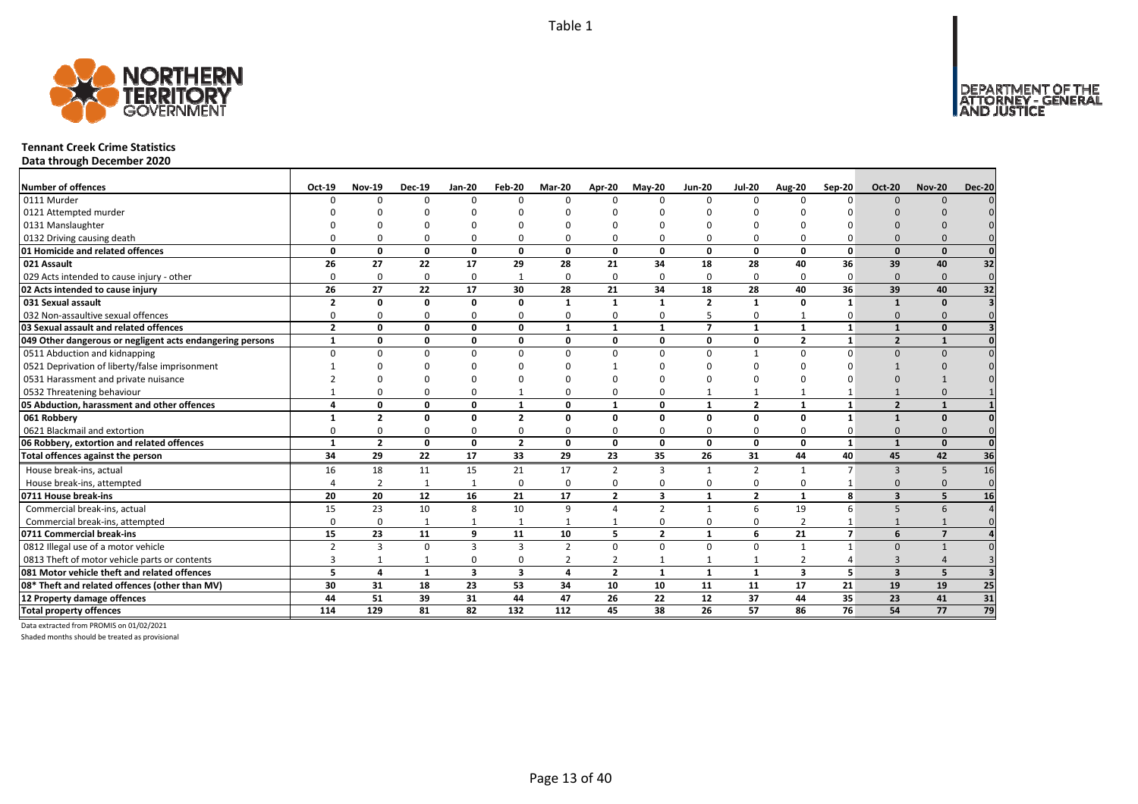DEPARTMENT OF THE<br>ATTORNEY - GENERAL



# **Tennant Creek Crime Statistics**

**Data through December 2020**

| <b>Number of offences</b>                                 | Oct-19                   | <b>Nov-19</b>   | <b>Dec-19</b> | <b>Jan-20</b>           | Feb-20                  | Mar-20         | Apr-20         | $May-20$       | <b>Jun-20</b>  | <b>Jul-20</b>   | <b>Aug-20</b>           | Sep-20         | <b>Oct-20</b>            | <b>Nov-20</b>  | <b>Dec-20</b>   |
|-----------------------------------------------------------|--------------------------|-----------------|---------------|-------------------------|-------------------------|----------------|----------------|----------------|----------------|-----------------|-------------------------|----------------|--------------------------|----------------|-----------------|
| 0111 Murder                                               | $\Omega$                 | $\Omega$        | $\Omega$      | $\Omega$                | $\Omega$                | $\Omega$       | $\Omega$       | $\Omega$       | $\Omega$       | $\Omega$        | $\Omega$                | $\Omega$       | $\Omega$                 | $\Omega$       |                 |
| 0121 Attempted murder                                     |                          |                 |               |                         | n                       |                |                |                |                |                 |                         |                |                          |                |                 |
| 0131 Manslaughter                                         |                          |                 |               |                         |                         |                |                |                |                |                 |                         |                |                          |                |                 |
| 0132 Driving causing death                                |                          |                 |               | $\Omega$                | $\Omega$                |                |                | $\Omega$       | $\Omega$       | $\Omega$        |                         |                |                          |                |                 |
| 01 Homicide and related offences                          | $\Omega$                 | 0               | $\Omega$      | $\mathbf{0}$            | $\mathbf{0}$            | $\mathbf{0}$   | $\Omega$       | $\Omega$       | $\mathbf{0}$   | $\mathbf{0}$    | $\Omega$                | $\Omega$       | $\Omega$                 | $\Omega$       |                 |
| 021 Assault                                               | 26                       | 27              | 22            | 17                      | 29                      | 28             | 21             | 34             | 18             | 28              | 40                      | 36             | 39                       | 40             | 32              |
| 029 Acts intended to cause injury - other                 | $\Omega$                 | 0               | $\Omega$      | 0                       | $\mathbf{1}$            | $\Omega$       | $\Omega$       | $\Omega$       | $\Omega$       | 0               | $\Omega$                | $\Omega$       | $\Omega$                 | $\Omega$       | $\mathbf 0$     |
| 02 Acts intended to cause injury                          | 26                       | 27              | 22            | 17                      | 30                      | 28             | 21             | 34             | 18             | 28              | 40                      | 36             | 39                       | 40             | $\overline{32}$ |
| 031 Sexual assault                                        | $\overline{\phantom{a}}$ | 0               | <sup>0</sup>  | $\mathbf{0}$            | 0                       | $\mathbf{1}$   | $\mathbf{1}$   | $\mathbf{1}$   | $\overline{2}$ | $\mathbf{1}$    | $\Omega$                | $\mathbf{1}$   | $\mathbf{1}$             | $\Omega$       |                 |
| 032 Non-assaultive sexual offences                        | n                        | O               | $\Omega$      | $\Omega$                | $\mathbf 0$             | $\Omega$       | $\Omega$       | $\Omega$       | 5              | 0               |                         | 0              | $\Omega$                 | $\Omega$       |                 |
| 03 Sexual assault and related offences                    | $\overline{2}$           | 0               | $\Omega$      | $\mathbf 0$             | 0                       | $\mathbf{1}$   | $\mathbf{1}$   | $\mathbf{1}$   | $\overline{7}$ | $\mathbf{1}$    | $\mathbf{1}$            | 1              | $\mathbf{1}$             | $\Omega$       |                 |
| 049 Other dangerous or negligent acts endangering persons |                          | $\Omega$        | $\Omega$      | $\mathbf 0$             | 0                       | $\Omega$       | <sup>0</sup>   | 0              | $\mathbf 0$    | 0               | $\overline{2}$          |                | $\overline{\phantom{a}}$ |                |                 |
| 0511 Abduction and kidnapping                             | $\Omega$                 |                 |               | $\Omega$                | $\Omega$                | $\Omega$       | n              | $\Omega$       | $\Omega$       | $\mathbf{1}$    | n                       |                | $\Omega$                 | $\Omega$       |                 |
| 0521 Deprivation of liberty/false imprisonment            |                          |                 |               |                         | ŋ                       |                |                |                |                |                 |                         |                |                          |                |                 |
| 0531 Harassment and private nuisance                      |                          |                 |               |                         | n                       |                |                |                |                |                 |                         |                |                          |                |                 |
| 0532 Threatening behaviour                                |                          |                 |               | $\Omega$                | $\mathbf{1}$            |                |                | $\Omega$       |                | $\mathbf{1}$    |                         |                |                          |                |                 |
| 05 Abduction, harassment and other offences               |                          | $\Omega$        | $\Omega$      | $\mathbf{0}$            | $\mathbf{1}$            | $\Omega$       | $\mathbf{1}$   | $\Omega$       | $\mathbf{1}$   | $\overline{2}$  | $\mathbf{1}$            | $\mathbf{1}$   | $\overline{2}$           | $\mathbf{1}$   |                 |
| 061 Robbery                                               |                          | $\overline{2}$  | n             | 0                       | $\overline{2}$          | $\Omega$       | O              | $\Omega$       | 0              | 0               | $\Omega$                | $\mathbf{1}$   |                          | $\Omega$       |                 |
| 0621 Blackmail and extortion                              |                          |                 | $\Omega$      | $\Omega$                | 0                       |                |                | $\Omega$       | $\Omega$       | 0               |                         |                | $\Omega$                 |                |                 |
| 06 Robbery, extortion and related offences                | $\mathbf{1}$             | $\overline{2}$  | 0             | $\mathbf{0}$            | $\overline{2}$          | $\mathbf{0}$   | 0              | 0              | $\mathbf{0}$   | $\mathbf{0}$    | 0                       | $\mathbf{1}$   | $\mathbf{1}$             | $\Omega$       |                 |
| Total offences against the person                         | 34                       | $\overline{29}$ | 22            | 17                      | $\overline{33}$         | 29             | 23             | 35             | 26             | $\overline{31}$ | 44                      | 40             | 45                       | 42             | 36              |
| House break-ins, actual                                   | 16                       | 18              | 11            | 15                      | 21                      | 17             | $\overline{2}$ | 3              | $\mathbf{1}$   | $\overline{2}$  | -1                      | $\overline{7}$ | $\mathbf{3}$             | 5              | 16              |
| House break-ins, attempted                                |                          | $\overline{2}$  |               | $\overline{1}$          | $\mathbf 0$             | $\Omega$       | U              | $\Omega$       | 0              | 0               | $\Omega$                |                | $\Omega$                 | $\Omega$       | $\Omega$        |
| 0711 House break-ins                                      | 20                       | 20              | 12            | 16                      | 21                      | 17             | $\overline{2}$ | 3              | $\mathbf{1}$   | $\overline{2}$  |                         | 8              | $\overline{\mathbf{z}}$  |                | 16              |
| Commercial break-ins, actual                              | 15                       | 23              | 10            | 8                       | 10                      | 9              | $\Delta$       | $\overline{2}$ | $\mathbf{1}$   | 6               | 19                      | 6              | 5                        | 6              |                 |
| Commercial break-ins, attempted                           | $\Omega$                 | $\Omega$        |               | $\mathbf{1}$            | $\mathbf{1}$            |                |                | $\Omega$       | 0              | 0               | $\overline{2}$          |                |                          |                |                 |
| 0711 Commercial break-ins                                 | 15                       | 23              | 11            | 9                       | 11                      | 10             | 5              | $\overline{2}$ | $\mathbf{1}$   | 6               | 21                      | $\overline{7}$ | 6                        | $\overline{7}$ |                 |
| 0812 Illegal use of a motor vehicle                       | $\overline{2}$           | 3               | $\Omega$      | $\mathbf{3}$            | 3                       | $\overline{2}$ | $\Omega$       | $\Omega$       | $\Omega$       | 0               | $\mathbf{1}$            |                | $\Omega$                 |                |                 |
| 0813 Theft of motor vehicle parts or contents             | 3                        |                 |               | $\Omega$                | 0                       | $\overline{2}$ | 2              |                | 1              | 1               | $\overline{2}$          |                | $\mathbf{3}$             |                |                 |
| 081 Motor vehicle theft and related offences              | 5                        | 4               | $\mathbf{1}$  | $\overline{\mathbf{3}}$ | $\overline{\mathbf{3}}$ | 4              | $\overline{2}$ | $\mathbf{1}$   | $\mathbf{1}$   | $\mathbf{1}$    | $\overline{\mathbf{3}}$ | 5              | $\overline{3}$           | 5              |                 |
| 08* Theft and related offences (other than MV)            | 30                       | 31              | 18            | 23                      | 53                      | 34             | 10             | 10             | 11             | 11              | 17                      | 21             | 19                       | 19             | 25              |
| 12 Property damage offences                               | 44                       | 51              | 39            | 31                      | 44                      | 47             | 26             | 22             | 12             | 37              | 44                      | 35             | 23                       | 41             | 31              |
| <b>Total property offences</b>                            | 114                      | 129             | 81            | 82                      | 132                     | 112            | 45             | 38             | 26             | 57              | 86                      | 76             | 54                       | 77             | 79              |

Data extracted from PROMIS on 01/02/2021

Shaded months should be treated as provisional

Page 13 of 40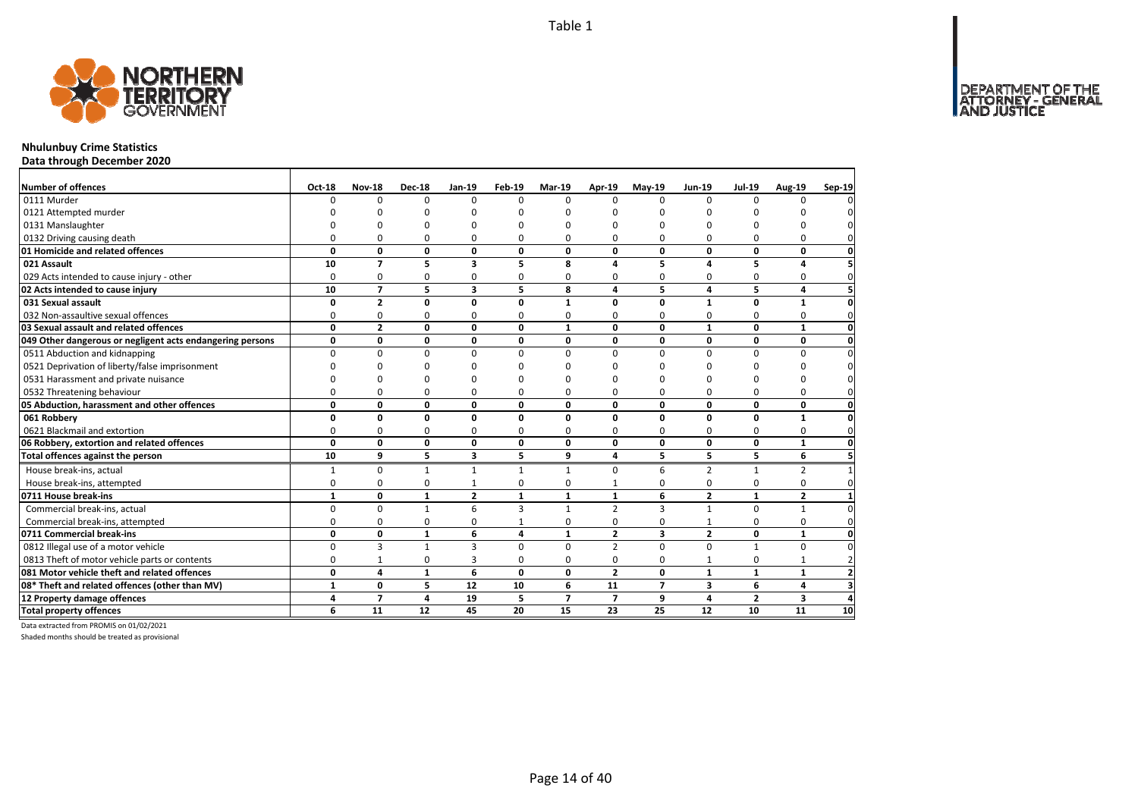

# **Nhulunbuy Crime Statistics**

**Data through December 2020**

| Number of offences                                        | Oct-18       | <b>Nov-18</b>  | <b>Dec-18</b> | <b>Jan-19</b>  | <b>Feb-19</b> | Mar-19         | Apr-19         | $May-19$       | <b>Jun-19</b>  | <b>Jul-19</b>  | <b>Aug-19</b>  | Sep-19 |
|-----------------------------------------------------------|--------------|----------------|---------------|----------------|---------------|----------------|----------------|----------------|----------------|----------------|----------------|--------|
| 0111 Murder                                               | 0            | $\Omega$       | $\Omega$      | $\Omega$       | $\Omega$      | $\Omega$       | $\Omega$       | $\Omega$       | $\Omega$       | $\Omega$       | $\Omega$       |        |
| 0121 Attempted murder                                     |              |                |               | ŋ              |               | n              |                |                | U              |                |                |        |
| 0131 Manslaughter                                         |              |                |               | $\Omega$       | n             | n              | n              |                | $\Omega$       |                |                |        |
| 0132 Driving causing death                                | O            | $\Omega$       | 0             | $\Omega$       | 0             | 0              | $\Omega$       | $\Omega$       | U              | ŋ              | 0              |        |
| 01 Homicide and related offences                          | 0            | 0              | 0             | 0              | $\mathbf{0}$  | 0              | 0              | 0              | 0              | 0              | 0              |        |
| 021 Assault                                               | 10           | $\overline{7}$ | 5             | 3              | 5             | 8              | 4              | 5              | 4              | 5              | $\overline{a}$ |        |
| 029 Acts intended to cause injury - other                 | 0            | 0              | 0             | 0              | 0             | 0              | $\Omega$       | 0              | $\Omega$       | 0              | 0              |        |
| 02 Acts intended to cause injury                          | 10           | $\overline{7}$ | 5             | 3              | 5             | 8              | $\overline{a}$ | 5              | 4              | 5              | 4              |        |
| 031 Sexual assault                                        | 0            | $\overline{2}$ | 0             | $\mathbf 0$    | 0             | 1              | $\Omega$       | O              | $\mathbf{1}$   | 0              | 1              |        |
| 032 Non-assaultive sexual offences                        | 0            | $\mathbf 0$    | 0             | 0              | 0             | 0              | $\Omega$       | 0              | O              | $\Omega$       | 0              |        |
| 03 Sexual assault and related offences                    | $\mathbf{0}$ | $\overline{2}$ | $\mathbf 0$   | 0              | $\Omega$      | $\mathbf{1}$   | $\mathbf{0}$   | $\mathbf{0}$   | $\mathbf{1}$   | $\Omega$       | $\mathbf{1}$   |        |
| 049 Other dangerous or negligent acts endangering persons | 0            | 0              | 0             | 0              | 0             | 0              | 0              | 0              | 0              | 0              | 0              |        |
| 0511 Abduction and kidnapping                             | 0            | $\mathbf 0$    | $\Omega$      | 0              | $\Omega$      | 0              | $\Omega$       | $\Omega$       | $\Omega$       | $\Omega$       | $\Omega$       |        |
| 0521 Deprivation of liberty/false imprisonment            | n            | $\Omega$       |               | ŋ              | n             | n              | n              | n              | O              | ŋ              |                |        |
| 0531 Harassment and private nuisance                      | ი            | O              |               | ŋ              |               | n              |                |                | U              | ŋ              |                |        |
| 0532 Threatening behaviour                                | 0            | $\mathbf 0$    | 0             | $\Omega$       | 0             | 0              | $\Omega$       | $\Omega$       | O              | $\Omega$       | $\Omega$       |        |
| 05 Abduction, harassment and other offences               | 0            | 0              | 0             | 0              | $\Omega$      | 0              | $\mathbf 0$    | 0              | 0              | 0              | 0              |        |
| 061 Robbery                                               | 0            | $\mathbf{0}$   | $\mathbf{0}$  | 0              | $\Omega$      | 0              | $\Omega$       | $\Omega$       | 0              | $\Omega$       | $\mathbf{1}$   |        |
| 0621 Blackmail and extortion                              | 0            | 0              | 0             | 0              | 0             | 0              | $\Omega$       | 0              | $\Omega$       | 0              | 0              |        |
| 06 Robbery, extortion and related offences                | 0            | $\mathbf 0$    | 0             | 0              | 0             | 0              | $\mathbf{0}$   | 0              | 0              | 0              | $\mathbf{1}$   |        |
| Total offences against the person                         | 10           | 9              | 5             | 3              | 5             | 9              | 4              | 5              | 5              | 5              | 6              |        |
| House break-ins, actual                                   |              | $\mathbf 0$    | $\mathbf{1}$  | $\mathbf{1}$   | $\mathbf{1}$  |                | $\Omega$       | 6              | $\overline{2}$ | $\mathbf{1}$   | $\overline{2}$ |        |
| House break-ins, attempted                                | 0            | $\mathbf 0$    | $\mathbf 0$   | 1              | 0             | 0              | $\mathbf{1}$   | $\Omega$       | 0              | $\Omega$       | 0              |        |
| 0711 House break-ins                                      | $\mathbf{1}$ | 0              | $\mathbf{1}$  | $\overline{2}$ | $\mathbf{1}$  | $\mathbf{1}$   | $\mathbf{1}$   | 6              | $\overline{2}$ | $\mathbf{1}$   | $\overline{2}$ |        |
| Commercial break-ins, actual                              | $\Omega$     | $\mathbf{0}$   | $\mathbf{1}$  | 6              | 3             | 1              | $\overline{2}$ | 3              | $\mathbf{1}$   | $\Omega$       | $\mathbf{1}$   |        |
| Commercial break-ins, attempted                           | 0            | 0              | 0             | 0              | $\mathbf{1}$  | 0              | $\Omega$       | 0              | $\mathbf{1}$   | 0              | 0              |        |
| 0711 Commercial break-ins                                 | 0            | 0              | $\mathbf{1}$  | 6              | 4             | 1              | $\mathbf{2}$   | 3              | $\mathbf{2}$   | 0              | 1              |        |
| 0812 Illegal use of a motor vehicle                       | 0            | 3              | $\mathbf{1}$  | 3              | $\Omega$      | $\Omega$       | $\overline{2}$ | $\Omega$       | $\Omega$       | $\overline{1}$ | $\Omega$       |        |
| 0813 Theft of motor vehicle parts or contents             | 0            | $\mathbf{1}$   | 0             | 3              | 0             | 0              | 0              | 0              | $\mathbf{1}$   | 0              | $\mathbf{1}$   |        |
| 081 Motor vehicle theft and related offences              | 0            | 4              | $\mathbf{1}$  | 6              | $\Omega$      | 0              | $\overline{2}$ | 0              | $\mathbf{1}$   | $\mathbf{1}$   | $\mathbf{1}$   |        |
| 08* Theft and related offences (other than MV)            | $\mathbf{1}$ | 0              | 5             | 12             | 10            | 6              | 11             | $\overline{7}$ | 3              | 6              | 4              |        |
| 12 Property damage offences                               | 4            | $\overline{7}$ | 4             | 19             | 5             | $\overline{ }$ | $\overline{7}$ | 9              | 4              | $\overline{2}$ | 3              |        |
| <b>Total property offences</b>                            | 6            | 11             | 12            | 45             | 20            | 15             | 23             | 25             | 12             | 10             | 11             | 10     |

Data extracted from PROMIS on 01/02/2021

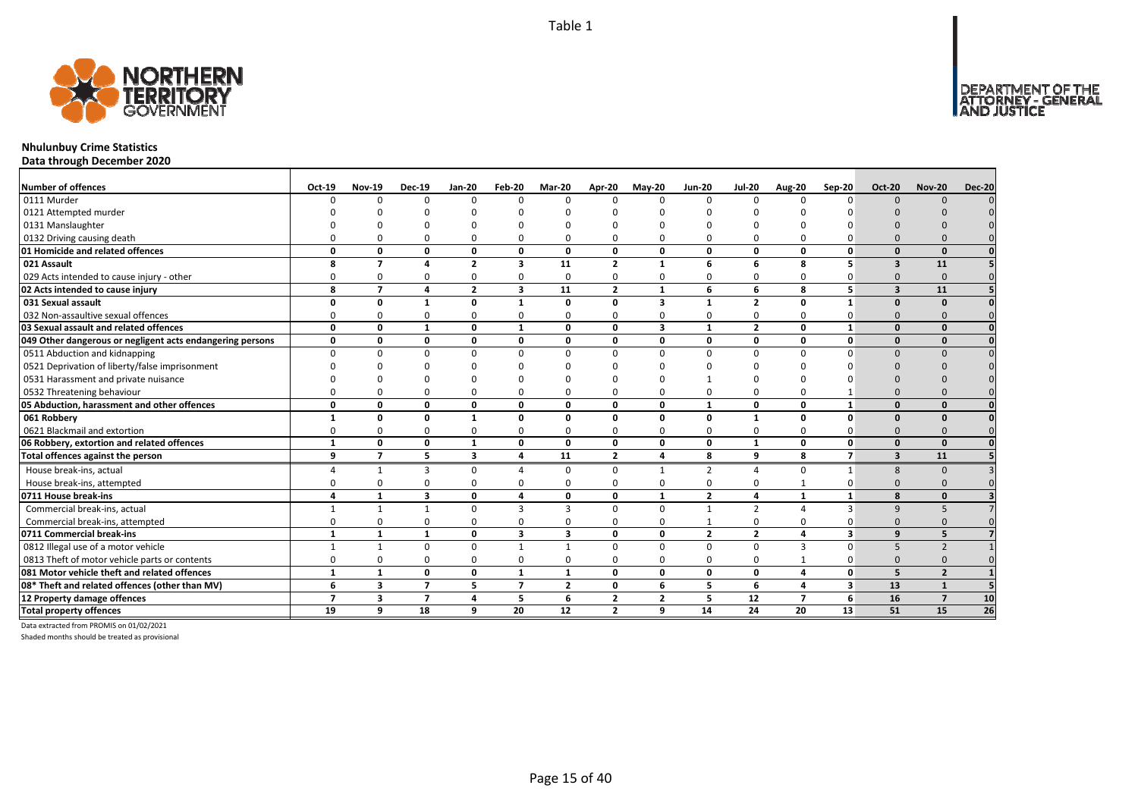

# **Nhulunbuy Crime Statistics**

**Data through December 2020**

| <b>Number of offences</b>                                 | Oct-19       | <b>Nov-19</b>            | <b>Dec-19</b>            | <b>Jan-20</b>  | Feb-20         | Mar-20                  | Apr-20         | $Mav-20$     | <b>Jun-20</b>  | <b>Jul-20</b>  | <b>Aug-20</b>  | Sep-20                  | <b>Oct-20</b>           | <b>Nov-20</b>            | <b>Dec-20</b>   |
|-----------------------------------------------------------|--------------|--------------------------|--------------------------|----------------|----------------|-------------------------|----------------|--------------|----------------|----------------|----------------|-------------------------|-------------------------|--------------------------|-----------------|
| 0111 Murder                                               |              | <sup>n</sup>             | $\Omega$                 | $\Omega$       | $\Omega$       | n                       | n              | $\Omega$     | $\Omega$       | $\Omega$       |                | $\Omega$                | $\Omega$                | $\Omega$                 |                 |
| 0121 Attempted murder                                     |              |                          |                          |                |                |                         |                |              |                |                |                |                         |                         |                          |                 |
| 0131 Manslaughter                                         |              |                          |                          |                |                |                         |                |              |                |                |                |                         |                         |                          |                 |
| 0132 Driving causing death                                |              |                          | $\Omega$                 | $\Omega$       | 0              |                         |                | O            | ∩              | 0              |                |                         |                         |                          |                 |
| 01 Homicide and related offences                          | O            | 0                        | 0                        | $\mathbf 0$    | 0              | $\mathbf 0$             | 0              | 0            | $\mathbf 0$    | 0              | 0              | $\mathbf{0}$            | $\Omega$                | $\Omega$                 |                 |
| 021 Assault                                               | 8            | $\overline{\phantom{a}}$ | $\mathbf{A}$             | $\overline{2}$ | 3              | 11                      | $\overline{2}$ | $\mathbf{1}$ | 6              | 6              | 8              | 5                       | 3                       | 11                       |                 |
| 029 Acts intended to cause injury - other                 |              | n                        | $\Omega$                 | 0              | 0              | $\Omega$                | 0              | O            | $\Omega$       | 0              | $\Omega$       |                         | $\Omega$                | $\Omega$                 |                 |
| 02 Acts intended to cause injury                          | 8            | $\overline{ }$           | 4                        | $\overline{2}$ | 3              | 11                      | $\overline{2}$ | $\mathbf{1}$ | 6              | 6              | 8              | 5                       | $\overline{\mathbf{3}}$ | 11                       |                 |
| 031 Sexual assault                                        |              | O                        | $\mathbf{1}$             | $\Omega$       | $\mathbf{1}$   | $\Omega$                | $\Omega$       | 3            | $\mathbf{1}$   | $\mathbf{2}$   | $\Omega$       |                         | $\Omega$                | $\Omega$                 |                 |
| 032 Non-assaultive sexual offences                        |              |                          | $\Omega$                 | $\Omega$       | 0              |                         | O              | $\Omega$     | $\Omega$       | 0              | $\Omega$       |                         | $\Omega$                |                          |                 |
| 03 Sexual assault and related offences                    | $\Omega$     | 0                        | $\mathbf{1}$             | $\mathbf{0}$   | $\mathbf{1}$   | $\Omega$                | 0              | 3            | $\mathbf{1}$   | $\overline{2}$ | 0              | $\mathbf{1}$            | $\Omega$                | $\Omega$                 |                 |
| 049 Other dangerous or negligent acts endangering persons | $\Omega$     | O                        | 0                        | $\mathbf{0}$   | 0              | 0                       | 0              | 0            | $\mathbf{0}$   | 0              | 0              | $\mathbf{0}$            | $\Omega$                | $\Omega$                 |                 |
| 0511 Abduction and kidnapping                             | $\Omega$     |                          | $\Omega$                 | $\mathbf 0$    | 0              | $\Omega$                | U              | $\Omega$     | $\Omega$       | 0              | $\Omega$       | ŋ                       | $\Omega$                | $\Omega$                 |                 |
| 0521 Deprivation of liberty/false imprisonment            |              |                          |                          |                | ŋ              |                         |                | n            |                | U              |                |                         |                         |                          |                 |
| 0531 Harassment and private nuisance                      |              |                          |                          |                |                |                         |                |              |                |                |                |                         |                         |                          |                 |
| 0532 Threatening behaviour                                |              |                          | $\Omega$                 | $\Omega$       | 0              |                         |                | $\Omega$     | $\Omega$       | 0              |                |                         |                         |                          |                 |
| 05 Abduction, harassment and other offences               | O            | n                        | $\Omega$                 | $\mathbf{0}$   | 0              | $\Omega$                | O              | 0            | $\mathbf{1}$   | 0              | $\Omega$       | $\mathbf{1}$            | $\Omega$                | $\Omega$                 |                 |
| 061 Robbery                                               |              | n                        | 0                        | $\mathbf{1}$   | $\mathbf{0}$   | <sup>0</sup>            | O              | 0            | 0              | $\mathbf{1}$   | $\Omega$       | $\mathbf{0}$            | $\Omega$                | $\Omega$                 |                 |
| 0621 Blackmail and extortion                              |              |                          | $\Omega$                 | $\Omega$       | $\Omega$       |                         | ŋ              | 0            | $\Omega$       | 0              | $\Omega$       |                         | $\Omega$                | $\Omega$                 |                 |
| 06 Robbery, extortion and related offences                | 1            | O                        | 0                        | $\mathbf{1}$   | $\mathbf{0}$   | $\mathbf 0$             | 0              | 0            | $\mathbf{0}$   | $\mathbf{1}$   | 0              | $\mathbf{0}$            | $\Omega$                | $\Omega$                 |                 |
| Total offences against the person                         | q            | $\overline{7}$           | 5                        | 3              | 4              | 11                      | $\overline{2}$ | 4            | 8              | 9              | 8              | $\overline{7}$          | 3                       | 11                       |                 |
| House break-ins, actual                                   |              | $\mathbf{1}$             | 3                        | $\Omega$       | 4              | $\Omega$                | $\Omega$       | $\mathbf{1}$ | $\overline{2}$ | $\Delta$       | $\Omega$       | $\mathbf{1}$            | 8                       | $\Omega$                 |                 |
| House break-ins, attempted                                |              |                          | $\Omega$                 | $\Omega$       | 0              | ŋ                       | O              | $\Omega$     | $\Omega$       | 0              |                |                         | $\Omega$                |                          |                 |
| 0711 House break-ins                                      |              |                          | 3                        | $\mathbf 0$    | 4              | $\Omega$                | 0              | $\mathbf{1}$ | $\overline{2}$ | 4              | $\mathbf{1}$   |                         | $\mathbf{8}$            | $\Omega$                 |                 |
| Commercial break-ins, actual                              |              | $\mathbf{1}$             |                          | $\mathbf 0$    | 3              | 3                       | $\Omega$       | $\Omega$     | $\mathbf{1}$   | $\overline{2}$ |                | 3                       | $\mathbf{q}$            |                          |                 |
| Commercial break-ins, attempted                           |              |                          | $\Omega$                 | $\Omega$       | 0              |                         |                | O            |                | 0              |                |                         | $\Omega$                |                          |                 |
| 0711 Commercial break-ins                                 | $\mathbf{1}$ | $\mathbf{1}$             | 1                        | $\mathbf{0}$   | 3              | $\overline{\mathbf{3}}$ | 0              | 0            | $\overline{2}$ | $\overline{2}$ | 4              | $\overline{\mathbf{3}}$ | $\mathbf{q}$            | 5                        |                 |
| 0812 Illegal use of a motor vehicle                       |              | $\mathbf{1}$             | $\Omega$                 | $\Omega$       | $\mathbf{1}$   | $\mathbf{1}$            | $\Omega$       | $\Omega$     | $\Omega$       | $\Omega$       | 3              | $\Omega$                | 5                       | $\overline{\phantom{0}}$ |                 |
| 0813 Theft of motor vehicle parts or contents             | $\Omega$     | U                        | 0                        | $\mathbf 0$    | 0              | $\Omega$                | 0              | 0            | $\mathbf 0$    | 0              |                | 0                       | $\Omega$                | $\Omega$                 |                 |
| 081 Motor vehicle theft and related offences              | $\mathbf{1}$ | $\mathbf{1}$             | 0                        | 0              | $\mathbf{1}$   | $\mathbf{1}$            | 0              | 0            | $\mathbf 0$    | 0              | 4              | $\mathbf{0}$            | 5                       | $\overline{2}$           |                 |
| 08* Theft and related offences (other than MV)            | 6            | 3                        | $\overline{\phantom{a}}$ | 5              | $\overline{ }$ | $\overline{2}$          | 0              | 6            | 5              | 6              | 4              | 3                       | 13                      | $\mathbf{1}$             |                 |
| 12 Property damage offences                               | 7            | 3                        | $\overline{7}$           | $\overline{4}$ | 5              | 6                       | $\overline{2}$ | 2            | 5              | 12             | $\overline{ }$ | 6                       | 16                      | $\overline{7}$           | 10              |
| <b>Total property offences</b>                            | 19           | 9                        | 18                       | 9              | 20             | 12                      | $\overline{2}$ | 9            | 14             | 24             | 20             | 13                      | 51                      | 15                       | $\overline{26}$ |

Data extracted from PROMIS on 01/02/2021

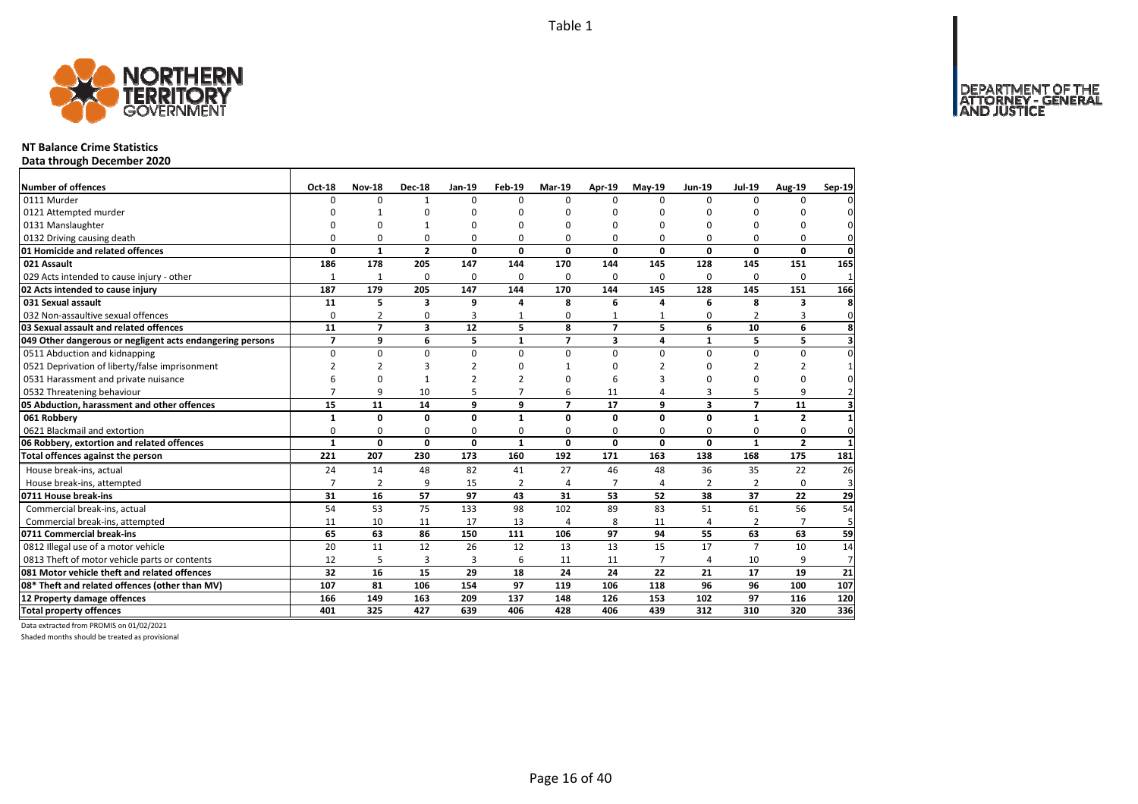

### **NT Balance Crime Statistics**

**Data through December 2020**

| Number of offences                                        | Oct-18         | <b>Nov-18</b>  | <b>Dec-18</b>           | Jan-19                   | Feb-19         | <b>Mar-19</b>            | Apr-19         | $May-19$       | <b>Jun-19</b>           | <b>Jul-19</b>  | <b>Aug-19</b>  | Sep-19         |
|-----------------------------------------------------------|----------------|----------------|-------------------------|--------------------------|----------------|--------------------------|----------------|----------------|-------------------------|----------------|----------------|----------------|
| 0111 Murder                                               | 0              | $\Omega$       | 1                       | $\Omega$                 | $\Omega$       | $\Omega$                 | $\Omega$       | $\Omega$       | $\Omega$                | $\Omega$       | $\Omega$       |                |
| 0121 Attempted murder                                     | $\Omega$       | $\mathbf{1}$   | $\Omega$                | $\Omega$                 | ŋ              | n                        | $\cap$         | n              | $\Omega$                | ŋ              | <sup>0</sup>   |                |
| 0131 Manslaughter                                         | O              | $\Omega$       |                         | ŋ                        | ŋ              | ŋ                        | $\Omega$       | n              | O                       | ŋ              | n              |                |
| 0132 Driving causing death                                | 0              | $\Omega$       | 0                       | 0                        | 0              | 0                        | $\Omega$       | $\Omega$       | 0                       | $\Omega$       | $\Omega$       |                |
| 01 Homicide and related offences                          | O.             | $\mathbf{1}$   | $\overline{2}$          | 0                        | $\Omega$       | $\mathbf{0}$             | $\Omega$       | $\Omega$       | O                       | $\Omega$       | $\Omega$       | $\Omega$       |
| 021 Assault                                               | 186            | 178            | 205                     | 147                      | 144            | 170                      | 144            | 145            | 128                     | 145            | 151            | 165            |
| 029 Acts intended to cause injury - other                 | 1              | $\mathbf{1}$   | $\Omega$                | $\Omega$                 | $\Omega$       | 0                        | $\Omega$       | 0              | $\Omega$                | $\Omega$       | $\Omega$       |                |
| 02 Acts intended to cause injury                          | 187            | 179            | 205                     | 147                      | 144            | 170                      | 144            | 145            | 128                     | 145            | 151            | 166            |
| 031 Sexual assault                                        | 11             | 5              | $\overline{\mathbf{3}}$ | 9                        | 4              | 8                        | 6              | 4              | 6                       | 8              | 3              | 8              |
| 032 Non-assaultive sexual offences                        | 0              | $\overline{2}$ | $\mathbf 0$             | 3                        | $\mathbf{1}$   | 0                        | $\mathbf{1}$   | $\mathbf{1}$   | 0                       | $\overline{2}$ | 3              | $\mathbf 0$    |
| 03 Sexual assault and related offences                    | 11             | $\overline{7}$ | 3                       | 12                       | 5              | 8                        | $\overline{7}$ | 5              | 6                       | 10             | 6              | 8              |
| 049 Other dangerous or negligent acts endangering persons | $\overline{7}$ | 9              | 6                       | 5                        | $\mathbf{1}$   | $\overline{\phantom{a}}$ | 3              | 4              | $\mathbf{1}$            | 5              | 5              |                |
| 0511 Abduction and kidnapping                             | 0              | $\mathbf 0$    | $\mathbf 0$             | 0                        | $\Omega$       | 0                        | $\Omega$       | $\Omega$       | $\Omega$                | $\Omega$       | 0              |                |
| 0521 Deprivation of liberty/false imprisonment            | $\overline{2}$ | $\overline{2}$ | 3                       | $\overline{2}$           | ŋ              |                          | $\Omega$       | $\mathcal{P}$  | $\Omega$                | $\overline{2}$ | 2              |                |
| 0531 Harassment and private nuisance                      | 6              | $\mathbf 0$    | $\mathbf{1}$            | $\overline{\phantom{a}}$ | $\mathcal{P}$  | ŋ                        | 6              | 3              | O                       | $\Omega$       | $\Omega$       |                |
| 0532 Threatening behaviour                                | $\overline{7}$ | 9              | 10                      | 5                        | $\overline{7}$ | 6                        | 11             | 4              | 3                       | 5              | 9              |                |
| 05 Abduction, harassment and other offences               | 15             | 11             | 14                      | 9                        | 9              | $\overline{ }$           | 17             | 9              | $\overline{\mathbf{3}}$ | $\overline{7}$ | 11             |                |
| 061 Robbery                                               | 1              | $\mathbf{0}$   | 0                       | 0                        | $\mathbf{1}$   | 0                        | $\mathbf 0$    | 0              | 0                       | $\mathbf{1}$   | $\overline{2}$ |                |
| 0621 Blackmail and extortion                              | 0              | $\mathbf 0$    | $\mathbf 0$             | $\Omega$                 | 0              | 0                        | $\Omega$       | 0              | O                       | 0              | 0              | $\Omega$       |
| 06 Robbery, extortion and related offences                | $\mathbf{1}$   | $\mathbf{0}$   | 0                       | 0                        | $\mathbf{1}$   | 0                        | $\mathbf 0$    | 0              | 0                       | $\mathbf{1}$   | $\overline{2}$ |                |
| Total offences against the person                         | 221            | 207            | 230                     | 173                      | 160            | 192                      | 171            | 163            | 138                     | 168            | 175            | 181            |
| House break-ins, actual                                   | 24             | 14             | 48                      | 82                       | 41             | 27                       | 46             | 48             | 36                      | 35             | 22             | 26             |
| House break-ins, attempted                                | $\overline{7}$ | $\overline{2}$ | 9                       | 15                       | $\overline{2}$ | $\Delta$                 | $\overline{7}$ | 4              | $\overline{2}$          | $\overline{2}$ | $\Omega$       | 3              |
| 0711 House break-ins                                      | 31             | 16             | 57                      | 97                       | 43             | 31                       | 53             | 52             | 38                      | 37             | 22             | 29             |
| Commercial break-ins, actual                              | 54             | 53             | 75                      | 133                      | 98             | 102                      | 89             | 83             | 51                      | 61             | 56             | 54             |
| Commercial break-ins, attempted                           | 11             | 10             | 11                      | 17                       | 13             | 4                        | 8              | 11             | 4                       | $\overline{2}$ | $\overline{7}$ | 5              |
| 0711 Commercial break-ins                                 | 65             | 63             | 86                      | 150                      | 111            | 106                      | 97             | 94             | 55                      | 63             | 63             | 59             |
| 0812 Illegal use of a motor vehicle                       | 20             | 11             | 12                      | 26                       | 12             | 13                       | 13             | 15             | 17                      | $\overline{7}$ | 10             | 14             |
| 0813 Theft of motor vehicle parts or contents             | 12             | 5              | 3                       | 3                        | 6              | 11                       | 11             | $\overline{7}$ | 4                       | 10             | 9              | $\overline{7}$ |
| 081 Motor vehicle theft and related offences              | 32             | 16             | 15                      | 29                       | 18             | 24                       | 24             | 22             | 21                      | 17             | 19             | 21             |
| 08* Theft and related offences (other than MV)            | 107            | 81             | 106                     | 154                      | 97             | 119                      | 106            | 118            | 96                      | 96             | 100            | 107            |
| 12 Property damage offences                               | 166            | 149            | 163                     | 209                      | 137            | 148                      | 126            | 153            | 102                     | 97             | 116            | 120            |
| <b>Total property offences</b>                            | 401            | 325            | 427                     | 639                      | 406            | 428                      | 406            | 439            | 312                     | 310            | 320            | 336            |

Data extracted from PROMIS on 01/02/2021

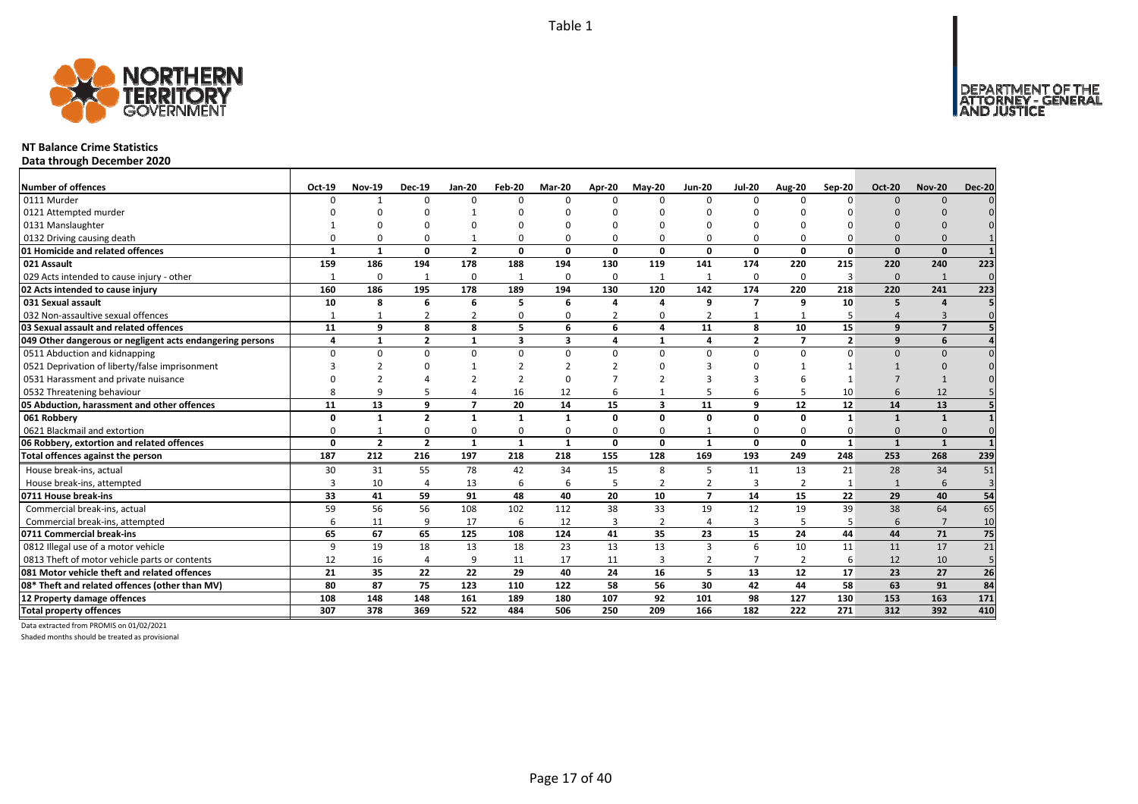

### **NT Balance Crime Statistics**

**Data through December 2020**

| <b>Number of offences</b>                                 | Oct-19       | <b>Nov-19</b>  | <b>Dec-19</b>           | <b>Jan-20</b>  | Feb-20       | Mar-20                  | Apr-20       | <b>May-20</b>  | <b>Jun-20</b>  | <b>Jul-20</b>  | <b>Aug-20</b>  | Sep-20         | <b>Oct-20</b> | <b>Nov-20</b>  | <b>Dec-20</b>   |
|-----------------------------------------------------------|--------------|----------------|-------------------------|----------------|--------------|-------------------------|--------------|----------------|----------------|----------------|----------------|----------------|---------------|----------------|-----------------|
| 0111 Murder                                               |              |                | $\Omega$                | $\Omega$       | $\Omega$     | $\Omega$                | $\Omega$     | $\Omega$       | $\Omega$       | $\Omega$       | n              | $\Omega$       | $\Omega$      | $\Omega$       |                 |
| 0121 Attempted murder                                     |              |                |                         |                |              |                         |              |                |                |                |                |                |               |                |                 |
| 0131 Manslaughter                                         |              |                | n                       |                |              |                         |              |                |                |                |                |                |               |                |                 |
| 0132 Driving causing death                                |              |                | $\Omega$                |                | 0            |                         |              | $\Omega$       |                | $\Omega$       |                |                |               |                |                 |
| 01 Homicide and related offences                          |              | $\mathbf{1}$   | 0                       | $\overline{2}$ | 0            | $\Omega$                | $\Omega$     | n              | $\Omega$       | 0              | 0              | 0              | $\Omega$      | $\Omega$       |                 |
| 021 Assault                                               | 159          | 186            | 194                     | 178            | 188          | 194                     | 130          | 119            | 141            | 174            | 220            | 215            | 220           | 240            | 223             |
| 029 Acts intended to cause injury - other                 |              | $\Omega$       | $\mathbf{1}$            | $\mathbf 0$    | $\mathbf{1}$ | $\Omega$                | 0            | $\mathbf{1}$   | 1              | 0              | $\Omega$       | 3              | $\Omega$      | $\mathbf{1}$   | $\Omega$        |
| 02 Acts intended to cause injury                          | 160          | 186            | 195                     | 178            | 189          | 194                     | 130          | 120            | 142            | 174            | 220            | 218            | 220           | 241            | 223             |
| 031 Sexual assault                                        | 10           | 8              | 6                       | 6              | 5            | 6                       | Δ            | Δ              | 9              | $\overline{7}$ | 9              | 10             | 5             | $\overline{a}$ |                 |
| 032 Non-assaultive sexual offences                        |              |                | $\overline{2}$          | $\overline{2}$ | 0            | O                       |              | $\Omega$       | $\overline{2}$ | $\mathbf{1}$   |                |                | Δ             | 3              | $\Omega$        |
| 03 Sexual assault and related offences                    | 11           | 9              | 8                       | 8              | 5            | 6                       | 6            | Δ              | 11             | 8              | 10             | 15             | 9             | $\overline{7}$ |                 |
| 049 Other dangerous or negligent acts endangering persons | 4            | $\mathbf{1}$   | $\overline{2}$          | $\mathbf{1}$   | 3            | $\overline{\mathbf{3}}$ | 4            | $\mathbf 1$    | 4              | $\overline{2}$ | $\overline{ }$ | $\overline{2}$ | q             | 6              |                 |
| 0511 Abduction and kidnapping                             |              | O              | $\Omega$                | $\Omega$       | 0            | $\Omega$                | 0            | $\Omega$       | $\Omega$       | 0              | 0              | $\Omega$       | $\Omega$      | $\Omega$       |                 |
| 0521 Deprivation of liberty/false imprisonment            |              |                | O                       |                | 2            | 2                       |              |                |                | n              |                |                |               |                |                 |
| 0531 Harassment and private nuisance                      |              |                |                         |                |              |                         |              |                |                |                |                |                |               |                |                 |
| 0532 Threatening behaviour                                |              |                |                         |                | 16           | 12                      |              |                |                | 6              |                | 10             |               | 12             |                 |
| 05 Abduction, harassment and other offences               | 11           | 13             | 9                       | $\overline{7}$ | 20           | 14                      | 15           | 3              | 11             | 9              | 12             | 12             | 14            | 13             |                 |
| 061 Robbery                                               |              |                | $\overline{\mathbf{z}}$ | -1             | $\mathbf{1}$ |                         | $\Omega$     | n              | $\Omega$       | 0              | $\Omega$       | $\mathbf{1}$   |               | $\mathbf{1}$   |                 |
| 0621 Blackmail and extortion                              |              |                | $\Omega$                | $\Omega$       | $\Omega$     |                         | 0            | $\Omega$       |                | $\Omega$       | $\Omega$       |                | $\Omega$      |                |                 |
| 06 Robbery, extortion and related offences                | $\Omega$     | $\overline{2}$ | $\overline{2}$          | $\mathbf{1}$   | $\mathbf{1}$ | $\mathbf{1}$            | $\mathbf{0}$ | $\Omega$       | $\mathbf{1}$   | $\mathbf{0}$   | $\mathbf{0}$   | $\mathbf{1}$   | $\mathbf{1}$  | $\mathbf{1}$   |                 |
| Total offences against the person                         | 187          | 212            | 216                     | 197            | 218          | 218                     | 155          | 128            | 169            | 193            | 249            | 248            | 253           | 268            | 239             |
| House break-ins, actual                                   | 30           | 31             | 55                      | 78             | 42           | 34                      | 15           | 8              | 5              | 11             | 13             | 21             | 28            | 34             | 51              |
| House break-ins, attempted                                |              | 10             | 4                       | 13             | 6            | 6                       | 5            | $\overline{2}$ | 2              | 3              | $\overline{2}$ | $\mathbf{1}$   | $\mathbf{1}$  | 6              | $\overline{3}$  |
| 0711 House break-ins                                      | 33           | 41             | 59                      | 91             | 48           | 40                      | 20           | 10             | $\overline{7}$ | 14             | 15             | 22             | 29            | 40             | 54              |
| Commercial break-ins, actual                              | 59           | 56             | 56                      | 108            | 102          | 112                     | 38           | 33             | 19             | 12             | 19             | 39             | 38            | 64             | 65              |
| Commercial break-ins, attempted                           |              | 11             | 9                       | 17             | 6            | 12                      | 3            | $\overline{2}$ | $\Delta$       | 3              |                |                | 6             | $\overline{7}$ | 10              |
| 0711 Commercial break-ins                                 | 65           | 67             | 65                      | 125            | 108          | 124                     | 41           | 35             | 23             | 15             | 24             | 44             | 44            | 71             | 75              |
| 0812 Illegal use of a motor vehicle                       | $\mathbf{q}$ | 19             | 18                      | 13             | 18           | 23                      | 13           | 13             | $\overline{3}$ | 6              | 10             | 11             | 11            | 17             | 21              |
| 0813 Theft of motor vehicle parts or contents             | 12           | 16             | 4                       | 9              | 11           | 17                      | 11           | 3              | $\overline{2}$ | $\overline{7}$ | $\overline{2}$ | 6              | 12            | 10             | 5               |
| 081 Motor vehicle theft and related offences              | 21           | 35             | 22                      | 22             | 29           | 40                      | 24           | 16             | 5              | 13             | 12             | 17             | 23            | 27             | $\overline{26}$ |
| 08* Theft and related offences (other than MV)            | 80           | 87             | 75                      | 123            | 110          | 122                     | 58           | 56             | 30             | 42             | 44             | 58             | 63            | 91             | 84              |
| 12 Property damage offences                               | 108          | 148            | 148                     | 161            | 189          | 180                     | 107          | 92             | 101            | 98             | 127            | 130            | 153           | 163            | 171             |
| <b>Total property offences</b>                            | 307          | 378            | 369                     | 522            | 484          | 506                     | 250          | 209            | 166            | 182            | 222            | 271            | 312           | 392            | 410             |

Data extracted from PROMIS on 01/02/2021

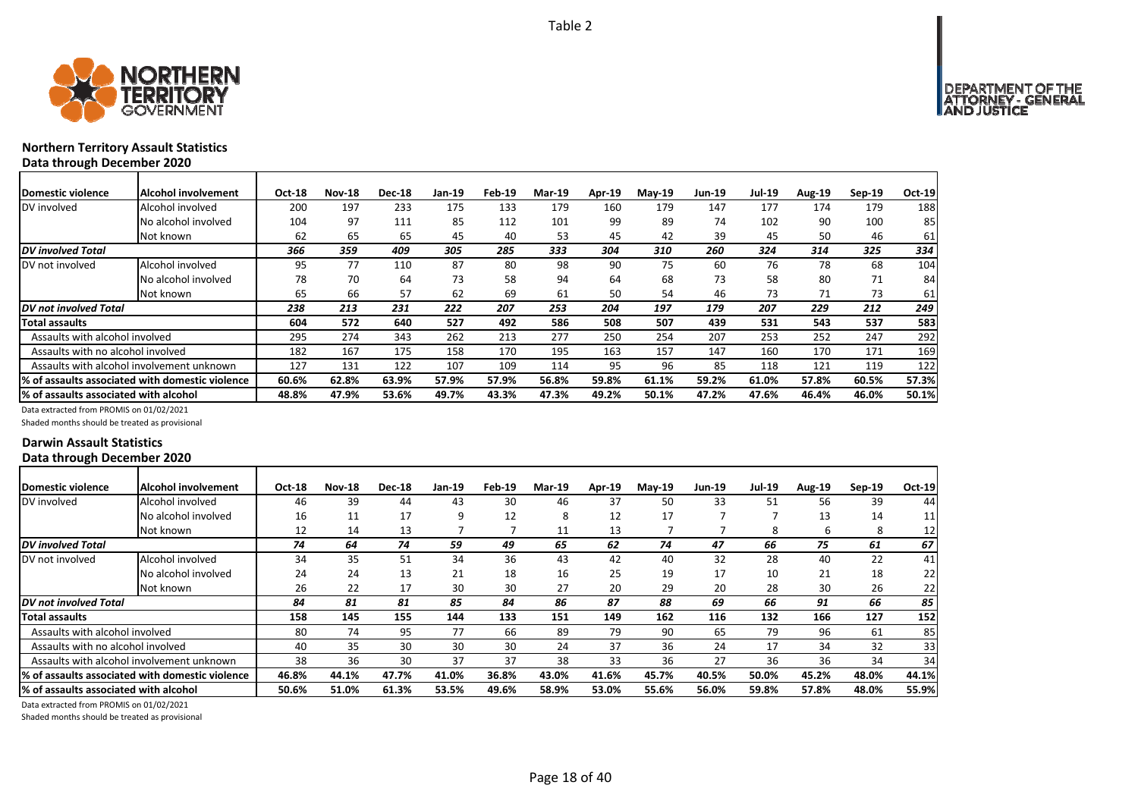

# **Northern Territory Assault Statistics Data through December 2020**

| <b>IDomestic violence</b>             | Alcohol involvement                              | <b>Oct-18</b> | <b>Nov-18</b> | <b>Dec-18</b> | Jan-19 | Feb-19 | <b>Mar-19</b> | Apr-19 | $M$ ay-19 | <b>Jun-19</b> | <b>Jul-19</b> | Aug-19 | Sep-19 | Oct-19 |
|---------------------------------------|--------------------------------------------------|---------------|---------------|---------------|--------|--------|---------------|--------|-----------|---------------|---------------|--------|--------|--------|
| DV involved                           | Alcohol involved                                 | 200           | 197           | 233           | 175    | 133    | 179           | 160    | 179       | 147           | 177           | 174    | 179    | 188    |
|                                       | No alcohol involved                              | 104           | 97            | 111           | 85     | 112    | 101           | 99     | 89        | 74            | 102           | 90     | 100    | 85     |
|                                       | Not known                                        | 62            | 65            | 65            | 45     | 40     | 53            | 45     | 42        | 39            | 45            | 50     | 46     | 61     |
| <b>DV</b> involved Total              |                                                  | 366           | 359           | 409           | 305    | 285    | 333           | 304    | 310       | 260           | 324           | 314    | 325    | 334    |
| DV not involved                       | Alcohol involved                                 | 95            | 77            | 110           | 87     | 80     | 98            | 90     | 75        | 60            | 76            | 78     | 68     | 104    |
|                                       | No alcohol involved                              | 78            | 70            | 64            | 73     | 58     | 94            | 64     | 68        | 73            | 58            | 80     | 71     | 84     |
|                                       | Not known                                        | 65            | 66            | 57            | 62     | 69     | 61            | 50     | 54        | 46            | 73            | 71     | 73     | 61     |
| <b>IDV</b> not involved Total         |                                                  | 238           | 213           | 231           | 222    | 207    | 253           | 204    | 197       | 179           | 207           | 229    | 212    | 249    |
| <b>Total assaults</b>                 |                                                  | 604           | 572           | 640           | 527    | 492    | 586           | 508    | 507       | 439           | 531           | 543    | 537    | 583    |
| Assaults with alcohol involved        |                                                  | 295           | 274           | 343           | 262    | 213    | 277           | 250    | 254       | 207           | 253           | 252    | 247    | 292    |
| Assaults with no alcohol involved     |                                                  | 182           | 167           | 175           | 158    | 170    | 195           | 163    | 157       | 147           | 160           | 170    | 171    | 169    |
|                                       | Assaults with alcohol involvement unknown        | 127           | 131           | 122           | 107    | 109    | 114           | 95     | 96        | 85            | 118           | 121    | 119    | 122    |
|                                       | 1% of assaults associated with domestic violence | 60.6%         | 62.8%         | 63.9%         | 57.9%  | 57.9%  | 56.8%         | 59.8%  | 61.1%     | 59.2%         | 61.0%         | 57.8%  | 60.5%  | 57.3%  |
| % of assaults associated with alcohol |                                                  | 48.8%         | 47.9%         | 53.6%         | 49.7%  | 43.3%  | 47.3%         | 49.2%  | 50.1%     | 47.2%         | 47.6%         | 46.4%  | 46.0%  | 50.1%  |

Data extracted from PROMIS on 01/02/2021

Shaded months should be treated as provisional

### **Darwin Assault Statistics Data through December 2020**

| Domestic violence                     | <b>Alcohol involvement</b>                      | Oct-18 | <b>Nov-18</b> | <b>Dec-18</b> | Jan-19 | Feb-19 | <b>Mar-19</b> | <b>Apr-19</b> | $Mav-19$ | <b>Jun-19</b> | <b>Jul-19</b> | <b>Aug-19</b> | $Sep-19$ | Oct-19 |
|---------------------------------------|-------------------------------------------------|--------|---------------|---------------|--------|--------|---------------|---------------|----------|---------------|---------------|---------------|----------|--------|
| DV involved                           | Alcohol involved                                | 46     | 39            | 44            | 43     | 30     | 46            | 37            | 50       | 33            | 51            | 56            | 39       | 44     |
|                                       | No alcohol involved                             | 16     | 11            | 17            | ٩      | 12     | 8             | 12            | 17       |               |               | 13            | 14       | 11     |
|                                       | Not known                                       | 12     | 14            | 13            |        |        | 11            | 13            |          |               | 8             | 6             | 8        | 12     |
| <b>DV</b> involved Total              |                                                 | 74     | 64            | 74            | 59     | 49     | 65            | 62            | 74       | 47            | 66            | 75            | 61       | 67     |
| DV not involved                       | Alcohol involved                                | 34     | 35            | 51            | 34     | 36     | 43            | 42            | 40       | 32            | 28            | 40            | 22       | 41     |
|                                       | No alcohol involved                             | 24     | 24            | 13            | 21     | 18     | 16            | 25            | 19       | 17            | 10            | 21            | 18       | 22     |
|                                       | Not known                                       | 26     | 22            | 17            | 30     | 30     | 27            | 20            | 29       | 20            | 28            | 30            | 26       | 22     |
| DV not involved Total                 |                                                 | 84     | 81            | 81            | 85     | 84     | 86            | 87            | 88       | 69            | 66            | 91            | 66       | 85     |
| <b>Total assaults</b>                 |                                                 | 158    | 145           | 155           | 144    | 133    | 151           | 149           | 162      | 116           | 132           | 166           | 127      | 152    |
| Assaults with alcohol involved        |                                                 | 80     | 74            | 95            | 77     | 66     | 89            | 79            | 90       | 65            | 79            | 96            | 61       | 85     |
| Assaults with no alcohol involved     |                                                 | 40     | 35            | 30            | 30     | 30     | 24            | 37            | 36       | 24            | 17            | 34            | 32       | 33     |
|                                       | Assaults with alcohol involvement unknown       | 38     | 36            | 30            | 37     | 37     | 38            | 33            | 36       | 27            | 36            | 36            | 34       | 34     |
|                                       | % of assaults associated with domestic violence | 46.8%  | 44.1%         | 47.7%         | 41.0%  | 36.8%  | 43.0%         | 41.6%         | 45.7%    | 40.5%         | 50.0%         | 45.2%         | 48.0%    | 44.1%  |
| % of assaults associated with alcohol |                                                 | 50.6%  | 51.0%         | 61.3%         | 53.5%  | 49.6%  | 58.9%         | 53.0%         | 55.6%    | 56.0%         | 59.8%         | 57.8%         | 48.0%    | 55.9%  |
|                                       |                                                 |        |               |               |        |        |               |               |          |               |               |               |          |        |

Data extracted from PROMIS on 01/02/2021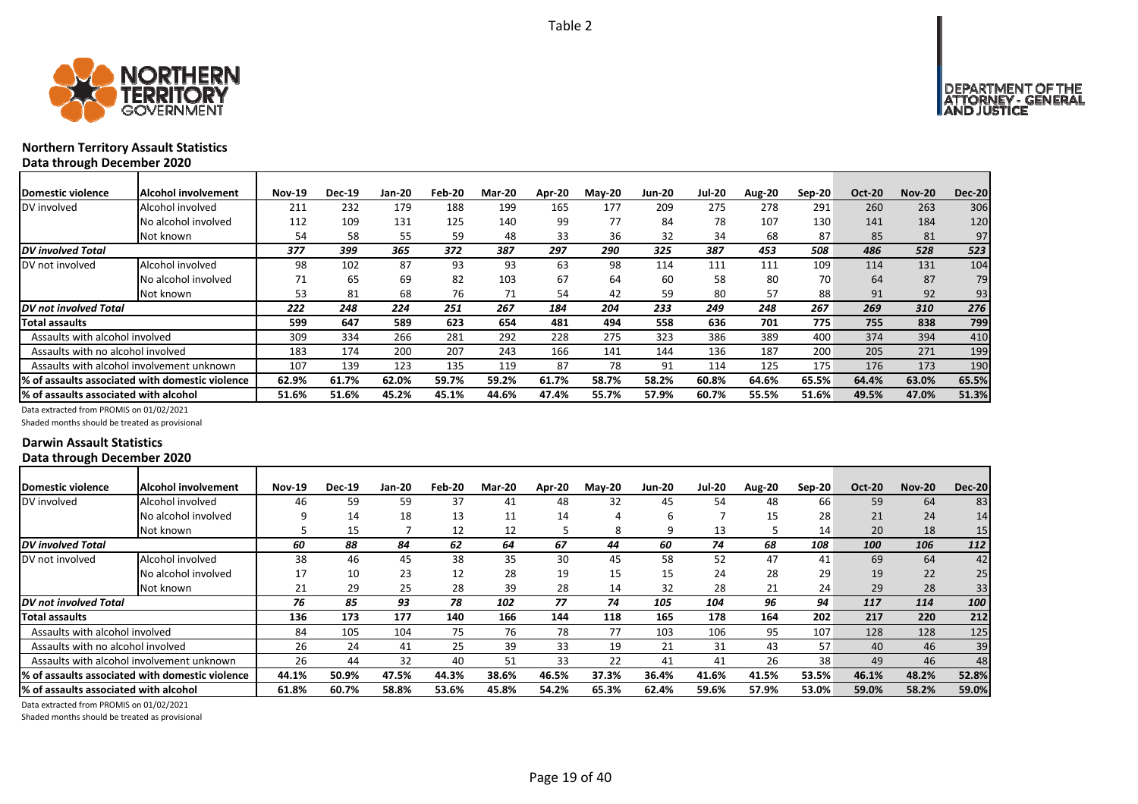



# **Northern Territory Assault Statistics Data through December 2020**

| Domestic violence | Alcohol involvement |  |
|-------------------|---------------------|--|

| Domestic violence                     | Alcohol involvement                              | <b>Nov-19</b> | <b>Dec-19</b> | <b>Jan-20</b> | Feb-20 | <b>Mar-20</b> | Apr-20 | $M$ ay-20 | <b>Jun-20</b> | <b>Jul-20</b> | <b>Aug-20</b> | Sep-20 | <b>Oct-20</b> | <b>Nov-20</b> | <b>Dec-20</b> |
|---------------------------------------|--------------------------------------------------|---------------|---------------|---------------|--------|---------------|--------|-----------|---------------|---------------|---------------|--------|---------------|---------------|---------------|
| DV involved                           | Alcohol involved                                 | 211           | 232           | 179           | 188    | 199           | 165    | 177       | 209           | 275           | 278           | 291    | 260           | 263           | 306           |
|                                       | No alcohol involved                              | 112           | 109           | 131           | 125    | 140           | 99     | 77        | 84            | 78            | 107           | 130    | 141           | 184           | 120           |
|                                       | Not known                                        | 54            | 58            | 55            | 59     | 48            | 33     | 36        | 32            | 34            | 68            | 87     | 85            | 81            | 97            |
| <b>DV</b> involved Total              |                                                  | 377           | 399           | 365           | 372    | 387           | 297    | 290       | 325           | 387           | 453           | 508    | 486           | 528           | 523           |
| DV not involved                       | Alcohol involved                                 | 98            | 102           | 87            | 93     | 93            | 63     | 98        | 114           | 111           | 111           | 109    | 114           | 131           | 104           |
|                                       | No alcohol involved                              |               | 65            | 69            | 82     | 103           | 67     | 64        | 60            | 58            | 80            | 70     | 64            | 87            | 79            |
|                                       | Not known                                        | 53            | 81            | 68            | 76     | 71            | 54     | 42        | 59            | 80            | 57            | 88     | 91            | 92            | 93            |
| <b>DV</b> not involved Total          |                                                  | 222           | 248           | 224           | 251    | 267           | 184    | 204       | 233           | 249           | 248           | 267    | 269           | 310           | 276           |
| <b>Total assaults</b>                 |                                                  | 599           | 647           | 589           | 623    | 654           | 481    | 494       | 558           | 636           | 701           | 775    | 755           | 838           | 799           |
| Assaults with alcohol involved        |                                                  | 309           | 334           | 266           | 281    | 292           | 228    | 275       | 323           | 386           | 389           | 400    | 374           | 394           | 410           |
| Assaults with no alcohol involved     |                                                  | 183           | 174           | 200           | 207    | 243           | 166    | 141       | 144           | 136           | 187           | 200    | 205           | 271           | 199           |
|                                       | Assaults with alcohol involvement unknown        | 107           | 139           | 123           | 135    | 119           | 87     | 78        | 91            | 114           | 125           | 175    | 176           | 173           | 190           |
|                                       | l% of assaults associated with domestic violence | 62.9%         | 61.7%         | 62.0%         | 59.7%  | 59.2%         | 61.7%  | 58.7%     | 58.2%         | 60.8%         | 64.6%         | 65.5%  | 64.4%         | 63.0%         | 65.5%         |
| % of assaults associated with alcohol |                                                  | 51.6%         | 51.6%         | 45.2%         | 45.1%  | 44.6%         | 47.4%  | 55.7%     | 57.9%         | 60.7%         | 55.5%         | 51.6%  | 49.5%         | 47.0%         | 51.3%         |

Data extracted from PROMIS on 01/02/2021

Shaded months should be treated as provisional

### **Darwin Assault Statistics Data through December 2020**

| <b>IDomestic violence</b>             | Alcohol involvement                              | <b>Nov-19</b> | <b>Dec-19</b> | Jan-20 | Feb-20 | <b>Mar-20</b> | Apr-20 | $M$ ay-20 | <b>Jun-20</b> | <b>Jul-20</b> | Aug-20 | $Sep-20$ | <b>Oct-20</b> | <b>Nov-20</b> | <b>Dec-20</b>   |
|---------------------------------------|--------------------------------------------------|---------------|---------------|--------|--------|---------------|--------|-----------|---------------|---------------|--------|----------|---------------|---------------|-----------------|
| DV involved                           | Alcohol involved                                 | 46            | 59            | 59     | 37     | 41            | 48     | 32        | 45            | 54            | 48     | 66       | 59            | 64            | 83              |
|                                       | No alcohol involved                              |               | 14            | 18     | 13     | 11            | 14     |           | ь             |               | 15     | 28       | 21            | 24            | 14              |
|                                       | Not known                                        |               | 15            |        | 12     | 12            |        | 8         |               | 13            |        | 14       | 20            | 18            | 15 <sub>l</sub> |
| <b>DV</b> involved Total              |                                                  | 60            | 88            | 84     | 62     | 64            | 67     | 44        | 60            | 74            | 68     | 108      | 100           | 106           | 112             |
| DV not involved                       | Alcohol involved                                 | 38            | 46            | 45     | 38     | 35            | 30     | 45        | 58            | 52            | 47     | 41       | 69            | 64            | 42              |
|                                       | No alcohol involved                              | 17            | 10            | 23     | 12     | 28            | 19     | 15        | 15            | 24            | 28     | 29       | 19            | 22            | 25              |
|                                       | Not known                                        | 21            | 29            | 25     | 28     | 39            | 28     | 14        | 32            | 28            | 21     | 24       | 29            | 28            | 33              |
| <b>DV</b> not involved Total          |                                                  | 76            | 85            | 93     | 78     | 102           | 77     | 74        | 105           | 104           | 96     | 94       | 117           | 114           | 100             |
| Total assaults                        |                                                  | 136           | 173           | 177    | 140    | 166           | 144    | 118       | 165           | 178           | 164    | 202      | 217           | 220           | 212             |
| Assaults with alcohol involved        |                                                  | 84            | 105           | 104    | 75     | 76            | 78     | 77        | 103           | 106           | 95     | 107      | 128           | 128           | 125             |
| Assaults with no alcohol involved     |                                                  | 26            | 24            | 41     | 25     | 39            | 33     | 19        | 21            | 31            | 43     | 57       | 40            | 46            | 39              |
|                                       | Assaults with alcohol involvement unknown        | 26            | 44            | 32     | 40     | 51            | 33     | 22        | 41            | 41            | 26     | 38       | 49            | 46            | 48              |
|                                       | 1% of assaults associated with domestic violence | 44.1%         | 50.9%         | 47.5%  | 44.3%  | 38.6%         | 46.5%  | 37.3%     | 36.4%         | 41.6%         | 41.5%  | 53.5%    | 46.1%         | 48.2%         | 52.8%           |
| % of assaults associated with alcohol |                                                  | 61.8%         | 60.7%         | 58.8%  | 53.6%  | 45.8%         | 54.2%  | 65.3%     | 62.4%         | 59.6%         | 57.9%  | 53.0%    | 59.0%         | 58.2%         | 59.0%           |

Data extracted from PROMIS on 01/02/2021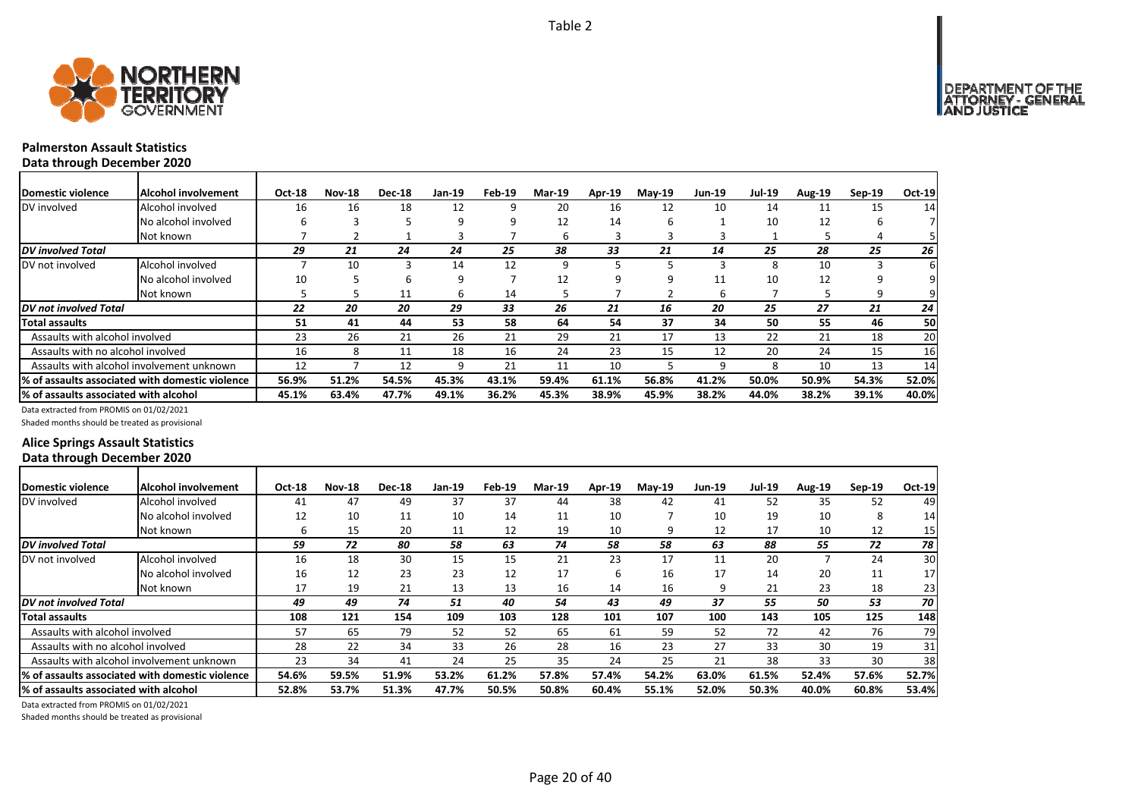

# **Palmerston Assault Statistics**

**Data through December 2020**

| Domestic violence                     | <b>Alcohol involvement</b>                       | Oct-18 | <b>Nov-18</b> | <b>Dec-18</b> | Jan-19 | Feb-19 | <b>Mar-19</b> | Apr-19 | $Mav-19$ | Jun-19 | <b>Jul-19</b> | Aug-19 | $Sep-19$ | Oct-19    |
|---------------------------------------|--------------------------------------------------|--------|---------------|---------------|--------|--------|---------------|--------|----------|--------|---------------|--------|----------|-----------|
| DV involved                           | Alcohol involved                                 | 16     | 16            | 18            | 12     | 9      | 20            | 16     | 12       | 10     | 14            | 11     | 15       | 14        |
|                                       | No alcohol involved                              | h      |               |               | ٩      | 9      | 12            | 14     | n        |        | 10            | 12     | b        |           |
|                                       | Not known                                        |        |               |               |        |        | b             |        |          |        |               |        |          | 51        |
| <b>DV</b> involved Total              |                                                  | 29     | 21            | 24            | 24     | 25     | 38            | 33     | 21       | 14     | 25            | 28     | 25       | <b>26</b> |
| DV not involved                       | Alcohol involved                                 |        | 10            |               | 14     | 12     | 9             |        |          |        | 8             | 10     |          | 61        |
|                                       | No alcohol involved                              | 10     |               | h             | 9      |        | 12            | 9      |          | 11     | 10            | 12     |          | 91        |
|                                       | Not known                                        |        |               | 11            | h      | 14     | 5             |        |          | h      |               |        | 9        | 91        |
| <b>DV</b> not involved Total          |                                                  | 22     | 20            | 20            | 29     | 33     | 26            | 21     | 16       | 20     | 25            | 27     | 21       | 24        |
| <b>Total assaults</b>                 |                                                  | 51     | 41            | 44            | 53     | 58     | 64            | 54     | 37       | 34     | 50            | 55     | 46       | 50        |
| Assaults with alcohol involved        |                                                  | 23     | 26            | 21            | 26     | 21     | 29            | 21     | 17       | 13     | 22            | 21     | 18       | 20        |
| Assaults with no alcohol involved     |                                                  | 16     | 8             | 11            | 18     | 16     | 24            | 23     | 15       | 12     | 20            | 24     | 15       | 16        |
|                                       | Assaults with alcohol involvement unknown        | 12     |               | 12            | 9      | 21     | 11            | 10     |          | ٩      | 8             | 10     | 13       | 14        |
|                                       | I% of assaults associated with domestic violence | 56.9%  | 51.2%         | 54.5%         | 45.3%  | 43.1%  | 59.4%         | 61.1%  | 56.8%    | 41.2%  | 50.0%         | 50.9%  | 54.3%    | 52.0%     |
| % of assaults associated with alcohol |                                                  | 45.1%  | 63.4%         | 47.7%         | 49.1%  | 36.2%  | 45.3%         | 38.9%  | 45.9%    | 38.2%  | 44.0%         | 38.2%  | 39.1%    | 40.0%     |

Data extracted from PROMIS on 01/02/2021

Shaded months should be treated as provisional

# **Alice Springs Assault Statistics Data through December 2020**

| Domestic violence                     | Alcohol involvement                              | <b>Oct-18</b> | <b>Nov-18</b> | <b>Dec-18</b> | Jan-19 | Feb-19 | <b>Mar-19</b> | Apr-19 | <b>Mav-19</b> | <b>Jun-19</b> | <b>Jul-19</b> | <b>Aug-19</b> | $Sep-19$ | $Oct-19$ |
|---------------------------------------|--------------------------------------------------|---------------|---------------|---------------|--------|--------|---------------|--------|---------------|---------------|---------------|---------------|----------|----------|
| DV involved                           | Alcohol involved                                 | 41            | 47            | 49            | 37     | 37     | 44            | 38     | 42            | 41            | 52            | 35            | 52       | 49       |
|                                       | No alcohol involved                              | 12            | 10            | 11            | 10     | 14     | 11            | 10     |               | 10            | 19            | 10            | 8        | 14       |
|                                       | Not known                                        | h             | 15            | 20            | 11     | 12     | 19            | 10     |               | 12            | 17            | 10            | 12       | 15       |
| <b>DV</b> involved Total              |                                                  | 59            | 72            | 80            | 58     | 63     | 74            | 58     | 58            | 63            | 88            | 55            | 72       | 78       |
| DV not involved                       | Alcohol involved                                 | 16            | 18            | 30            | 15     | 15     | 21            | 23     | 17            | 11            | 20            |               | 24       | 30       |
|                                       | No alcohol involved                              | 16            | 12            | 23            | 23     | 12     | 17            | 6      | 16            | 17            | 14            | 20            | 11       | 17       |
|                                       | Not known                                        | 17            | 19            | 21            | 13     | 13     | 16            | 14     | 16            |               | 21            | 23            | 18       | 23       |
| DV not involved Total                 |                                                  | 49            | 49            | 74            | 51     | 40     | 54            | 43     | 49            | 37            | 55            | 50            | 53       | 70 I     |
| Total assaults                        |                                                  | 108           | 121           | 154           | 109    | 103    | 128           | 101    | 107           | 100           | 143           | 105           | 125      | 148      |
| Assaults with alcohol involved        |                                                  | 57            | 65            | 79            | 52     | 52     | 65            | 61     | 59            | 52            | 72            | 42            | 76       | 79       |
| Assaults with no alcohol involved     |                                                  | 28            | 22            | 34            | 33     | 26     | 28            | 16     | 23            | 27            | 33            | 30            | 19       | 31       |
|                                       | Assaults with alcohol involvement unknown        | 23            | 34            | 41            | 24     | 25     | 35            | 24     | 25            | 21            | 38            | 33            | 30       | 38       |
|                                       | I% of assaults associated with domestic violence | 54.6%         | 59.5%         | 51.9%         | 53.2%  | 61.2%  | 57.8%         | 57.4%  | 54.2%         | 63.0%         | 61.5%         | 52.4%         | 57.6%    | 52.7%    |
| % of assaults associated with alcohol |                                                  | 52.8%         | 53.7%         | 51.3%         | 47.7%  | 50.5%  | 50.8%         | 60.4%  | 55.1%         | 52.0%         | 50.3%         | 40.0%         | 60.8%    | 53.4%    |

Data extracted from PROMIS on 01/02/2021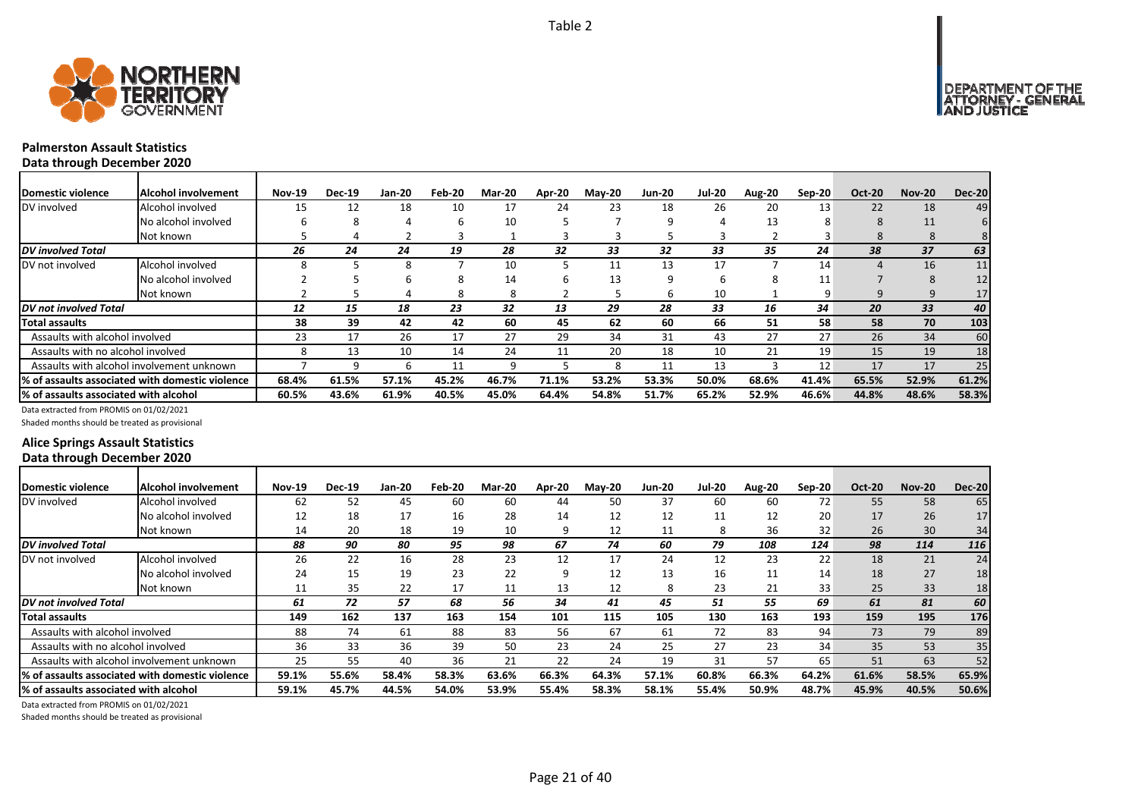

┓

# **Palmerston Assault Statistics**

**Data through December 2020**

| <b>IDomestic violence</b>             | Alcohol involvement                              | <b>Nov-19</b> | <b>Dec-19</b> | <b>Jan-20</b> | Feb-20 | <b>Mar-20</b> | Apr-20 | <b>May-20</b> | <b>Jun-20</b> | <b>Jul-20</b> | Aug-20 | Sep-20 | <b>Oct-20</b> | <b>Nov-20</b>         | <b>Dec-20</b> |
|---------------------------------------|--------------------------------------------------|---------------|---------------|---------------|--------|---------------|--------|---------------|---------------|---------------|--------|--------|---------------|-----------------------|---------------|
| DV involved                           | Alcohol involved                                 | 15            | 12            | 18            | 10     | 17            | 24     | 23            | 18            | 26            | 20     | 13     | 22            | 18                    | 49            |
|                                       | No alcohol involved                              | h             | σ.            |               | h      | 10            |        |               | q             |               | 13     | õ      | 8             | 11                    |               |
|                                       | Not known                                        |               |               |               |        |               |        |               |               | ъ             |        |        | 8             | 8                     | 8             |
| DV involved Total                     |                                                  | 26            | 24            | 24            | 19     | 28            | 32     | 33            | 32            | 33            | 35     | 24     | 38            | 37                    | 63            |
| DV not involved                       | Alcohol involved                                 |               |               | 8             |        | 10            |        | 11            | 13            | 17            |        | 14     | 4             | 16                    | 11            |
|                                       | No alcohol involved                              |               |               |               | 8      | 14            |        | 13            | q             | ь             |        | 11     |               | $\mathsf{\mathsf{R}}$ | 12            |
|                                       | Not known                                        |               |               |               | 8      | 8             |        |               | ь             | 10            |        | 9      | 9             | 9                     | 17            |
| <b>DV</b> not involved Total          |                                                  | 12            | 15            | 18            | 23     | 32            | 13     | 29            | 28            | 33            | 16     | 34     | 20            | 33                    | 40            |
| <b>Total assaults</b>                 |                                                  | 38            | 39            | 42            | 42     | 60            | 45     | 62            | 60            | 66            | 51     | 58     | 58            | 70                    | 103           |
| Assaults with alcohol involved        |                                                  | 23            | 17            | 26            | 17     | 27            | 29     | 34            | 31            | 43            | 27     | 27     | 26            | 34                    | 60            |
| Assaults with no alcohol involved     |                                                  | 8             | 13            | 10            | 14     | 24            | 11     | 20            | 18            | 10            | 21     | 19     | 15            | 19                    | 18            |
|                                       | Assaults with alcohol involvement unknown        |               |               | h             | 11     | q             |        | я             | 11            | 13            |        | 12     | 17            | 17                    | 25            |
|                                       | 1% of assaults associated with domestic violence | 68.4%         | 61.5%         | 57.1%         | 45.2%  | 46.7%         | 71.1%  | 53.2%         | 53.3%         | 50.0%         | 68.6%  | 41.4%  | 65.5%         | 52.9%                 | 61.2%         |
| % of assaults associated with alcohol |                                                  | 60.5%         | 43.6%         | 61.9%         | 40.5%  | 45.0%         | 64.4%  | 54.8%         | 51.7%         | 65.2%         | 52.9%  | 46.6%  | 44.8%         | 48.6%                 | 58.3%         |

Data extracted from PROMIS on 01/02/2021

Shaded months should be treated as provisional

# **Alice Springs Assault Statistics Data through December 2020**

| Domestic violence                      | <b>Alcohol involvement</b>                       | <b>Nov-19</b> | <b>Dec-19</b> | Jan-20 | Feb-20 | Mar-20 | Apr-20 | <b>Mav-20</b> | <b>Jun-20</b> | Jul-20 | Aug-20 | $Sep-20$ | <b>Oct-20</b> | <b>Nov-20</b> | <b>Dec-20</b> |
|----------------------------------------|--------------------------------------------------|---------------|---------------|--------|--------|--------|--------|---------------|---------------|--------|--------|----------|---------------|---------------|---------------|
| DV involved                            | Alcohol involved                                 | 62            | 52            | 45     | 60     | 60     | 44     | 50            | 37            | 60     | 60     | 72       | 55            | 58            | 65            |
|                                        | No alcohol involved                              | 12            | 18            | 17     | 16     | 28     | 14     | 12            | 12            | 11     | 12     | 20       | 17            | 26            | 17            |
|                                        | Not known                                        | 14            | 20            | 18     | 19     | 10     |        | 12            | 11            | 8      | 36     | 32       | 26            | 30            | 34            |
| <b>DV</b> involved Total               |                                                  | 88            | 90            | 80     | 95     | 98     | 67     | 74            | 60            | 79     | 108    | 124      | 98            | 114           | 116           |
| DV not involved                        | Alcohol involved                                 | 26            | 22            | 16     | 28     | 23     | 12     | 17            | 24            | 12     | 23     | 22       | 18            | 21            | 24            |
|                                        | No alcohol involved                              | 24            | 15            | 19     | 23     | 22     | q      | 12            | 13            | 16     | 11     | 14       | 18            | 27            | 18            |
|                                        | Not known                                        | 11            | 35            | 22     | 17     | 11     | 13     | 12            | 8             | 23     | 21     | 33       | 25            | 33            | 18            |
| <b>DV</b> not involved Total           |                                                  | 61            | 72            | 57     | 68     | 56     | 34     | 41            | 45            | 51     | 55     | 69       | 61            | 81            | 60            |
| Total assaults                         |                                                  | 149           | 162           | 137    | 163    | 154    | 101    | 115           | 105           | 130    | 163    | 193      | 159           | 195           | 176           |
| Assaults with alcohol involved         |                                                  | 88            | 74            | 61     | 88     | 83     | 56     | 67            | 61            | 72     | 83     | 94       | 73            | 79            | 89            |
| Assaults with no alcohol involved      |                                                  | 36            | 33            | 36     | 39     | 50     | 23     | 24            | 25            | 27     | 23     | 34       | 35            | 53            | 35            |
|                                        | Assaults with alcohol involvement unknown        | 25            | 55            | 40     | 36     | 21     | 22     | 24            | 19            | 31     | 57     | 65       | 51            | 63            | 52            |
|                                        | 1% of assaults associated with domestic violence | 59.1%         | 55.6%         | 58.4%  | 58.3%  | 63.6%  | 66.3%  | 64.3%         | 57.1%         | 60.8%  | 66.3%  | 64.2%    | 61.6%         | 58.5%         | 65.9%         |
| 1% of assaults associated with alcohol |                                                  | 59.1%         | 45.7%         | 44.5%  | 54.0%  | 53.9%  | 55.4%  | 58.3%         | 58.1%         | 55.4%  | 50.9%  | 48.7%    | 45.9%         | 40.5%         | 50.6%         |

Data extracted from PROMIS on 01/02/2021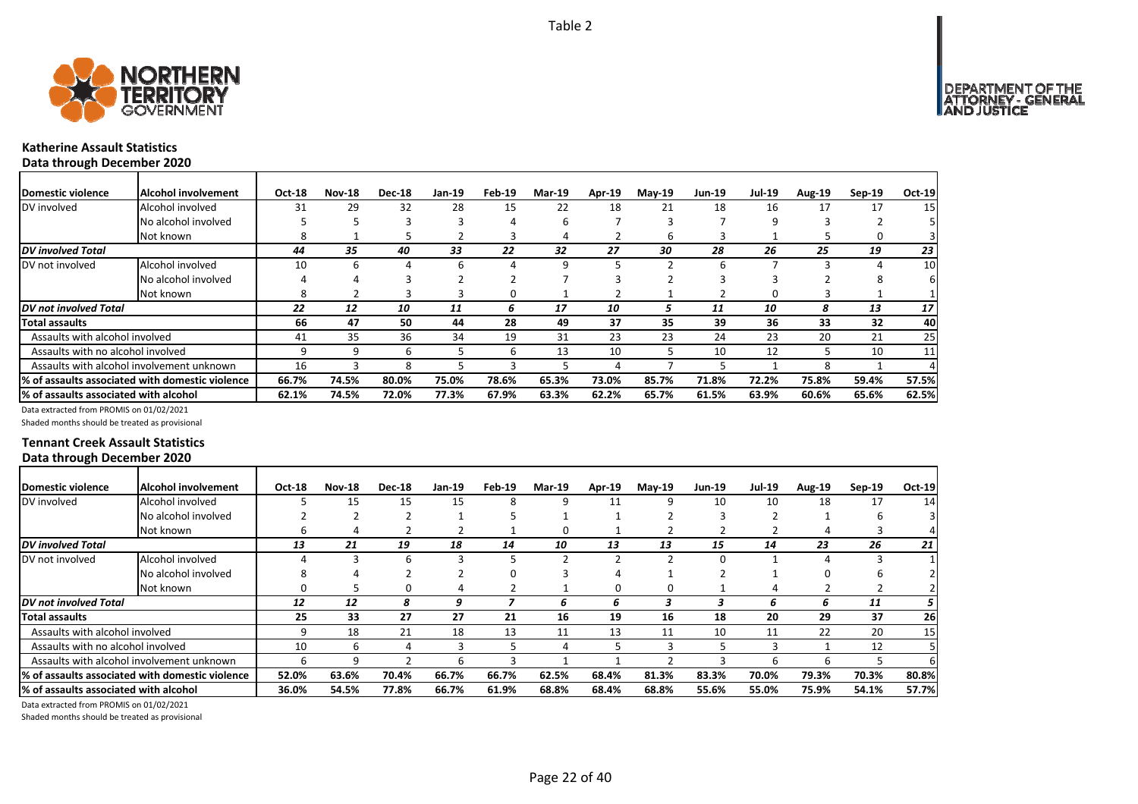

### **Katherine Assault Statistics Data through December 2020**

| Domestic violence                     | Alcohol involvement                             | Oct-18 | <b>Nov-18</b> | <b>Dec-18</b> | Jan-19 | Feb-19 | <b>Mar-19</b> | Apr-19 | $Mav-19$ | <b>Jun-19</b> | <b>Jul-19</b> | <b>Aug-19</b> | $Sep-19$ | Oct-19 |
|---------------------------------------|-------------------------------------------------|--------|---------------|---------------|--------|--------|---------------|--------|----------|---------------|---------------|---------------|----------|--------|
| DV involved                           | Alcohol involved                                | 31     | 29            | 32            | 28     | 15     | 22            | 18     | 21       | 18            | 16            | 17            | 17       | 15     |
|                                       | No alcohol involved                             |        |               | 3             |        | 4      | 6             |        |          |               | 9             |               |          |        |
|                                       | Not known                                       |        |               |               |        | 3      | 4             |        | h        |               |               |               | 0        |        |
| <b>DV</b> involved Total              |                                                 | 44     | 35            | 40            | 33     | 22     | 32            | 27     | 30       | 28            | 26            | 25            | 19       | 23     |
| DV not involved                       | Alcohol involved                                | 10     | 6             |               | 6      | Δ      | 9             |        |          |               |               | ₹             |          | 10     |
|                                       | No alcohol involved                             |        |               |               |        |        |               |        |          |               |               |               | 8        |        |
|                                       | Not known                                       |        |               |               |        | 0      |               |        |          |               | O             |               |          |        |
| DV not involved Total                 |                                                 | 22     | 12            | 10            | 11     | 6      | 17            | 10     |          | 11            | 10            | 8             | 13       | 17     |
| Total assaults                        |                                                 | 66     | 47            | 50            | 44     | 28     | 49            | 37     | 35       | 39            | 36            | 33            | 32       | 40     |
| Assaults with alcohol involved        |                                                 | -41    | 35            | 36            | 34     | 19     | 31            | 23     | 23       | 24            | 23            | 20            | 21       | 25     |
| Assaults with no alcohol involved     |                                                 |        |               | 6             |        | 6      | 13            | 10     |          | 10            | 12            |               | 10       | 11     |
|                                       | Assaults with alcohol involvement unknown       | 16     |               | 8             |        | з      |               |        |          |               |               | 8             |          |        |
|                                       | % of assaults associated with domestic violence | 66.7%  | 74.5%         | 80.0%         | 75.0%  | 78.6%  | 65.3%         | 73.0%  | 85.7%    | 71.8%         | 72.2%         | 75.8%         | 59.4%    | 57.5%  |
| % of assaults associated with alcohol |                                                 | 62.1%  | 74.5%         | 72.0%         | 77.3%  | 67.9%  | 63.3%         | 62.2%  | 65.7%    | 61.5%         | 63.9%         | 60.6%         | 65.6%    | 62.5%  |

Data extracted from PROMIS on 01/02/2021

Shaded months should be treated as provisional

### **Tennant Creek Assault Statistics Data through December 2020**

| <b>Domestic violence</b>              | Alcohol involvement                              | Oct-18 | <b>Nov-18</b> | <b>Dec-18</b> | Jan-19 | Feb-19 | <b>Mar-19</b> | Apr-19 | $Mav-19$ | <b>Jun-19</b> | <b>Jul-19</b> | <b>Aug-19</b> | $Sep-19$ | Oct-19 |
|---------------------------------------|--------------------------------------------------|--------|---------------|---------------|--------|--------|---------------|--------|----------|---------------|---------------|---------------|----------|--------|
| DV involved                           | Alcohol involved                                 |        | 15            | 15            | 15     | 8      | 9             | 11     | ٩        | 10            | 10            | 18            | 17       | 14     |
|                                       | No alcohol involved                              |        |               |               |        |        |               |        |          |               |               |               |          |        |
|                                       | Not known                                        | n      | 4             |               |        |        | 0             |        |          |               |               |               |          |        |
| <b>DV</b> involved Total              |                                                  | 13     | 21            | 19            | 18     | 14     | 10            | 13     | 13       | 15            | 14            | 23            | 26       | 21     |
| DV not involved                       | Alcohol involved                                 |        |               | b             |        |        |               |        |          |               |               |               |          |        |
|                                       | No alcohol involved                              |        |               |               |        |        |               | Δ      |          |               |               |               | h        |        |
|                                       | Not known                                        |        |               |               |        |        |               | 0      |          |               |               |               |          |        |
| DV not involved Total                 |                                                  | 12     | 12            | 8             | 9      |        | 6             | 6      |          |               | h             | 6             | 11       | 5.     |
| Total assaults                        |                                                  | 25     | 33            | 27            | 27     | 21     | 16            | 19     | 16       | 18            | 20            | 29            | 37       | 26     |
| Assaults with alcohol involved        |                                                  |        | 18            | 21            | 18     | 13     | 11            | 13     | 11       | 10            | 11            | 22            | 20       | 15     |
| Assaults with no alcohol involved     |                                                  | 10     | h             |               |        |        | 4             |        |          |               |               |               | 12       |        |
|                                       | Assaults with alcohol involvement unknown        | h      |               |               |        |        |               |        |          |               | b             | b             |          | 61     |
|                                       | 1% of assaults associated with domestic violence | 52.0%  | 63.6%         | 70.4%         | 66.7%  | 66.7%  | 62.5%         | 68.4%  | 81.3%    | 83.3%         | 70.0%         | 79.3%         | 70.3%    | 80.8%  |
| % of assaults associated with alcohol |                                                  | 36.0%  | 54.5%         | 77.8%         | 66.7%  | 61.9%  | 68.8%         | 68.4%  | 68.8%    | 55.6%         | 55.0%         | 75.9%         | 54.1%    | 57.7%  |

Data extracted from PROMIS on 01/02/2021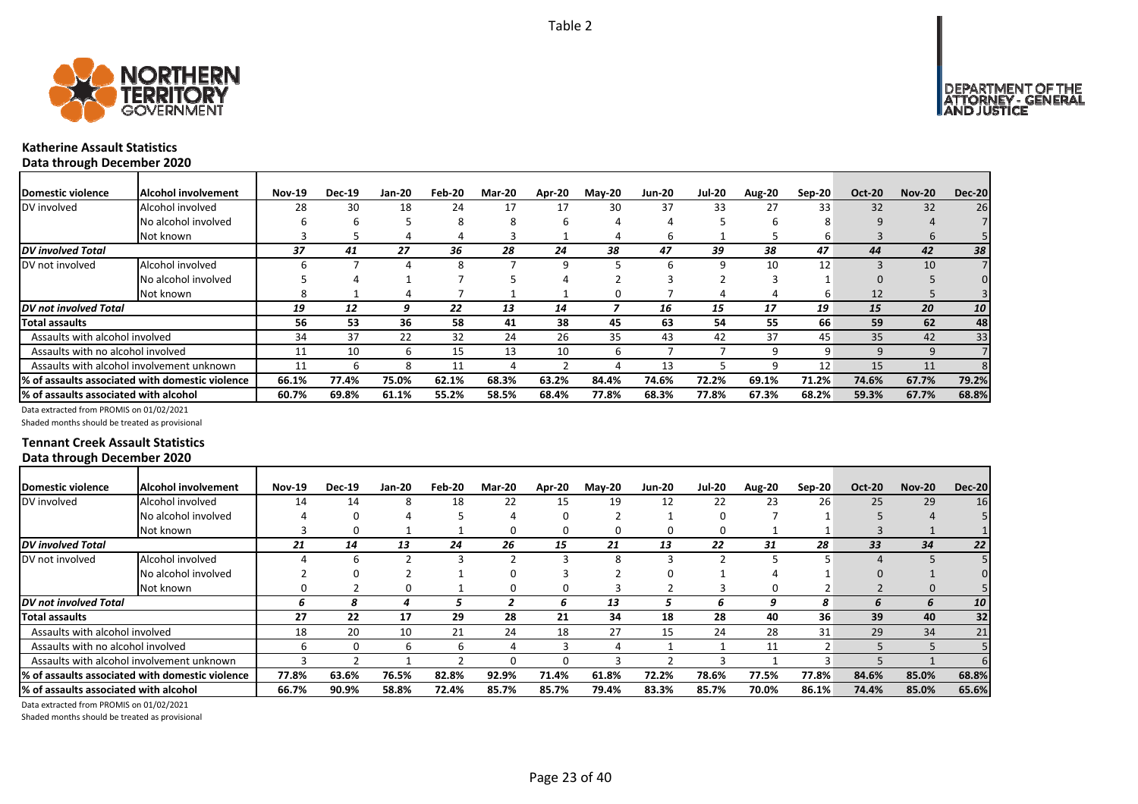

### **Katherine Assault Statistics Data through December 2020**

| <b>Domestic violence</b>                  | Alcohol involvement                             | <b>Nov-19</b> | <b>Dec-19</b> | Jan-20 | Feb-20 | <b>Mar-20</b> | Apr-20 | <b>May-20</b> | <b>Jun-20</b> | <b>Jul-20</b> | Aug-20 | Sep-20 | <b>Oct-20</b> | <b>Nov-20</b> | <b>Dec-20</b> |
|-------------------------------------------|-------------------------------------------------|---------------|---------------|--------|--------|---------------|--------|---------------|---------------|---------------|--------|--------|---------------|---------------|---------------|
| DV involved                               | Alcohol involved                                | 28            | 30            | 18     | 24     | 17            |        | 30            | 37            | 33            | 27     | 33     | 32            | 32            | 26            |
|                                           | No alcohol involved                             | h             | n             |        |        |               |        |               |               |               | h      |        | 9             |               |               |
|                                           | Not known                                       |               |               |        |        |               |        |               | h             |               |        |        |               |               |               |
| DV involved Total                         |                                                 | 37            | 41            | 27     | 36     | 28            | 24     | 38            | 47            | 39            | 38     | 47     | 44            | 42            | 38            |
| DV not involved                           | Alcohol involved                                |               |               |        |        |               | q      |               | h             | q             | 10     | 12     |               | 10            |               |
|                                           | No alcohol involved                             |               |               |        |        |               |        |               |               |               |        |        |               |               |               |
|                                           | Not known                                       |               |               |        |        |               |        | 0             |               |               |        | b      | 12            |               |               |
| DV not involved Total                     |                                                 | 19            | 12            | q      | 22     | 13            | 14     |               | 16            | 15            | 17     | 19     | 15            | 20            | 10            |
| <b>Total assaults</b>                     |                                                 | 56            | 53            | 36     | 58     | 41            | 38     | 45            | 63            | 54            | 55     | 66     | 59            | 62            | 48            |
| Assaults with alcohol involved            |                                                 | 34            | 37            | 22     | 32     | 24            | 26     | 35            | 43            | 42            | 37     | 45     | 35            | 42            | 33            |
| Assaults with no alcohol involved         |                                                 | 11            | 10            | b      | 15     | 13            | 10     | b             |               |               | q      | 9      | q             |               |               |
| Assaults with alcohol involvement unknown |                                                 | 11            |               | 8      | 11     |               |        |               | 13            |               | q      | 12     | 15            | 11            |               |
|                                           | % of assaults associated with domestic violence | 66.1%         | 77.4%         | 75.0%  | 62.1%  | 68.3%         | 63.2%  | 84.4%         | 74.6%         | 72.2%         | 69.1%  | 71.2%  | 74.6%         | 67.7%         | 79.2%         |
| % of assaults associated with alcohol     |                                                 | 60.7%         | 69.8%         | 61.1%  | 55.2%  | 58.5%         | 68.4%  | 77.8%         | 68.3%         | 77.8%         | 67.3%  | 68.2%  | 59.3%         | 67.7%         | 68.8%         |

Data extracted from PROMIS on 01/02/2021

Shaded months should be treated as provisional

### **Tennant Creek Assault Statistics Data through December 2020**

| Domestic violence                     | Alcohol involvement                             | <b>Nov-19</b> | <b>Dec-19</b> | <b>Jan-20</b> | Feb-20 | <b>Mar-20</b> | Apr-20 | <b>May-20</b> | <b>Jun-20</b> | <b>Jul-20</b> | Aug-20 | Sep-20          | <b>Oct-20</b> | <b>Nov-20</b> | <b>Dec-20</b> |
|---------------------------------------|-------------------------------------------------|---------------|---------------|---------------|--------|---------------|--------|---------------|---------------|---------------|--------|-----------------|---------------|---------------|---------------|
| DV involved                           | Alcohol involved                                | 14            | 14            |               | 18     | 22            | 15     | 19            | 12            | 22            | 23     | 26              | 25            | 29            | 16            |
|                                       | No alcohol involved                             |               |               |               |        |               |        |               |               |               |        |                 |               |               |               |
|                                       | Not known                                       |               |               |               |        |               |        |               | $^{(1)}$      | $^{(1)}$      |        |                 |               |               |               |
| <b>DV</b> involved Total              |                                                 | 21            | 14            | 13            | 24     | 26            | 15     | 21            | 13            | 22            | 31     | 28              | 33            | 34            | 22            |
| DV not involved                       | Alcohol involved                                |               |               |               |        |               |        |               |               |               |        |                 |               |               |               |
|                                       | No alcohol involved                             |               |               |               |        |               |        |               |               |               |        |                 |               |               |               |
|                                       | Not known                                       |               |               |               |        |               |        |               |               |               |        |                 |               |               |               |
| DV not involved Total                 |                                                 | ь             | 8             |               |        |               | h      | 13            |               |               |        | 8               |               |               | 10            |
| Total assaults                        |                                                 | 27            | 22            | 17            | 29     | 28            | 21     | 34            | 18            | 28            | 40     | 36 <sup>°</sup> | 39            | 40            | 32            |
| Assaults with alcohol involved        |                                                 | 18            | 20            | 10            | 21     | 24            | 18     | 27            | 15            | 24            | 28     | 31              | 29            | 34            | 21            |
| Assaults with no alcohol involved     |                                                 |               |               |               |        |               |        |               |               |               | 11     |                 |               |               |               |
|                                       | Assaults with alcohol involvement unknown       |               |               |               |        |               |        |               |               |               |        |                 |               |               |               |
|                                       | % of assaults associated with domestic violence | 77.8%         | 63.6%         | 76.5%         | 82.8%  | 92.9%         | 71.4%  | 61.8%         | 72.2%         | 78.6%         | 77.5%  | 77.8%           | 84.6%         | 85.0%         | 68.8%         |
| % of assaults associated with alcohol |                                                 | 66.7%         | 90.9%         | 58.8%         | 72.4%  | 85.7%         | 85.7%  | 79.4%         | 83.3%         | 85.7%         | 70.0%  | 86.1%           | 74.4%         | 85.0%         | 65.6%         |

Data extracted from PROMIS on 01/02/2021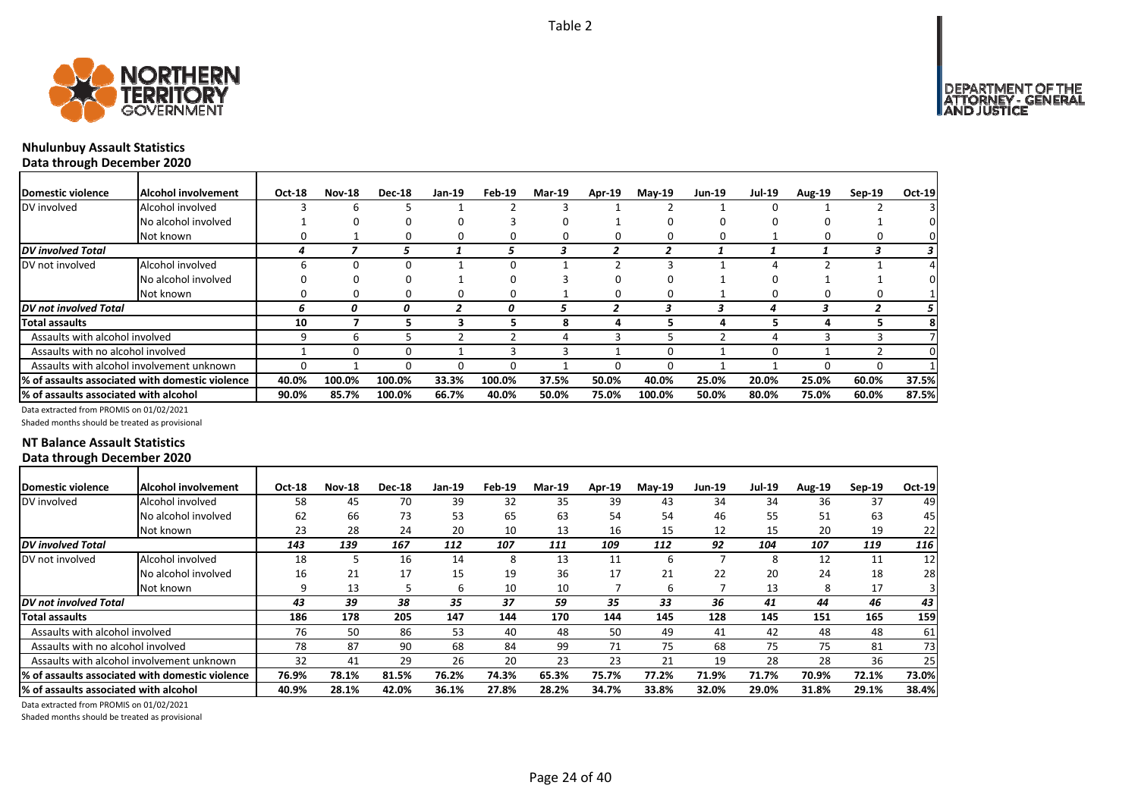

# **Nhulunbuy Assault Statistics**

**Data through December 2020**

| Domestic violence                     | Alcohol involvement                              | Oct-18   | <b>Nov-18</b> | <b>Dec-18</b> | Jan-19 | Feb-19 | <b>Mar-19</b> | Apr-19 | $May-19$ | <b>Jun-19</b> | <b>Jul-19</b> | <b>Aug-19</b> | $Sep-19$ | Oct-19 |
|---------------------------------------|--------------------------------------------------|----------|---------------|---------------|--------|--------|---------------|--------|----------|---------------|---------------|---------------|----------|--------|
| DV involved                           | Alcohol involved                                 |          | b             |               |        |        |               |        |          |               |               |               |          |        |
|                                       | No alcohol involved                              |          | 0             |               |        |        |               |        |          |               |               |               |          |        |
|                                       | Not known                                        |          |               |               |        |        |               |        |          |               |               |               |          |        |
| <b>DV</b> involved Total              |                                                  |          |               |               |        | ,      |               |        |          |               |               |               |          |        |
| DV not involved                       | Alcohol involved                                 | h        | ŋ             |               |        |        |               |        |          |               |               |               |          |        |
|                                       | No alcohol involved                              |          |               |               |        |        |               |        |          |               |               |               |          |        |
|                                       | Not known                                        |          | n             |               |        |        |               |        |          |               | n             |               | $\Omega$ |        |
| <b>DV</b> not involved Total          |                                                  | ь        |               | 0             |        | 0      |               |        |          |               | 4             |               |          |        |
| <b>Total assaults</b>                 |                                                  | 10       |               |               | -5     |        |               |        |          |               |               |               |          |        |
| Assaults with alcohol involved        |                                                  | 9        | h             |               |        |        |               |        |          |               |               |               |          |        |
| Assaults with no alcohol involved     |                                                  |          | 0             |               |        |        |               |        |          |               |               |               |          |        |
|                                       | Assaults with alcohol involvement unknown        | $\Omega$ |               |               |        |        |               |        |          |               |               |               | -0       |        |
|                                       | 1% of assaults associated with domestic violence | 40.0%    | 100.0%        | 100.0%        | 33.3%  | 100.0% | 37.5%         | 50.0%  | 40.0%    | 25.0%         | 20.0%         | 25.0%         | 60.0%    | 37.5%  |
| % of assaults associated with alcohol |                                                  | 90.0%    | 85.7%         | 100.0%        | 66.7%  | 40.0%  | 50.0%         | 75.0%  | 100.0%   | 50.0%         | 80.0%         | 75.0%         | 60.0%    | 87.5%  |

Data extracted from PROMIS on 01/02/2021

Shaded months should be treated as provisional

### **NT Balance Assault Statistics Data through December 2020**

| Domestic violence                     | Alcohol involvement                              | Oct-18 | <b>Nov-18</b> | <b>Dec-18</b> | Jan-19 | Feb-19 | <b>Mar-19</b> | Apr-19 | $Mav-19$ | Jun-19 | <b>Jul-19</b> | <b>Aug-19</b> | $Sep-19$ | Oct-19 |
|---------------------------------------|--------------------------------------------------|--------|---------------|---------------|--------|--------|---------------|--------|----------|--------|---------------|---------------|----------|--------|
| DV involved                           | Alcohol involved                                 | 58     | 45            | 70            | 39     | 32     | 35            | 39     | 43       | 34     | 34            | 36            | 37       | 49     |
|                                       | No alcohol involved                              | 62     | 66            | 73            | 53     | 65     | 63            | 54     | 54       | 46     | 55            | 51            | 63       | 45     |
|                                       | Not known                                        | 23     | 28            | 24            | 20     | 10     | 13            | 16     | 15       | 12     | 15            | 20            | 19       | 22     |
| DV involved Total                     |                                                  | 143    | 139           | 167           | 112    | 107    | 111           | 109    | 112      | 92     | 104           | 107           | 119      | 116    |
| DV not involved                       | Alcohol involved                                 | 18     |               | 16            | 14     | 8      | 13            | 11     | b        |        |               | 12            | 11       | 12     |
|                                       | No alcohol involved                              | 16     | 21            | 17            | 15     | 19     | 36            | 17     | 21       | 22     | 20            | 24            | 18       | 28     |
|                                       | Not known                                        | 9      | 13            |               | b      | 10     | 10            |        | b        |        | 13            | 8             | 17       |        |
| DV not involved Total                 |                                                  | 43     | 39            | 38            | 35     | 37     | 59            | 35     | 33       | 36     | 41            | 44            | 46       | 43     |
| Total assaults                        |                                                  | 186    | 178           | 205           | 147    | 144    | 170           | 144    | 145      | 128    | 145           | 151           | 165      | 159    |
| Assaults with alcohol involved        |                                                  | 76     | 50            | 86            | 53     | 40     | 48            | 50     | 49       | 41     | 42            | 48            | 48       | 61     |
| Assaults with no alcohol involved     |                                                  | 78     | 87            | 90            | 68     | 84     | 99            | 71     | 75       | 68     | 75            | 75            | 81       | 73     |
|                                       | Assaults with alcohol involvement unknown        | 32     | 41            | 29            | 26     | 20     | 23            | 23     | 21       | 19     | 28            | 28            | 36       | 25     |
|                                       | l% of assaults associated with domestic violence | 76.9%  | 78.1%         | 81.5%         | 76.2%  | 74.3%  | 65.3%         | 75.7%  | 77.2%    | 71.9%  | 71.7%         | 70.9%         | 72.1%    | 73.0%  |
| % of assaults associated with alcohol |                                                  | 40.9%  | 28.1%         | 42.0%         | 36.1%  | 27.8%  | 28.2%         | 34.7%  | 33.8%    | 32.0%  | 29.0%         | 31.8%         | 29.1%    | 38.4%  |

Data extracted from PROMIS on 01/02/2021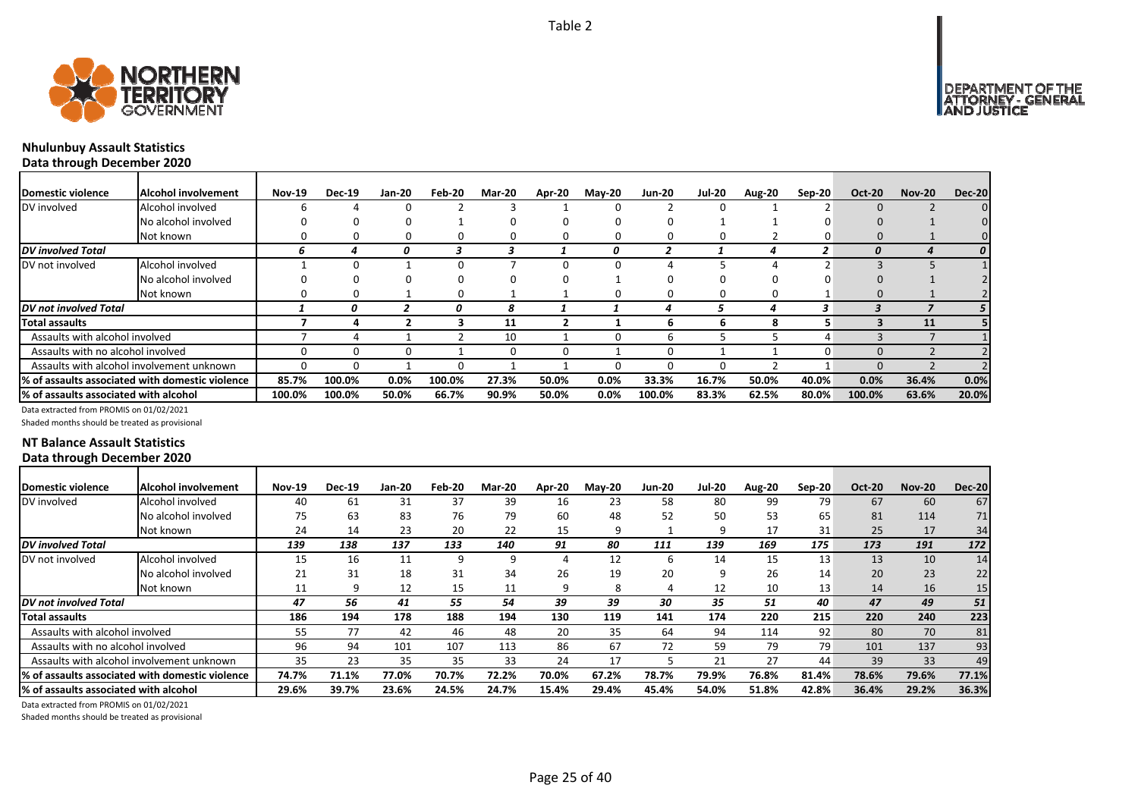![](_page_24_Picture_1.jpeg)

# **Nhulunbuy Assault Statistics**

**Data through December 2020**

| <b>IDomestic violence</b>             | Alcohol involvement                             | <b>Nov-19</b> | <b>Dec-19</b> | Jan-20  | Feb-20 | <b>Mar-20</b> | Apr-20 | <b>May-20</b> | <b>Jun-20</b> | <b>Jul-20</b> | Aug-20   | Sep-20 | <b>Oct-20</b> | <b>Nov-20</b> | <b>Dec-20</b>    |
|---------------------------------------|-------------------------------------------------|---------------|---------------|---------|--------|---------------|--------|---------------|---------------|---------------|----------|--------|---------------|---------------|------------------|
| DV involved                           | Alcohol involved                                |               |               |         |        |               |        |               |               |               |          |        |               |               |                  |
|                                       | No alcohol involved                             |               |               |         |        |               |        |               |               |               |          |        |               |               |                  |
|                                       | Not known                                       |               |               |         |        |               |        |               | 0             |               |          |        | 0             |               |                  |
| DV involved Total                     |                                                 | b.            |               |         |        |               |        | 0             |               |               |          |        | O             |               | $\boldsymbol{o}$ |
| DV not involved                       | Alcohol involved                                |               |               |         |        |               |        |               |               |               |          |        |               |               |                  |
|                                       | No alcohol involved                             |               |               |         |        |               |        |               |               |               |          |        |               |               |                  |
|                                       | Not known                                       |               | $^{(1)}$      |         | 0      |               |        |               | 0             | n             | $\Omega$ |        | $\Omega$      |               |                  |
| <b>DV</b> not involved Total          |                                                 |               |               |         |        |               |        |               |               |               |          |        |               |               | 5 I              |
| Total assaults                        |                                                 |               |               |         |        | 11            |        |               | n             | h             | я        |        |               | 11            |                  |
| Assaults with alcohol involved        |                                                 |               |               |         |        | 10            |        |               | b             |               |          |        |               |               |                  |
| Assaults with no alcohol involved     |                                                 |               |               |         |        | O             |        |               | 0             |               |          |        | $\Omega$      |               |                  |
|                                       | Assaults with alcohol involvement unknown       |               |               |         |        |               |        |               |               |               |          |        | $\Omega$      |               |                  |
|                                       | % of assaults associated with domestic violence | 85.7%         | 100.0%        | $0.0\%$ | 100.0% | 27.3%         | 50.0%  | 0.0%          | 33.3%         | 16.7%         | 50.0%    | 40.0%  | 0.0%          | 36.4%         | 0.0%             |
| % of assaults associated with alcohol |                                                 | 100.0%        | 100.0%        | 50.0%   | 66.7%  | 90.9%         | 50.0%  | 0.0%          | 100.0%        | 83.3%         | 62.5%    | 80.0%  | 100.0%        | 63.6%         | 20.0%            |

Data extracted from PROMIS on 01/02/2021

Shaded months should be treated as provisional

### **NT Balance Assault Statistics Data through December 2020**

| Domestic violence                      | <b>Alcohol involvement</b>                       | <b>Nov-19</b> | <b>Dec-19</b> | Jan-20 | Feb-20 | <b>Mar-20</b> | Apr-20 | <b>Mav-20</b> | <b>Jun-20</b> | <b>Jul-20</b> | Aug-20 | $Sep-20$        | <b>Oct-20</b> | <b>Nov-20</b> | <b>Dec-20</b>   |
|----------------------------------------|--------------------------------------------------|---------------|---------------|--------|--------|---------------|--------|---------------|---------------|---------------|--------|-----------------|---------------|---------------|-----------------|
| DV involved                            | Alcohol involved                                 | 40            | 61            | 31     | 37     | 39            | 16     | 23            | 58            | 80            | 99     | 79              | 67            | 60            | 67              |
|                                        | No alcohol involved                              | 75            | 63            | 83     | 76     | 79            | 60     | 48            | 52            | 50            | 53     | 65              | 81            | 114           | 71 <sub>1</sub> |
|                                        | Not known                                        | 24            | 14            | 23     | 20     | 22            | 15     | q             |               | ٩             | 17     | 31              | 25            | 17            | 34              |
| <b>DV</b> involved Total               |                                                  | 139           | 138           | 137    | 133    | 140           | 91     | 80            | 111           | 139           | 169    | 175             | 173           | 191           | 172             |
| DV not involved                        | Alcohol involved                                 | 15            | 16            | 11     | a      |               |        | 12            | ь             | 14            | 15     | 13              | 13            | 10            | 14              |
|                                        | No alcohol involved                              | 21            | 31            | 18     | 31     | 34            | 26     | 19            | 20            | ٩             | 26     | 14              | 20            | 23            | 22              |
|                                        | Not known                                        |               |               | 12     | 15     | 11            |        | 8             |               | 12            | 10     | 13 <sub>1</sub> | 14            | 16            | 15 <sub>1</sub> |
| <b>DV</b> not involved Total           |                                                  | 47            | 56            | 41     | 55     | 54            | 39     | 39            | 30            | 35            | 51     | 40              | 47            | 49            | 51              |
| Total assaults                         |                                                  | 186           | 194           | 178    | 188    | 194           | 130    | 119           | 141           | 174           | 220    | 215             | 220           | 240           | 223             |
| Assaults with alcohol involved         |                                                  | 55            | 77            | 42     | 46     | 48            | 20     | 35            | 64            | 94            | 114    | 92              | 80            | 70            | 81              |
| Assaults with no alcohol involved      |                                                  | 96            | 94            | 101    | 107    | 113           | 86     | 67            | 72            | 59            | 79     | 79              | 101           | 137           | 93              |
|                                        | Assaults with alcohol involvement unknown        | 35            | 23            | 35     | 35     | 33            | 24     | 17            |               | 21            | 27     | 44              | 39            | 33            | 49              |
|                                        | 1% of assaults associated with domestic violence | 74.7%         | 71.1%         | 77.0%  | 70.7%  | 72.2%         | 70.0%  | 67.2%         | 78.7%         | 79.9%         | 76.8%  | 81.4%           | 78.6%         | 79.6%         | 77.1%           |
| 1% of assaults associated with alcohol |                                                  | 29.6%         | 39.7%         | 23.6%  | 24.5%  | 24.7%         | 15.4%  | 29.4%         | 45.4%         | 54.0%         | 51.8%  | 42.8%           | 36.4%         | 29.2%         | 36.3%           |

Data extracted from PROMIS on 01/02/2021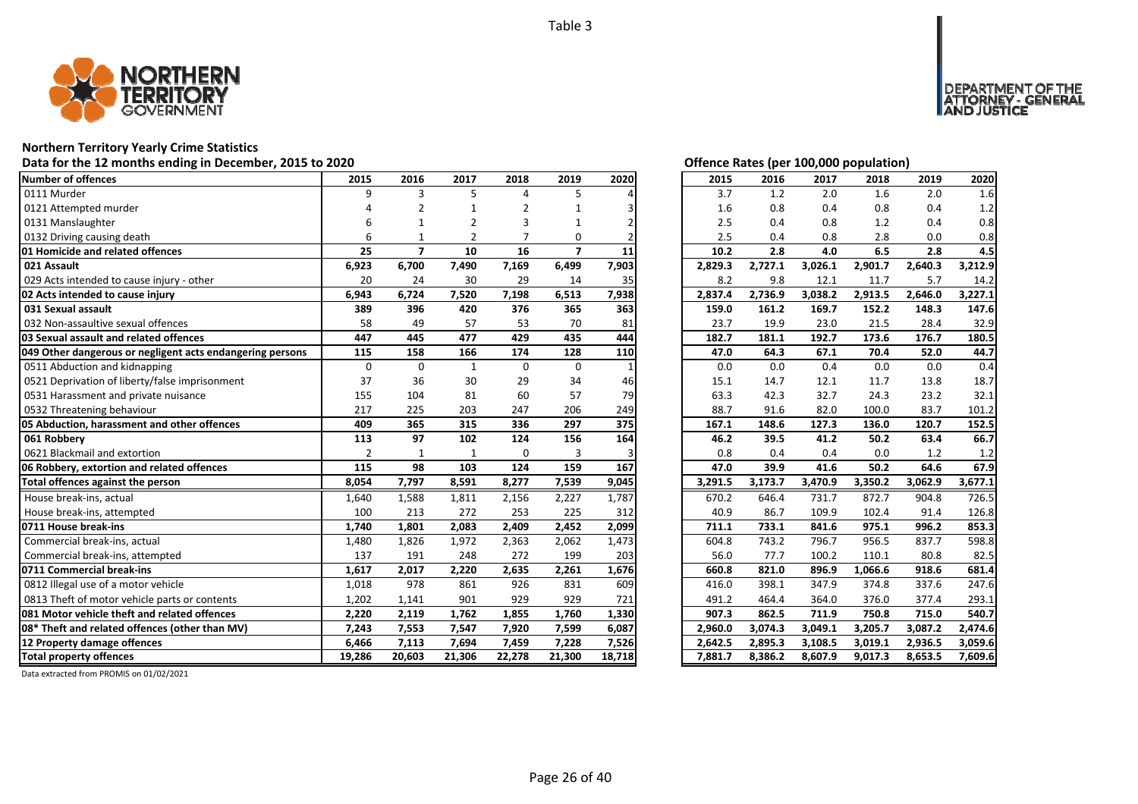![](_page_25_Picture_1.jpeg)

# **Northern Territory Yearly Crime Statistics**

# Data for the 12 months ending in December, 2015 to 2020<br>
Data for the 12 months ending in December, 2015 to 2020

| Number of offences                                        | 2015           | 2016           | 2017           | 2018        | 2019                    | 2020   | 2015    | 2016    | 2017    | 2018    | 2019    | 2020    |
|-----------------------------------------------------------|----------------|----------------|----------------|-------------|-------------------------|--------|---------|---------|---------|---------|---------|---------|
| 0111 Murder                                               | 9              | 3              | 5              | 4           | 5                       |        | 3.7     | 1.2     | 2.0     | 1.6     | 2.0     | 1.6     |
| 0121 Attempted murder                                     |                | $\overline{2}$ |                |             |                         |        | 1.6     | 0.8     | 0.4     | 0.8     | 0.4     | 1.2     |
| 0131 Manslaughter                                         |                | -1             | $\overline{2}$ | 3           | 1                       | 2      | 2.5     | 0.4     | 0.8     | 1.2     | 0.4     | 0.8     |
| 0132 Driving causing death                                | 6              |                | $\overline{2}$ |             | $\Omega$                |        | 2.5     | 0.4     | 0.8     | 2.8     | 0.0     | 0.8     |
| 01 Homicide and related offences                          | 25             | $\overline{ }$ | 10             | 16          | $\overline{\mathbf{z}}$ | 11     | 10.2    | 2.8     | 4.0     | 6.5     | 2.8     | 4.5     |
| 021 Assault                                               | 6,923          | 6,700          | 7,490          | 7,169       | 6,499                   | 7,903  | 2,829.3 | 2,727.1 | 3,026.1 | 2,901.7 | 2,640.3 | 3,212.9 |
| 029 Acts intended to cause injury - other                 | 20             | 24             | 30             | 29          | 14                      | 35     | 8.2     | 9.8     | 12.1    | 11.7    | 5.7     | 14.2    |
| 02 Acts intended to cause injury                          | 6,943          | 6,724          | 7,520          | 7,198       | 6,513                   | 7,938  | 2,837.4 | 2,736.9 | 3,038.2 | 2,913.5 | 2,646.0 | 3,227.1 |
| 031 Sexual assault                                        | 389            | 396            | 420            | 376         | 365                     | 363    | 159.0   | 161.2   | 169.7   | 152.2   | 148.3   | 147.6   |
| 032 Non-assaultive sexual offences                        | 58             | 49             | 57             | 53          | 70                      | 81     | 23.7    | 19.9    | 23.0    | 21.5    | 28.4    | 32.9    |
| 03 Sexual assault and related offences                    | 447            | 445            | 477            | 429         | 435                     | 444    | 182.7   | 181.1   | 192.7   | 173.6   | 176.7   | 180.5   |
| 049 Other dangerous or negligent acts endangering persons | 115            | 158            | 166            | 174         | 128                     | 110    | 47.0    | 64.3    | 67.1    | 70.4    | 52.0    | 44.7    |
| 0511 Abduction and kidnapping                             | $\mathbf 0$    | $\Omega$       | $\mathbf{1}$   | 0           | $\mathbf 0$             |        | 0.0     | 0.0     | 0.4     | 0.0     | 0.0     | 0.4     |
| 0521 Deprivation of liberty/false imprisonment            | 37             | 36             | 30             | 29          | 34                      | 46     | 15.1    | 14.7    | 12.1    | 11.7    | 13.8    | 18.7    |
| 0531 Harassment and private nuisance                      | 155            | 104            | 81             | 60          | 57                      | 79     | 63.3    | 42.3    | 32.7    | 24.3    | 23.2    | 32.1    |
| 0532 Threatening behaviour                                | 217            | 225            | 203            | 247         | 206                     | 249    | 88.7    | 91.6    | 82.0    | 100.0   | 83.7    | 101.2   |
| 05 Abduction, harassment and other offences               | 409            | 365            | 315            | 336         | 297                     | 375    | 167.1   | 148.6   | 127.3   | 136.0   | 120.7   | 152.5   |
| 061 Robbery                                               | 113            | 97             | 102            | 124         | 156                     | 164    | 46.2    | 39.5    | 41.2    | 50.2    | 63.4    | 66.7    |
| 0621 Blackmail and extortion                              | $\overline{2}$ | $\mathbf 1$    | $\mathbf{1}$   | $\mathbf 0$ | 3                       |        | 0.8     | 0.4     | 0.4     | 0.0     | 1.2     | 1.2     |
| 06 Robbery, extortion and related offences                | 115            | 98             | 103            | 124         | 159                     | 167    | 47.0    | 39.9    | 41.6    | 50.2    | 64.6    | 67.9    |
| Total offences against the person                         | 8,054          | 7,797          | 8,591          | 8,277       | 7,539                   | 9,045  | 3,291.5 | 3,173.7 | 3,470.9 | 3,350.2 | 3,062.9 | 3,677.1 |
| House break-ins, actual                                   | 1,640          | 1,588          | 1,811          | 2,156       | 2,227                   | 1,787  | 670.2   | 646.4   | 731.7   | 872.7   | 904.8   | 726.5   |
| House break-ins, attempted                                | 100            | 213            | 272            | 253         | 225                     | 312    | 40.9    | 86.7    | 109.9   | 102.4   | 91.4    | 126.8   |
| 0711 House break-ins                                      | 1,740          | 1,801          | 2,083          | 2,409       | 2,452                   | 2,099  | 711.1   | 733.1   | 841.6   | 975.1   | 996.2   | 853.3   |
| Commercial break-ins, actual                              | 1,480          | 1,826          | 1,972          | 2,363       | 2,062                   | 1,473  | 604.8   | 743.2   | 796.7   | 956.5   | 837.7   | 598.8   |
| Commercial break-ins, attempted                           | 137            | 191            | 248            | 272         | 199                     | 203    | 56.0    | 77.7    | 100.2   | 110.1   | 80.8    | 82.5    |
| 0711 Commercial break-ins                                 | 1,617          | 2,017          | 2,220          | 2,635       | 2,261                   | 1,676  | 660.8   | 821.0   | 896.9   | 1,066.6 | 918.6   | 681.4   |
| 0812 Illegal use of a motor vehicle                       | 1,018          | 978            | 861            | 926         | 831                     | 609    | 416.0   | 398.1   | 347.9   | 374.8   | 337.6   | 247.6   |
| 0813 Theft of motor vehicle parts or contents             | 1,202          | 1,141          | 901            | 929         | 929                     | 721    | 491.2   | 464.4   | 364.0   | 376.0   | 377.4   | 293.1   |
| 081 Motor vehicle theft and related offences              | 2,220          | 2,119          | 1,762          | 1,855       | 1,760                   | 1,330  | 907.3   | 862.5   | 711.9   | 750.8   | 715.0   | 540.7   |
| 08* Theft and related offences (other than MV)            | 7,243          | 7,553          | 7,547          | 7,920       | 7,599                   | 6,087  | 2,960.0 | 3.074.3 | 3,049.1 | 3,205.7 | 3,087.2 | 2,474.6 |
| 12 Property damage offences                               | 6,466          | 7,113          | 7,694          | 7,459       | 7,228                   | 7,526  | 2,642.5 | 2,895.3 | 3,108.5 | 3,019.1 | 2,936.5 | 3,059.6 |
| <b>Total property offences</b>                            | 19,286         | 20,603         | 21,306         | 22,278      | 21,300                  | 18,718 | 7,881.7 | 8,386.2 | 8,607.9 | 9,017.3 | 8,653.5 | 7,609.6 |

![](_page_25_Picture_5.jpeg)

NT OF THE<br>' - GENERAL

JSTICE

DEPAR

| 2015    | 2016    | 2017    | 2018    | 2019    | 2020    |
|---------|---------|---------|---------|---------|---------|
| 3.7     | 1.2     | 2.0     | 1.6     | 2.0     | 1.6     |
| 1.6     | 0.8     | 0.4     | 0.8     | 0.4     | 1.2     |
| 2.5     | 0.4     | 0.8     | 1.2     | 0.4     | 0.8     |
| 2.5     | 0.4     | 0.8     | 2.8     | 0.0     | 0.8     |
| 10.2    | 2.8     | 4.0     | 6.5     | 2.8     | 4.5     |
| 2,829.3 | 2,727.1 | 3,026.1 | 2,901.7 | 2,640.3 | 3,212.9 |
| 8.2     | 9.8     | 12.1    | 11.7    | 5.7     | 14.2    |
| 2,837.4 | 2,736.9 | 3,038.2 | 2,913.5 | 2,646.0 | 3,227.1 |
| 159.0   | 161.2   | 169.7   | 152.2   | 148.3   | 147.6   |
| 23.7    | 19.9    | 23.0    | 21.5    | 28.4    | 32.9    |
| 182.7   | 181.1   | 192.7   | 173.6   | 176.7   | 180.5   |
| 47.0    | 64.3    | 67.1    | 70.4    | 52.0    | 44.7    |
| 0.0     | 0.0     | 0.4     | 0.0     | 0.0     | 0.4     |
| 15.1    | 14.7    | 12.1    | 11.7    | 13.8    | 18.7    |
| 63.3    | 42.3    | 32.7    | 24.3    | 23.2    | 32.1    |
| 88.7    | 91.6    | 82.0    | 100.0   | 83.7    | 101.2   |
| 167.1   | 148.6   | 127.3   | 136.0   | 120.7   | 152.5   |
| 46.2    | 39.5    | 41.2    | 50.2    | 63.4    | 66.7    |
| 0.8     | 0.4     | 0.4     | 0.0     | 1.2     | 1.2     |
| 47.0    | 39.9    | 41.6    | 50.2    | 64.6    | 67.9    |
| 3,291.5 | 3,173.7 | 3,470.9 | 3,350.2 | 3,062.9 | 3,677.1 |
| 670.2   | 646.4   | 731.7   | 872.7   | 904.8   | 726.5   |
| 40.9    | 86.7    | 109.9   | 102.4   | 91.4    | 126.8   |
| 711.1   | 733.1   | 841.6   | 975.1   | 996.2   | 853.3   |
| 604.8   | 743.2   | 796.7   | 956.5   | 837.7   | 598.8   |
| 56.0    | 77.7    | 100.2   | 110.1   | 80.8    | 82.5    |
| 660.8   | 821.0   | 896.9   | 1,066.6 | 918.6   | 681.4   |
| 416.0   | 398.1   | 347.9   | 374.8   | 337.6   | 247.6   |
| 491.2   | 464.4   | 364.0   | 376.0   | 377.4   | 293.1   |
| 907.3   | 862.5   | 711.9   | 750.8   | 715.0   | 540.7   |
| 2,960.0 | 3,074.3 | 3,049.1 | 3,205.7 | 3,087.2 | 2,474.6 |
| 2,642.5 | 2,895.3 | 3,108.5 | 3,019.1 | 2,936.5 | 3,059.6 |
| 7,881.7 | 8,386.2 | 8,607.9 | 9,017.3 | 8,653.5 | 7,609.6 |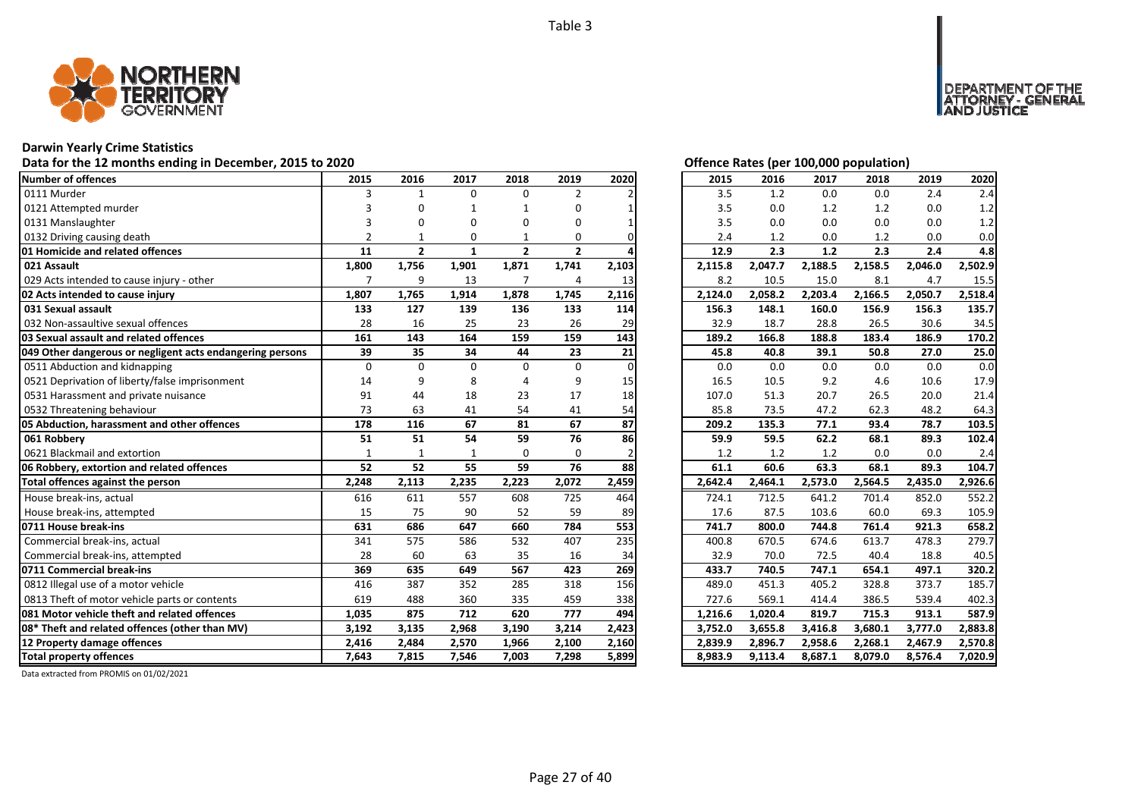![](_page_26_Picture_1.jpeg)

# **Darwin Yearly Crime Statistics**

# Data for the 12 months ending in December, 2015 to 2020<br>
Data for the 12 months ending in December, 2015 to 2020

| <b>Number of offences</b>                                 | 2015           | 2016           | 2017         | 2018           | 2019           | 2020  | 2015    | 2016    | 2017    | 2018    | 2019    | 2020    |
|-----------------------------------------------------------|----------------|----------------|--------------|----------------|----------------|-------|---------|---------|---------|---------|---------|---------|
| 0111 Murder                                               | 3              | $\mathbf{1}$   | $\Omega$     | 0              | $\overline{2}$ |       | 3.5     | 1.2     | 0.0     | 0.0     | 2.4     | 2.4     |
| 0121 Attempted murder                                     |                | $\Omega$       | $\mathbf 1$  | 1              | 0              |       | 3.5     | 0.0     | 1.2     | 1.2     | 0.0     | 1.2     |
| 0131 Manslaughter                                         |                | $\Omega$       | O            | 0              | 0              |       | 3.5     | 0.0     | 0.0     | 0.0     | 0.0     | 1.2     |
| 0132 Driving causing death                                |                |                | 0            |                | 0              |       | 2.4     | 1.2     | 0.0     | 1.2     | 0.0     | 0.0     |
| 01 Homicide and related offences                          | 11             | $\overline{2}$ | $\mathbf{1}$ | $\mathbf{2}$   | $\overline{2}$ |       | 12.9    | 2.3     | 1.2     | 2.3     | 2.4     | 4.8     |
| 021 Assault                                               | 1,800          | 1,756          | 1,901        | 1,871          | 1,741          | 2,103 | 2,115.8 | 2,047.7 | 2,188.5 | 2,158.5 | 2,046.0 | 2,502.9 |
| 029 Acts intended to cause injury - other                 | $\overline{7}$ | 9              | 13           | $\overline{7}$ | 4              | 13    | 8.2     | 10.5    | 15.0    | 8.1     | 4.7     | 15.5    |
| 02 Acts intended to cause injury                          | 1,807          | 1,765          | 1,914        | 1,878          | 1,745          | 2,116 | 2,124.0 | 2,058.2 | 2,203.4 | 2,166.5 | 2,050.7 | 2,518.4 |
| 031 Sexual assault                                        | 133            | 127            | 139          | 136            | 133            | 114   | 156.3   | 148.1   | 160.0   | 156.9   | 156.3   | 135.7   |
| 032 Non-assaultive sexual offences                        | 28             | 16             | 25           | 23             | 26             | 29    | 32.9    | 18.7    | 28.8    | 26.5    | 30.6    | 34.5    |
| 03 Sexual assault and related offences                    | 161            | 143            | 164          | 159            | 159            | 143   | 189.2   | 166.8   | 188.8   | 183.4   | 186.9   | 170.2   |
| 049 Other dangerous or negligent acts endangering persons | 39             | 35             | 34           | 44             | 23             | 21    | 45.8    | 40.8    | 39.1    | 50.8    | 27.0    | 25.0    |
| 0511 Abduction and kidnapping                             | $\Omega$       | $\Omega$       | $\Omega$     | $\Omega$       | $\mathbf 0$    |       | 0.0     | 0.0     | 0.0     | 0.0     | 0.0     | 0.0     |
| 0521 Deprivation of liberty/false imprisonment            | 14             | 9              | 8            |                | 9              | 15    | 16.5    | 10.5    | 9.2     | 4.6     | 10.6    | 17.9    |
| 0531 Harassment and private nuisance                      | 91             | 44             | 18           | 23             | 17             | 18    | 107.0   | 51.3    | 20.7    | 26.5    | 20.0    | 21.4    |
| 0532 Threatening behaviour                                | 73             | 63             | 41           | 54             | 41             | 54    | 85.8    | 73.5    | 47.2    | 62.3    | 48.2    | 64.3    |
| 05 Abduction, harassment and other offences               | 178            | 116            | 67           | 81             | 67             | 87    | 209.2   | 135.3   | 77.1    | 93.4    | 78.7    | 103.5   |
| 061 Robbery                                               | 51             | 51             | 54           | 59             | 76             | 86    | 59.9    | 59.5    | 62.2    | 68.1    | 89.3    | 102.4   |
| 0621 Blackmail and extortion                              | $\mathbf{1}$   | $\mathbf{1}$   | $\mathbf{1}$ | $\mathbf 0$    | 0              |       | 1.2     | 1.2     | 1.2     | 0.0     | 0.0     | 2.4     |
| 06 Robbery, extortion and related offences                | 52             | 52             | 55           | 59             | 76             | 88    | 61.1    | 60.6    | 63.3    | 68.1    | 89.3    | 104.7   |
| Total offences against the person                         | 2,248          | 2,113          | 2,235        | 2,223          | 2,072          | 2,459 | 2,642.4 | 2,464.1 | 2,573.0 | 2,564.5 | 2,435.0 | 2,926.6 |
| House break-ins, actual                                   | 616            | 611            | 557          | 608            | 725            | 464   | 724.1   | 712.5   | 641.2   | 701.4   | 852.0   | 552.2   |
| House break-ins, attempted                                | 15             | 75             | 90           | 52             | 59             | 89    | 17.6    | 87.5    | 103.6   | 60.0    | 69.3    | 105.9   |
| 0711 House break-ins                                      | 631            | 686            | 647          | 660            | 784            | 553   | 741.7   | 800.0   | 744.8   | 761.4   | 921.3   | 658.2   |
| Commercial break-ins, actual                              | 341            | 575            | 586          | 532            | 407            | 235   | 400.8   | 670.5   | 674.6   | 613.7   | 478.3   | 279.7   |
| Commercial break-ins, attempted                           | 28             | 60             | 63           | 35             | 16             | 34    | 32.9    | 70.0    | 72.5    | 40.4    | 18.8    | 40.5    |
| 0711 Commercial break-ins                                 | 369            | 635            | 649          | 567            | 423            | 269   | 433.7   | 740.5   | 747.1   | 654.1   | 497.1   | 320.2   |
| 0812 Illegal use of a motor vehicle                       | 416            | 387            | 352          | 285            | 318            | 156   | 489.0   | 451.3   | 405.2   | 328.8   | 373.7   | 185.7   |
| 0813 Theft of motor vehicle parts or contents             | 619            | 488            | 360          | 335            | 459            | 338   | 727.6   | 569.1   | 414.4   | 386.5   | 539.4   | 402.3   |
| 081 Motor vehicle theft and related offences              | 1,035          | 875            | 712          | 620            | 777            | 494   | 1,216.6 | 1,020.4 | 819.7   | 715.3   | 913.1   | 587.9   |
| 08* Theft and related offences (other than MV)            | 3,192          | 3,135          | 2,968        | 3,190          | 3,214          | 2,423 | 3,752.0 | 3,655.8 | 3,416.8 | 3,680.1 | 3,777.0 | 2,883.8 |
| 12 Property damage offences                               | 2,416          | 2,484          | 2,570        | 1,966          | 2,100          | 2,160 | 2,839.9 | 2,896.7 | 2,958.6 | 2,268.1 | 2,467.9 | 2,570.8 |
| <b>Total property offences</b>                            | 7,643          | 7,815          | 7,546        | 7,003          | 7,298          | 5,899 | 8,983.9 | 9,113.4 | 8,687.1 | 8,079.0 | 8,576.4 | 7,020.9 |

NT OF THE<br>' - GENERAL

**DEPART** 

USTICE

| 2015    | 2016    | 2017    | 2018    | 2019    | 2020    |
|---------|---------|---------|---------|---------|---------|
| 3.5     | 1.2     | 0.0     | 0.0     | 2.4     | 2.4     |
| 3.5     | 0.0     | 1.2     | 1.2     | 0.0     | 1.2     |
| 3.5     | 0.0     | 0.0     | 0.0     | 0.0     | 1.2     |
| 2.4     | 1.2     | 0.0     | 1.2     | 0.0     | 0.0     |
| 12.9    | 2.3     | 1.2     | 2.3     | 2.4     | 4.8     |
| 2,115.8 | 2,047.7 | 2,188.5 | 2,158.5 | 2,046.0 | 2,502.9 |
| 8.2     | 10.5    | 15.0    | 8.1     | 4.7     | 15.5    |
| 2,124.0 | 2,058.2 | 2,203.4 | 2,166.5 | 2,050.7 | 2,518.4 |
| 156.3   | 148.1   | 160.0   | 156.9   | 156.3   | 135.7   |
| 32.9    | 18.7    | 28.8    | 26.5    | 30.6    | 34.5    |
| 189.2   | 166.8   | 188.8   | 183.4   | 186.9   | 170.2   |
| 45.8    | 40.8    | 39.1    | 50.8    | 27.0    | 25.0    |
| 0.0     | 0.0     | 0.0     | 0.0     | 0.0     | 0.0     |
| 16.5    | 10.5    | 9.2     | 4.6     | 10.6    | 17.9    |
| 107.0   | 51.3    | 20.7    | 26.5    | 20.0    | 21.4    |
| 85.8    | 73.5    | 47.2    | 62.3    | 48.2    | 64.3    |
| 209.2   | 135.3   | 77.1    | 93.4    | 78.7    | 103.5   |
| 59.9    | 59.5    | 62.2    | 68.1    | 89.3    | 102.4   |
| 1.2     | 1.2     | 1.2     | 0.0     | 0.0     | 2.4     |
| 61.1    | 60.6    | 63.3    | 68.1    | 89.3    | 104.7   |
| 2,642.4 | 2,464.1 | 2,573.0 | 2,564.5 | 2,435.0 | 2,926.6 |
| 724.1   | 712.5   | 641.2   | 701.4   | 852.0   | 552.2   |
| 17.6    | 87.5    | 103.6   | 60.0    | 69.3    | 105.9   |
| 741.7   | 800.0   | 744.8   | 761.4   | 921.3   | 658.2   |
| 400.8   | 670.5   | 674.6   | 613.7   | 478.3   | 279.7   |
| 32.9    | 70.0    | 72.5    | 40.4    | 18.8    | 40.5    |
| 433.7   | 740.5   | 747.1   | 654.1   | 497.1   | 320.2   |
| 489.0   | 451.3   | 405.2   | 328.8   | 373.7   | 185.7   |
| 727.6   | 569.1   | 414.4   | 386.5   | 539.4   | 402.3   |
| 1,216.6 | 1,020.4 | 819.7   | 715.3   | 913.1   | 587.9   |
| 3,752.0 | 3,655.8 | 3,416.8 | 3,680.1 | 3,777.0 | 2,883.8 |
| 2,839.9 | 2,896.7 | 2,958.6 | 2,268.1 | 2,467.9 | 2,570.8 |
| 8,983.9 | 9,113.4 | 8,687.1 | 8,079.0 | 8,576.4 | 7,020.9 |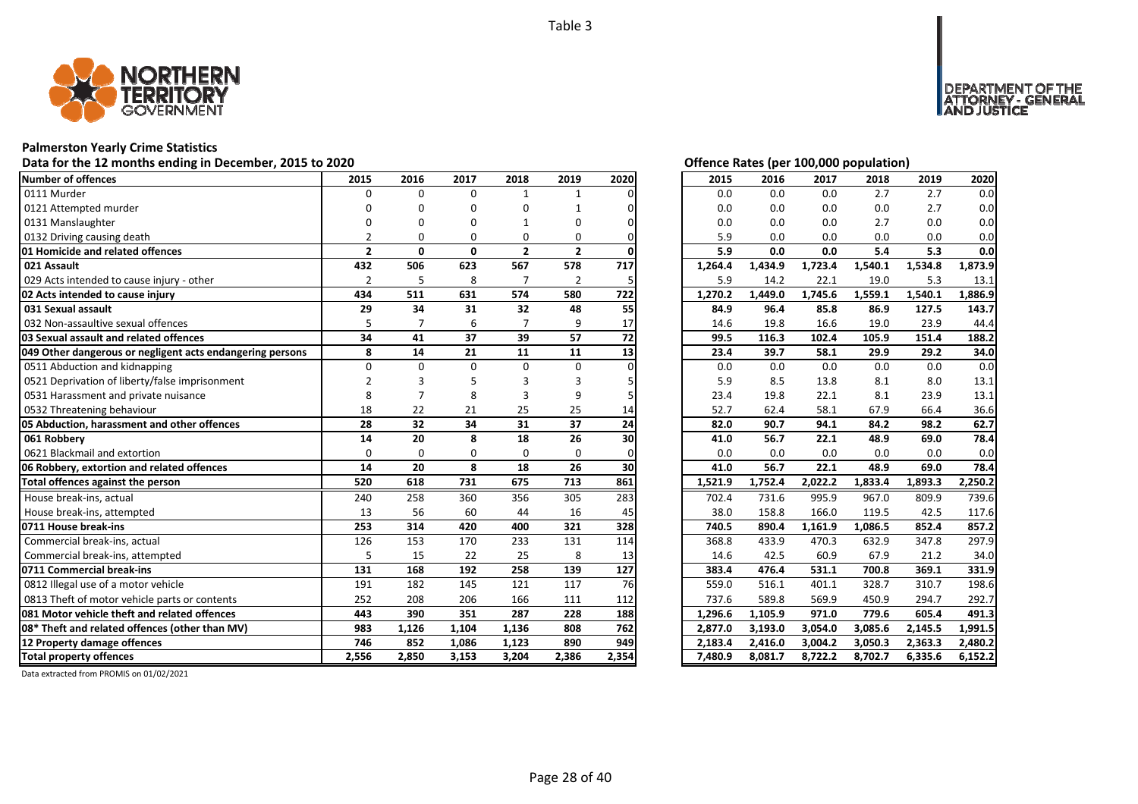![](_page_27_Picture_1.jpeg)

# **Palmerston Yearly Crime Statistics**

# Data for the 12 months ending in December, 2015 to 2020<br>
Data for the 12 months ending in December, 2015 to 2020

| <b>Number of offences</b><br>2015<br>2016<br>2017<br>2018<br>2019<br>2020<br>2015<br>2016<br>2017<br>2018<br>2019<br>$\Omega$<br>0111 Murder<br>$\Omega$<br>$\Omega$<br>0.0<br>0.0<br>0.0<br>2.7<br>2.7<br>$\mathbf{1}$<br>$\mathbf{1}$<br>0121 Attempted murder<br>0.0<br>0.0<br>0.0<br>0.0<br>2.7<br>0<br>O<br>$\Omega$<br>U<br>0.0<br>0.0<br>0.0<br>2.7<br>0131 Manslaughter<br>0.0<br>ŋ<br>O<br>0<br>0.0<br>0132 Driving causing death<br>5.9<br>0.0<br>0.0<br>0.0<br>$\mathfrak z$<br>$\Omega$<br>$\Omega$<br>$\Omega$<br>0<br>$\overline{2}$<br>$\overline{2}$<br>5.9<br>01 Homicide and related offences<br>$\overline{2}$<br>0<br>0<br>0.0<br>0.0<br>5.4<br>5.3<br>567<br>578<br>717<br>021 Assault<br>432<br>506<br>623<br>1,434.9<br>1,723.4<br>1,540.1<br>1,534.8<br>1,264.4<br>029 Acts intended to cause injury - other<br>$\overline{2}$<br>5<br>8<br>$\overline{7}$<br>$\overline{2}$<br>5.9<br>14.2<br>22.1<br>19.0<br>5.3<br>5<br>574<br>580<br>1,449.0<br>1,745.6<br>1,559.1<br>1,540.1<br>02 Acts intended to cause injury<br>434<br>511<br>631<br>722<br>1,270.2<br>55<br>29<br>34<br>31<br>32<br>48<br>84.9<br>96.4<br>85.8<br>86.9<br>031 Sexual assault<br>127.5<br>19.8<br>16.6<br>19.0<br>23.9<br>032 Non-assaultive sexual offences<br>$\overline{7}$<br>6<br>9<br>5<br>17<br>14.6<br>34<br>37<br>57<br>72<br>03 Sexual assault and related offences<br>41<br>39<br>99.5<br>116.3<br>102.4<br>105.9<br>151.4<br>8<br>23.4<br>14<br>21<br>11<br>11<br>13<br>39.7<br>58.1<br>29.9<br>29.2<br>049 Other dangerous or negligent acts endangering persons<br>0511 Abduction and kidnapping<br>$\Omega$<br>$\Omega$<br>$\Omega$<br>$\Omega$<br>$\Omega$<br>0.0<br>0.0<br>0.0<br>0.0<br>0.0<br>5.9<br>8.5<br>13.8<br>8.0<br>0521 Deprivation of liberty/false imprisonment<br>8.1<br>3<br>19.8<br>8.1<br>23.9<br>8<br>23.4<br>22.1<br>0531 Harassment and private nuisance<br>8<br>3<br>9<br>52.7<br>58.1<br>67.9<br>66.4<br>0532 Threatening behaviour<br>18<br>22<br>21<br>25<br>25<br>62.4<br>14<br>32<br>28<br>34<br>31<br>37<br>24<br>82.0<br>94.1<br>05 Abduction, harassment and other offences<br>90.7<br>84.2<br>98.2<br>20<br>8<br>18<br>26<br>56.7<br>061 Robbery<br>14<br>30<br>41.0<br>22.1<br>48.9<br>69.0<br>0.0<br>0.0<br>0.0<br>0.0<br>0621 Blackmail and extortion<br>$\Omega$<br>$\Omega$<br>$\Omega$<br>$\Omega$<br>$\Omega$<br>0.0<br>14<br>20<br>8<br>18<br>26<br>30<br>56.7<br>22.1<br>48.9<br>06 Robbery, extortion and related offences<br>41.0<br>69.0<br>861<br>520<br>618<br>731<br>675<br>713<br>Total offences against the person<br>1,521.9<br>1,752.4<br>2,022.2<br>1,833.4<br>1,893.3<br>House break-ins, actual<br>283<br>240<br>258<br>360<br>356<br>305<br>702.4<br>731.6<br>995.9<br>967.0<br>809.9<br>13<br>56<br>60<br>44<br>16<br>38.0<br>158.8<br>166.0<br>119.5<br>42.5<br>House break-ins, attempted<br>45<br>0711 House break-ins<br>253<br>314<br>420<br>400<br>321<br>328<br>890.4<br>1,161.9<br>1,086.5<br>740.5<br>852.4<br>114<br>Commercial break-ins, actual<br>126<br>153<br>170<br>233<br>131<br>368.8<br>433.9<br>470.3<br>632.9<br>347.8<br>Commercial break-ins, attempted<br>15<br>22<br>25<br>8<br>14.6<br>42.5<br>60.9<br>67.9<br>21.2<br>5<br>13<br>258<br>0711 Commercial break-ins<br>131<br>168<br>192<br>139<br>127<br>383.4<br>476.4<br>531.1<br>700.8<br>369.1<br>0812 Illegal use of a motor vehicle<br>76<br>191<br>182<br>145<br>121<br>117<br>559.0<br>516.1<br>328.7<br>310.7<br>401.1<br>0813 Theft of motor vehicle parts or contents<br>252<br>208<br>206<br>166<br>737.6<br>589.8<br>569.9<br>450.9<br>294.7<br>111<br>112<br>081 Motor vehicle theft and related offences<br>443<br>390<br>351<br>287<br>228<br>1,105.9<br>779.6<br>188<br>1,296.6<br>971.0<br>605.4<br>762<br>08* Theft and related offences (other than MV)<br>983<br>1,126<br>1,104<br>1,136<br>808<br>2,877.0<br>3,193.0<br>3,054.0<br>3,085.6<br>2,145.5<br>12 Property damage offences<br>746<br>852<br>1,086<br>890<br>949<br>2,183.4<br>2,416.0<br>3,004.2<br>3,050.3<br>2,363.3<br>1,123<br>2,850<br>3,153<br>3,204<br>2,354<br>8,722.2<br><b>Total property offences</b><br>2,556<br>2,386<br>7,480.9<br>8,081.7<br>8,702.7<br>6,335.6 |  |  |  |  |  |  |         |
|-----------------------------------------------------------------------------------------------------------------------------------------------------------------------------------------------------------------------------------------------------------------------------------------------------------------------------------------------------------------------------------------------------------------------------------------------------------------------------------------------------------------------------------------------------------------------------------------------------------------------------------------------------------------------------------------------------------------------------------------------------------------------------------------------------------------------------------------------------------------------------------------------------------------------------------------------------------------------------------------------------------------------------------------------------------------------------------------------------------------------------------------------------------------------------------------------------------------------------------------------------------------------------------------------------------------------------------------------------------------------------------------------------------------------------------------------------------------------------------------------------------------------------------------------------------------------------------------------------------------------------------------------------------------------------------------------------------------------------------------------------------------------------------------------------------------------------------------------------------------------------------------------------------------------------------------------------------------------------------------------------------------------------------------------------------------------------------------------------------------------------------------------------------------------------------------------------------------------------------------------------------------------------------------------------------------------------------------------------------------------------------------------------------------------------------------------------------------------------------------------------------------------------------------------------------------------------------------------------------------------------------------------------------------------------------------------------------------------------------------------------------------------------------------------------------------------------------------------------------------------------------------------------------------------------------------------------------------------------------------------------------------------------------------------------------------------------------------------------------------------------------------------------------------------------------------------------------------------------------------------------------------------------------------------------------------------------------------------------------------------------------------------------------------------------------------------------------------------------------------------------------------------------------------------------------------------------------------------------------------------------------------------------------------------------------------------------------------------------------------------------------------------------------------------------------------------------------------------------------------------------------------------------------------------------------------------------------------------------------------------------------------------------------------------------------------------------------------------------------------------------------------------------------------------------------------------------------------|--|--|--|--|--|--|---------|
|                                                                                                                                                                                                                                                                                                                                                                                                                                                                                                                                                                                                                                                                                                                                                                                                                                                                                                                                                                                                                                                                                                                                                                                                                                                                                                                                                                                                                                                                                                                                                                                                                                                                                                                                                                                                                                                                                                                                                                                                                                                                                                                                                                                                                                                                                                                                                                                                                                                                                                                                                                                                                                                                                                                                                                                                                                                                                                                                                                                                                                                                                                                                                                                                                                                                                                                                                                                                                                                                                                                                                                                                                                                                                                                                                                                                                                                                                                                                                                                                                                                                                                                                                                                                                 |  |  |  |  |  |  | 2020    |
|                                                                                                                                                                                                                                                                                                                                                                                                                                                                                                                                                                                                                                                                                                                                                                                                                                                                                                                                                                                                                                                                                                                                                                                                                                                                                                                                                                                                                                                                                                                                                                                                                                                                                                                                                                                                                                                                                                                                                                                                                                                                                                                                                                                                                                                                                                                                                                                                                                                                                                                                                                                                                                                                                                                                                                                                                                                                                                                                                                                                                                                                                                                                                                                                                                                                                                                                                                                                                                                                                                                                                                                                                                                                                                                                                                                                                                                                                                                                                                                                                                                                                                                                                                                                                 |  |  |  |  |  |  | 0.0     |
|                                                                                                                                                                                                                                                                                                                                                                                                                                                                                                                                                                                                                                                                                                                                                                                                                                                                                                                                                                                                                                                                                                                                                                                                                                                                                                                                                                                                                                                                                                                                                                                                                                                                                                                                                                                                                                                                                                                                                                                                                                                                                                                                                                                                                                                                                                                                                                                                                                                                                                                                                                                                                                                                                                                                                                                                                                                                                                                                                                                                                                                                                                                                                                                                                                                                                                                                                                                                                                                                                                                                                                                                                                                                                                                                                                                                                                                                                                                                                                                                                                                                                                                                                                                                                 |  |  |  |  |  |  | 0.0     |
|                                                                                                                                                                                                                                                                                                                                                                                                                                                                                                                                                                                                                                                                                                                                                                                                                                                                                                                                                                                                                                                                                                                                                                                                                                                                                                                                                                                                                                                                                                                                                                                                                                                                                                                                                                                                                                                                                                                                                                                                                                                                                                                                                                                                                                                                                                                                                                                                                                                                                                                                                                                                                                                                                                                                                                                                                                                                                                                                                                                                                                                                                                                                                                                                                                                                                                                                                                                                                                                                                                                                                                                                                                                                                                                                                                                                                                                                                                                                                                                                                                                                                                                                                                                                                 |  |  |  |  |  |  | 0.0     |
|                                                                                                                                                                                                                                                                                                                                                                                                                                                                                                                                                                                                                                                                                                                                                                                                                                                                                                                                                                                                                                                                                                                                                                                                                                                                                                                                                                                                                                                                                                                                                                                                                                                                                                                                                                                                                                                                                                                                                                                                                                                                                                                                                                                                                                                                                                                                                                                                                                                                                                                                                                                                                                                                                                                                                                                                                                                                                                                                                                                                                                                                                                                                                                                                                                                                                                                                                                                                                                                                                                                                                                                                                                                                                                                                                                                                                                                                                                                                                                                                                                                                                                                                                                                                                 |  |  |  |  |  |  | 0.0     |
|                                                                                                                                                                                                                                                                                                                                                                                                                                                                                                                                                                                                                                                                                                                                                                                                                                                                                                                                                                                                                                                                                                                                                                                                                                                                                                                                                                                                                                                                                                                                                                                                                                                                                                                                                                                                                                                                                                                                                                                                                                                                                                                                                                                                                                                                                                                                                                                                                                                                                                                                                                                                                                                                                                                                                                                                                                                                                                                                                                                                                                                                                                                                                                                                                                                                                                                                                                                                                                                                                                                                                                                                                                                                                                                                                                                                                                                                                                                                                                                                                                                                                                                                                                                                                 |  |  |  |  |  |  | 0.0     |
|                                                                                                                                                                                                                                                                                                                                                                                                                                                                                                                                                                                                                                                                                                                                                                                                                                                                                                                                                                                                                                                                                                                                                                                                                                                                                                                                                                                                                                                                                                                                                                                                                                                                                                                                                                                                                                                                                                                                                                                                                                                                                                                                                                                                                                                                                                                                                                                                                                                                                                                                                                                                                                                                                                                                                                                                                                                                                                                                                                                                                                                                                                                                                                                                                                                                                                                                                                                                                                                                                                                                                                                                                                                                                                                                                                                                                                                                                                                                                                                                                                                                                                                                                                                                                 |  |  |  |  |  |  | 1,873.9 |
|                                                                                                                                                                                                                                                                                                                                                                                                                                                                                                                                                                                                                                                                                                                                                                                                                                                                                                                                                                                                                                                                                                                                                                                                                                                                                                                                                                                                                                                                                                                                                                                                                                                                                                                                                                                                                                                                                                                                                                                                                                                                                                                                                                                                                                                                                                                                                                                                                                                                                                                                                                                                                                                                                                                                                                                                                                                                                                                                                                                                                                                                                                                                                                                                                                                                                                                                                                                                                                                                                                                                                                                                                                                                                                                                                                                                                                                                                                                                                                                                                                                                                                                                                                                                                 |  |  |  |  |  |  | 13.1    |
|                                                                                                                                                                                                                                                                                                                                                                                                                                                                                                                                                                                                                                                                                                                                                                                                                                                                                                                                                                                                                                                                                                                                                                                                                                                                                                                                                                                                                                                                                                                                                                                                                                                                                                                                                                                                                                                                                                                                                                                                                                                                                                                                                                                                                                                                                                                                                                                                                                                                                                                                                                                                                                                                                                                                                                                                                                                                                                                                                                                                                                                                                                                                                                                                                                                                                                                                                                                                                                                                                                                                                                                                                                                                                                                                                                                                                                                                                                                                                                                                                                                                                                                                                                                                                 |  |  |  |  |  |  | 1,886.9 |
|                                                                                                                                                                                                                                                                                                                                                                                                                                                                                                                                                                                                                                                                                                                                                                                                                                                                                                                                                                                                                                                                                                                                                                                                                                                                                                                                                                                                                                                                                                                                                                                                                                                                                                                                                                                                                                                                                                                                                                                                                                                                                                                                                                                                                                                                                                                                                                                                                                                                                                                                                                                                                                                                                                                                                                                                                                                                                                                                                                                                                                                                                                                                                                                                                                                                                                                                                                                                                                                                                                                                                                                                                                                                                                                                                                                                                                                                                                                                                                                                                                                                                                                                                                                                                 |  |  |  |  |  |  | 143.7   |
|                                                                                                                                                                                                                                                                                                                                                                                                                                                                                                                                                                                                                                                                                                                                                                                                                                                                                                                                                                                                                                                                                                                                                                                                                                                                                                                                                                                                                                                                                                                                                                                                                                                                                                                                                                                                                                                                                                                                                                                                                                                                                                                                                                                                                                                                                                                                                                                                                                                                                                                                                                                                                                                                                                                                                                                                                                                                                                                                                                                                                                                                                                                                                                                                                                                                                                                                                                                                                                                                                                                                                                                                                                                                                                                                                                                                                                                                                                                                                                                                                                                                                                                                                                                                                 |  |  |  |  |  |  | 44.4    |
|                                                                                                                                                                                                                                                                                                                                                                                                                                                                                                                                                                                                                                                                                                                                                                                                                                                                                                                                                                                                                                                                                                                                                                                                                                                                                                                                                                                                                                                                                                                                                                                                                                                                                                                                                                                                                                                                                                                                                                                                                                                                                                                                                                                                                                                                                                                                                                                                                                                                                                                                                                                                                                                                                                                                                                                                                                                                                                                                                                                                                                                                                                                                                                                                                                                                                                                                                                                                                                                                                                                                                                                                                                                                                                                                                                                                                                                                                                                                                                                                                                                                                                                                                                                                                 |  |  |  |  |  |  | 188.2   |
|                                                                                                                                                                                                                                                                                                                                                                                                                                                                                                                                                                                                                                                                                                                                                                                                                                                                                                                                                                                                                                                                                                                                                                                                                                                                                                                                                                                                                                                                                                                                                                                                                                                                                                                                                                                                                                                                                                                                                                                                                                                                                                                                                                                                                                                                                                                                                                                                                                                                                                                                                                                                                                                                                                                                                                                                                                                                                                                                                                                                                                                                                                                                                                                                                                                                                                                                                                                                                                                                                                                                                                                                                                                                                                                                                                                                                                                                                                                                                                                                                                                                                                                                                                                                                 |  |  |  |  |  |  | 34.0    |
|                                                                                                                                                                                                                                                                                                                                                                                                                                                                                                                                                                                                                                                                                                                                                                                                                                                                                                                                                                                                                                                                                                                                                                                                                                                                                                                                                                                                                                                                                                                                                                                                                                                                                                                                                                                                                                                                                                                                                                                                                                                                                                                                                                                                                                                                                                                                                                                                                                                                                                                                                                                                                                                                                                                                                                                                                                                                                                                                                                                                                                                                                                                                                                                                                                                                                                                                                                                                                                                                                                                                                                                                                                                                                                                                                                                                                                                                                                                                                                                                                                                                                                                                                                                                                 |  |  |  |  |  |  | 0.0     |
|                                                                                                                                                                                                                                                                                                                                                                                                                                                                                                                                                                                                                                                                                                                                                                                                                                                                                                                                                                                                                                                                                                                                                                                                                                                                                                                                                                                                                                                                                                                                                                                                                                                                                                                                                                                                                                                                                                                                                                                                                                                                                                                                                                                                                                                                                                                                                                                                                                                                                                                                                                                                                                                                                                                                                                                                                                                                                                                                                                                                                                                                                                                                                                                                                                                                                                                                                                                                                                                                                                                                                                                                                                                                                                                                                                                                                                                                                                                                                                                                                                                                                                                                                                                                                 |  |  |  |  |  |  | 13.1    |
|                                                                                                                                                                                                                                                                                                                                                                                                                                                                                                                                                                                                                                                                                                                                                                                                                                                                                                                                                                                                                                                                                                                                                                                                                                                                                                                                                                                                                                                                                                                                                                                                                                                                                                                                                                                                                                                                                                                                                                                                                                                                                                                                                                                                                                                                                                                                                                                                                                                                                                                                                                                                                                                                                                                                                                                                                                                                                                                                                                                                                                                                                                                                                                                                                                                                                                                                                                                                                                                                                                                                                                                                                                                                                                                                                                                                                                                                                                                                                                                                                                                                                                                                                                                                                 |  |  |  |  |  |  | 13.1    |
|                                                                                                                                                                                                                                                                                                                                                                                                                                                                                                                                                                                                                                                                                                                                                                                                                                                                                                                                                                                                                                                                                                                                                                                                                                                                                                                                                                                                                                                                                                                                                                                                                                                                                                                                                                                                                                                                                                                                                                                                                                                                                                                                                                                                                                                                                                                                                                                                                                                                                                                                                                                                                                                                                                                                                                                                                                                                                                                                                                                                                                                                                                                                                                                                                                                                                                                                                                                                                                                                                                                                                                                                                                                                                                                                                                                                                                                                                                                                                                                                                                                                                                                                                                                                                 |  |  |  |  |  |  | 36.6    |
|                                                                                                                                                                                                                                                                                                                                                                                                                                                                                                                                                                                                                                                                                                                                                                                                                                                                                                                                                                                                                                                                                                                                                                                                                                                                                                                                                                                                                                                                                                                                                                                                                                                                                                                                                                                                                                                                                                                                                                                                                                                                                                                                                                                                                                                                                                                                                                                                                                                                                                                                                                                                                                                                                                                                                                                                                                                                                                                                                                                                                                                                                                                                                                                                                                                                                                                                                                                                                                                                                                                                                                                                                                                                                                                                                                                                                                                                                                                                                                                                                                                                                                                                                                                                                 |  |  |  |  |  |  | 62.7    |
|                                                                                                                                                                                                                                                                                                                                                                                                                                                                                                                                                                                                                                                                                                                                                                                                                                                                                                                                                                                                                                                                                                                                                                                                                                                                                                                                                                                                                                                                                                                                                                                                                                                                                                                                                                                                                                                                                                                                                                                                                                                                                                                                                                                                                                                                                                                                                                                                                                                                                                                                                                                                                                                                                                                                                                                                                                                                                                                                                                                                                                                                                                                                                                                                                                                                                                                                                                                                                                                                                                                                                                                                                                                                                                                                                                                                                                                                                                                                                                                                                                                                                                                                                                                                                 |  |  |  |  |  |  | 78.4    |
|                                                                                                                                                                                                                                                                                                                                                                                                                                                                                                                                                                                                                                                                                                                                                                                                                                                                                                                                                                                                                                                                                                                                                                                                                                                                                                                                                                                                                                                                                                                                                                                                                                                                                                                                                                                                                                                                                                                                                                                                                                                                                                                                                                                                                                                                                                                                                                                                                                                                                                                                                                                                                                                                                                                                                                                                                                                                                                                                                                                                                                                                                                                                                                                                                                                                                                                                                                                                                                                                                                                                                                                                                                                                                                                                                                                                                                                                                                                                                                                                                                                                                                                                                                                                                 |  |  |  |  |  |  | 0.0     |
|                                                                                                                                                                                                                                                                                                                                                                                                                                                                                                                                                                                                                                                                                                                                                                                                                                                                                                                                                                                                                                                                                                                                                                                                                                                                                                                                                                                                                                                                                                                                                                                                                                                                                                                                                                                                                                                                                                                                                                                                                                                                                                                                                                                                                                                                                                                                                                                                                                                                                                                                                                                                                                                                                                                                                                                                                                                                                                                                                                                                                                                                                                                                                                                                                                                                                                                                                                                                                                                                                                                                                                                                                                                                                                                                                                                                                                                                                                                                                                                                                                                                                                                                                                                                                 |  |  |  |  |  |  | 78.4    |
|                                                                                                                                                                                                                                                                                                                                                                                                                                                                                                                                                                                                                                                                                                                                                                                                                                                                                                                                                                                                                                                                                                                                                                                                                                                                                                                                                                                                                                                                                                                                                                                                                                                                                                                                                                                                                                                                                                                                                                                                                                                                                                                                                                                                                                                                                                                                                                                                                                                                                                                                                                                                                                                                                                                                                                                                                                                                                                                                                                                                                                                                                                                                                                                                                                                                                                                                                                                                                                                                                                                                                                                                                                                                                                                                                                                                                                                                                                                                                                                                                                                                                                                                                                                                                 |  |  |  |  |  |  | 2,250.2 |
|                                                                                                                                                                                                                                                                                                                                                                                                                                                                                                                                                                                                                                                                                                                                                                                                                                                                                                                                                                                                                                                                                                                                                                                                                                                                                                                                                                                                                                                                                                                                                                                                                                                                                                                                                                                                                                                                                                                                                                                                                                                                                                                                                                                                                                                                                                                                                                                                                                                                                                                                                                                                                                                                                                                                                                                                                                                                                                                                                                                                                                                                                                                                                                                                                                                                                                                                                                                                                                                                                                                                                                                                                                                                                                                                                                                                                                                                                                                                                                                                                                                                                                                                                                                                                 |  |  |  |  |  |  | 739.6   |
|                                                                                                                                                                                                                                                                                                                                                                                                                                                                                                                                                                                                                                                                                                                                                                                                                                                                                                                                                                                                                                                                                                                                                                                                                                                                                                                                                                                                                                                                                                                                                                                                                                                                                                                                                                                                                                                                                                                                                                                                                                                                                                                                                                                                                                                                                                                                                                                                                                                                                                                                                                                                                                                                                                                                                                                                                                                                                                                                                                                                                                                                                                                                                                                                                                                                                                                                                                                                                                                                                                                                                                                                                                                                                                                                                                                                                                                                                                                                                                                                                                                                                                                                                                                                                 |  |  |  |  |  |  | 117.6   |
|                                                                                                                                                                                                                                                                                                                                                                                                                                                                                                                                                                                                                                                                                                                                                                                                                                                                                                                                                                                                                                                                                                                                                                                                                                                                                                                                                                                                                                                                                                                                                                                                                                                                                                                                                                                                                                                                                                                                                                                                                                                                                                                                                                                                                                                                                                                                                                                                                                                                                                                                                                                                                                                                                                                                                                                                                                                                                                                                                                                                                                                                                                                                                                                                                                                                                                                                                                                                                                                                                                                                                                                                                                                                                                                                                                                                                                                                                                                                                                                                                                                                                                                                                                                                                 |  |  |  |  |  |  | 857.2   |
|                                                                                                                                                                                                                                                                                                                                                                                                                                                                                                                                                                                                                                                                                                                                                                                                                                                                                                                                                                                                                                                                                                                                                                                                                                                                                                                                                                                                                                                                                                                                                                                                                                                                                                                                                                                                                                                                                                                                                                                                                                                                                                                                                                                                                                                                                                                                                                                                                                                                                                                                                                                                                                                                                                                                                                                                                                                                                                                                                                                                                                                                                                                                                                                                                                                                                                                                                                                                                                                                                                                                                                                                                                                                                                                                                                                                                                                                                                                                                                                                                                                                                                                                                                                                                 |  |  |  |  |  |  | 297.9   |
|                                                                                                                                                                                                                                                                                                                                                                                                                                                                                                                                                                                                                                                                                                                                                                                                                                                                                                                                                                                                                                                                                                                                                                                                                                                                                                                                                                                                                                                                                                                                                                                                                                                                                                                                                                                                                                                                                                                                                                                                                                                                                                                                                                                                                                                                                                                                                                                                                                                                                                                                                                                                                                                                                                                                                                                                                                                                                                                                                                                                                                                                                                                                                                                                                                                                                                                                                                                                                                                                                                                                                                                                                                                                                                                                                                                                                                                                                                                                                                                                                                                                                                                                                                                                                 |  |  |  |  |  |  | 34.0    |
|                                                                                                                                                                                                                                                                                                                                                                                                                                                                                                                                                                                                                                                                                                                                                                                                                                                                                                                                                                                                                                                                                                                                                                                                                                                                                                                                                                                                                                                                                                                                                                                                                                                                                                                                                                                                                                                                                                                                                                                                                                                                                                                                                                                                                                                                                                                                                                                                                                                                                                                                                                                                                                                                                                                                                                                                                                                                                                                                                                                                                                                                                                                                                                                                                                                                                                                                                                                                                                                                                                                                                                                                                                                                                                                                                                                                                                                                                                                                                                                                                                                                                                                                                                                                                 |  |  |  |  |  |  | 331.9   |
|                                                                                                                                                                                                                                                                                                                                                                                                                                                                                                                                                                                                                                                                                                                                                                                                                                                                                                                                                                                                                                                                                                                                                                                                                                                                                                                                                                                                                                                                                                                                                                                                                                                                                                                                                                                                                                                                                                                                                                                                                                                                                                                                                                                                                                                                                                                                                                                                                                                                                                                                                                                                                                                                                                                                                                                                                                                                                                                                                                                                                                                                                                                                                                                                                                                                                                                                                                                                                                                                                                                                                                                                                                                                                                                                                                                                                                                                                                                                                                                                                                                                                                                                                                                                                 |  |  |  |  |  |  | 198.6   |
|                                                                                                                                                                                                                                                                                                                                                                                                                                                                                                                                                                                                                                                                                                                                                                                                                                                                                                                                                                                                                                                                                                                                                                                                                                                                                                                                                                                                                                                                                                                                                                                                                                                                                                                                                                                                                                                                                                                                                                                                                                                                                                                                                                                                                                                                                                                                                                                                                                                                                                                                                                                                                                                                                                                                                                                                                                                                                                                                                                                                                                                                                                                                                                                                                                                                                                                                                                                                                                                                                                                                                                                                                                                                                                                                                                                                                                                                                                                                                                                                                                                                                                                                                                                                                 |  |  |  |  |  |  | 292.7   |
|                                                                                                                                                                                                                                                                                                                                                                                                                                                                                                                                                                                                                                                                                                                                                                                                                                                                                                                                                                                                                                                                                                                                                                                                                                                                                                                                                                                                                                                                                                                                                                                                                                                                                                                                                                                                                                                                                                                                                                                                                                                                                                                                                                                                                                                                                                                                                                                                                                                                                                                                                                                                                                                                                                                                                                                                                                                                                                                                                                                                                                                                                                                                                                                                                                                                                                                                                                                                                                                                                                                                                                                                                                                                                                                                                                                                                                                                                                                                                                                                                                                                                                                                                                                                                 |  |  |  |  |  |  | 491.3   |
|                                                                                                                                                                                                                                                                                                                                                                                                                                                                                                                                                                                                                                                                                                                                                                                                                                                                                                                                                                                                                                                                                                                                                                                                                                                                                                                                                                                                                                                                                                                                                                                                                                                                                                                                                                                                                                                                                                                                                                                                                                                                                                                                                                                                                                                                                                                                                                                                                                                                                                                                                                                                                                                                                                                                                                                                                                                                                                                                                                                                                                                                                                                                                                                                                                                                                                                                                                                                                                                                                                                                                                                                                                                                                                                                                                                                                                                                                                                                                                                                                                                                                                                                                                                                                 |  |  |  |  |  |  | 1,991.5 |
|                                                                                                                                                                                                                                                                                                                                                                                                                                                                                                                                                                                                                                                                                                                                                                                                                                                                                                                                                                                                                                                                                                                                                                                                                                                                                                                                                                                                                                                                                                                                                                                                                                                                                                                                                                                                                                                                                                                                                                                                                                                                                                                                                                                                                                                                                                                                                                                                                                                                                                                                                                                                                                                                                                                                                                                                                                                                                                                                                                                                                                                                                                                                                                                                                                                                                                                                                                                                                                                                                                                                                                                                                                                                                                                                                                                                                                                                                                                                                                                                                                                                                                                                                                                                                 |  |  |  |  |  |  | 2,480.2 |
|                                                                                                                                                                                                                                                                                                                                                                                                                                                                                                                                                                                                                                                                                                                                                                                                                                                                                                                                                                                                                                                                                                                                                                                                                                                                                                                                                                                                                                                                                                                                                                                                                                                                                                                                                                                                                                                                                                                                                                                                                                                                                                                                                                                                                                                                                                                                                                                                                                                                                                                                                                                                                                                                                                                                                                                                                                                                                                                                                                                                                                                                                                                                                                                                                                                                                                                                                                                                                                                                                                                                                                                                                                                                                                                                                                                                                                                                                                                                                                                                                                                                                                                                                                                                                 |  |  |  |  |  |  | 6,152.2 |

MENT OF THE<br>NEY - GENERAL

USTICE

**DEPART** 

| 2015    | 2016    | 2017    | 2018    | 2019    | 2020    |
|---------|---------|---------|---------|---------|---------|
| 0.0     | 0.0     | 0.0     | 2.7     | 2.7     | 0.0     |
| 0.0     | 0.0     | 0.0     | 0.0     | 2.7     | 0.0     |
| 0.0     | 0.0     | 0.0     | 2.7     | 0.0     | 0.0     |
| 5.9     | 0.0     | 0.0     | 0.0     | 0.0     | 0.0     |
| 5.9     | 0.0     | 0.0     | 5.4     | 5.3     | 0.0     |
| 1,264.4 | 1,434.9 | 1,723.4 | 1,540.1 | 1,534.8 | 1,873.9 |
| 5.9     | 14.2    | 22.1    | 19.0    | 5.3     | 13.1    |
| 1,270.2 | 1,449.0 | 1,745.6 | 1,559.1 | 1,540.1 | 1,886.9 |
| 84.9    | 96.4    | 85.8    | 86.9    | 127.5   | 143.7   |
| 14.6    | 19.8    | 16.6    | 19.0    | 23.9    | 44.4    |
| 99.5    | 116.3   | 102.4   | 105.9   | 151.4   | 188.2   |
| 23.4    | 39.7    | 58.1    | 29.9    | 29.2    | 34.0    |
| 0.0     | 0.0     | 0.0     | 0.0     | 0.0     | 0.0     |
| 5.9     | 8.5     | 13.8    | 8.1     | 8.0     | 13.1    |
| 23.4    | 19.8    | 22.1    | 8.1     | 23.9    | 13.1    |
| 52.7    | 62.4    | 58.1    | 67.9    | 66.4    | 36.6    |
| 82.0    | 90.7    | 94.1    | 84.2    | 98.2    | 62.7    |
| 41.0    | 56.7    | 22.1    | 48.9    | 69.0    | 78.4    |
| 0.0     | 0.0     | 0.0     | 0.0     | 0.0     | 0.0     |
| 41.0    | 56.7    | 22.1    | 48.9    | 69.0    | 78.4    |
| 1,521.9 | 1,752.4 | 2,022.2 | 1,833.4 | 1,893.3 | 2,250.2 |
| 702.4   | 731.6   | 995.9   | 967.0   | 809.9   | 739.6   |
| 38.0    | 158.8   | 166.0   | 119.5   | 42.5    | 117.6   |
| 740.5   | 890.4   | 1,161.9 | 1,086.5 | 852.4   | 857.2   |
| 368.8   | 433.9   | 470.3   | 632.9   | 347.8   | 297.9   |
| 14.6    | 42.5    | 60.9    | 67.9    | 21.2    | 34.0    |
| 383.4   | 476.4   | 531.1   | 700.8   | 369.1   | 331.9   |
| 559.0   | 516.1   | 401.1   | 328.7   | 310.7   | 198.6   |
| 737.6   | 589.8   | 569.9   | 450.9   | 294.7   | 292.7   |
| 1,296.6 | 1,105.9 | 971.0   | 779.6   | 605.4   | 491.3   |
| 2,877.0 | 3,193.0 | 3,054.0 | 3,085.6 | 2,145.5 | 1,991.5 |
| 2,183.4 | 2,416.0 | 3,004.2 | 3,050.3 | 2,363.3 | 2,480.2 |
| 7,480.9 | 8,081.7 | 8,722.2 | 8,702.7 | 6,335.6 | 6,152.2 |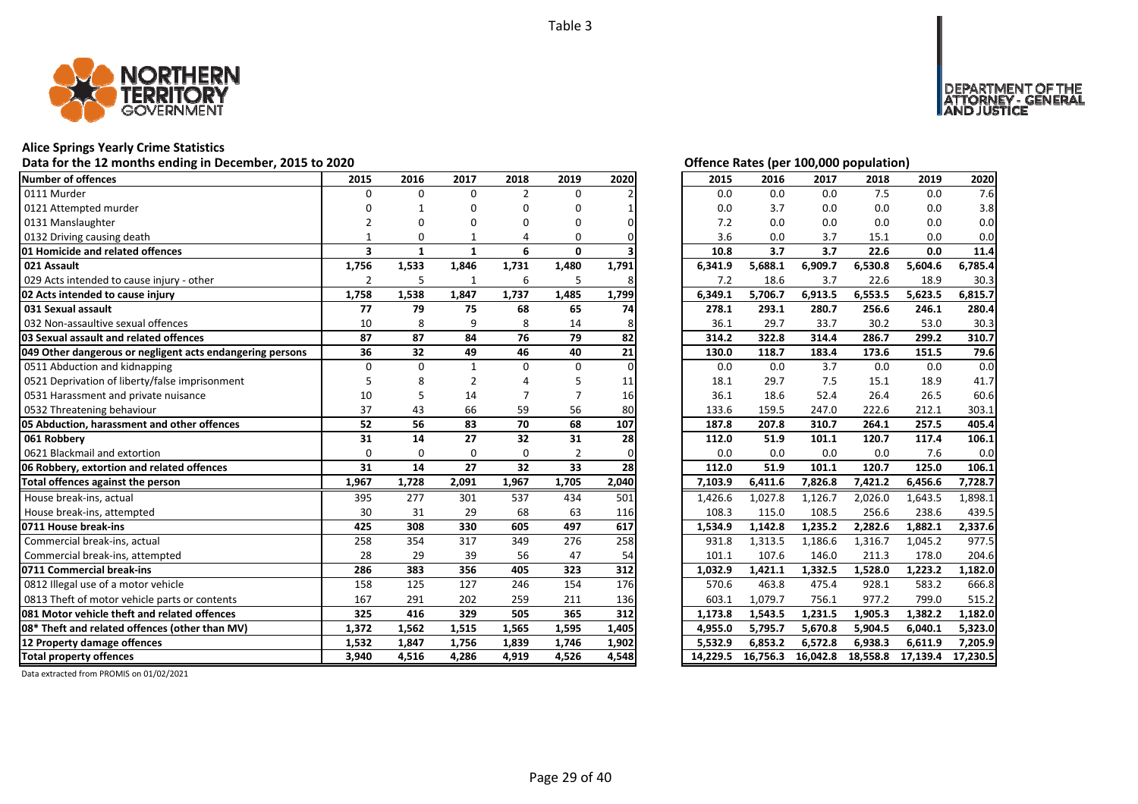![](_page_28_Picture_1.jpeg)

# **Alice Springs Yearly Crime Statistics**

# Data for the 12 months ending in December, 2015 to 2020<br>
Data for the 12 months ending in December, 2015 to 2020

| Number of offences                                        | 2015                    | 2016         | 2017         | 2018           | 2019           | 2020  | 2015     | 2016     | 2017     | 2018     | 2019     | 2020     |
|-----------------------------------------------------------|-------------------------|--------------|--------------|----------------|----------------|-------|----------|----------|----------|----------|----------|----------|
| 0111 Murder                                               | $\Omega$                | $\Omega$     | $\Omega$     | $\overline{2}$ | $\Omega$       |       | 0.0      | 0.0      | 0.0      | 7.5      | 0.0      | 7.6      |
| 0121 Attempted murder                                     |                         |              | O            | 0              | O              |       | 0.0      | 3.7      | 0.0      | 0.0      | 0.0      | 3.8      |
| 0131 Manslaughter                                         |                         |              | n            | n              | n              |       | 7.2      | 0.0      | 0.0      | 0.0      | 0.0      | 0.0      |
| 0132 Driving causing death                                |                         | O            |              | 4              | 0              |       | 3.6      | 0.0      | 3.7      | 15.1     | 0.0      | 0.0      |
| 01 Homicide and related offences                          | $\overline{\mathbf{3}}$ | $\mathbf{1}$ | $\mathbf{1}$ | 6              | 0              |       | 10.8     | 3.7      | 3.7      | 22.6     | 0.0      | 11.4     |
| 021 Assault                                               | 1,756                   | 1,533        | 1,846        | 1,731          | 1,480          | 1,791 | 6,341.9  | 5,688.1  | 6,909.7  | 6,530.8  | 5,604.6  | 6,785.4  |
| 029 Acts intended to cause injury - other                 | $\overline{2}$          | 5            |              | 6              | 5              |       | 7.2      | 18.6     | 3.7      | 22.6     | 18.9     | 30.3     |
| 02 Acts intended to cause injury                          | 1,758                   | 1,538        | 1,847        | 1,737          | 1,485          | 1,799 | 6,349.1  | 5,706.7  | 6,913.5  | 6,553.5  | 5,623.5  | 6,815.7  |
| 031 Sexual assault                                        | 77                      | 79           | 75           | 68             | 65             | 74    | 278.1    | 293.1    | 280.7    | 256.6    | 246.1    | 280.4    |
| 032 Non-assaultive sexual offences                        | 10                      | 8            | 9            | 8              | 14             |       | 36.1     | 29.7     | 33.7     | 30.2     | 53.0     | 30.3     |
| 03 Sexual assault and related offences                    | 87                      | 87           | 84           | 76             | 79             | 82    | 314.2    | 322.8    | 314.4    | 286.7    | 299.2    | 310.7    |
| 049 Other dangerous or negligent acts endangering persons | 36                      | 32           | 49           | 46             | 40             | 21    | 130.0    | 118.7    | 183.4    | 173.6    | 151.5    | 79.6     |
| 0511 Abduction and kidnapping                             | $\Omega$                | $\Omega$     | $\mathbf{1}$ | $\Omega$       | $\Omega$       |       | 0.0      | 0.0      | 3.7      | 0.0      | 0.0      | 0.0      |
| 0521 Deprivation of liberty/false imprisonment            |                         |              |              |                |                | 11    | 18.1     | 29.7     | 7.5      | 15.1     | 18.9     | 41.7     |
| 0531 Harassment and private nuisance                      | 10                      |              | 14           |                |                | 16    | 36.1     | 18.6     | 52.4     | 26.4     | 26.5     | 60.6     |
| 0532 Threatening behaviour                                | 37                      | 43           | 66           | 59             | 56             | 80    | 133.6    | 159.5    | 247.0    | 222.6    | 212.1    | 303.1    |
| 05 Abduction, harassment and other offences               | 52                      | 56           | 83           | 70             | 68             | 107   | 187.8    | 207.8    | 310.7    | 264.1    | 257.5    | 405.4    |
| 061 Robberv                                               | 31                      | 14           | 27           | 32             | 31             | 28    | 112.0    | 51.9     | 101.1    | 120.7    | 117.4    | 106.1    |
| 0621 Blackmail and extortion                              | $\Omega$                | $\Omega$     | $\Omega$     | $\Omega$       | $\overline{2}$ | ŋ     | 0.0      | 0.0      | 0.0      | 0.0      | 7.6      | 0.0      |
| 06 Robbery, extortion and related offences                | 31                      | 14           | 27           | 32             | 33             | 28    | 112.0    | 51.9     | 101.1    | 120.7    | 125.0    | 106.1    |
| Total offences against the person                         | 1,967                   | 1,728        | 2,091        | 1,967          | 1,705          | 2,040 | 7,103.9  | 6,411.6  | 7,826.8  | 7,421.2  | 6,456.6  | 7,728.7  |
| House break-ins, actual                                   | 395                     | 277          | 301          | 537            | 434            | 501   | 1,426.6  | 1,027.8  | 1,126.7  | 2,026.0  | 1,643.5  | 1,898.1  |
| House break-ins, attempted                                | 30                      | 31           | 29           | 68             | 63             | 116   | 108.3    | 115.0    | 108.5    | 256.6    | 238.6    | 439.5    |
| 0711 House break-ins                                      | 425                     | 308          | 330          | 605            | 497            | 617   | 1,534.9  | 1,142.8  | 1,235.2  | 2,282.6  | 1,882.1  | 2,337.6  |
| Commercial break-ins, actual                              | 258                     | 354          | 317          | 349            | 276            | 258   | 931.8    | 1,313.5  | 1,186.6  | 1,316.7  | 1,045.2  | 977.5    |
| Commercial break-ins, attempted                           | 28                      | 29           | 39           | 56             | 47             | 54    | 101.1    | 107.6    | 146.0    | 211.3    | 178.0    | 204.6    |
| 0711 Commercial break-ins                                 | 286                     | 383          | 356          | 405            | 323            | 312   | 1,032.9  | 1,421.1  | 1,332.5  | 1,528.0  | 1,223.2  | 1.182.0  |
| 0812 Illegal use of a motor vehicle                       | 158                     | 125          | 127          | 246            | 154            | 176   | 570.6    | 463.8    | 475.4    | 928.1    | 583.2    | 666.8    |
| 0813 Theft of motor vehicle parts or contents             | 167                     | 291          | 202          | 259            | 211            | 136   | 603.1    | 1,079.7  | 756.1    | 977.2    | 799.0    | 515.2    |
| 081 Motor vehicle theft and related offences              | 325                     | 416          | 329          | 505            | 365            | 312   | 1,173.8  | 1,543.5  | 1,231.5  | 1,905.3  | 1,382.2  | 1,182.0  |
| 08* Theft and related offences (other than MV)            | 1,372                   | 1,562        | 1,515        | 1,565          | 1,595          | 1,405 | 4,955.0  | 5,795.7  | 5,670.8  | 5,904.5  | 6,040.1  | 5,323.0  |
| 12 Property damage offences                               | 1,532                   | 1,847        | 1,756        | 1,839          | 1,746          | 1,902 | 5,532.9  | 6,853.2  | 6,572.8  | 6,938.3  | 6,611.9  | 7,205.9  |
| <b>Total property offences</b>                            | 3,940                   | 4,516        | 4,286        | 4,919          | 4,526          | 4,548 | 14,229.5 | 16.756.3 | 16,042.8 | 18,558.8 | 17,139.4 | 17,230.5 |

DEPARTMENT OF THE<br>ATTORNEY - GENERAL<br>IAND JUSTICE

| 2015     | 2016     | 2017     | 2018     | 2019     | 2020     |
|----------|----------|----------|----------|----------|----------|
| 0.0      | 0.0      | 0.0      | 7.5      | 0.0      | 7.6      |
| 0.0      | 3.7      | 0.0      | 0.0      | 0.0      | 3.8      |
| 7.2      | 0.0      | 0.0      | 0.0      | 0.0      | 0.0      |
| 3.6      | 0.0      | 3.7      | 15.1     | 0.0      | 0.0      |
| 10.8     | 3.7      | 3.7      | 22.6     | 0.0      | 11.4     |
| 6,341.9  | 5,688.1  | 6,909.7  | 6,530.8  | 5,604.6  | 6,785.4  |
| 7.2      | 18.6     | 3.7      | 22.6     | 18.9     | 30.3     |
| 6,349.1  | 5,706.7  | 6,913.5  | 6,553.5  | 5,623.5  | 6,815.7  |
| 278.1    | 293.1    | 280.7    | 256.6    | 246.1    | 280.4    |
| 36.1     | 29.7     | 33.7     | 30.2     | 53.0     | 30.3     |
| 314.2    | 322.8    | 314.4    | 286.7    | 299.2    | 310.7    |
| 130.0    | 118.7    | 183.4    | 173.6    | 151.5    | 79.6     |
| 0.0      | 0.0      | 3.7      | 0.0      | 0.0      | 0.0      |
| 18.1     | 29.7     | 7.5      | 15.1     | 18.9     | 41.7     |
| 36.1     | 18.6     | 52.4     | 26.4     | 26.5     | 60.6     |
| 133.6    | 159.5    | 247.0    | 222.6    | 212.1    | 303.1    |
| 187.8    | 207.8    | 310.7    | 264.1    | 257.5    | 405.4    |
| 112.0    | 51.9     | 101.1    | 120.7    | 117.4    | 106.1    |
| 0.0      | 0.0      | 0.0      | 0.0      | 7.6      | 0.0      |
| 112.0    | 51.9     | 101.1    | 120.7    | 125.0    | 106.1    |
| 7,103.9  | 6,411.6  | 7,826.8  | 7,421.2  | 6,456.6  | 7,728.7  |
| 1,426.6  | 1,027.8  | 1,126.7  | 2,026.0  | 1,643.5  | 1,898.1  |
| 108.3    | 115.0    | 108.5    | 256.6    | 238.6    | 439.5    |
| 1,534.9  | 1,142.8  | 1,235.2  | 2,282.6  | 1,882.1  | 2,337.6  |
| 931.8    | 1,313.5  | 1,186.6  | 1,316.7  | 1,045.2  | 977.5    |
| 101.1    | 107.6    | 146.0    | 211.3    | 178.0    | 204.6    |
| 1,032.9  | 1,421.1  | 1,332.5  | 1,528.0  | 1,223.2  | 1,182.0  |
| 570.6    | 463.8    | 475.4    | 928.1    | 583.2    | 666.8    |
| 603.1    | 1,079.7  | 756.1    | 977.2    | 799.0    | 515.2    |
| 1,173.8  | 1,543.5  | 1,231.5  | 1,905.3  | 1,382.2  | 1,182.0  |
| 4,955.0  | 5,795.7  | 5,670.8  | 5,904.5  | 6,040.1  | 5,323.0  |
| 5,532.9  | 6,853.2  | 6,572.8  | 6,938.3  | 6,611.9  | 7,205.9  |
| 14,229.5 | 16,756.3 | 16,042.8 | 18,558.8 | 17,139.4 | 17,230.5 |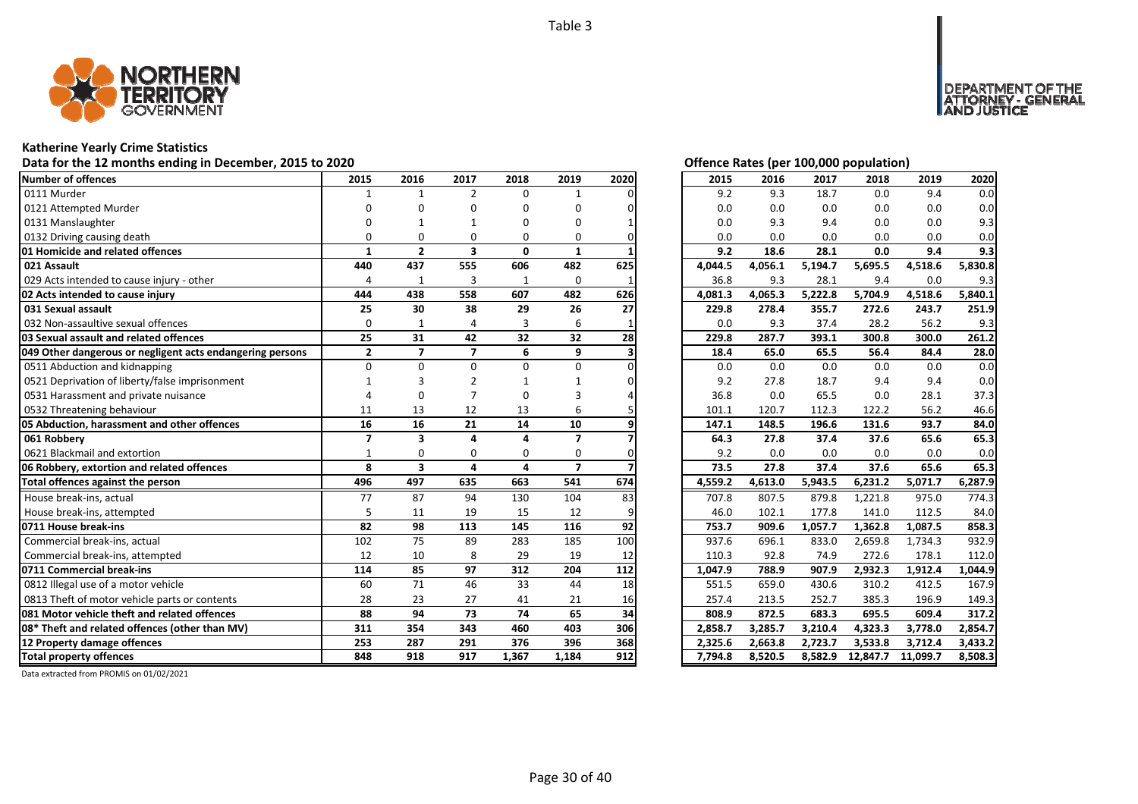![](_page_29_Picture_1.jpeg)

# **Katherine Yearly Crime Statistics**

# Data for the 12 months ending in December, 2015 to 2020<br>
Data for the 12 months ending in December, 2015 to 2020

| Number of offences                                        | 2015                     | 2016                    | 2017                    | 2018         | 2019                     | 2020 | 2015    | 2016    | 2017    | 2018     | 2019     | 2020    |
|-----------------------------------------------------------|--------------------------|-------------------------|-------------------------|--------------|--------------------------|------|---------|---------|---------|----------|----------|---------|
| 0111 Murder                                               |                          | 1                       | $\overline{2}$          | $\Omega$     |                          |      | 9.2     | 9.3     | 18.7    | 0.0      | 9.4      | 0.0     |
| 0121 Attempted Murder                                     |                          |                         | O                       | O            | n                        |      | 0.0     | 0.0     | 0.0     | 0.0      | 0.0      | 0.0     |
| 0131 Manslaughter                                         |                          |                         |                         | n            | n                        |      | 0.0     | 9.3     | 9.4     | 0.0      | 0.0      | 9.3     |
| 0132 Driving causing death                                |                          | O                       | O                       | $\Omega$     | 0                        |      | 0.0     | 0.0     | 0.0     | 0.0      | 0.0      | 0.0     |
| 01 Homicide and related offences                          | 1                        | $\overline{2}$          | $\overline{\mathbf{3}}$ | $\mathbf{0}$ | $\mathbf{1}$             |      | 9.2     | 18.6    | 28.1    | 0.0      | 9.4      | 9.3     |
| 021 Assault                                               | 440                      | 437                     | 555                     | 606          | 482                      | 625  | 4,044.5 | 4,056.1 | 5,194.7 | 5,695.5  | 4,518.6  | 5,830.8 |
| 029 Acts intended to cause injury - other                 | $\overline{4}$           | 1                       | 3                       | 1            | 0                        |      | 36.8    | 9.3     | 28.1    | 9.4      | 0.0      | 9.3     |
| 02 Acts intended to cause injury                          | 444                      | 438                     | 558                     | 607          | 482                      | 626  | 4,081.3 | 4,065.3 | 5,222.8 | 5,704.9  | 4,518.6  | 5,840.1 |
| 031 Sexual assault                                        | 25                       | 30                      | 38                      | 29           | 26                       | 27   | 229.8   | 278.4   | 355.7   | 272.6    | 243.7    | 251.9   |
| 032 Non-assaultive sexual offences                        | $\Omega$                 |                         |                         | 3            | 6                        |      | 0.0     | 9.3     | 37.4    | 28.2     | 56.2     | 9.3     |
| 03 Sexual assault and related offences                    | 25                       | 31                      | 42                      | 32           | 32                       | 28   | 229.8   | 287.7   | 393.1   | 300.8    | 300.0    | 261.2   |
| 049 Other dangerous or negligent acts endangering persons | $\mathbf{2}$             | $\overline{7}$          | $\overline{7}$          | 6            | 9                        |      | 18.4    | 65.0    | 65.5    | 56.4     | 84.4     | 28.0    |
| 0511 Abduction and kidnapping                             | $\Omega$                 | $\Omega$                | $\Omega$                | $\Omega$     | $\Omega$                 |      | 0.0     | 0.0     | 0.0     | 0.0      | 0.0      | 0.0     |
| 0521 Deprivation of liberty/false imprisonment            |                          |                         |                         |              |                          |      | 9.2     | 27.8    | 18.7    | 9.4      | 9.4      | 0.0     |
| 0531 Harassment and private nuisance                      |                          |                         |                         | 0            |                          |      | 36.8    | 0.0     | 65.5    | 0.0      | 28.1     | 37.3    |
| 0532 Threatening behaviour                                | 11                       | 13                      | 12                      | 13           | 6                        |      | 101.1   | 120.7   | 112.3   | 122.2    | 56.2     | 46.6    |
| 05 Abduction, harassment and other offences               | 16                       | 16                      | 21                      | 14           | 10                       |      | 147.1   | 148.5   | 196.6   | 131.6    | 93.7     | 84.0    |
| 061 Robbery                                               | $\overline{\phantom{a}}$ | 3                       | $\Delta$                | 4            | $\overline{\phantom{a}}$ |      | 64.3    | 27.8    | 37.4    | 37.6     | 65.6     | 65.3    |
| 0621 Blackmail and extortion                              | -1                       | $\Omega$                | $\Omega$                | $\Omega$     | $\Omega$                 |      | 9.2     | 0.0     | 0.0     | 0.0      | 0.0      | 0.0     |
| 06 Robbery, extortion and related offences                | 8                        | $\overline{\mathbf{3}}$ | 4                       | 4            | $\overline{7}$           |      | 73.5    | 27.8    | 37.4    | 37.6     | 65.6     | 65.3    |
| Total offences against the person                         | 496                      | 497                     | 635                     | 663          | 541                      | 674  | 4,559.2 | 4,613.0 | 5,943.5 | 6,231.2  | 5,071.7  | 6,287.9 |
| House break-ins, actual                                   | 77                       | 87                      | 94                      | 130          | 104                      | 83   | 707.8   | 807.5   | 879.8   | 1,221.8  | 975.0    | 774.3   |
| House break-ins, attempted                                | 5                        | 11                      | 19                      | 15           | 12                       |      | 46.0    | 102.1   | 177.8   | 141.0    | 112.5    | 84.0    |
| 0711 House break-ins                                      | 82                       | 98                      | 113                     | 145          | 116                      | 92   | 753.7   | 909.6   | 1,057.7 | 1,362.8  | 1,087.5  | 858.3   |
| Commercial break-ins, actual                              | 102                      | 75                      | 89                      | 283          | 185                      | 100  | 937.6   | 696.1   | 833.0   | 2,659.8  | 1,734.3  | 932.9   |
| Commercial break-ins, attempted                           | 12                       | 10                      | 8                       | 29           | 19                       | 12   | 110.3   | 92.8    | 74.9    | 272.6    | 178.1    | 112.0   |
| 0711 Commercial break-ins                                 | 114                      | 85                      | 97                      | 312          | 204                      | 112  | 1,047.9 | 788.9   | 907.9   | 2,932.3  | 1,912.4  | 1,044.9 |
| 0812 Illegal use of a motor vehicle                       | 60                       | 71                      | 46                      | 33           | 44                       | 18   | 551.5   | 659.0   | 430.6   | 310.2    | 412.5    | 167.9   |
| 0813 Theft of motor vehicle parts or contents             | 28                       | 23                      | 27                      | 41           | 21                       | 16   | 257.4   | 213.5   | 252.7   | 385.3    | 196.9    | 149.3   |
| 081 Motor vehicle theft and related offences              | 88                       | 94                      | 73                      | 74           | 65                       | 34   | 808.9   | 872.5   | 683.3   | 695.5    | 609.4    | 317.2   |
| 08* Theft and related offences (other than MV)            | 311                      | 354                     | 343                     | 460          | 403                      | 306  | 2,858.7 | 3,285.7 | 3,210.4 | 4,323.3  | 3,778.0  | 2,854.7 |
| 12 Property damage offences                               | 253                      | 287                     | 291                     | 376          | 396                      | 368  | 2,325.6 | 2,663.8 | 2,723.7 | 3,533.8  | 3,712.4  | 3,433.2 |
| <b>Total property offences</b>                            | 848                      | 918                     | 917                     | 1,367        | 1,184                    | 912  | 7,794.8 | 8,520.5 | 8,582.9 | 12,847.7 | 11,099.7 | 8,508.3 |

NT OF THE<br>' - GENERAL

**DEPART** 

USTICE

| 2015    | 2016    | 2017    | 2018     | 2019     | 2020    |
|---------|---------|---------|----------|----------|---------|
| 9.2     | 9.3     | 18.7    | 0.0      | 9.4      | 0.0     |
| 0.0     | 0.0     | 0.0     | 0.0      | 0.0      | 0.0     |
| 0.0     | 9.3     | 9.4     | 0.0      | 0.0      | 9.3     |
| 0.0     | 0.0     | 0.0     | 0.0      | 0.0      | 0.0     |
| 9.2     | 18.6    | 28.1    | 0.0      | 9.4      | 9.3     |
| 4,044.5 | 4,056.1 | 5,194.7 | 5,695.5  | 4,518.6  | 5,830.8 |
| 36.8    | 9.3     | 28.1    | 9.4      | 0.0      | 9.3     |
| 4,081.3 | 4,065.3 | 5,222.8 | 5,704.9  | 4,518.6  | 5,840.1 |
| 229.8   | 278.4   | 355.7   | 272.6    | 243.7    | 251.9   |
| 0.0     | 9.3     | 37.4    | 28.2     | 56.2     | 9.3     |
| 229.8   | 287.7   | 393.1   | 300.8    | 300.0    | 261.2   |
| 18.4    | 65.0    | 65.5    | 56.4     | 84.4     | 28.0    |
| 0.0     | 0.0     | 0.0     | 0.0      | 0.0      | 0.0     |
| 9.2     | 27.8    | 18.7    | 9.4      | 9.4      | 0.0     |
| 36.8    | 0.0     | 65.5    | 0.0      | 28.1     | 37.3    |
| 101.1   | 120.7   | 112.3   | 122.2    | 56.2     | 46.6    |
| 147.1   | 148.5   | 196.6   | 131.6    | 93.7     | 84.0    |
| 64.3    | 27.8    | 37.4    | 37.6     | 65.6     | 65.3    |
| 9.2     | 0.0     | 0.0     | 0.0      | 0.0      | 0.0     |
| 73.5    | 27.8    | 37.4    | 37.6     | 65.6     | 65.3    |
| 4,559.2 | 4,613.0 | 5,943.5 | 6,231.2  | 5,071.7  | 6,287.9 |
| 707.8   | 807.5   | 879.8   | 1,221.8  | 975.0    | 774.3   |
| 46.0    | 102.1   | 177.8   | 141.0    | 112.5    | 84.0    |
| 753.7   | 909.6   | 1,057.7 | 1,362.8  | 1,087.5  | 858.3   |
| 937.6   | 696.1   | 833.0   | 2,659.8  | 1,734.3  | 932.9   |
| 110.3   | 92.8    | 74.9    | 272.6    | 178.1    | 112.0   |
| 1,047.9 | 788.9   | 907.9   | 2,932.3  | 1,912.4  | 1,044.9 |
| 551.5   | 659.0   | 430.6   | 310.2    | 412.5    | 167.9   |
| 257.4   | 213.5   | 252.7   | 385.3    | 196.9    | 149.3   |
| 808.9   | 872.5   | 683.3   | 695.5    | 609.4    | 317.2   |
| 2,858.7 | 3,285.7 | 3,210.4 | 4,323.3  | 3,778.0  | 2,854.7 |
| 2,325.6 | 2,663.8 | 2,723.7 | 3,533.8  | 3,712.4  | 3,433.2 |
| 7,794.8 | 8,520.5 | 8,582.9 | 12,847.7 | 11,099.7 | 8,508.3 |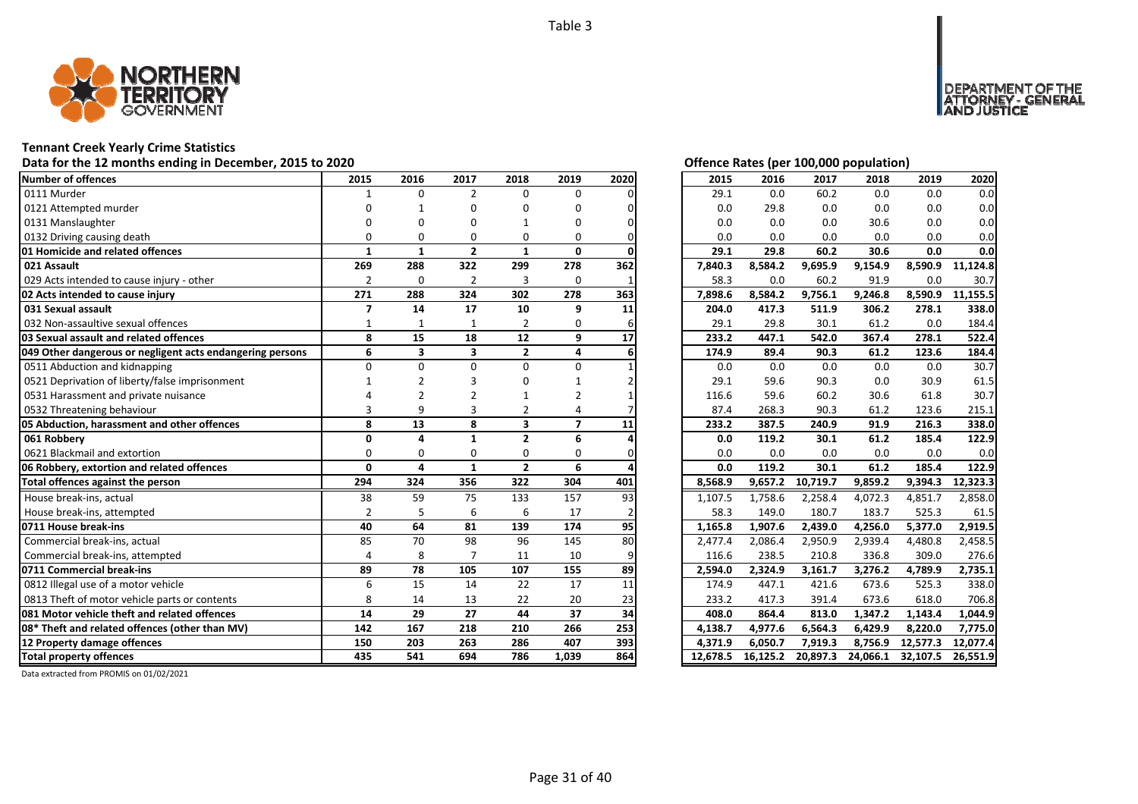![](_page_30_Picture_1.jpeg)

# **Tennant Creek Yearly Crime Statistics**

# Data for the 12 months ending in December, 2015 to 2020<br>
Data for the 12 months ending in December, 2015 to 2020

| Number of offences                                        | 2015                    | 2016         | 2017                    | 2018                    | 2019           | 2020 | 2015     | 2016     | 2017     | 2018     | 2019     | 2020     |
|-----------------------------------------------------------|-------------------------|--------------|-------------------------|-------------------------|----------------|------|----------|----------|----------|----------|----------|----------|
| 0111 Murder                                               | $\mathbf{1}$            | $\Omega$     | $\overline{2}$          | 0                       | 0              |      | 29.1     | 0.0      | 60.2     | 0.0      | 0.0      | 0.0      |
| 0121 Attempted murder                                     | O                       |              | U                       | U                       | O              |      | 0.0      | 29.8     | 0.0      | 0.0      | 0.0      | 0.0      |
| 0131 Manslaughter                                         | ŋ                       | n            | U                       |                         | 0              |      | 0.0      | 0.0      | 0.0      | 30.6     | 0.0      | 0.0      |
| 0132 Driving causing death                                | $\Omega$                | $\Omega$     | 0                       | 0                       | 0              |      | 0.0      | 0.0      | 0.0      | 0.0      | 0.0      | 0.0      |
| 01 Homicide and related offences                          | $\mathbf{1}$            | $\mathbf{1}$ | $\mathbf{2}$            | $\mathbf{1}$            | $\mathbf{0}$   |      | 29.1     | 29.8     | 60.2     | 30.6     | 0.0      | 0.0      |
| 021 Assault                                               | 269                     | 288          | 322                     | 299                     | 278            | 362  | 7,840.3  | 8,584.2  | 9,695.9  | 9,154.9  | 8,590.9  | 11,124.8 |
| 029 Acts intended to cause injury - other                 | $\overline{2}$          | $\mathbf 0$  | $\overline{2}$          | 3                       | 0              |      | 58.3     | 0.0      | 60.2     | 91.9     | 0.0      | 30.7     |
| 02 Acts intended to cause injury                          | 271                     | 288          | 324                     | 302                     | 278            | 363  | 7,898.6  | 8,584.2  | 9,756.1  | 9,246.8  | 8,590.9  | 11,155.5 |
| 031 Sexual assault                                        | $\overline{\mathbf{z}}$ | 14           | 17                      | 10                      | 9              | 11   | 204.0    | 417.3    | 511.9    | 306.2    | 278.1    | 338.0    |
| 032 Non-assaultive sexual offences                        | 1                       |              | 1                       | 2                       | 0              |      | 29.1     | 29.8     | 30.1     | 61.2     | 0.0      | 184.4    |
| 03 Sexual assault and related offences                    | 8                       | 15           | 18                      | 12                      | 9              | 17   | 233.2    | 447.1    | 542.0    | 367.4    | 278.1    | 522.4    |
| 049 Other dangerous or negligent acts endangering persons | 6                       | 3            | $\overline{\mathbf{3}}$ | $\mathbf{2}$            | 4              |      | 174.9    | 89.4     | 90.3     | 61.2     | 123.6    | 184.4    |
| 0511 Abduction and kidnapping                             | $\Omega$                | $\Omega$     | $\Omega$                | 0                       | 0              |      | 0.0      | 0.0      | 0.0      | 0.0      | 0.0      | 30.7     |
| 0521 Deprivation of liberty/false imprisonment            |                         |              |                         | n                       |                |      | 29.1     | 59.6     | 90.3     | 0.0      | 30.9     | 61.5     |
| 0531 Harassment and private nuisance                      |                         |              |                         |                         |                |      | 116.6    | 59.6     | 60.2     | 30.6     | 61.8     | 30.7     |
| 0532 Threatening behaviour                                | $\mathbf{a}$            | 9            |                         | 2                       | Δ              |      | 87.4     | 268.3    | 90.3     | 61.2     | 123.6    | 215.1    |
| 05 Abduction, harassment and other offences               | 8                       | 13           | 8                       | $\overline{\mathbf{3}}$ | $\overline{7}$ | 11   | 233.2    | 387.5    | 240.9    | 91.9     | 216.3    | 338.0    |
| 061 Robbery                                               | $\Omega$                | 4            | $\mathbf{1}$            | $\overline{2}$          | 6              |      | 0.0      | 119.2    | 30.1     | 61.2     | 185.4    | 122.9    |
| 0621 Blackmail and extortion                              | $\Omega$                | $\Omega$     | $\Omega$                | 0                       | 0              |      | 0.0      | 0.0      | 0.0      | 0.0      | 0.0      | 0.0      |
| 06 Robbery, extortion and related offences                | $\mathbf{0}$            | 4            | $\mathbf{1}$            | $\overline{2}$          | 6              |      | 0.0      | 119.2    | 30.1     | 61.2     | 185.4    | 122.9    |
| Total offences against the person                         | 294                     | 324          | 356                     | 322                     | 304            | 401  | 8,568.9  | 9,657.2  | 10,719.7 | 9,859.2  | 9,394.3  | 12,323.3 |
| House break-ins, actual                                   | 38                      | 59           | 75                      | 133                     | 157            | 93   | 1,107.5  | 1,758.6  | 2,258.4  | 4,072.3  | 4,851.7  | 2,858.0  |
| House break-ins, attempted                                | $\overline{2}$          | 5            | 6                       | 6                       | 17             |      | 58.3     | 149.0    | 180.7    | 183.7    | 525.3    | 61.5     |
| 0711 House break-ins                                      | 40                      | 64           | 81                      | 139                     | 174            | 95   | 1,165.8  | 1,907.6  | 2,439.0  | 4,256.0  | 5,377.0  | 2,919.5  |
| Commercial break-ins, actual                              | 85                      | 70           | 98                      | 96                      | 145            | 80   | 2,477.4  | 2,086.4  | 2,950.9  | 2,939.4  | 4,480.8  | 2,458.5  |
| Commercial break-ins, attempted                           | 4                       | 8            |                         | 11                      | 10             |      | 116.6    | 238.5    | 210.8    | 336.8    | 309.0    | 276.6    |
| 0711 Commercial break-ins                                 | 89                      | 78           | 105                     | 107                     | 155            | 89   | 2,594.0  | 2,324.9  | 3,161.7  | 3,276.2  | 4,789.9  | 2,735.1  |
| 0812 Illegal use of a motor vehicle                       | 6                       | 15           | 14                      | 22                      | 17             | 11   | 174.9    | 447.1    | 421.6    | 673.6    | 525.3    | 338.0    |
| 0813 Theft of motor vehicle parts or contents             | 8                       | 14           | 13                      | 22                      | 20             | 23   | 233.2    | 417.3    | 391.4    | 673.6    | 618.0    | 706.8    |
| <b>1081 Motor vehicle theft and related offences</b>      | 14                      | 29           | 27                      | 44                      | 37             | 34   | 408.0    | 864.4    | 813.0    | 1,347.2  | 1,143.4  | 1,044.9  |
| 08* Theft and related offences (other than MV)            | 142                     | 167          | 218                     | 210                     | 266            | 253  | 4,138.7  | 4,977.6  | 6,564.3  | 6,429.9  | 8,220.0  | 7,775.0  |
| 12 Property damage offences                               | 150                     | 203          | 263                     | 286                     | 407            | 393  | 4,371.9  | 6,050.7  | 7,919.3  | 8,756.9  | 12,577.3 | 12,077.4 |
| <b>Total property offences</b>                            | 435                     | 541          | 694                     | 786                     | 1,039          | 864  | 12,678.5 | 16,125.2 | 20,897.3 | 24,066.1 | 32,107.5 | 26,551.9 |

NT OF THE<br>' - GENERAL

JSTICE

**DEPAR** 

| 2015     | 2016     | 2017     | 2018     | 2019     | 2020     |
|----------|----------|----------|----------|----------|----------|
| 29.1     | 0.0      | 60.2     | 0.0      | 0.0      | 0.0      |
| 0.0      | 29.8     | 0.0      | 0.0      | 0.0      | 0.0      |
| 0.0      | 0.0      | 0.0      | 30.6     | 0.0      | 0.0      |
| 0.0      | 0.0      | 0.0      | 0.0      | 0.0      | 0.0      |
| 29.1     | 29.8     | 60.2     | 30.6     | 0.0      | 0.0      |
| 7,840.3  | 8,584.2  | 9,695.9  | 9,154.9  | 8,590.9  | 11,124.8 |
| 58.3     | 0.0      | 60.2     | 91.9     | 0.0      | 30.7     |
| 7,898.6  | 8,584.2  | 9,756.1  | 9,246.8  | 8,590.9  | 11,155.5 |
| 204.0    | 417.3    | 511.9    | 306.2    | 278.1    | 338.0    |
| 29.1     | 29.8     | 30.1     | 61.2     | 0.0      | 184.4    |
| 233.2    | 447.1    | 542.0    | 367.4    | 278.1    | 522.4    |
| 174.9    | 89.4     | 90.3     | 61.2     | 123.6    | 184.4    |
| 0.0      | 0.0      | 0.0      | 0.0      | 0.0      | 30.7     |
| 29.1     | 59.6     | 90.3     | 0.0      | 30.9     | 61.5     |
| 116.6    | 59.6     | 60.2     | 30.6     | 61.8     | 30.7     |
| 87.4     | 268.3    | 90.3     | 61.2     | 123.6    | 215.1    |
| 233.2    | 387.5    | 240.9    | 91.9     | 216.3    | 338.0    |
| 0.0      | 119.2    | 30.1     | 61.2     | 185.4    | 122.9    |
| 0.0      | 0.0      | 0.0      | 0.0      | 0.0      | 0.0      |
| 0.0      | 119.2    | 30.1     | 61.2     | 185.4    | 122.9    |
| 8,568.9  | 9,657.2  | 10,719.7 | 9,859.2  | 9,394.3  | 12,323.3 |
| 1,107.5  | 1,758.6  | 2,258.4  | 4,072.3  | 4,851.7  | 2,858.0  |
| 58.3     | 149.0    | 180.7    | 183.7    | 525.3    | 61.5     |
| 1,165.8  | 1,907.6  | 2,439.0  | 4,256.0  | 5,377.0  | 2,919.5  |
| 2,477.4  | 2,086.4  | 2,950.9  | 2,939.4  | 4,480.8  | 2,458.5  |
| 116.6    | 238.5    | 210.8    | 336.8    | 309.0    | 276.6    |
| 2,594.0  | 2,324.9  | 3,161.7  | 3,276.2  | 4,789.9  | 2,735.1  |
| 174.9    | 447.1    | 421.6    | 673.6    | 525.3    | 338.0    |
| 233.2    | 417.3    | 391.4    | 673.6    | 618.0    | 706.8    |
| 408.0    | 864.4    | 813.0    | 1,347.2  | 1,143.4  | 1,044.9  |
| 4,138.7  | 4,977.6  | 6,564.3  | 6,429.9  | 8,220.0  | 7,775.0  |
| 4,371.9  | 6,050.7  | 7,919.3  | 8,756.9  | 12,577.3 | 12,077.4 |
| 12,678.5 | 16,125.2 | 20,897.3 | 24,066.1 | 32,107.5 | 26,551.9 |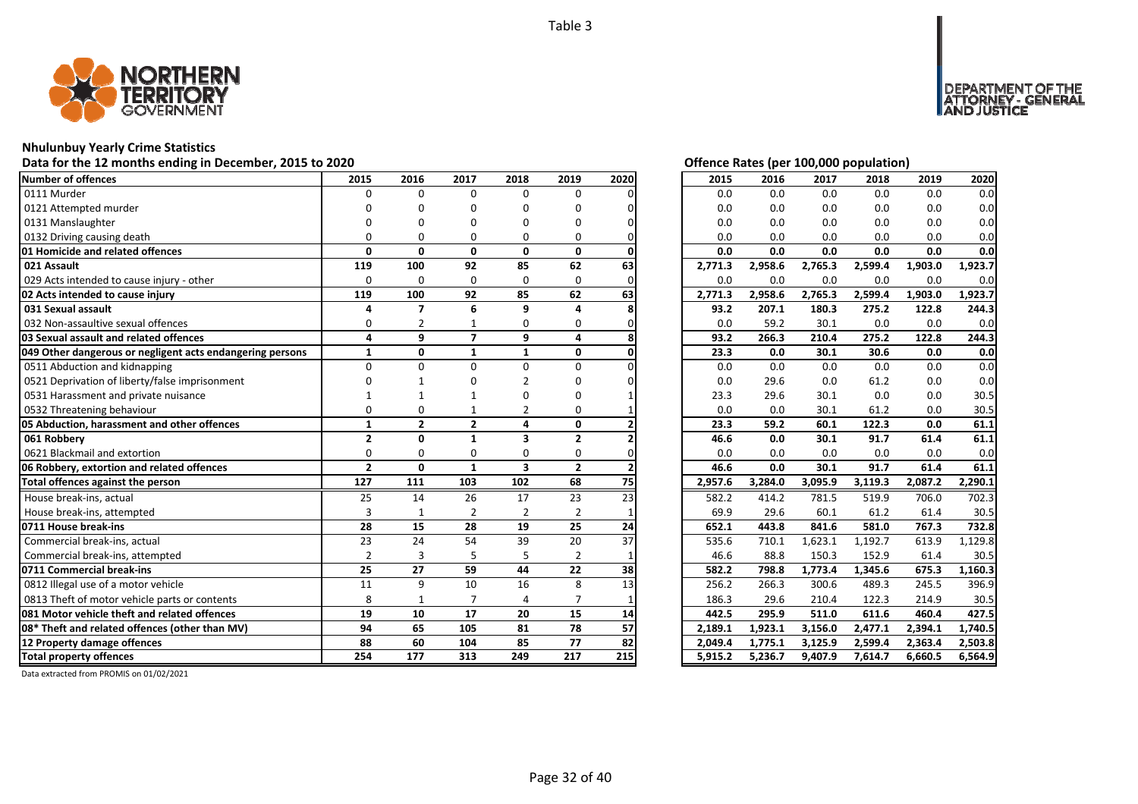![](_page_31_Picture_1.jpeg)

# **Nhulunbuy Yearly Crime Statistics**

# Data for the 12 months ending in December, 2015 to 2020<br> **Data for the 12 months ending in December, 2015 to 2020**

| <b>Number of offences</b><br>0111 Murder<br>0121 Attempted murder | 2015<br>$\Omega$ | 2016<br>$\Omega$ | 2017           | 2018                    | 2019           | 2020 | 2015    | 2016    | 2017    | 2018    | 2019    | 2020    |
|-------------------------------------------------------------------|------------------|------------------|----------------|-------------------------|----------------|------|---------|---------|---------|---------|---------|---------|
|                                                                   |                  |                  |                |                         |                |      |         |         |         |         |         |         |
|                                                                   |                  |                  | $\Omega$       | 0                       | 0              |      | 0.0     | 0.0     | 0.0     | 0.0     | 0.0     | 0.0     |
|                                                                   |                  | ŋ                | O              | n                       | O              |      | 0.0     | 0.0     | 0.0     | 0.0     | 0.0     | 0.0     |
| 0131 Manslaughter                                                 |                  |                  | n              | n                       | O              |      | 0.0     | 0.0     | 0.0     | 0.0     | 0.0     | 0.0     |
| 0132 Driving causing death                                        | U                | 0                | O              | 0                       | 0              |      | 0.0     | 0.0     | 0.0     | 0.0     | 0.0     | 0.0     |
| 01 Homicide and related offences                                  | $\Omega$         | $\mathbf{0}$     | $\mathbf{0}$   | $\mathbf{0}$            | 0              |      | 0.0     | 0.0     | 0.0     | 0.0     | 0.0     | 0.0     |
| 021 Assault                                                       | 119              | 100              | 92             | 85                      | 62             | 63   | 2,771.3 | 2,958.6 | 2,765.3 | 2,599.4 | 1,903.0 | 1,923.7 |
| 029 Acts intended to cause injury - other                         | $\Omega$         | 0                | 0              | 0                       | 0              |      | 0.0     | 0.0     | 0.0     | 0.0     | 0.0     | 0.0     |
| 02 Acts intended to cause injury                                  | 119              | 100              | 92             | 85                      | 62             | 63   | 2,771.3 | 2,958.6 | 2,765.3 | 2,599.4 | 1,903.0 | 1,923.7 |
| 031 Sexual assault                                                | 4                | $\overline{ }$   | 6              | 9                       | 4              |      | 93.2    | 207.1   | 180.3   | 275.2   | 122.8   | 244.3   |
| 032 Non-assaultive sexual offences                                | $\Omega$         | 2                |                | 0                       | 0              |      | 0.0     | 59.2    | 30.1    | 0.0     | 0.0     | 0.0     |
| 03 Sexual assault and related offences                            | 4                | 9                | $\overline{ }$ | 9                       | 4              |      | 93.2    | 266.3   | 210.4   | 275.2   | 122.8   | 244.3   |
| 049 Other dangerous or negligent acts endangering persons         | $\mathbf{1}$     | $\mathbf{0}$     | $\mathbf{1}$   | $\mathbf{1}$            | $\mathbf{0}$   |      | 23.3    | 0.0     | 30.1    | 30.6    | 0.0     | 0.0     |
| 0511 Abduction and kidnapping                                     | $\Omega$         | $\Omega$         | $\Omega$       | 0                       | $\Omega$       |      | 0.0     | 0.0     | 0.0     | 0.0     | 0.0     | 0.0     |
| 0521 Deprivation of liberty/false imprisonment                    |                  |                  |                | 2                       | n              |      | 0.0     | 29.6    | 0.0     | 61.2    | 0.0     | 0.0     |
| 0531 Harassment and private nuisance                              |                  |                  |                |                         | O              |      | 23.3    | 29.6    | 30.1    | 0.0     | 0.0     | 30.5    |
| 0532 Threatening behaviour                                        | n                | $\Omega$         |                | 2                       | O              |      | 0.0     | 0.0     | 30.1    | 61.2    | 0.0     | 30.5    |
| 05 Abduction, harassment and other offences                       | $\mathbf{1}$     | $\overline{2}$   | $\overline{2}$ | 4                       | 0              |      | 23.3    | 59.2    | 60.1    | 122.3   | 0.0     | 61.1    |
| 061 Robbery                                                       | $\overline{2}$   | $\Omega$         | $\mathbf{1}$   | 3                       | $\overline{2}$ |      | 46.6    | 0.0     | 30.1    | 91.7    | 61.4    | 61.1    |
| 0621 Blackmail and extortion                                      | $\Omega$         | $\Omega$         | $\Omega$       | $\Omega$                | 0              |      | 0.0     | 0.0     | 0.0     | 0.0     | 0.0     | 0.0     |
| 06 Robbery, extortion and related offences                        | $\overline{2}$   | $\Omega$         | $\mathbf{1}$   | $\overline{\mathbf{3}}$ | $\overline{2}$ |      | 46.6    | 0.0     | 30.1    | 91.7    | 61.4    | 61.1    |
| Total offences against the person                                 | 127              | 111              | 103            | 102                     | 68             | 75   | 2,957.6 | 3,284.0 | 3,095.9 | 3,119.3 | 2,087.2 | 2,290.1 |
| House break-ins, actual                                           | 25               | 14               | 26             | 17                      | 23             | 23   | 582.2   | 414.2   | 781.5   | 519.9   | 706.0   | 702.3   |
| House break-ins, attempted                                        | 3                | $\mathbf{1}$     | 2              | $\overline{2}$          | $\overline{2}$ |      | 69.9    | 29.6    | 60.1    | 61.2    | 61.4    | 30.5    |
| 0711 House break-ins                                              | 28               | 15               | 28             | 19                      | 25             | 24   | 652.1   | 443.8   | 841.6   | 581.0   | 767.3   | 732.8   |
| Commercial break-ins, actual                                      | 23               | 24               | 54             | 39                      | 20             | 37   | 535.6   | 710.1   | 1,623.1 | 1,192.7 | 613.9   | 1,129.8 |
| Commercial break-ins, attempted                                   | $\overline{2}$   | 3                | 5              | 5                       | $\overline{2}$ |      | 46.6    | 88.8    | 150.3   | 152.9   | 61.4    | 30.5    |
| 0711 Commercial break-ins                                         | 25               | 27               | 59             | 44                      | 22             | 38   | 582.2   | 798.8   | 1,773.4 | 1,345.6 | 675.3   | 1,160.3 |
| 0812 Illegal use of a motor vehicle                               | 11               | 9                | 10             | 16                      | 8              | 13   | 256.2   | 266.3   | 300.6   | 489.3   | 245.5   | 396.9   |
| 0813 Theft of motor vehicle parts or contents                     | 8                | $\mathbf{1}$     | $\overline{7}$ | 4                       | $\overline{7}$ |      | 186.3   | 29.6    | 210.4   | 122.3   | 214.9   | 30.5    |
| 081 Motor vehicle theft and related offences                      | 19               | 10               | 17             | 20                      | 15             | 14   | 442.5   | 295.9   | 511.0   | 611.6   | 460.4   | 427.5   |
| 08* Theft and related offences (other than MV)                    | 94               | 65               | 105            | 81                      | 78             | 57   | 2,189.1 | 1,923.1 | 3,156.0 | 2,477.1 | 2,394.1 | 1,740.5 |
| 12 Property damage offences                                       | 88               | 60               | 104            | 85                      | 77             | 82   | 2,049.4 | 1,775.1 | 3,125.9 | 2,599.4 | 2,363.4 | 2,503.8 |
| <b>Total property offences</b>                                    | 254              | 177              | 313            | 249                     | 217            | 215  | 5,915.2 | 5,236.7 | 9,407.9 | 7,614.7 | 6,660.5 | 6,564.9 |

DEPARTMENT OF THE<br>ATTORNEY - GENERAL ÜSTICE

| 2015    | 2016    | 2017    | 2018    | 2019    | 2020    |
|---------|---------|---------|---------|---------|---------|
| 0.0     | 0.0     | 0.0     | 0.0     | 0.0     | 0.0     |
| 0.0     | 0.0     | 0.0     | 0.0     | 0.0     | 0.0     |
| 0.0     | 0.0     | 0.0     | 0.0     | 0.0     | 0.0     |
| 0.0     | 0.0     | 0.0     | 0.0     | 0.0     | 0.0     |
| 0.0     | 0.0     | 0.0     | 0.0     | 0.0     | 0.0     |
| 2,771.3 | 2,958.6 | 2,765.3 | 2,599.4 | 1,903.0 | 1,923.7 |
| 0.0     | 0.0     | 0.0     | 0.0     | 0.0     | 0.0     |
| 2,771.3 | 2,958.6 | 2,765.3 | 2,599.4 | 1,903.0 | 1,923.7 |
| 93.2    | 207.1   | 180.3   | 275.2   | 122.8   | 244.3   |
| 0.0     | 59.2    | 30.1    | 0.0     | 0.0     | 0.0     |
| 93.2    | 266.3   | 210.4   | 275.2   | 122.8   | 244.3   |
| 23.3    | 0.0     | 30.1    | 30.6    | 0.0     | 0.0     |
| 0.0     | 0.0     | 0.0     | 0.0     | 0.0     | 0.0     |
| 0.0     | 29.6    | 0.0     | 61.2    | 0.0     | 0.0     |
| 23.3    | 29.6    | 30.1    | 0.0     | 0.0     | 30.5    |
| 0.0     | 0.0     | 30.1    | 61.2    | 0.0     | 30.5    |
| 23.3    | 59.2    | 60.1    | 122.3   | 0.0     | 61.1    |
| 46.6    | 0.0     | 30.1    | 91.7    | 61.4    | 61.1    |
| 0.0     | 0.0     | 0.0     | 0.0     | 0.0     | 0.0     |
| 46.6    | 0.0     | 30.1    | 91.7    | 61.4    | 61.1    |
| 2,957.6 | 3,284.0 | 3,095.9 | 3,119.3 | 2,087.2 | 2,290.1 |
| 582.2   | 414.2   | 781.5   | 519.9   | 706.0   | 702.3   |
| 69.9    | 29.6    | 60.1    | 61.2    | 61.4    | 30.5    |
| 652.1   | 443.8   | 841.6   | 581.0   | 767.3   | 732.8   |
| 535.6   | 710.1   | 1,623.1 | 1,192.7 | 613.9   | 1,129.8 |
| 46.6    | 88.8    | 150.3   | 152.9   | 61.4    | 30.5    |
| 582.2   | 798.8   | 1,773.4 | 1,345.6 | 675.3   | 1,160.3 |
| 256.2   | 266.3   | 300.6   | 489.3   | 245.5   | 396.9   |
| 186.3   | 29.6    | 210.4   | 122.3   | 214.9   | 30.5    |
| 442.5   | 295.9   | 511.0   | 611.6   | 460.4   | 427.5   |
| 2,189.1 | 1,923.1 | 3,156.0 | 2,477.1 | 2,394.1 | 1,740.5 |
| 2,049.4 | 1,775.1 | 3,125.9 | 2,599.4 | 2,363.4 | 2,503.8 |
| 5,915.2 | 5,236.7 | 9,407.9 | 7,614.7 | 6,660.5 | 6,564.9 |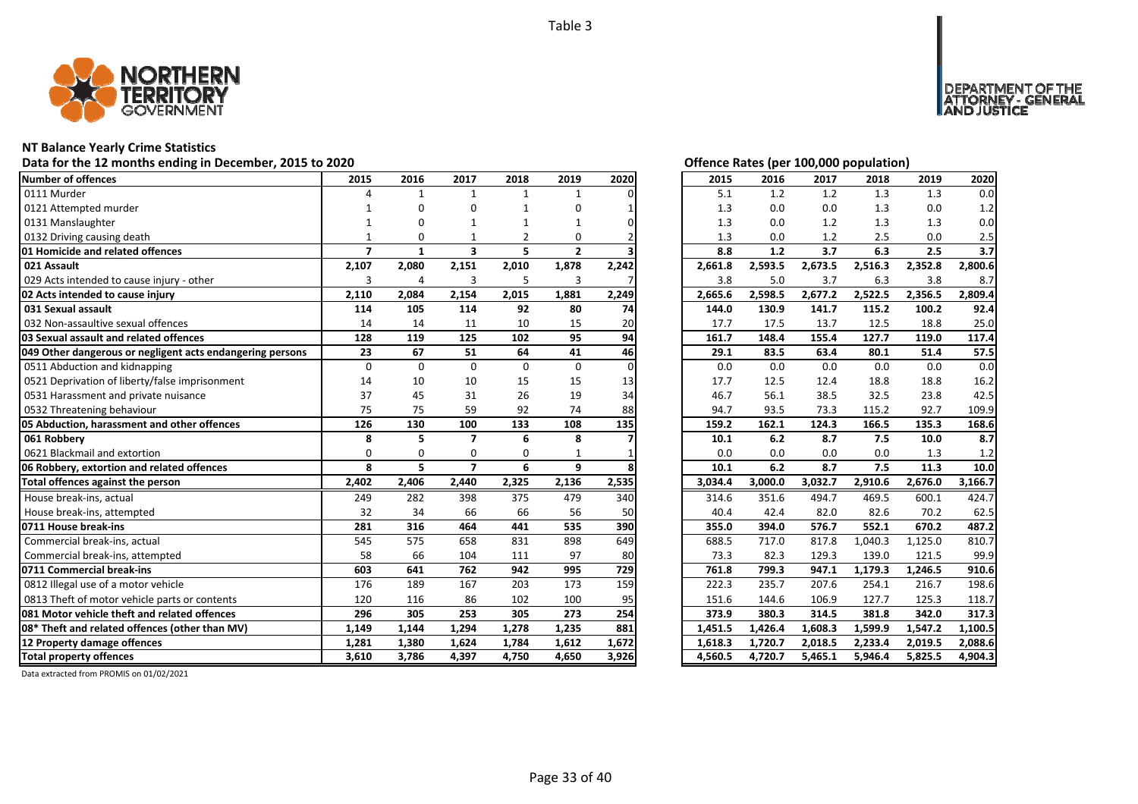![](_page_32_Picture_1.jpeg)

# **NT Balance Yearly Crime Statistics**

# Data for the 12 months ending in December, 2015 to 2020<br>
Data for the 12 months ending in December, 2015 to 2020

| Number of offences                                        | 2015           | 2016         | 2017                    | 2018           | 2019           | 2020  | 2015    | 2016    | 2017    | 2018    | 2019    | 2020                                                                                     |
|-----------------------------------------------------------|----------------|--------------|-------------------------|----------------|----------------|-------|---------|---------|---------|---------|---------|------------------------------------------------------------------------------------------|
| 0111 Murder                                               |                | 1            | $\mathbf{1}$            | $\mathbf{1}$   | $\mathbf{1}$   |       | 5.1     | 1.2     | 1.2     | 1.3     | 1.3     | 0.0                                                                                      |
| 0121 Attempted murder                                     |                | n            | O                       |                | O              |       | 1.3     | 0.0     | 0.0     | 1.3     | 0.0     | 1.2                                                                                      |
| 0131 Manslaughter                                         |                | n            |                         |                |                |       | 1.3     | 0.0     | 1.2     | 1.3     | 1.3     | 0.0                                                                                      |
| 0132 Driving causing death                                |                | $\Omega$     |                         | $\overline{2}$ | 0              |       | 1.3     | 0.0     | 1.2     | 2.5     | 0.0     | 2.5                                                                                      |
| 01 Homicide and related offences                          | $\overline{7}$ | $\mathbf{1}$ | $\overline{\mathbf{3}}$ | 5              | $\overline{2}$ |       | 8.8     | 1.2     | 3.7     | 6.3     | 2.5     | 3.7                                                                                      |
| 021 Assault                                               | 2,107          | 2,080        | 2,151                   | 2,010          | 1,878          | 2,242 | 2,661.8 | 2,593.5 | 2,673.5 | 2,516.3 | 2,352.8 | 2,800.6                                                                                  |
| 029 Acts intended to cause injury - other                 | 3              | 4            | 3                       | 5              | 3              |       | 3.8     | 5.0     | 3.7     | 6.3     | 3.8     | 8.7                                                                                      |
| 02 Acts intended to cause injury                          | 2,110          | 2,084        | 2,154                   | 2,015          | 1,881          | 2,249 | 2,665.6 | 2,598.5 | 2,677.2 | 2,522.5 | 2,356.5 | 2,809.4                                                                                  |
| 031 Sexual assault                                        | 114            | 105          | 114                     | 92             | 80             | 74    | 144.0   | 130.9   | 141.7   | 115.2   | 100.2   | 92.4                                                                                     |
| 032 Non-assaultive sexual offences                        | 14             | 14           | 11                      | 10             | 15             | 20    | 17.7    | 17.5    | 13.7    | 12.5    | 18.8    | 25.0                                                                                     |
| 03 Sexual assault and related offences                    | 128            | 119          | 125                     | 102            | 95             | 94    | 161.7   | 148.4   | 155.4   | 127.7   | 119.0   | 117.4                                                                                    |
| 049 Other dangerous or negligent acts endangering persons | 23             | 67           | 51                      | 64             | 41             | 46    | 29.1    | 83.5    | 63.4    | 80.1    | 51.4    | 57.5                                                                                     |
| 0511 Abduction and kidnapping                             | $\Omega$       | $\Omega$     | $\Omega$                | $\Omega$       | $\Omega$       |       | 0.0     | 0.0     | 0.0     | 0.0     | 0.0     | 0.0                                                                                      |
| 0521 Deprivation of liberty/false imprisonment            | 14             | 10           | 10                      | 15             | 15             | 13    | 17.7    | 12.5    | 12.4    | 18.8    | 18.8    | 16.2                                                                                     |
| 0531 Harassment and private nuisance                      | 37             | 45           | 31                      | 26             | 19             | 34    | 46.7    | 56.1    | 38.5    | 32.5    | 23.8    | 42.5                                                                                     |
| 0532 Threatening behaviour                                | 75             | 75           | 59                      | 92             | 74             | 88    | 94.7    | 93.5    | 73.3    | 115.2   | 92.7    | 109.9                                                                                    |
| 05 Abduction, harassment and other offences               | 126            | 130          | 100                     | 133            | 108            | 135   | 159.2   | 162.1   | 124.3   | 166.5   | 135.3   | 168.6                                                                                    |
| 061 Robberv                                               | 8              | 5            | $\overline{ }$          | 6              | 8              |       | 10.1    | 6.2     | 8.7     | 7.5     | 10.0    | 8.7                                                                                      |
| 0621 Blackmail and extortion                              | $\Omega$       | $\Omega$     | $\Omega$                | $\Omega$       |                |       | 0.0     | 0.0     | 0.0     | 0.0     | 1.3     | 1.2                                                                                      |
| 06 Robbery, extortion and related offences                | 8              | 5            | $\overline{ }$          | 6              | 9              |       | 10.1    | 6.2     | 8.7     | 7.5     | 11.3    | 10.0                                                                                     |
| Total offences against the person                         | 2,402          | 2,406        | 2,440                   | 2,325          | 2,136          | 2,535 | 3,034.4 | 3,000.0 | 3,032.7 | 2,910.6 | 2,676.0 | 3,166.7                                                                                  |
| House break-ins, actual                                   | 249            | 282          | 398                     | 375            | 479            |       |         |         |         |         | 600.1   | 424.7                                                                                    |
| House break-ins, attempted                                |                |              |                         |                |                | 340   | 314.6   | 351.6   | 494.7   | 469.5   |         |                                                                                          |
|                                                           | 32             | 34           | 66                      | 66             | 56             | 50    | 40.4    | 42.4    | 82.0    | 82.6    | 70.2    |                                                                                          |
| 0711 House break-ins                                      | 281            | 316          | 464                     | 441            | 535            | 390   | 355.0   | 394.0   | 576.7   | 552.1   | 670.2   |                                                                                          |
| Commercial break-ins, actual                              | 545            | 575          | 658                     | 831            | 898            | 649   | 688.5   | 717.0   | 817.8   | 1,040.3 | 1,125.0 |                                                                                          |
| Commercial break-ins, attempted                           | 58             | 66           | 104                     | 111            | 97             | 80    | 73.3    | 82.3    | 129.3   | 139.0   | 121.5   |                                                                                          |
| 0711 Commercial break-ins                                 | 603            | 641          | 762                     | 942            | 995            | 729   | 761.8   | 799.3   | 947.1   | 1,179.3 | 1,246.5 |                                                                                          |
| 0812 Illegal use of a motor vehicle                       | 176            | 189          | 167                     | 203            | 173            | 159   | 222.3   | 235.7   | 207.6   | 254.1   | 216.7   |                                                                                          |
| 0813 Theft of motor vehicle parts or contents             | 120            | 116          | 86                      | 102            | 100            | 95    | 151.6   | 144.6   | 106.9   | 127.7   | 125.3   |                                                                                          |
| 081 Motor vehicle theft and related offences              | 296            | 305          | 253                     | 305            | 273            | 254   | 373.9   | 380.3   | 314.5   | 381.8   | 342.0   |                                                                                          |
| 08* Theft and related offences (other than MV)            | 1,149          | 1,144        | 1,294                   | 1,278          | 1,235          | 881   | 1,451.5 | 1,426.4 | 1,608.3 | 1,599.9 | 1,547.2 |                                                                                          |
| 12 Property damage offences                               | 1,281          | 1,380        | 1,624                   | 1,784          | 1,612          | 1,672 | 1,618.3 | 1,720.7 | 2,018.5 | 2,233.4 | 2,019.5 | 62.5<br>487.2<br>810.7<br>99.9<br>910.6<br>198.6<br>118.7<br>317.3<br>1,100.5<br>2,088.6 |

DEPARTMENT OF THE<br>ATTORNEY - GENERAL ÜSTICE

| 2015               | 2016               | 2017               | 2018               | 2019               | 2020               |
|--------------------|--------------------|--------------------|--------------------|--------------------|--------------------|
| 5.1                | 1.2                | 1.2                | 1.3                | 1.3                | 0.0                |
| 1.3                | 0.0                | 0.0                | 1.3                | 0.0                | 1.2                |
| 1.3                | 0.0                | 1.2                | 1.3                | 1.3                | 0.0                |
| 1.3                | 0.0                | 1.2                | 2.5                | 0.0                | 2.5                |
| 8.8                | 1.2                | 3.7                | 6.3                | 2.5                | 3.7                |
| 2,661.8            | 2,593.5            | 2,673.5            | 2,516.3            | 2,352.8            | 2,800.6            |
| 3.8                | 5.0                | 3.7                | 6.3                | 3.8                | 8.7                |
| 2,665.6            | 2,598.5            | 2,677.2            | 2,522.5            | 2,356.5            | 2,809.4            |
| 144.0              | 130.9              | 141.7              | 115.2              | 100.2              | 92.4               |
| 17.7               | 17.5               | 13.7               | 12.5               | 18.8               | 25.0               |
| 161.7              | 148.4              | 155.4              | 127.7              | 119.0              | 117.4              |
| 29.1               | 83.5               | 63.4               | 80.1               | 51.4               | 57.5               |
| 0.0                | 0.0                | 0.0                | 0.0                | 0.0                | 0.0                |
| 17.7               | 12.5               | 12.4               | 18.8               | 18.8               | 16.2               |
| 46.7               | 56.1               | 38.5               | 32.5               | 23.8               | 42.5               |
| 94.7               | 93.5               | 73.3               | 115.2              | 92.7               | 109.9              |
|                    |                    |                    |                    |                    |                    |
| 159.2              | 162.1              | 124.3              | 166.5              | 135.3              | 168.6              |
| 10.1               | 6.2                | 8.7                | 7.5                | 10.0               | 8.7                |
| 0.0                | 0.0                | 0.0                | 0.0                | 1.3                | 1.2                |
| 10.1               | 6.2                | 8.7                | 7.5                | 11.3               | 10.0               |
| 3,034.4            | 3,000.0            | 3,032.7            | 2,910.6            | 2,676.0            | 3,166.7            |
| 314.6              | 351.6              | 494.7              | 469.5              | 600.1              | 424.7              |
| 40.4               | 42.4               | 82.0               | 82.6               | 70.2               | 62.5               |
| 355.0              | 394.0              | 576.7              | 552.1              | 670.2              | 487.2              |
| 688.5              | 717.0              | 817.8              | 1,040.3            | 1,125.0            | 810.7              |
| 73.3               | 82.3               | 129.3              | 139.0              | 121.5              | 99.9               |
| 761.8              | 799.3              | 947.1              | 1,179.3            | 1,246.5            | 910.6              |
| 222.3              | 235.7              | 207.6              | 254.1              | 216.7              | 198.6              |
| 151.6              | 144.6              | 106.9              | 127.7              | 125.3              | 118.7              |
| 373.9              | 380.3              | 314.5              | 381.8              | 342.0              | 317.3              |
| 1,451.5            | 1,426.4            | 1,608.3            | 1,599.9            | 1,547.2            | 1,100.5            |
| 1,618.3<br>4,560.5 | 1,720.7<br>4,720.7 | 2,018.5<br>5,465.1 | 2,233.4<br>5,946.4 | 2,019.5<br>5,825.5 | 2,088.6<br>4,904.3 |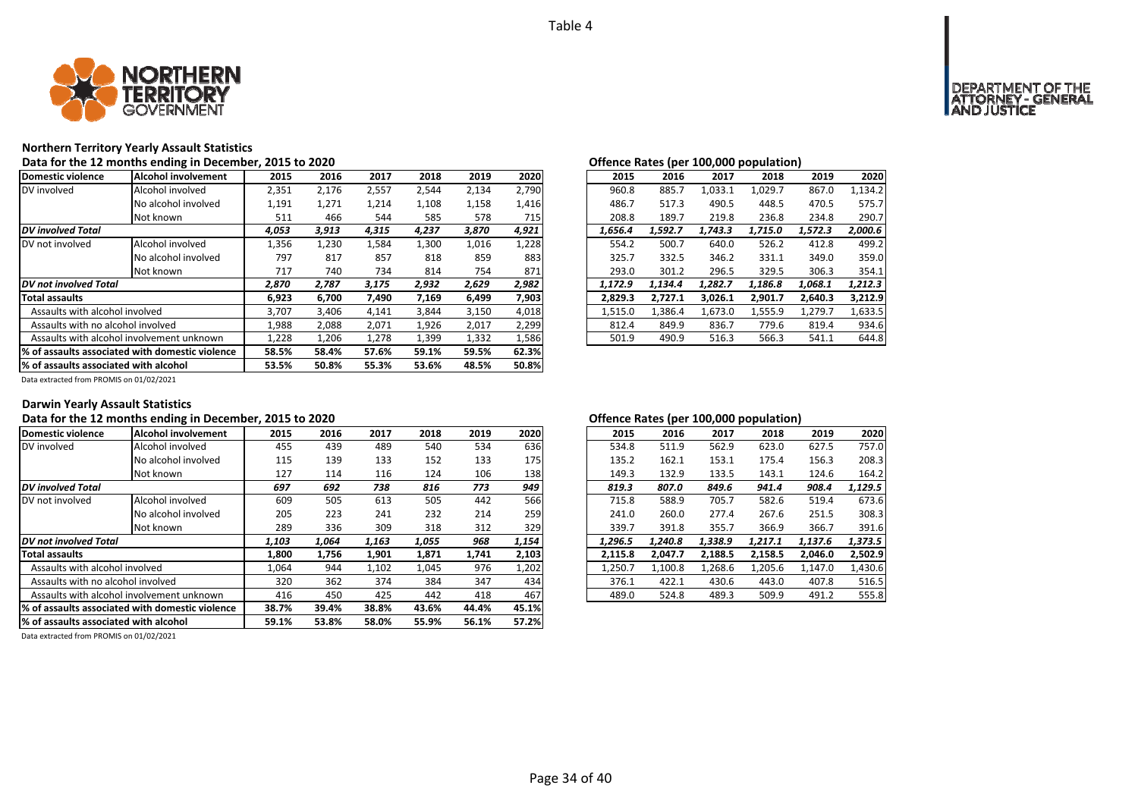![](_page_33_Picture_1.jpeg)

# **Northern Territory Yearly Assault Statistics**

Data for the 12 months ending in December, 2015 to 2020<br> **Data for the 12 months ending in December, 2015 to 2020** 

| Domestic violence                     | Alcohol involvement                                                                                    | 2015  | 2016  | 2017  | 2018  | 2019  | 2020  | 2015    | 2016    | 2017    | 2018    | 2019    | 2020    |
|---------------------------------------|--------------------------------------------------------------------------------------------------------|-------|-------|-------|-------|-------|-------|---------|---------|---------|---------|---------|---------|
| DV involved                           | Alcohol involved                                                                                       | 2,351 | 2,176 | 2,557 | 2,544 | 2,134 | 2,790 | 960.8   | 885.7   | 1,033.1 | 1,029.7 | 867.0   | 1,134.2 |
|                                       | No alcohol involved                                                                                    | 1,191 | 1,271 | 1,214 | 1,108 | 1,158 | 1,416 | 486.7   | 517.3   | 490.5   | 448.5   | 470.5   | 575.7   |
|                                       | Not known                                                                                              | 511   | 466   | 544   | 585   | 578   | 715   | 208.8   | 189.7   | 219.8   | 236.8   | 234.8   | 290.7   |
| <b>DV</b> involved Total              |                                                                                                        | 4,053 | 3,913 | 4,315 | 4,237 | 3,870 | 4,921 | 1,656.4 | 1,592.7 | 1.743.3 | 1.715.0 | 1,572.3 | 2,000.6 |
| DV not involved                       | Alcohol involved                                                                                       | 1,356 | 1,230 | 1,584 | L,300 | 1,016 | 1,228 | 554.2   | 500.7   | 640.0   | 526.2   | 412.8   | 499.2   |
|                                       | No alcohol involved                                                                                    | 797   | 817   | 857   | 818   | 859   | 883   | 325.7   | 332.5   | 346.2   | 331.1   | 349.0   | 359.0   |
|                                       | Not known                                                                                              | 717   | 740   | 734   | 814   | 754   | 871   | 293.0   | 301.2   | 296.5   | 329.5   | 306.3   | 354.1   |
| DV not involved Total                 |                                                                                                        | 2,870 | 2,787 | 3,175 | 2,932 | 2,629 | 2,982 | 1,172.9 | 1,134.4 | 1.282.7 | 1,186.8 | 1,068.1 | 1,212.3 |
| <b>Total assaults</b>                 |                                                                                                        | 6,923 | 6.700 | 7,490 | 7,169 | 6.499 | 7,903 | 2.829.3 | 2.727.1 | 3.026.1 | 2,901.7 | 2.640.3 | 3,212.9 |
| Assaults with alcohol involved        |                                                                                                        | 3,707 | 3,406 | 4,141 | 3,844 | 3,150 | 4,018 | 1,515.0 | 1,386.4 | 1,673.0 | 1,555.9 | 1,279.7 | 1,633.5 |
| Assaults with no alcohol involved     |                                                                                                        | 1,988 | 2,088 | 2,071 | 1,926 | 2,017 | 2,299 | 812.4   | 849.9   | 836.7   | 779.6   | 819.4   | 934.6   |
|                                       | Assaults with alcohol involvement unknown                                                              | 1,228 | 1,206 | 1,278 | 1,399 | 1,332 | 1,586 | 501.9   | 490.9   | 516.3   | 566.3   | 541.1   | 644.8   |
|                                       | 1% of assaults associated with domestic violence<br>62.3%<br>57.6%<br>59.1%<br>59.5%<br>58.5%<br>58.4% |       |       |       |       |       |       |         |         |         |         |         |         |
| % of assaults associated with alcohol | 53.5%                                                                                                  | 50.8% | 55.3% | 53.6% | 48.5% | 50.8% |       |         |         |         |         |         |         |

| 2016    | 2017    | 2018    | 2019    | 2020    |
|---------|---------|---------|---------|---------|
| 885.7   | 1,033.1 | 1,029.7 | 867.0   | 1,134.2 |
| 517.3   | 490.5   | 448.5   | 470.5   | 575.7   |
| 189.7   | 219.8   | 236.8   | 234.8   | 290.7   |
| 1.592.7 | 1.743.3 | 1.715.0 | 1.572.3 | 2.000.6 |
| 500.7   | 640.0   | 526.2   | 412.8   | 499.2   |
| 332.5   | 346.2   | 331.1   | 349.0   | 359.0   |
| 301.2   | 296.5   | 329.5   | 306.3   | 354.1   |
| 1.134.4 | 1.282.7 | 1.186.8 | 1,068.1 | 1.212.3 |
| 2,727.1 | 3.026.1 | 2,901.7 | 2.640.3 | 3.212.9 |
| 1,386.4 | 1,673.0 | 1,555.9 | 1,279.7 | 1,633.5 |
| 849.9   | 836.7   | 779.6   | 819.4   | 934.6   |
| 490.9   | 516.3   | 566.3   | 541.1   | 644.8   |
|         |         |         |         |         |

Data extracted from PROMIS on 01/02/2021

### **Darwin Yearly Assault Statistics**

# Data for the 12 months ending in December, 2015 to 2020<br>**Data for the 12 months ending in December, 2015 to 2020**

| Domestic violence                               | Alcohol involvement | 2015  | 2016  | 2017  | 2018  | 2019  | 2020  | 2015    | 2016    | 2017    | 2018    | 2019    | 2020    |
|-------------------------------------------------|---------------------|-------|-------|-------|-------|-------|-------|---------|---------|---------|---------|---------|---------|
| DV involved                                     | Alcohol involved    | 455   | 439   | 489   | 540   | 534   | 636   | 534.8   | 511.9   | 562.9   | 623.0   | 627.5   | 757.0   |
|                                                 | No alcohol involved | 115   | 139   | 133   | 152   | 133   | 175   | 135.2   | 162.1   | 153.1   | 175.4   | 156.3   | 208.3   |
|                                                 | Not known           | 127   | 114   | 116   | 124   | 106   | 138   | 149.3   | 132.9   | 133.5   | 143.1   | 124.6   | 164.2   |
| <b>DV</b> involved Total                        |                     | 697   | 692   | 738   | 816   | 773   | 949   | 819.3   | 807.0   | 849.6   | 941.4   | 908.4   | 1,129.5 |
| IDV not involved                                | Alcohol involved    | 609   | 505   | 613   | 505   | 442   | 566   | 715.8   | 588.9   | 705.7   | 582.6   | 519.4   | 673.6   |
|                                                 | No alcohol involved | 205   | 223   | 241   | 232   | 214   | 259   | 241.0   | 260.0   | 277.4   | 267.6   | 251.5   | 308.3   |
|                                                 | Not known           | 289   | 336   | 309   | 318   | 312   | 329   | 339.7   | 391.8   | 355.7   | 366.9   | 366.7   | 391.6   |
| <b>DV</b> not involved Total                    |                     | 1,103 | 1,064 | 1,163 | 1,055 | 968   | 1,154 | 1,296.5 | 1.240.8 | 1,338.9 | 1,217.1 | 1,137.6 | 1,373.5 |
| <b>Total assaults</b>                           |                     | 1,800 | 1,756 | 1,901 | 1,871 | 1,741 | 2,103 | 2,115.8 | 2.047.7 | 2.188.5 | 2,158.5 | 2.046.0 | 2,502.9 |
| Assaults with alcohol involved                  |                     | 1,064 | 944   | 1,102 | 1,045 | 976   | 1,202 | 1,250.7 | 1,100.8 | 1,268.6 | 1,205.6 | 1,147.0 | 1,430.6 |
| Assaults with no alcohol involved               |                     | 320   | 362   | 374   | 384   | 347   | 434   | 376.1   | 422.1   | 430.6   | 443.0   | 407.8   | 516.5   |
| Assaults with alcohol involvement unknown       |                     | 416   | 450   | 425   | 442   | 418   | 467   | 489.0   | 524.8   | 489.3   | 509.9   | 491.2   | 555.8   |
| % of assaults associated with domestic violence |                     | 38.7% | 39.4% | 38.8% | 43.6% | 44.4% | 45.1% |         |         |         |         |         |         |
| % of assaults associated with alcohol           |                     | 59.1% | 53.8% | 58.0% | 55.9% | 56.1% | 57.2% |         |         |         |         |         |         |

Data extracted from PROMIS on 01/02/2021

|    |       |       |       |       |       |         |         |         | . .     |         |         |
|----|-------|-------|-------|-------|-------|---------|---------|---------|---------|---------|---------|
| .5 | 2016  | 2017  | 2018  | 2019  | 2020  | 2015    | 2016    | 2017    | 2018    | 2019    | 2020    |
| 55 | 439   | 489   | 540   | 534   | 636   | 534.8   | 511.9   | 562.9   | 623.0   | 627.5   | 757.0   |
| .5 | 139   | 133   | 152   | 133   | 175   | 135.2   | 162.1   | 153.1   | 175.4   | 156.3   | 208.3   |
| :7 | 114   | 116   | 124   | 106   | 138   | 149.3   | 132.9   | 133.5   | 143.1   | 124.6   | 164.2   |
| 7  | 692   | 738   | 816   | 773   | 949   | 819.3   | 807.0   | 849.6   | 941.4   | 908.4   | 1.129.5 |
| )9 | 505   | 613   | 505   | 442   | 566   | 715.8   | 588.9   | 705.7   | 582.6   | 519.4   | 673.6   |
| )5 | 223   | 241   | 232   | 214   | 259   | 241.0   | 260.0   | 277.4   | 267.6   | 251.5   | 308.3   |
| 39 | 336   | 309   | 318   | 312   | 329   | 339.7   | 391.8   | 355.7   | 366.9   | 366.7   | 391.6   |
| 3  | 1,064 | 1,163 | 1,055 | 968   | 1,154 | 1.296.5 | 1.240.8 | 1.338.9 | 1.217.1 | 1.137.6 | 1,373.5 |
| Ю  | 1,756 | 1,901 | 1,871 | 1,741 | 2,103 | 2.115.8 | 2.047.7 | 2,188.5 | 2,158.5 | 2.046.0 | 2,502.9 |
| i4 | 944   | 1,102 | 1,045 | 976   | 1,202 | 1.250.7 | 1.100.8 | 1.268.6 | 1,205.6 | 1,147.0 | 1,430.6 |
| 0؛ | 362   | 374   | 384   | 347   | 434   | 376.1   | 422.1   | 430.6   | 443.0   | 407.8   | 516.5   |
| .6 | 450   | 425   | 442   | 418   | 467   | 489.0   | 524.8   | 489.3   | 509.9   | 491.2   | 555.8   |
|    |       |       |       |       |       |         |         |         |         |         |         |

# **OF THE**<br>GENERAL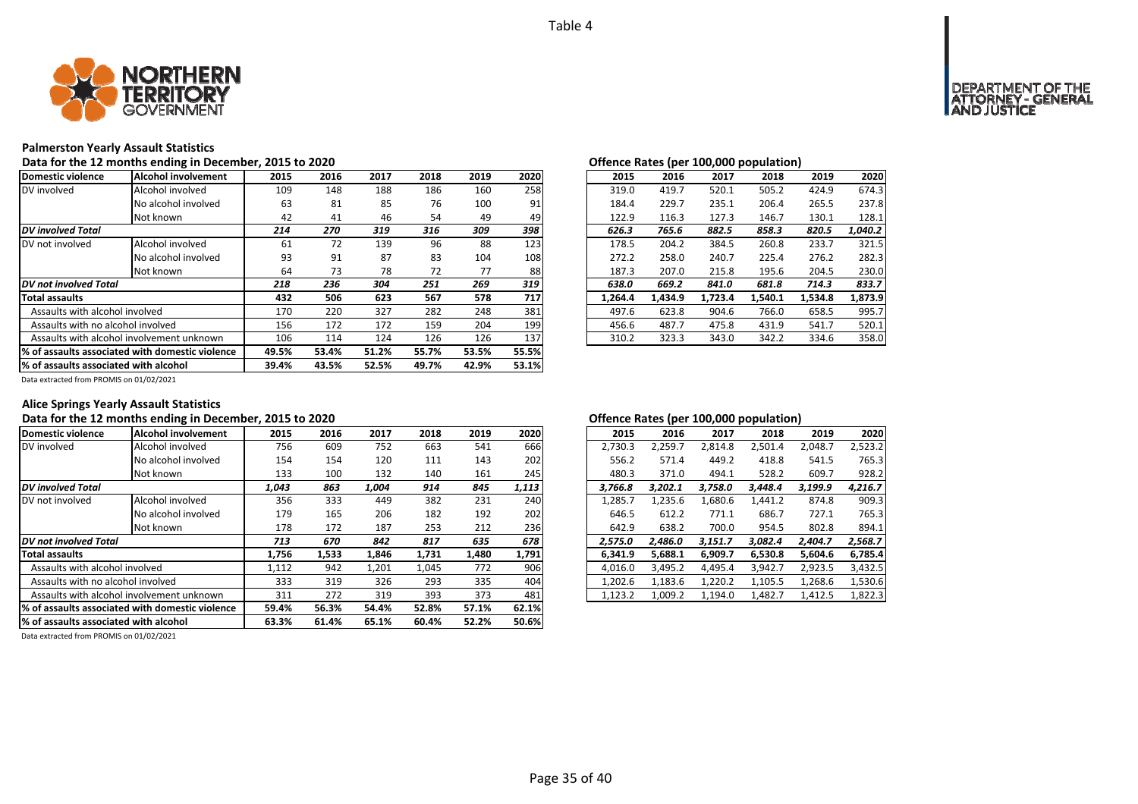![](_page_34_Picture_1.jpeg)

### **Palmerston Yearly Assault Statistics**

Data for the 12 months ending in December, 2015 to 2020<br> **Data for the 12 months ending in December, 2015 to 2020** 

| Domestic violence                                | Alcohol involvement                       | 2015  | 2016  | 2017  | 2018  | 2019  | 2020  | 2015    | 2016    | 2017    | 2018    | 2019    | 2020    |
|--------------------------------------------------|-------------------------------------------|-------|-------|-------|-------|-------|-------|---------|---------|---------|---------|---------|---------|
| DV involved                                      | Alcohol involved                          | 109   | 148   | 188   | 186   | 160   | 258   | 319.0   | 419.7   | 520.1   | 505.2   | 424.9   | 674.3   |
|                                                  | No alcohol involved                       | 63    | 81    | 85    | 76    | 100   | 91    | 184.4   | 229.7   | 235.1   | 206.4   | 265.5   | 237.8   |
|                                                  | Not known                                 | 42    | 41    | 46    | 54    | 49    | 49    | 122.9   | 116.3   | 127.3   | 146.7   | 130.1   | 128.1   |
| <b>DV</b> involved Total                         |                                           | 214   | 270   | 319   | 316   | 309   | 398   | 626.3   | 765.6   | 882.5   | 858.3   | 820.5   | 1,040.2 |
| DV not involved                                  | Alcohol involved                          | 61    | 72    | 139   | 96    | 88    | 123   | 178.5   | 204.2   | 384.5   | 260.8   | 233.7   | 321.5   |
|                                                  | No alcohol involved                       | 93    | 91    | 87    | 83    | 104   | 108   | 272.2   | 258.0   | 240.7   | 225.4   | 276.2   | 282.3   |
|                                                  | Not known                                 | 64    | 73    | 78    | 72    | 77    | 88    | 187.3   | 207.0   | 215.8   | 195.6   | 204.5   | 230.0   |
| DV not involved Total                            |                                           | 218   | 236   | 304   | 251   | 269   | 319   | 638.0   | 669.2   | 841.0   | 681.8   | 714.3   | 833.7   |
| <b>Total assaults</b>                            |                                           | 432   | 506   | 623   | 567   | 578   | 717   | 1,264.4 | 1,434.9 | 1,723.4 | 1,540.1 | 1,534.8 | 1,873.9 |
| Assaults with alcohol involved                   |                                           | 170   | 220   | 327   | 282   | 248   | 381   | 497.6   | 623.8   | 904.6   | 766.0   | 658.5   | 995.7   |
| Assaults with no alcohol involved                |                                           | 156   | 172   | 172   | 159   | 204   | 199   | 456.6   | 487.7   | 475.8   | 431.9   | 541.7   | 520.1   |
|                                                  | Assaults with alcohol involvement unknown |       | 114   | 124   | 126   | 126   | 137   | 310.2   | 323.3   | 343.0   | 342.2   | 334.6   | 358.0   |
| 1% of assaults associated with domestic violence |                                           | 49.5% | 53.4% | 51.2% | 55.7% | 53.5% | 55.5% |         |         |         |         |         |         |
| % of assaults associated with alcohol            |                                           | 39.4% | 43.5% | 52.5% | 49.7% | 42.9% | 53.1% |         |         |         |         |         |         |

|                         | J LU LULU |      |      |      |      |         |         | Offered nates (per 100,000 population) |         |         |         |
|-------------------------|-----------|------|------|------|------|---------|---------|----------------------------------------|---------|---------|---------|
| .5                      | 2016      | 2017 | 2018 | 2019 | 2020 | 2015    | 2016    | 2017                                   | 2018    | 2019    | 2020    |
| 19                      | 148       | 188  | 186  | 160  | 258  | 319.0   | 419.7   | 520.1                                  | 505.2   | 424.9   | 674.3   |
| jЗ                      | 81        | 85   | 76   | 100  | 91   | 184.4   | 229.7   | 235.1                                  | 206.4   | 265.5   | 237.8   |
| 12                      | 41        | 46   | 54   | 49   | 49   | 122.9   | 116.3   | 127.3                                  | 146.7   | 130.1   | 128.1   |
| 4                       | 270       | 319  | 316  | 309  | 398  | 626.3   | 765.6   | 882.5                                  | 858.3   | 820.5   | 1.040.2 |
| $\overline{\mathbf{1}}$ | 72        | 139  | 96   | 88   | 123  | 178.5   | 204.2   | 384.5                                  | 260.8   | 233.7   | 321.5   |
| 13                      | 91        | 87   | 83   | 104  | 108  | 272.2   | 258.0   | 240.7                                  | 225.4   | 276.2   | 282.3   |
| i4                      | 73        | 78   | 72   | 77   | 88   | 187.3   | 207.0   | 215.8                                  | 195.6   | 204.5   | 230.0   |
| 8                       | 236       | 304  | 251  | 269  | 319  | 638.0   | 669.2   | 841.0                                  | 681.8   | 714.3   | 833.7   |
| $2^{\circ}$             | 506       | 623  | 567  | 578  | 717  | 1.264.4 | 1,434.9 | 1,723.4                                | 1,540.1 | 1,534.8 | 1,873.9 |
| O'                      | 220       | 327  | 282  | 248  | 381  | 497.6   | 623.8   | 904.6                                  | 766.0   | 658.5   | 995.7   |
| 56                      | 172       | 172  | 159  | 204  | 199  | 456.6   | 487.7   | 475.8                                  | 431.9   | 541.7   | 520.1   |
| 16                      | 114       | 124  | 126  | 126  | 137  | 310.2   | 323.3   | 343.0                                  | 342.2   | 334.6   | 358.0   |
|                         |           |      |      |      |      |         |         |                                        |         |         |         |

Data extracted from PROMIS on 01/02/2021

# **Alice Springs Yearly Assault Statistics**

# Data for the 12 months ending in December, 2015 to 2020<br>**Data for the 12 months ending in December, 2015 to 2020**

| Domestic violence                               | Alcohol involvement | 2015  | 2016  | 2017  | 2018  | 2019  | 2020  | 2015    | 2016    | 2017    | 2018    | 2019    | 2020    |
|-------------------------------------------------|---------------------|-------|-------|-------|-------|-------|-------|---------|---------|---------|---------|---------|---------|
| DV involved                                     | Alcohol involved    | 756   | 609   | 752   | 663   | 541   | 666   | 2,730.3 | 2,259.7 | 2.814.8 | 2,501.4 | 2,048.7 | 2,523.2 |
|                                                 | No alcohol involved | 154   | 154   | 120   | 111   | 143   | 202   | 556.2   | 571.4   | 449.2   | 418.8   | 541.5   | 765.3   |
|                                                 | Not known           | 133   | 100   | 132   | 140   | 161   | 245   | 480.3   | 371.0   | 494.1   | 528.2   | 609.7   | 928.2   |
| <b>DV</b> involved Total                        |                     | 1,043 | 863   | 1.004 | 914   | 845   | 1,113 | 3.766.8 | 3.202.1 | 3.758.0 | 3.448.4 | 3,199.9 | 4,216.7 |
| DV not involved                                 | Alcohol involved    | 356   | 333   | 449   | 382   | 231   | 240   | 1,285.7 | 1,235.6 | 1,680.6 | 1,441.2 | 874.8   | 909.3   |
|                                                 | No alcohol involved | 179   | 165   | 206   | 182   | 192   | 202   | 646.5   | 612.2   | 771.1   | 686.7   | 727.1   | 765.3   |
|                                                 | Not known           | 178   | 172   | 187   | 253   | 212   | 236   | 642.9   | 638.2   | 700.0   | 954.5   | 802.8   | 894.1   |
| <b>DV</b> not involved Total                    |                     | 713   | 670   | 842   | 817   | 635   | 678   | 2,575.0 | 2.486.0 | 3,151.7 | 3.082.4 | 2,404.7 | 2,568.7 |
| <b>Total assaults</b>                           |                     | 1,756 | 1,533 | 1,846 | 1,731 | 1,480 | 1,791 | 6,341.9 | 5,688.1 | 6,909.7 | 6,530.8 | 5,604.6 | 6,785.4 |
| Assaults with alcohol involved                  |                     | 1,112 | 942   | 1,201 | 1,045 | 772   | 906   | 4,016.0 | 3,495.2 | 4,495.4 | 3,942.7 | 2,923.5 | 3,432.5 |
| Assaults with no alcohol involved               |                     | 333   | 319   | 326   | 293   | 335   | 404   | 1,202.6 | 1,183.6 | 1,220.2 | 1,105.5 | 1,268.6 | 1,530.6 |
| Assaults with alcohol involvement unknown       |                     | 311   | 272   | 319   | 393   | 373   | 481   | 1,123.2 | 1,009.2 | 1,194.0 | 1,482.7 | 1,412.5 | 1,822.3 |
| % of assaults associated with domestic violence |                     | 59.4% | 56.3% | 54.4% | 52.8% | 57.1% | 62.1% |         |         |         |         |         |         |
| % of assaults associated with alcohol           |                     | 63.3% | 61.4% | 65.1% | 60.4% | 52.2% | 50.6% |         |         |         |         |         |         |

| 2016    | 2017    | 2018    | 2019    | 2020    |
|---------|---------|---------|---------|---------|
| 2,259.7 | 2,814.8 | 2,501.4 | 2,048.7 | 2,523.2 |
| 571.4   | 449.2   | 418.8   | 541.5   | 765.3   |
| 371.0   | 494.1   | 528.2   | 609.7   | 928.2   |
| 3,202.1 | 3,758.0 | 3,448.4 | 3,199.9 | 4,216.7 |
| 1,235.6 | 1,680.6 | 1,441.2 | 874.8   | 909.3   |
| 612.2   | 771.1   | 686.7   | 727.1   | 765.3   |
| 638.2   | 700.0   | 954.5   | 802.8   | 894.1   |
| 2.486.0 | 3,151.7 | 3.082.4 | 2,404.7 | 2,568.7 |
| 5,688.1 | 6,909.7 | 6,530.8 | 5,604.6 | 6,785.4 |
| 3,495.2 | 4,495.4 | 3,942.7 | 2,923.5 | 3,432.5 |
| 1,183.6 | 1,220.2 | 1,105.5 | 1,268.6 | 1,530.6 |
| 1,009.2 | 1,194.0 | 1,482.7 | 1,412.5 | 1,822.3 |
|         |         |         |         |         |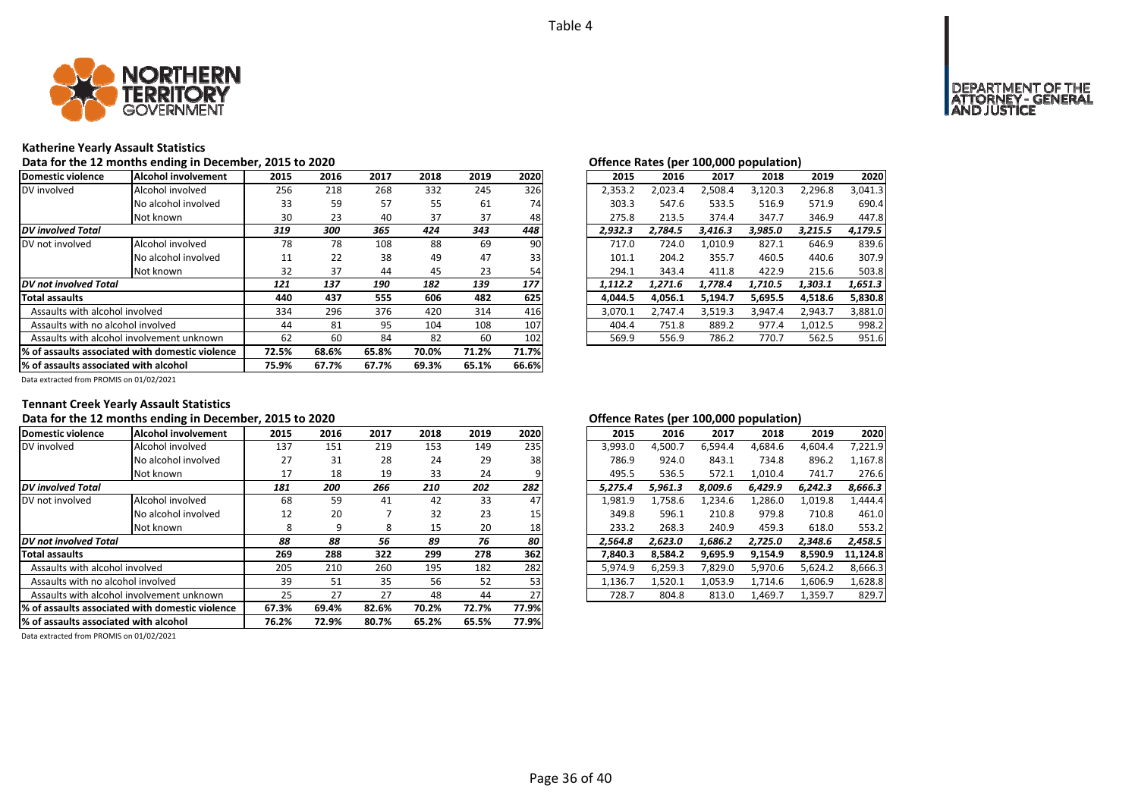![](_page_35_Picture_1.jpeg)

### **Katherine Yearly Assault Statistics**

Data for the 12 months ending in December, 2015 to 2020<br> **Data for the 12 months ending in December, 2015 to 2020** 

| Domestic violence                                | lAlcohol involvement                      | 2015  | 2016  | 2017  | 2018  | 2019  | 2020  | 2015    | 2016    | 2017    | 2018    | 2019    | 2020    |
|--------------------------------------------------|-------------------------------------------|-------|-------|-------|-------|-------|-------|---------|---------|---------|---------|---------|---------|
| DV involved                                      | Alcohol involved                          | 256   | 218   | 268   | 332   | 245   | 326   | 2,353.2 | 2,023.4 | 2,508.4 | 3,120.3 | 2,296.8 | 3,041.3 |
|                                                  | No alcohol involved                       | 33    | 59    | 57    | 55    | 61    | 74    | 303.3   | 547.6   | 533.5   | 516.9   | 571.9   | 690.4   |
|                                                  | Not known                                 | 30    | 23    | 40    | 37    | 37    | 48    | 275.8   | 213.5   | 374.4   | 347.7   | 346.9   | 447.8   |
| <b>DV</b> involved Total                         |                                           | 319   | 300   | 365   | 424   | 343   | 448   | 2,932.3 | 2,784.5 | 3,416.3 | 3,985.0 | 3,215.5 | 4,179.5 |
| DV not involved                                  | Alcohol involved                          | 78    | 78    | 108   | 88    | 69    | 90    | 717.0   | 724.0   | 1,010.9 | 827.1   | 646.9   | 839.6   |
|                                                  | No alcohol involved                       | 11    | 22    | 38    | 49    | 47    | 33    | 101.1   | 204.2   | 355.7   | 460.5   | 440.6   | 307.9   |
|                                                  | Not known                                 | 32    | 37    | 44    | 45    | 23    | 54    | 294.1   | 343.4   | 411.8   | 422.9   | 215.6   | 503.8   |
| DV not involved Total                            |                                           | 121   | 137   | 190   | 182   | 139   | 177   | 1,112.2 | 1,271.6 | 1,778.4 | 1,710.5 | 1,303.1 | 1,651.3 |
| <b>Total assaults</b>                            |                                           | 440   | 437   | 555   | 606   | 482   | 625   | 4,044.5 | 4,056.1 | 5,194.7 | 5,695.5 | 4,518.6 | 5,830.8 |
| Assaults with alcohol involved                   |                                           | 334   | 296   | 376   | 420   | 314   | 416   | 3,070.1 | 2,747.4 | 3,519.3 | 3,947.4 | 2,943.7 | 3,881.0 |
| Assaults with no alcohol involved                |                                           | 44    | 81    | 95    | 104   | 108   | 107   | 404.4   | 751.8   | 889.2   | 977.4   | 1,012.5 | 998.2   |
|                                                  | Assaults with alcohol involvement unknown | 62    | 60    | 84    | 82    | 60    | 102   | 569.9   | 556.9   | 786.2   | 770.7   | 562.5   | 951.6   |
| 1% of assaults associated with domestic violence |                                           | 72.5% | 68.6% | 65.8% | 70.0% | 71.2% | 71.7% |         |         |         |         |         |         |
| % of assaults associated with alcohol            |                                           | 75.9% | 67.7% | 67.7% | 69.3% | 65.1% | 66.6% |         |         |         |         |         |         |

| 2015    | 2016    | 2017    | 2018    | 2019    | 2020    |
|---------|---------|---------|---------|---------|---------|
| 2,353.2 | 2.023.4 | 2.508.4 | 3.120.3 | 2.296.8 | 3.041.3 |
| 303.3   | 547.6   | 533.5   | 516.9   | 571.9   | 690.4   |
| 275.8   | 213.5   | 374.4   | 347.7   | 346.9   | 447.8   |
| 2.932.3 | 2.784.5 | 3,416.3 | 3,985.0 | 3,215.5 | 4,179.5 |
| 717.0   | 724.0   | 1.010.9 | 827.1   | 646.9   | 839.6   |
| 101.1   | 204.2   | 355.7   | 460.5   | 440.6   | 307.9   |
| 294.1   | 343.4   | 411.8   | 422.9   | 215.6   | 503.8   |
| 1.112.2 | 1.271.6 | 1.778.4 | 1,710.5 | 1.303.1 | 1,651.3 |
| 4.044.5 | 4,056.1 | 5,194.7 | 5,695.5 | 4,518.6 | 5,830.8 |
| 3.070.1 | 2.747.4 | 3,519.3 | 3.947.4 | 2.943.7 | 3,881.0 |
| 404.4   | 751.8   | 889.2   | 977.4   | 1.012.5 | 998.2   |
| 569.9   | 556.9   | 786.2   | 770.7   | 562.5   | 951.6   |
|         |         |         |         |         |         |

Data extracted from PROMIS on 01/02/2021

# **Tennant Creek Yearly Assault Statistics**

# Data for the 12 months ending in December, 2015 to 2020<br> **Data for the 12 months ending in December, 2015 to 2020**

| Domestic violence                                | Alcohol involvement | 2015  | 2016  | 2017  | 2018  | 2019  | 2020  | 2015    | 2016    | 2017    | 2018    | 2019    | 2020     |
|--------------------------------------------------|---------------------|-------|-------|-------|-------|-------|-------|---------|---------|---------|---------|---------|----------|
| DV involved                                      | Alcohol involved    | 137   | 151   | 219   | 153   | 149   | 235   | 3,993.0 | 4,500.7 | 6,594.4 | 4,684.6 | 4,604.4 | 7,221.9  |
|                                                  | No alcohol involved | 27    | 31    | 28    | 24    | 29    | 38    | 786.9   | 924.0   | 843.1   | 734.8   | 896.2   | 1.167.8  |
|                                                  | Not known           | 17    | 18    | 19    | 33    | 24    |       | 495.5   | 536.5   | 572.1   | 1,010.4 | 741.7   | 276.6    |
| <b>DV</b> involved Total                         |                     | 181   | 200   | 266   | 210   | 202   | 282   | 5.275.4 | 5.961.3 | 8.009.6 | 6.429.9 | 6.242.3 | 8,666.3  |
| DV not involved                                  | Alcohol involved    | 68    | 59    | 41    | 42    | 33    | 47    | 1,981.9 | 1,758.6 | 1,234.6 | 1,286.0 | 1,019.8 | 1.444.4  |
|                                                  | No alcohol involved | 12    | 20    |       | 32    | 23    | 15    | 349.8   | 596.1   | 210.8   | 979.8   | 710.8   | 461.0    |
|                                                  | Not known           | 8     | 9     | 8     | 15    | 20    | 18    | 233.2   | 268.3   | 240.9   | 459.3   | 618.0   | 553.2    |
| DV not involved Total                            |                     | 88    | 88    | 56    | 89    | 76    | 80    | 2.564.8 | 2.623.0 | 1.686.2 | 2.725.0 | 2,348.6 | 2.458.5  |
| <b>Total assaults</b>                            |                     | 269   | 288   | 322   | 299   | 278   | 362   | 7,840.3 | 8.584.2 | 9,695.9 | 9,154.9 | 8,590.9 | 11.124.8 |
| Assaults with alcohol involved                   |                     | 205   | 210   | 260   | 195   | 182   | 282   | 5,974.9 | 6,259.3 | 7,829.0 | 5,970.6 | 5,624.2 | 8,666.3  |
| Assaults with no alcohol involved                |                     | 39    | 51    | 35    | 56    | 52    | 53    | 1,136.7 | 1,520.1 | 1,053.9 | 1,714.6 | 1,606.9 | 1,628.8  |
| Assaults with alcohol involvement unknown        |                     | 25    | 27    | 27    | 48    | 44    | 27    | 728.7   | 804.8   | 813.0   | 1,469.7 | 1,359.7 | 829.7    |
| 1% of assaults associated with domestic violence |                     | 67.3% | 69.4% | 82.6% | 70.2% | 72.7% | 77.9% |         |         |         |         |         |          |
| % of assaults associated with alcohol            |                     | 76.2% | 72.9% | 80.7% | 65.2% | 65.5% | 77.9% |         |         |         |         |         |          |

Data extracted from PROMIS on 01/02/2021

|                         |      |      |      |      |      |         | . .     |         |         |         |          |
|-------------------------|------|------|------|------|------|---------|---------|---------|---------|---------|----------|
| 5                       | 2016 | 2017 | 2018 | 2019 | 2020 | 2015    | 2016    | 2017    | 2018    | 2019    | 2020     |
| 17                      | 151  | 219  | 153  | 149  | 235  | 3,993.0 | 4,500.7 | 6,594.4 | 4,684.6 | 4.604.4 | 7,221.9  |
| !7                      | 31   | 28   | 24   | 29   | 38   | 786.9   | 924.0   | 843.1   | 734.8   | 896.2   | 1,167.8  |
| .7                      | 18   | 19   | 33   | 24   | 9    | 495.5   | 536.5   | 572.1   | 1,010.4 | 741.7   | 276.6    |
| 1                       | 200  | 266  | 210  | 202  | 282  | 5.275.4 | 5.961.3 | 8,009.6 | 6.429.9 | 6.242.3 | 8,666.3  |
| $\overline{\mathbf{8}}$ | 59   | 41   | 42   | 33   | 47   | 1,981.9 | 1,758.6 | 1,234.6 | 1,286.0 | 1,019.8 | 1,444.4  |
| $\overline{2}$          | 20   |      | 32   | 23   | 15   | 349.8   | 596.1   | 210.8   | 979.8   | 710.8   | 461.0    |
| 8                       | 9    | 8    | 15   | 20   | 18   | 233.2   | 268.3   | 240.9   | 459.3   | 618.0   | 553.2    |
| 8                       | 88   | 56   | 89   | 76   | 80   | 2.564.8 | 2.623.0 | 1.686.2 | 2.725.0 | 2.348.6 | 2,458.5  |
| 59                      | 288  | 322  | 299  | 278  | 362  | 7.840.3 | 8.584.2 | 9,695.9 | 9.154.9 | 8.590.9 | 11,124.8 |
| )5                      | 210  | 260  | 195  | 182  | 282  | 5.974.9 | 6.259.3 | 7.829.0 | 5.970.6 | 5.624.2 | 8,666.3  |
| 9                       | 51   | 35   | 56   | 52   | 53   | 1.136.7 | 1.520.1 | 1.053.9 | 1.714.6 | 1.606.9 | 1,628.8  |
| :5                      | 27   | 27   | 48   | 44   | 27   | 728.7   | 804.8   | 813.0   | 1,469.7 | 1,359.7 | 829.7    |
|                         |      |      |      |      |      |         |         |         |         |         |          |

# **OF THE**<br>GENERAL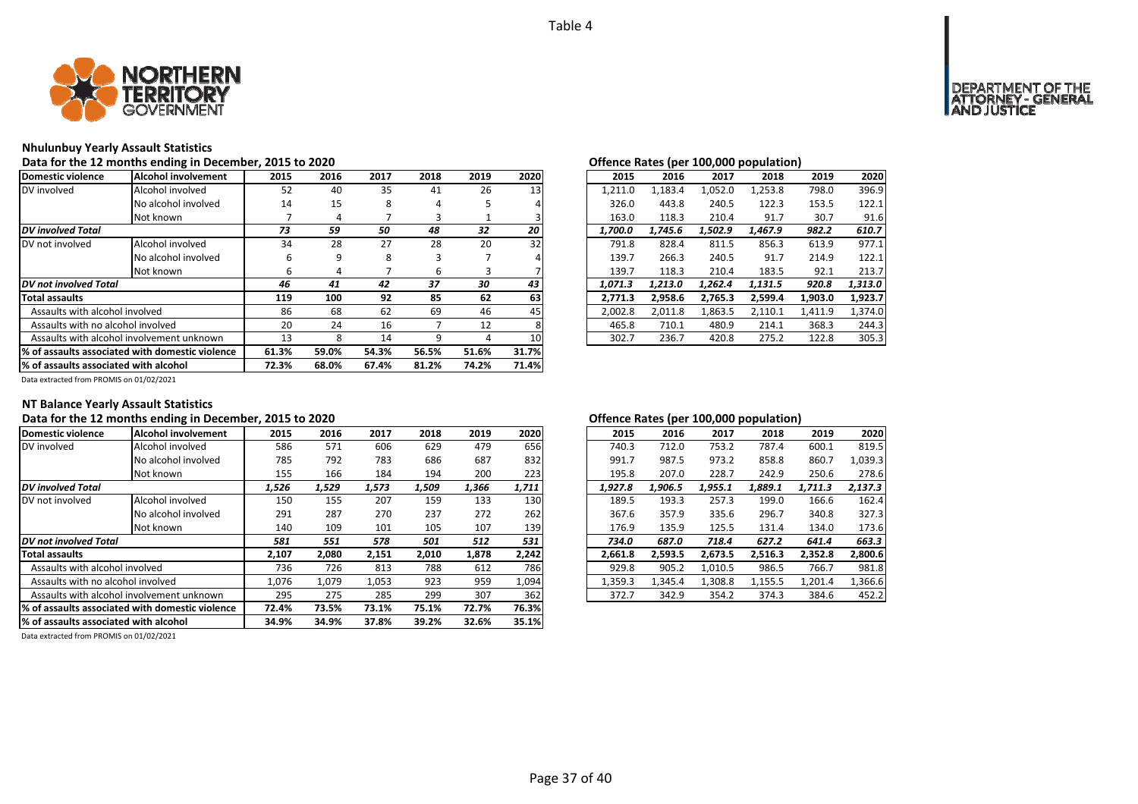![](_page_36_Picture_1.jpeg)

### **Nhulunbuy Yearly Assault Statistics**

# Data for the 12 months ending in December, 2015 to 2020<br> **Data for the 12 months ending in December, 2015 to 2020**

| Domestic violence                     | Alcohol involvement                              | 2015  | 2016  | 2017  | 2018  | 2019  | 2020  | 2015    | 2016    | 2017    | 2018    | 2019    | 2020    |
|---------------------------------------|--------------------------------------------------|-------|-------|-------|-------|-------|-------|---------|---------|---------|---------|---------|---------|
| DV involved                           | Alcohol involved                                 | 52    | 40    | 35    | 41    | 26    | 13    | 1,211.0 | 1,183.4 | 1,052.0 | 1,253.8 | 798.0   | 396.9   |
|                                       | No alcohol involved                              | 14    | 15    | 8     | 4     |       |       | 326.0   | 443.8   | 240.5   | 122.3   | 153.5   | 122.1   |
|                                       | Not known                                        |       | 4     |       |       |       |       | 163.0   | 118.3   | 210.4   | 91.7    | 30.7    | 91.6    |
| <b>DV</b> involved Total              |                                                  | 73    | 59    | 50    | 48    | 32    | 20    | 1.700.0 | 1.745.6 | 1.502.9 | 1.467.9 | 982.2   | 610.7   |
| DV not involved                       | Alcohol involved                                 | 34    | 28    | 27    | 28    | 20    | 32    | 791.8   | 828.4   | 811.5   | 856.3   | 613.9   | 977.1   |
|                                       | No alcohol involved                              | h     | 9     | 8     |       |       |       | 139.7   | 266.3   | 240.5   | 91.7    | 214.9   | 122.1   |
|                                       | Not known                                        | b     | 4     |       | 6     | đ.    |       | 139.7   | 118.3   | 210.4   | 183.5   | 92.1    | 213.7   |
| DV not involved Total                 |                                                  | 46    | 41    | 42    | 37    | 30    | 43    | 1,071.3 | 1.213.0 | 1,262.4 | 1,131.5 | 920.8   | 1,313.0 |
| <b>Total assaults</b>                 |                                                  | 119   | 100   | 92    | 85    | 62    | 63    | 2.771.3 | 2,958.6 | 2.765.3 | 2,599.4 | 1,903.0 | 1,923.7 |
| Assaults with alcohol involved        |                                                  | 86    | 68    | 62    | 69    | 46    | 45    | 2,002.8 | 2,011.8 | 1,863.5 | 2,110.1 | 1,411.9 | 1,374.0 |
| Assaults with no alcohol involved     |                                                  | 20    | 24    | 16    |       | 12    |       | 465.8   | 710.1   | 480.9   | 214.1   | 368.3   | 244.3   |
|                                       | Assaults with alcohol involvement unknown        |       | 8     | 14    | q     |       | 10    | 302.7   | 236.7   | 420.8   | 275.2   | 122.8   | 305.3   |
|                                       | 1% of assaults associated with domestic violence | 61.3% | 59.0% | 54.3% | 56.5% | 51.6% | 31.7% |         |         |         |         |         |         |
| % of assaults associated with alcohol |                                                  | 72.3% | 68.0% | 67.4% | 81.2% | 74.2% | 71.4% |         |         |         |         |         |         |

|    |      |      |      |      |      |         |         |         | . .     |         |         |
|----|------|------|------|------|------|---------|---------|---------|---------|---------|---------|
| .5 | 2016 | 2017 | 2018 | 2019 | 2020 | 2015    | 2016    | 2017    | 2018    | 2019    | 2020    |
| 2ة | 40   | 35   | 41   | 26   | 13   | 1.211.0 | 1,183.4 | 1,052.0 | 1,253.8 | 798.0   | 396.9   |
| 4  | 15   | 8    | 4    |      |      | 326.0   | 443.8   | 240.5   | 122.3   | 153.5   | 122.1   |
| 7  | 4    |      | 3    |      |      | 163.0   | 118.3   | 210.4   | 91.7    | 30.7    | 91.6    |
| 3  | 59   | 50   | 48   | 32   | 20   | 1.700.0 | 1,745.6 | 1,502.9 | 1,467.9 | 982.2   | 610.7   |
| ١4 | 28   | 27   | 28   | 20   | 32   | 791.8   | 828.4   | 811.5   | 856.3   | 613.9   | 977.1   |
| 6  | 9    | 8    | 3    |      | 4    | 139.7   | 266.3   | 240.5   | 91.7    | 214.9   | 122.1   |
| 6  | 4    |      | 6    | 3    |      | 139.7   | 118.3   | 210.4   | 183.5   | 92.1    | 213.7   |
| 6  | 41   | 42   | 37   | 30   | 43   | 1.071.3 | 1.213.0 | 1.262.4 | 1.131.5 | 920.8   | 1,313.0 |
| 9  | 100  | 92   | 85   | 62   | 63   | 2,771.3 | 2.958.6 | 2,765.3 | 2,599.4 | 1,903.0 | 1,923.7 |
| 86 | 68   | 62   | 69   | 46   | 45   | 2.002.8 | 2.011.8 | 1,863.5 | 2,110.1 | 1.411.9 | 1,374.0 |
| :0 | 24   | 16   | 7    | 12   | 8    | 465.8   | 710.1   | 480.9   | 214.1   | 368.3   | 244.3   |
| .3 | 8    | 14   | 9    | 4    | 10   | 302.7   | 236.7   | 420.8   | 275.2   | 122.8   | 305.3   |

Data extracted from PROMIS on 01/02/2021

# **NT Balance Yearly Assault Statistics**

# Data for the 12 months ending in December, 2015 to 2020<br> **Data for the 12 months ending in December, 2015 to 2020**

| Domestic violence                                | <b>Alcohol involvement</b>                                        | 2015  | 2016  | 2017  | 2018  | 2019  | 2020  | 2015    | 2016    | 2017    | 2018    | 2019    | 2020    |
|--------------------------------------------------|-------------------------------------------------------------------|-------|-------|-------|-------|-------|-------|---------|---------|---------|---------|---------|---------|
| DV involved                                      | Alcohol involved                                                  | 586   | 571   | 606   | 629   | 479   | 656   | 740.3   | 712.0   | 753.2   | 787.4   | 600.1   | 819.5   |
|                                                  | No alcohol involved                                               | 785   | 792   | 783   | 686   | 687   | 832   | 991.7   | 987.5   | 973.2   | 858.8   | 860.7   | 1,039.3 |
|                                                  | Not known                                                         | 155   | 166   | 184   | 194   | 200   | 223   | 195.8   | 207.0   | 228.7   | 242.9   | 250.6   | 278.6   |
| <b>DV</b> involved Total                         |                                                                   | 1,526 | 1,529 | 1,573 | 1,509 | 1,366 | 1,711 | 1,927.8 | 1.906.5 | 1,955.1 | 1,889.1 | 1,711.3 | 2,137.3 |
| DV not involved                                  | Alcohol involved                                                  | 150   | 155   | 207   | 159   | 133   | 130   | 189.5   | 193.3   | 257.3   | 199.0   | 166.6   | 162.4   |
|                                                  | No alcohol involved                                               | 291   | 287   | 270   | 237   | 272   | 262   | 367.6   | 357.9   | 335.6   | 296.7   | 340.8   | 327.3   |
|                                                  | Not known                                                         | 140   | 109   | 101   | 105   | 107   | 139   | 176.9   | 135.9   | 125.5   | 131.4   | 134.0   | 173.6   |
| <b>DV</b> not involved Total                     | 531<br>578<br>501<br>512<br>581<br>551<br>687.0<br>734.0<br>718.4 |       | 627.2 | 641.4 | 663.3 |       |       |         |         |         |         |         |         |
| <b>Total assaults</b>                            |                                                                   | 2,107 | 2,080 | 2,151 | 2,010 | 1,878 | 2,242 | 2,661.8 | 2,593.5 | 2.673.5 | 2,516.3 | 2.352.8 | 2,800.6 |
| Assaults with alcohol involved                   |                                                                   | 736   | 726   | 813   | 788   | 612   | 786   | 929.8   | 905.2   | 1,010.5 | 986.5   | 766.7   | 981.8   |
| Assaults with no alcohol involved                |                                                                   | 1,076 | 1,079 | 1,053 | 923   | 959   | 1,094 | 1,359.3 | 1,345.4 | 1,308.8 | 1,155.5 | 1,201.4 | 1,366.6 |
|                                                  | Assaults with alcohol involvement unknown                         |       | 275   | 285   | 299   | 307   | 362   | 372.7   | 342.9   | 354.2   | 374.3   | 384.6   | 452.2   |
| 1% of assaults associated with domestic violence | 72.4%                                                             | 73.5% | 73.1% | 75.1% | 72.7% | 76.3% |       |         |         |         |         |         |         |
| % of assaults associated with alcohol            |                                                                   | 34.9% | 34.9% | 37.8% | 39.2% | 32.6% | 35.1% |         |         |         |         |         |         |

| 2020<br>2019<br>819.5<br>600.1<br>1.039.3<br>860.7 |
|----------------------------------------------------|
|                                                    |
|                                                    |
|                                                    |
| 250.6<br>278.6                                     |
| 1.711.3<br>2.137.3                                 |
| 162.4<br>166.6                                     |
| 327.3<br>340.8                                     |
| 173.6<br>134.0                                     |
| 663.3<br>641.4                                     |
| 2,352.8<br>2,800.6                                 |
| 766.7<br>981.8                                     |
| 1.201.4<br>1,366.6                                 |
| 452.2<br>384.6                                     |
|                                                    |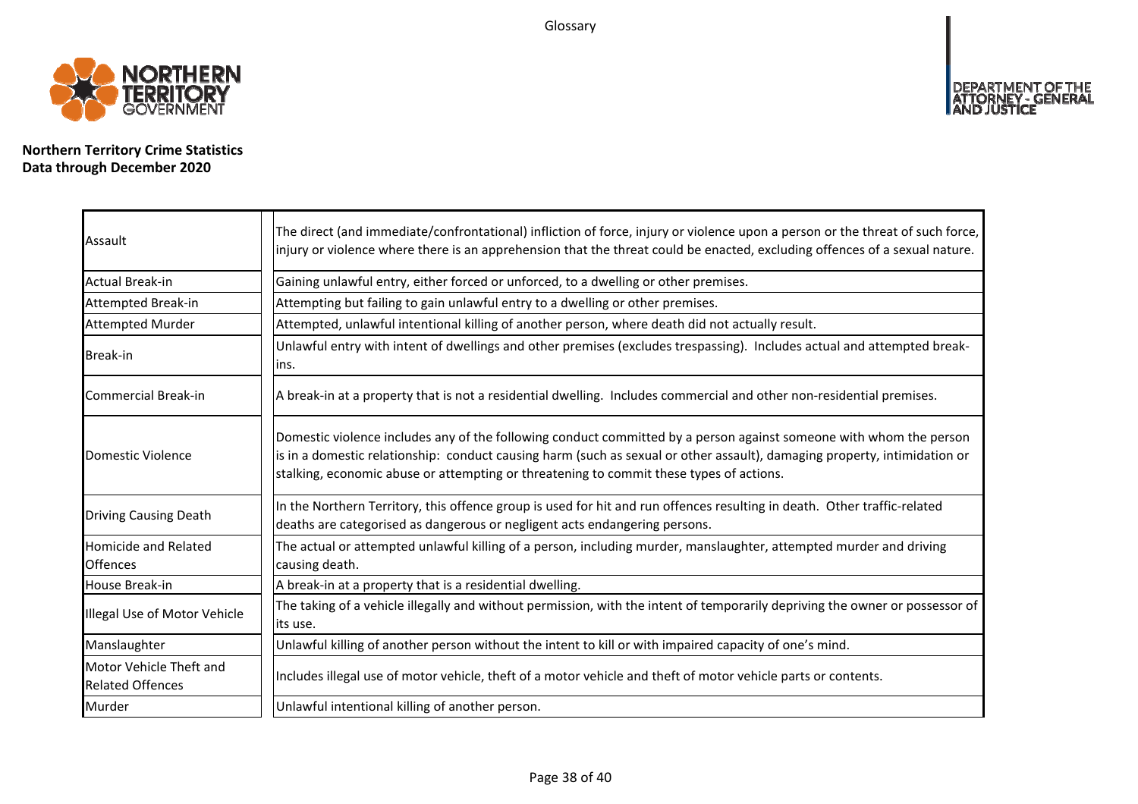Glossary

![](_page_37_Picture_1.jpeg)

**Northern Territory Crime Statistics Data through December 2020**

| Assault                                            | The direct (and immediate/confrontational) infliction of force, injury or violence upon a person or the threat of such force,<br>injury or violence where there is an apprehension that the threat could be enacted, excluding offences of a sexual nature.                                                                                |
|----------------------------------------------------|--------------------------------------------------------------------------------------------------------------------------------------------------------------------------------------------------------------------------------------------------------------------------------------------------------------------------------------------|
| Actual Break-in                                    | Gaining unlawful entry, either forced or unforced, to a dwelling or other premises.                                                                                                                                                                                                                                                        |
| Attempted Break-in                                 | Attempting but failing to gain unlawful entry to a dwelling or other premises.                                                                                                                                                                                                                                                             |
| <b>Attempted Murder</b>                            | Attempted, unlawful intentional killing of another person, where death did not actually result.                                                                                                                                                                                                                                            |
| <b>Break-in</b>                                    | Unlawful entry with intent of dwellings and other premises (excludes trespassing). Includes actual and attempted break-<br>ins.                                                                                                                                                                                                            |
| <b>Commercial Break-in</b>                         | A break-in at a property that is not a residential dwelling. Includes commercial and other non-residential premises.                                                                                                                                                                                                                       |
| Domestic Violence                                  | Domestic violence includes any of the following conduct committed by a person against someone with whom the person<br>is in a domestic relationship: conduct causing harm (such as sexual or other assault), damaging property, intimidation or<br>stalking, economic abuse or attempting or threatening to commit these types of actions. |
| <b>Driving Causing Death</b>                       | In the Northern Territory, this offence group is used for hit and run offences resulting in death. Other traffic-related<br>deaths are categorised as dangerous or negligent acts endangering persons.                                                                                                                                     |
| Homicide and Related<br><b>Offences</b>            | The actual or attempted unlawful killing of a person, including murder, manslaughter, attempted murder and driving<br>causing death.                                                                                                                                                                                                       |
| House Break-in                                     | A break-in at a property that is a residential dwelling.                                                                                                                                                                                                                                                                                   |
| Illegal Use of Motor Vehicle                       | The taking of a vehicle illegally and without permission, with the intent of temporarily depriving the owner or possessor of<br>its use.                                                                                                                                                                                                   |
| Manslaughter                                       | Unlawful killing of another person without the intent to kill or with impaired capacity of one's mind.                                                                                                                                                                                                                                     |
| Motor Vehicle Theft and<br><b>Related Offences</b> | Includes illegal use of motor vehicle, theft of a motor vehicle and theft of motor vehicle parts or contents.                                                                                                                                                                                                                              |
| Murder                                             | Unlawful intentional killing of another person.                                                                                                                                                                                                                                                                                            |

DEPARTMENT OF THE<br>ATTORNEY - GENERAL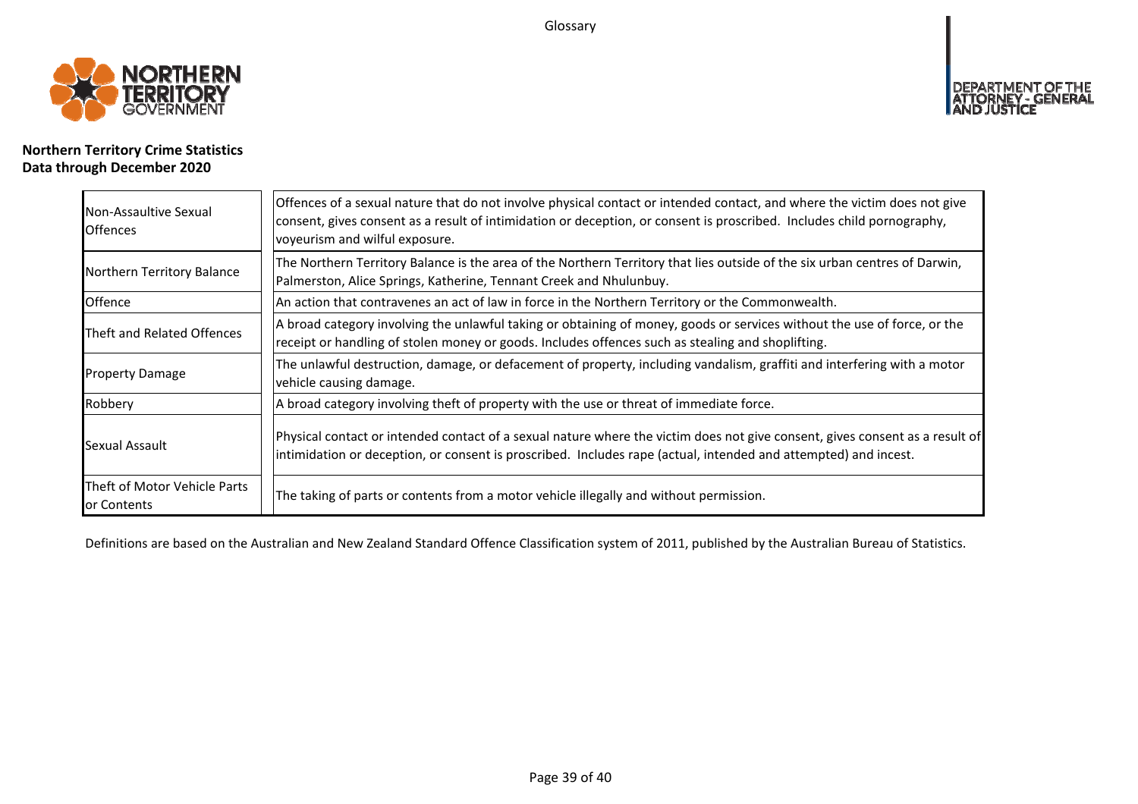Glossary

![](_page_38_Picture_1.jpeg)

# **Northern Territory Crime Statistics Data through December 2020**

| Non-Assaultive Sexual<br><b>Offences</b>    | Offences of a sexual nature that do not involve physical contact or intended contact, and where the victim does not give<br>consent, gives consent as a result of intimidation or deception, or consent is proscribed. Includes child pornography,<br>voyeurism and wilful exposure. |
|---------------------------------------------|--------------------------------------------------------------------------------------------------------------------------------------------------------------------------------------------------------------------------------------------------------------------------------------|
| Northern Territory Balance                  | The Northern Territory Balance is the area of the Northern Territory that lies outside of the six urban centres of Darwin,<br>Palmerston, Alice Springs, Katherine, Tennant Creek and Nhulunbuy.                                                                                     |
| Offence                                     | An action that contravenes an act of law in force in the Northern Territory or the Commonwealth.                                                                                                                                                                                     |
| Theft and Related Offences                  | A broad category involving the unlawful taking or obtaining of money, goods or services without the use of force, or the<br>receipt or handling of stolen money or goods. Includes offences such as stealing and shoplifting.                                                        |
| <b>Property Damage</b>                      | The unlawful destruction, damage, or defacement of property, including vandalism, graffiti and interfering with a motor<br>vehicle causing damage.                                                                                                                                   |
| Robbery                                     | A broad category involving theft of property with the use or threat of immediate force.                                                                                                                                                                                              |
| Sexual Assault                              | Physical contact or intended contact of a sexual nature where the victim does not give consent, gives consent as a result of<br>intimidation or deception, or consent is proscribed. Includes rape (actual, intended and attempted) and incest.                                      |
| Theft of Motor Vehicle Parts<br>or Contents | The taking of parts or contents from a motor vehicle illegally and without permission.                                                                                                                                                                                               |

Definitions are based on the Australian and New Zealand Standard Offence Classification system of 2011, published by the Australian Bureau of Statistics.

<u>T OF THE</u>

**DEPART**